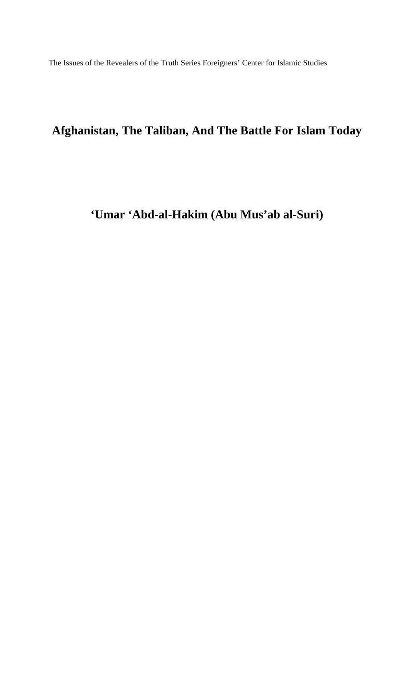The Issues of the Revealers of the Truth Series Foreigners' Center for Islamic Studies

# **Afghanistan, The Taliban, And The Battle For Islam Today**

## **'Umar 'Abd-al-Hakim (Abu Mus'ab al-Suri)**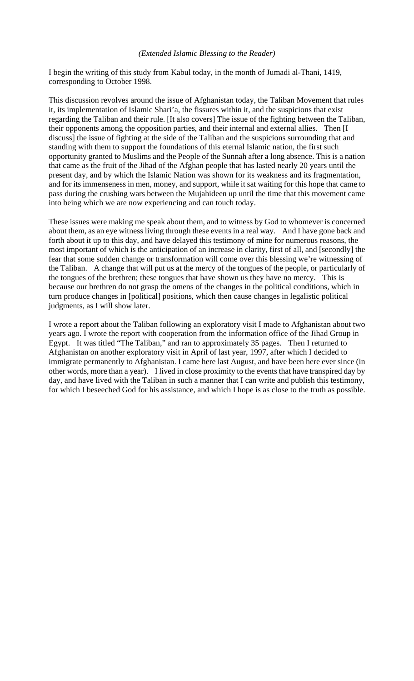#### *(Extended Islamic Blessing to the Reader)*

I begin the writing of this study from Kabul today, in the month of Jumadi al-Thani, 1419, corresponding to October 1998.

This discussion revolves around the issue of Afghanistan today, the Taliban Movement that rules it, its implementation of Islamic Shari'a, the fissures within it, and the suspicions that exist regarding the Taliban and their rule. [It also covers] The issue of the fighting between the Taliban, their opponents among the opposition parties, and their internal and external allies. Then [I discuss] the issue of fighting at the side of the Taliban and the suspicions surrounding that and standing with them to support the foundations of this eternal Islamic nation, the first such opportunity granted to Muslims and the People of the Sunnah after a long absence. This is a nation that came as the fruit of the Jihad of the Afghan people that has lasted nearly 20 years until the present day, and by which the Islamic Nation was shown for its weakness and its fragmentation, and for its immenseness in men, money, and support, while it sat waiting for this hope that came to pass during the crushing wars between the Mujahideen up until the time that this movement came into being which we are now experiencing and can touch today.

These issues were making me speak about them, and to witness by God to whomever is concerned about them, as an eye witness living through these events in a real way. And I have gone back and forth about it up to this day, and have delayed this testimony of mine for numerous reasons, the most important of which is the anticipation of an increase in clarity, first of all, and [secondly] the fear that some sudden change or transformation will come over this blessing we're witnessing of the Taliban. A change that will put us at the mercy of the tongues of the people, or particularly of the tongues of the brethren; these tongues that have shown us they have no mercy. This is because our brethren do not grasp the omens of the changes in the political conditions, which in turn produce changes in [political] positions, which then cause changes in legalistic political judgments, as I will show later.

I wrote a report about the Taliban following an exploratory visit I made to Afghanistan about two years ago. I wrote the report with cooperation from the information office of the Jihad Group in Egypt. It was titled "The Taliban," and ran to approximately 35 pages. Then I returned to Afghanistan on another exploratory visit in April of last year, 1997, after which I decided to immigrate permanently to Afghanistan. I came here last August, and have been here ever since (in other words, more than a year). I lived in close proximity to the events that have transpired day by day, and have lived with the Taliban in such a manner that I can write and publish this testimony, for which I beseeched God for his assistance, and which I hope is as close to the truth as possible.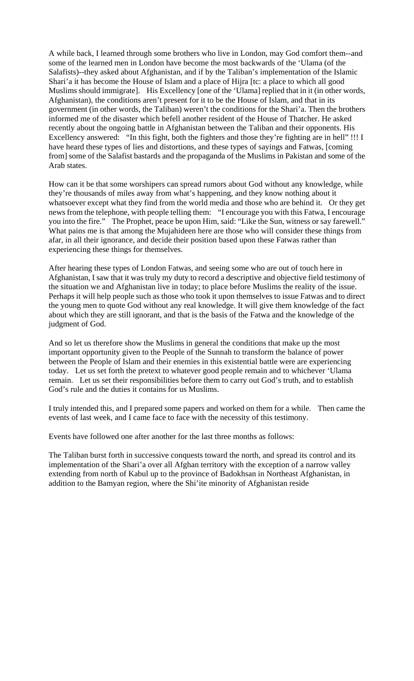A while back, I learned through some brothers who live in London, may God comfort them--and some of the learned men in London have become the most backwards of the 'Ulama (of the Salafists)--they asked about Afghanistan, and if by the Taliban's implementation of the Islamic Shari'a it has become the House of Islam and a place of Hijra [tc: a place to which all good Muslims should immigrate]. His Excellency [one of the 'Ulama] replied that in it (in other words, Afghanistan), the conditions aren't present for it to be the House of Islam, and that in its government (in other words, the Taliban) weren't the conditions for the Shari'a. Then the brothers informed me of the disaster which befell another resident of the House of Thatcher. He asked recently about the ongoing battle in Afghanistan between the Taliban and their opponents. His Excellency answered: "In this fight, both the fighters and those they're fighting are in hell" !!! I have heard these types of lies and distortions, and these types of sayings and Fatwas, [coming from] some of the Salafist bastards and the propaganda of the Muslims in Pakistan and some of the Arab states.

How can it be that some worshipers can spread rumors about God without any knowledge, while they're thousands of miles away from what's happening, and they know nothing about it whatsoever except what they find from the world media and those who are behind it. Or they get news from the telephone, with people telling them: "I encourage you with this Fatwa, I encourage you into the fire." The Prophet, peace be upon Him, said: "Like the Sun, witness or say farewell." What pains me is that among the Mujahideen here are those who will consider these things from afar, in all their ignorance, and decide their position based upon these Fatwas rather than experiencing these things for themselves.

After hearing these types of London Fatwas, and seeing some who are out of touch here in Afghanistan, I saw that it was truly my duty to record a descriptive and objective field testimony of the situation we and Afghanistan live in today; to place before Muslims the reality of the issue. Perhaps it will help people such as those who took it upon themselves to issue Fatwas and to direct the young men to quote God without any real knowledge. It will give them knowledge of the fact about which they are still ignorant, and that is the basis of the Fatwa and the knowledge of the judgment of God.

And so let us therefore show the Muslims in general the conditions that make up the most important opportunity given to the People of the Sunnah to transform the balance of power between the People of Islam and their enemies in this existential battle were are experiencing today. Let us set forth the pretext to whatever good people remain and to whichever 'Ulama remain. Let us set their responsibilities before them to carry out God's truth, and to establish God's rule and the duties it contains for us Muslims.

I truly intended this, and I prepared some papers and worked on them for a while. Then came the events of last week, and I came face to face with the necessity of this testimony.

Events have followed one after another for the last three months as follows:

The Taliban burst forth in successive conquests toward the north, and spread its control and its implementation of the Shari'a over all Afghan territory with the exception of a narrow valley extending from north of Kabul up to the province of Badokhsan in Northeast Afghanistan, in addition to the Bamyan region, where the Shi'ite minority of Afghanistan reside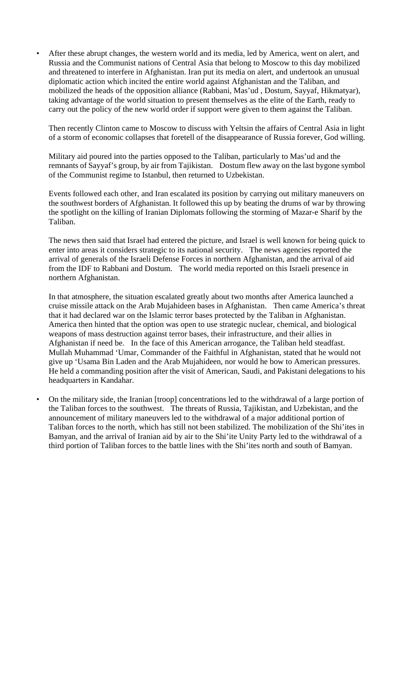• After these abrupt changes, the western world and its media, led by America, went on alert, and Russia and the Communist nations of Central Asia that belong to Moscow to this day mobilized and threatened to interfere in Afghanistan. Iran put its media on alert, and undertook an unusual diplomatic action which incited the entire world against Afghanistan and the Taliban, and mobilized the heads of the opposition alliance (Rabbani, Mas'ud , Dostum, Sayyaf, Hikmatyar), taking advantage of the world situation to present themselves as the elite of the Earth, ready to carry out the policy of the new world order if support were given to them against the Taliban.

Then recently Clinton came to Moscow to discuss with Yeltsin the affairs of Central Asia in light of a storm of economic collapses that foretell of the disappearance of Russia forever, God willing.

Military aid poured into the parties opposed to the Taliban, particularly to Mas'ud and the remnants of Sayyaf's group, by air from Tajikistan. Dostum flew away on the last bygone symbol of the Communist regime to Istanbul, then returned to Uzbekistan.

Events followed each other, and Iran escalated its position by carrying out military maneuvers on the southwest borders of Afghanistan. It followed this up by beating the drums of war by throwing the spotlight on the killing of Iranian Diplomats following the storming of Mazar-e Sharif by the Taliban.

The news then said that Israel had entered the picture, and Israel is well known for being quick to enter into areas it considers strategic to its national security. The news agencies reported the arrival of generals of the Israeli Defense Forces in northern Afghanistan, and the arrival of aid from the IDF to Rabbani and Dostum. The world media reported on this Israeli presence in northern Afghanistan.

In that atmosphere, the situation escalated greatly about two months after America launched a cruise missile attack on the Arab Mujahideen bases in Afghanistan. Then came America's threat that it had declared war on the Islamic terror bases protected by the Taliban in Afghanistan. America then hinted that the option was open to use strategic nuclear, chemical, and biological weapons of mass destruction against terror bases, their infrastructure, and their allies in Afghanistan if need be. In the face of this American arrogance, the Taliban held steadfast. Mullah Muhammad 'Umar, Commander of the Faithful in Afghanistan, stated that he would not give up 'Usama Bin Laden and the Arab Mujahideen, nor would he bow to American pressures. He held a commanding position after the visit of American, Saudi, and Pakistani delegations to his headquarters in Kandahar.

• On the military side, the Iranian [troop] concentrations led to the withdrawal of a large portion of the Taliban forces to the southwest. The threats of Russia, Tajikistan, and Uzbekistan, and the announcement of military maneuvers led to the withdrawal of a major additional portion of Taliban forces to the north, which has still not been stabilized. The mobilization of the Shi'ites in Bamyan, and the arrival of Iranian aid by air to the Shi'ite Unity Party led to the withdrawal of a third portion of Taliban forces to the battle lines with the Shi'ites north and south of Bamyan.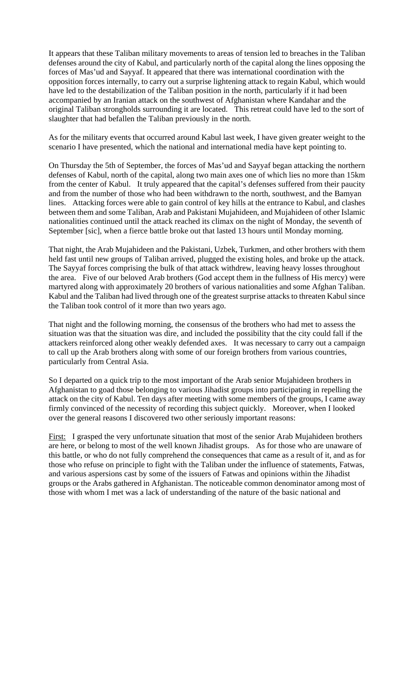It appears that these Taliban military movements to areas of tension led to breaches in the Taliban defenses around the city of Kabul, and particularly north of the capital along the lines opposing the forces of Mas'ud and Sayyaf. It appeared that there was international coordination with the opposition forces internally, to carry out a surprise lightening attack to regain Kabul, which would have led to the destabilization of the Taliban position in the north, particularly if it had been accompanied by an Iranian attack on the southwest of Afghanistan where Kandahar and the original Taliban strongholds surrounding it are located. This retreat could have led to the sort of slaughter that had befallen the Taliban previously in the north.

As for the military events that occurred around Kabul last week, I have given greater weight to the scenario I have presented, which the national and international media have kept pointing to.

On Thursday the 5th of September, the forces of Mas'ud and Sayyaf began attacking the northern defenses of Kabul, north of the capital, along two main axes one of which lies no more than 15km from the center of Kabul. It truly appeared that the capital's defenses suffered from their paucity and from the number of those who had been withdrawn to the north, southwest, and the Bamyan lines. Attacking forces were able to gain control of key hills at the entrance to Kabul, and clashes between them and some Taliban, Arab and Pakistani Mujahideen, and Mujahideen of other Islamic nationalities continued until the attack reached its climax on the night of Monday, the seventh of September [sic], when a fierce battle broke out that lasted 13 hours until Monday morning.

That night, the Arab Mujahideen and the Pakistani, Uzbek, Turkmen, and other brothers with them held fast until new groups of Taliban arrived, plugged the existing holes, and broke up the attack. The Sayyaf forces comprising the bulk of that attack withdrew, leaving heavy losses throughout the area. Five of our beloved Arab brothers (God accept them in the fullness of His mercy) were martyred along with approximately 20 brothers of various nationalities and some Afghan Taliban. Kabul and the Taliban had lived through one of the greatest surprise attacks to threaten Kabul since the Taliban took control of it more than two years ago.

That night and the following morning, the consensus of the brothers who had met to assess the situation was that the situation was dire, and included the possibility that the city could fall if the attackers reinforced along other weakly defended axes. It was necessary to carry out a campaign to call up the Arab brothers along with some of our foreign brothers from various countries, particularly from Central Asia.

So I departed on a quick trip to the most important of the Arab senior Mujahideen brothers in Afghanistan to goad those belonging to various Jihadist groups into participating in repelling the attack on the city of Kabul. Ten days after meeting with some members of the groups, I came away firmly convinced of the necessity of recording this subject quickly. Moreover, when I looked over the general reasons I discovered two other seriously important reasons:

First: I grasped the very unfortunate situation that most of the senior Arab Mujahideen brothers are here, or belong to most of the well known Jihadist groups. As for those who are unaware of this battle, or who do not fully comprehend the consequences that came as a result of it, and as for those who refuse on principle to fight with the Taliban under the influence of statements, Fatwas, and various aspersions cast by some of the issuers of Fatwas and opinions within the Jihadist groups or the Arabs gathered in Afghanistan. The noticeable common denominator among most of those with whom I met was a lack of understanding of the nature of the basic national and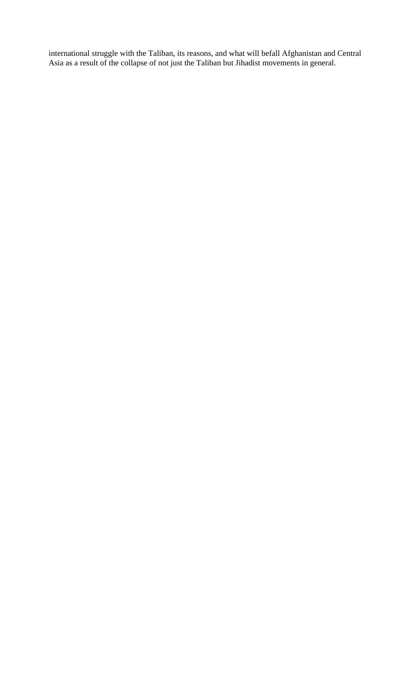international struggle with the Taliban, its reasons, and what will befall Afghanistan and Central Asia as a result of the collapse of not just the Taliban but Jihadist movements in general.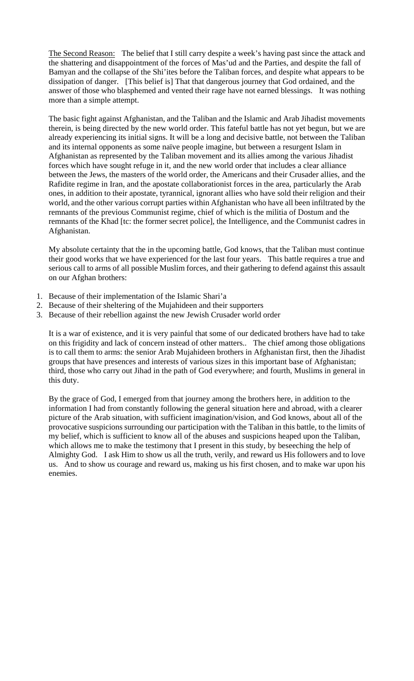The Second Reason: The belief that I still carry despite a week's having past since the attack and the shattering and disappointment of the forces of Mas'ud and the Parties, and despite the fall of Bamyan and the collapse of the Shi'ites before the Taliban forces, and despite what appears to be dissipation of danger. [This belief is] That that dangerous journey that God ordained, and the answer of those who blasphemed and vented their rage have not earned blessings. It was nothing more than a simple attempt.

The basic fight against Afghanistan, and the Taliban and the Islamic and Arab Jihadist movements therein, is being directed by the new world order. This fateful battle has not yet begun, but we are already experiencing its initial signs. It will be a long and decisive battle, not between the Taliban and its internal opponents as some naïve people imagine, but between a resurgent Islam in Afghanistan as represented by the Taliban movement and its allies among the various Jihadist forces which have sought refuge in it, and the new world order that includes a clear alliance between the Jews, the masters of the world order, the Americans and their Crusader allies, and the Rafidite regime in Iran, and the apostate collaborationist forces in the area, particularly the Arab ones, in addition to their apostate, tyrannical, ignorant allies who have sold their religion and their world, and the other various corrupt parties within Afghanistan who have all been infiltrated by the remnants of the previous Communist regime, chief of which is the militia of Dostum and the remnants of the Khad [tc: the former secret police], the Intelligence, and the Communist cadres in Afghanistan.

My absolute certainty that the in the upcoming battle, God knows, that the Taliban must continue their good works that we have experienced for the last four years. This battle requires a true and serious call to arms of all possible Muslim forces, and their gathering to defend against this assault on our Afghan brothers:

- 1. Because of their implementation of the Islamic Shari'a
- 2. Because of their sheltering of the Mujahideen and their supporters
- 3. Because of their rebellion against the new Jewish Crusader world order

It is a war of existence, and it is very painful that some of our dedicated brothers have had to take on this frigidity and lack of concern instead of other matters.. The chief among those obligations is to call them to arms: the senior Arab Mujahideen brothers in Afghanistan first, then the Jihadist groups that have presences and interests of various sizes in this important base of Afghanistan; third, those who carry out Jihad in the path of God everywhere; and fourth, Muslims in general in this duty.

By the grace of God, I emerged from that journey among the brothers here, in addition to the information I had from constantly following the general situation here and abroad, with a clearer picture of the Arab situation, with sufficient imagination/vision, and God knows, about all of the provocative suspicions surrounding our participation with the Taliban in this battle, to the limits of my belief, which is sufficient to know all of the abuses and suspicions heaped upon the Taliban, which allows me to make the testimony that I present in this study, by beseeching the help of Almighty God. I ask Him to show us all the truth, verily, and reward us His followers and to love us. And to show us courage and reward us, making us his first chosen, and to make war upon his enemies.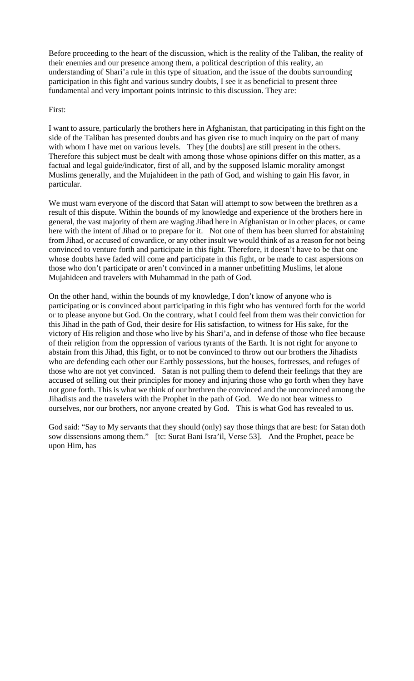Before proceeding to the heart of the discussion, which is the reality of the Taliban, the reality of their enemies and our presence among them, a political description of this reality, an understanding of Shari'a rule in this type of situation, and the issue of the doubts surrounding participation in this fight and various sundry doubts, I see it as beneficial to present three fundamental and very important points intrinsic to this discussion. They are:

#### First:

I want to assure, particularly the brothers here in Afghanistan, that participating in this fight on the side of the Taliban has presented doubts and has given rise to much inquiry on the part of many with whom I have met on various levels. They [the doubts] are still present in the others. Therefore this subject must be dealt with among those whose opinions differ on this matter, as a factual and legal guide/indicator, first of all, and by the supposed Islamic morality amongst Muslims generally, and the Mujahideen in the path of God, and wishing to gain His favor, in particular.

We must warn everyone of the discord that Satan will attempt to sow between the brethren as a result of this dispute. Within the bounds of my knowledge and experience of the brothers here in general, the vast majority of them are waging Jihad here in Afghanistan or in other places, or came here with the intent of Jihad or to prepare for it. Not one of them has been slurred for abstaining from Jihad, or accused of cowardice, or any other insult we would think of as a reason for not being convinced to venture forth and participate in this fight. Therefore, it doesn't have to be that one whose doubts have faded will come and participate in this fight, or be made to cast aspersions on those who don't participate or aren't convinced in a manner unbefitting Muslims, let alone Mujahideen and travelers with Muhammad in the path of God.

On the other hand, within the bounds of my knowledge, I don't know of anyone who is participating or is convinced about participating in this fight who has ventured forth for the world or to please anyone but God. On the contrary, what I could feel from them was their conviction for this Jihad in the path of God, their desire for His satisfaction, to witness for His sake, for the victory of His religion and those who live by his Shari'a, and in defense of those who flee because of their religion from the oppression of various tyrants of the Earth. It is not right for anyone to abstain from this Jihad, this fight, or to not be convinced to throw out our brothers the Jihadists who are defending each other our Earthly possessions, but the houses, fortresses, and refuges of those who are not yet convinced. Satan is not pulling them to defend their feelings that they are accused of selling out their principles for money and injuring those who go forth when they have not gone forth. This is what we think of our brethren the convinced and the unconvinced among the Jihadists and the travelers with the Prophet in the path of God. We do not bear witness to ourselves, nor our brothers, nor anyone created by God. This is what God has revealed to us.

God said: "Say to My servants that they should (only) say those things that are best: for Satan doth sow dissensions among them." [tc: Surat Bani Isra'il, Verse 53]. And the Prophet, peace be upon Him, has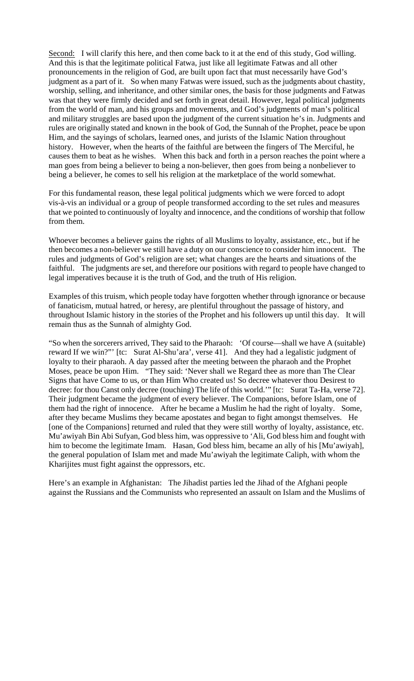Second: I will clarify this here, and then come back to it at the end of this study, God willing. And this is that the legitimate political Fatwa, just like all legitimate Fatwas and all other pronouncements in the religion of God, are built upon fact that must necessarily have God's judgment as a part of it. So when many Fatwas were issued, such as the judgments about chastity, worship, selling, and inheritance, and other similar ones, the basis for those judgments and Fatwas was that they were firmly decided and set forth in great detail. However, legal political judgments from the world of man, and his groups and movements, and God's judgments of man's political and military struggles are based upon the judgment of the current situation he's in. Judgments and rules are originally stated and known in the book of God, the Sunnah of the Prophet, peace be upon Him, and the sayings of scholars, learned ones, and jurists of the Islamic Nation throughout history. However, when the hearts of the faithful are between the fingers of The Merciful, he causes them to beat as he wishes. When this back and forth in a person reaches the point where a man goes from being a believer to being a non-believer, then goes from being a nonbeliever to being a believer, he comes to sell his religion at the marketplace of the world somewhat.

For this fundamental reason, these legal political judgments which we were forced to adopt vis-à-vis an individual or a group of people transformed according to the set rules and measures that we pointed to continuously of loyalty and innocence, and the conditions of worship that follow from them.

Whoever becomes a believer gains the rights of all Muslims to loyalty, assistance, etc., but if he then becomes a non-believer we still have a duty on our conscience to consider him innocent. The rules and judgments of God's religion are set; what changes are the hearts and situations of the faithful. The judgments are set, and therefore our positions with regard to people have changed to legal imperatives because it is the truth of God, and the truth of His religion.

Examples of this truism, which people today have forgotten whether through ignorance or because of fanaticism, mutual hatred, or heresy, are plentiful throughout the passage of history, and throughout Islamic history in the stories of the Prophet and his followers up until this day. It will remain thus as the Sunnah of almighty God.

"So when the sorcerers arrived, They said to the Pharaoh: 'Of course—shall we have A (suitable) reward If we win?"' [tc: Surat Al-Shu'ara', verse 41]. And they had a legalistic judgment of loyalty to their pharaoh. A day passed after the meeting between the pharaoh and the Prophet Moses, peace be upon Him. "They said: 'Never shall we Regard thee as more than The Clear Signs that have Come to us, or than Him Who created us! So decree whatever thou Desirest to decree: for thou Canst only decree (touching) The life of this world.'" [tc: Surat Ta-Ha, verse 72]. Their judgment became the judgment of every believer. The Companions, before Islam, one of them had the right of innocence. After he became a Muslim he had the right of loyalty. Some, after they became Muslims they became apostates and began to fight amongst themselves. He [one of the Companions] returned and ruled that they were still worthy of loyalty, assistance, etc. Mu'awiyah Bin Abi Sufyan, God bless him, was oppressive to 'Ali, God bless him and fought with him to become the legitimate Imam. Hasan, God bless him, became an ally of his [Mu'awiyah], the general population of Islam met and made Mu'awiyah the legitimate Caliph, with whom the Kharijites must fight against the oppressors, etc.

Here's an example in Afghanistan: The Jihadist parties led the Jihad of the Afghani people against the Russians and the Communists who represented an assault on Islam and the Muslims of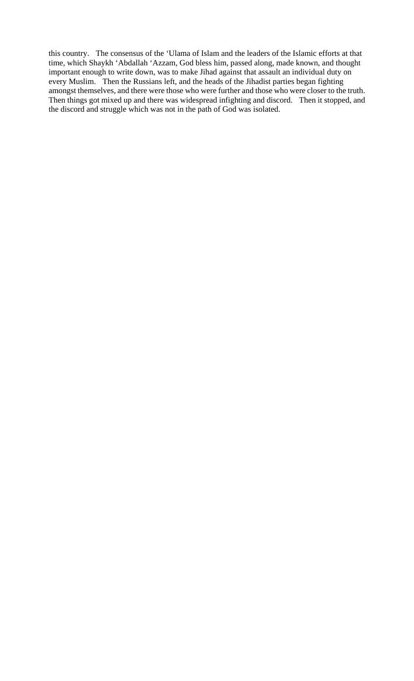this country. The consensus of the 'Ulama of Islam and the leaders of the Islamic efforts at that time, which Shaykh 'Abdallah 'Azzam, God bless him, passed along, made known, and thought important enough to write down, was to make Jihad against that assault an individual duty on every Muslim. Then the Russians left, and the heads of the Jihadist parties began fighting amongst themselves, and there were those who were further and those who were closer to the truth. Then things got mixed up and there was widespread infighting and discord. Then it stopped, and the discord and struggle which was not in the path of God was isolated.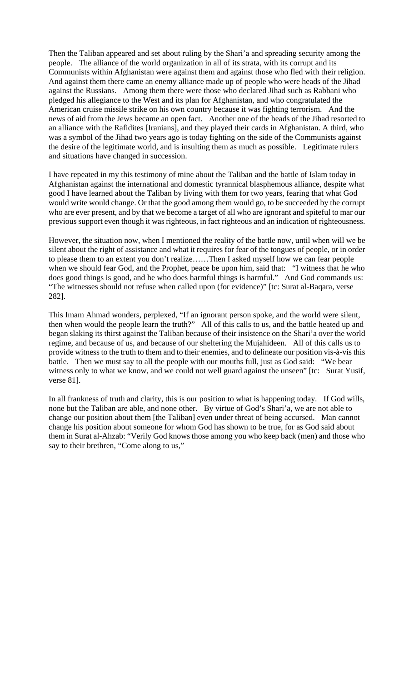Then the Taliban appeared and set about ruling by the Shari'a and spreading security among the people. The alliance of the world organization in all of its strata, with its corrupt and its Communists within Afghanistan were against them and against those who fled with their religion. And against them there came an enemy alliance made up of people who were heads of the Jihad against the Russians. Among them there were those who declared Jihad such as Rabbani who pledged his allegiance to the West and its plan for Afghanistan, and who congratulated the American cruise missile strike on his own country because it was fighting terrorism. And the news of aid from the Jews became an open fact. Another one of the heads of the Jihad resorted to an alliance with the Rafidites [Iranians], and they played their cards in Afghanistan. A third, who was a symbol of the Jihad two years ago is today fighting on the side of the Communists against the desire of the legitimate world, and is insulting them as much as possible. Legitimate rulers and situations have changed in succession.

I have repeated in my this testimony of mine about the Taliban and the battle of Islam today in Afghanistan against the international and domestic tyrannical blasphemous alliance, despite what good I have learned about the Taliban by living with them for two years, fearing that what God would write would change. Or that the good among them would go, to be succeeded by the corrupt who are ever present, and by that we become a target of all who are ignorant and spiteful to mar our previous support even though it was righteous, in fact righteous and an indication of righteousness.

However, the situation now, when I mentioned the reality of the battle now, until when will we be silent about the right of assistance and what it requires for fear of the tongues of people, or in order to please them to an extent you don't realize……Then I asked myself how we can fear people when we should fear God, and the Prophet, peace be upon him, said that: "I witness that he who does good things is good, and he who does harmful things is harmful." And God commands us: "The witnesses should not refuse when called upon (for evidence)" [tc: Surat al-Baqara, verse 282].

This Imam Ahmad wonders, perplexed, "If an ignorant person spoke, and the world were silent, then when would the people learn the truth?" All of this calls to us, and the battle heated up and began slaking its thirst against the Taliban because of their insistence on the Shari'a over the world regime, and because of us, and because of our sheltering the Mujahideen. All of this calls us to provide witness to the truth to them and to their enemies, and to delineate our position vis-à-vis this battle. Then we must say to all the people with our mouths full, just as God said: "We bear witness only to what we know, and we could not well guard against the unseen" [tc: Surat Yusif, verse 81].

In all frankness of truth and clarity, this is our position to what is happening today. If God wills, none but the Taliban are able, and none other. By virtue of God's Shari'a, we are not able to change our position about them [the Taliban] even under threat of being accursed. Man cannot change his position about someone for whom God has shown to be true, for as God said about them in Surat al-Ahzab: "Verily God knows those among you who keep back (men) and those who say to their brethren, "Come along to us,"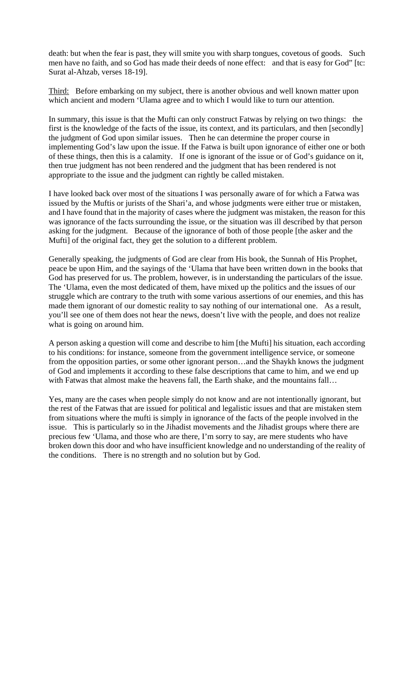death: but when the fear is past, they will smite you with sharp tongues, covetous of goods. Such men have no faith, and so God has made their deeds of none effect: and that is easy for God" [tc: Surat al-Ahzab, verses 18-19].

Third: Before embarking on my subject, there is another obvious and well known matter upon which ancient and modern 'Ulama agree and to which I would like to turn our attention.

In summary, this issue is that the Mufti can only construct Fatwas by relying on two things: the first is the knowledge of the facts of the issue, its context, and its particulars, and then [secondly] the judgment of God upon similar issues. Then he can determine the proper course in implementing God's law upon the issue. If the Fatwa is built upon ignorance of either one or both of these things, then this is a calamity. If one is ignorant of the issue or of God's guidance on it, then true judgment has not been rendered and the judgment that has been rendered is not appropriate to the issue and the judgment can rightly be called mistaken.

I have looked back over most of the situations I was personally aware of for which a Fatwa was issued by the Muftis or jurists of the Shari'a, and whose judgments were either true or mistaken, and I have found that in the majority of cases where the judgment was mistaken, the reason for this was ignorance of the facts surrounding the issue, or the situation was ill described by that person asking for the judgment. Because of the ignorance of both of those people [the asker and the Mufti] of the original fact, they get the solution to a different problem.

Generally speaking, the judgments of God are clear from His book, the Sunnah of His Prophet, peace be upon Him, and the sayings of the 'Ulama that have been written down in the books that God has preserved for us. The problem, however, is in understanding the particulars of the issue. The 'Ulama, even the most dedicated of them, have mixed up the politics and the issues of our struggle which are contrary to the truth with some various assertions of our enemies, and this has made them ignorant of our domestic reality to say nothing of our international one. As a result, you'll see one of them does not hear the news, doesn't live with the people, and does not realize what is going on around him.

A person asking a question will come and describe to him [the Mufti] his situation, each according to his conditions: for instance, someone from the government intelligence service, or someone from the opposition parties, or some other ignorant person…and the Shaykh knows the judgment of God and implements it according to these false descriptions that came to him, and we end up with Fatwas that almost make the heavens fall, the Earth shake, and the mountains fall...

Yes, many are the cases when people simply do not know and are not intentionally ignorant, but the rest of the Fatwas that are issued for political and legalistic issues and that are mistaken stem from situations where the mufti is simply in ignorance of the facts of the people involved in the issue. This is particularly so in the Jihadist movements and the Jihadist groups where there are precious few 'Ulama, and those who are there, I'm sorry to say, are mere students who have broken down this door and who have insufficient knowledge and no understanding of the reality of the conditions. There is no strength and no solution but by God.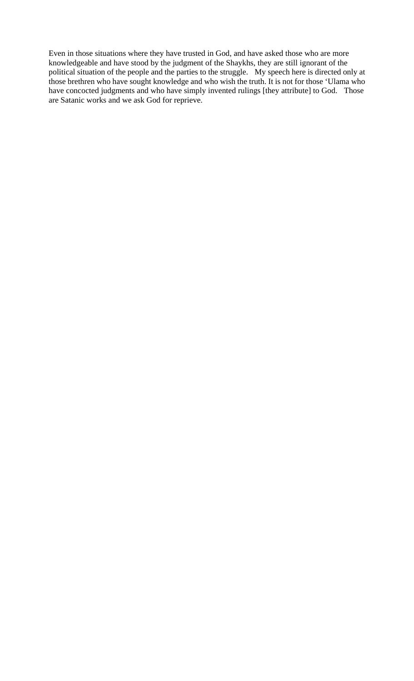Even in those situations where they have trusted in God, and have asked those who are more knowledgeable and have stood by the judgment of the Shaykhs, they are still ignorant of the political situation of the people and the parties to the struggle. My speech here is directed only at those brethren who have sought knowledge and who wish the truth. It is not for those 'Ulama who have concocted judgments and who have simply invented rulings [they attribute] to God. Those are Satanic works and we ask God for reprieve.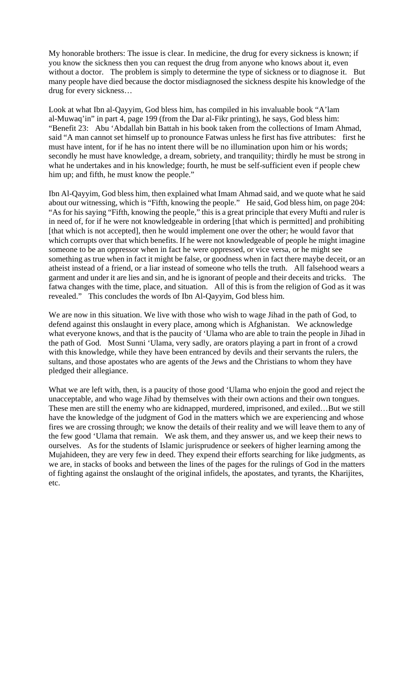My honorable brothers: The issue is clear. In medicine, the drug for every sickness is known; if you know the sickness then you can request the drug from anyone who knows about it, even without a doctor. The problem is simply to determine the type of sickness or to diagnose it. But many people have died because the doctor misdiagnosed the sickness despite his knowledge of the drug for every sickness…

Look at what Ibn al-Qayyim, God bless him, has compiled in his invaluable book "A'lam al-Muwaq'in" in part 4, page 199 (from the Dar al-Fikr printing), he says, God bless him: "Benefit 23: Abu 'Abdallah bin Battah in his book taken from the collections of Imam Ahmad, said "A man cannot set himself up to pronounce Fatwas unless he first has five attributes: first he must have intent, for if he has no intent there will be no illumination upon him or his words; secondly he must have knowledge, a dream, sobriety, and tranquility; thirdly he must be strong in what he undertakes and in his knowledge; fourth, he must be self-sufficient even if people chew him up; and fifth, he must know the people."

Ibn Al-Qayyim, God bless him, then explained what Imam Ahmad said, and we quote what he said about our witnessing, which is "Fifth, knowing the people." He said, God bless him, on page 204: "As for his saying "Fifth, knowing the people," this is a great principle that every Mufti and ruler is in need of, for if he were not knowledgeable in ordering [that which is permitted] and prohibiting [that which is not accepted], then he would implement one over the other; he would favor that which corrupts over that which benefits. If he were not knowledgeable of people he might imagine someone to be an oppressor when in fact he were oppressed, or vice versa, or he might see something as true when in fact it might be false, or goodness when in fact there maybe deceit, or an atheist instead of a friend, or a liar instead of someone who tells the truth. All falsehood wears a garment and under it are lies and sin, and he is ignorant of people and their deceits and tricks. The fatwa changes with the time, place, and situation. All of this is from the religion of God as it was revealed." This concludes the words of Ibn Al-Qayyim, God bless him.

We are now in this situation. We live with those who wish to wage Jihad in the path of God, to defend against this onslaught in every place, among which is Afghanistan. We acknowledge what everyone knows, and that is the paucity of 'Ulama who are able to train the people in Jihad in the path of God. Most Sunni 'Ulama, very sadly, are orators playing a part in front of a crowd with this knowledge, while they have been entranced by devils and their servants the rulers, the sultans, and those apostates who are agents of the Jews and the Christians to whom they have pledged their allegiance.

What we are left with, then, is a paucity of those good 'Ulama who enjoin the good and reject the unacceptable, and who wage Jihad by themselves with their own actions and their own tongues. These men are still the enemy who are kidnapped, murdered, imprisoned, and exiled…But we still have the knowledge of the judgment of God in the matters which we are experiencing and whose fires we are crossing through; we know the details of their reality and we will leave them to any of the few good 'Ulama that remain. We ask them, and they answer us, and we keep their news to ourselves. As for the students of Islamic jurisprudence or seekers of higher learning among the Mujahideen, they are very few in deed. They expend their efforts searching for like judgments, as we are, in stacks of books and between the lines of the pages for the rulings of God in the matters of fighting against the onslaught of the original infidels, the apostates, and tyrants, the Kharijites, etc.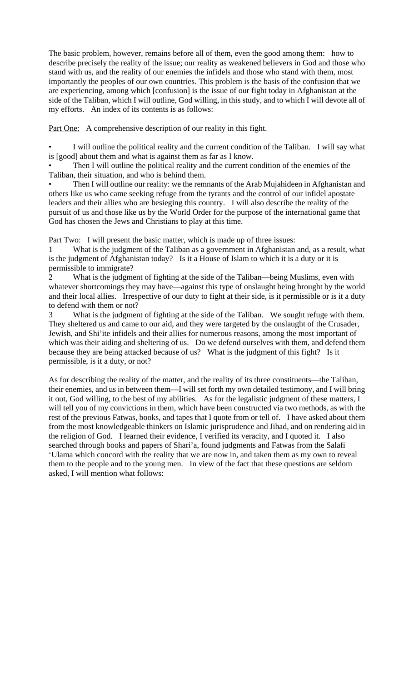The basic problem, however, remains before all of them, even the good among them: how to describe precisely the reality of the issue; our reality as weakened believers in God and those who stand with us, and the reality of our enemies the infidels and those who stand with them, most importantly the peoples of our own countries. This problem is the basis of the confusion that we are experiencing, among which [confusion] is the issue of our fight today in Afghanistan at the side of the Taliban, which I will outline, God willing, in this study, and to which I will devote all of my efforts. An index of its contents is as follows:

Part One: A comprehensive description of our reality in this fight.

I will outline the political reality and the current condition of the Taliban. I will say what is [good] about them and what is against them as far as I know.

Then I will outline the political reality and the current condition of the enemies of the Taliban, their situation, and who is behind them.

Then I will outline our reality: we the remnants of the Arab Mujahideen in Afghanistan and others like us who came seeking refuge from the tyrants and the control of our infidel apostate leaders and their allies who are besieging this country. I will also describe the reality of the pursuit of us and those like us by the World Order for the purpose of the international game that God has chosen the Jews and Christians to play at this time.

Part Two: I will present the basic matter, which is made up of three issues:

What is the judgment of the Taliban as a government in Afghanistan and, as a result, what is the judgment of Afghanistan today? Is it a House of Islam to which it is a duty or it is permissible to immigrate?

2 What is the judgment of fighting at the side of the Taliban—being Muslims, even with whatever shortcomings they may have—against this type of onslaught being brought by the world and their local allies. Irrespective of our duty to fight at their side, is it permissible or is it a duty to defend with them or not?

3 What is the judgment of fighting at the side of the Taliban. We sought refuge with them. They sheltered us and came to our aid, and they were targeted by the onslaught of the Crusader, Jewish, and Shi'ite infidels and their allies for numerous reasons, among the most important of which was their aiding and sheltering of us. Do we defend ourselves with them, and defend them because they are being attacked because of us? What is the judgment of this fight? Is it permissible, is it a duty, or not?

As for describing the reality of the matter, and the reality of its three constituents—the Taliban, their enemies, and us in between them—I will set forth my own detailed testimony, and I will bring it out, God willing, to the best of my abilities. As for the legalistic judgment of these matters, I will tell you of my convictions in them, which have been constructed via two methods, as with the rest of the previous Fatwas, books, and tapes that I quote from or tell of. I have asked about them from the most knowledgeable thinkers on Islamic jurisprudence and Jihad, and on rendering aid in the religion of God. I learned their evidence, I verified its veracity, and I quoted it. I also searched through books and papers of Shari'a, found judgments and Fatwas from the Salafi 'Ulama which concord with the reality that we are now in, and taken them as my own to reveal them to the people and to the young men. In view of the fact that these questions are seldom asked, I will mention what follows: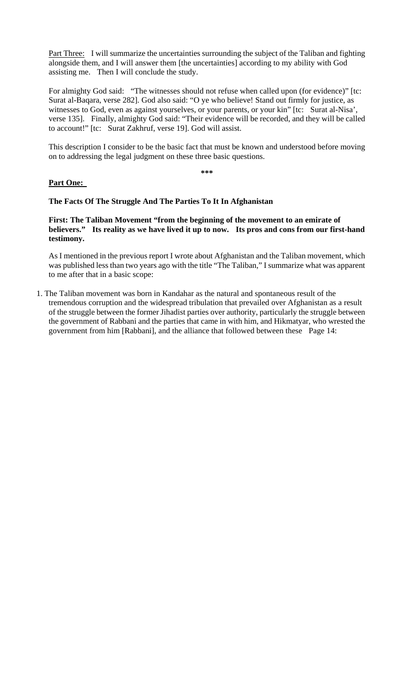Part Three: I will summarize the uncertainties surrounding the subject of the Taliban and fighting alongside them, and I will answer them [the uncertainties] according to my ability with God assisting me. Then I will conclude the study.

For almighty God said: "The witnesses should not refuse when called upon (for evidence)" [tc: Surat al-Baqara, verse 282]. God also said: "O ye who believe! Stand out firmly for justice, as witnesses to God, even as against yourselves, or your parents, or your kin" [tc: Surat al-Nisa', verse 135]. Finally, almighty God said: "Their evidence will be recorded, and they will be called to account!" [tc: Surat Zakhruf, verse 19]. God will assist.

This description I consider to be the basic fact that must be known and understood before moving on to addressing the legal judgment on these three basic questions.

**\*\*\*** 

#### **Part One:**

#### **The Facts Of The Struggle And The Parties To It In Afghanistan**

**First: The Taliban Movement "from the beginning of the movement to an emirate of believers." Its reality as we have lived it up to now. Its pros and cons from our first-hand testimony.** 

As I mentioned in the previous report I wrote about Afghanistan and the Taliban movement, which was published less than two years ago with the title "The Taliban," I summarize what was apparent to me after that in a basic scope:

1. The Taliban movement was born in Kandahar as the natural and spontaneous result of the tremendous corruption and the widespread tribulation that prevailed over Afghanistan as a result of the struggle between the former Jihadist parties over authority, particularly the struggle between the government of Rabbani and the parties that came in with him, and Hikmatyar, who wrested the government from him [Rabbani], and the alliance that followed between these Page 14: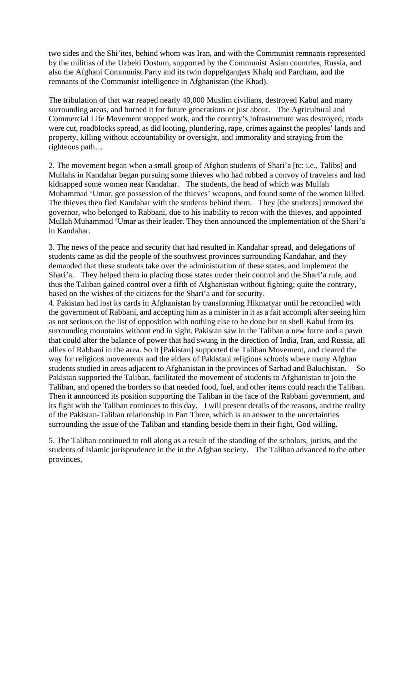two sides and the Shi'ites, behind whom was Iran, and with the Communist remnants represented by the militias of the Uzbeki Dostum, supported by the Communist Asian countries, Russia, and also the Afghani Communist Party and its twin doppelgangers Khalq and Parcham, and the remnants of the Communist intelligence in Afghanistan (the Khad).

The tribulation of that war reaped nearly 40,000 Muslim civilians, destroyed Kabul and many surrounding areas, and burned it for future generations or just about. The Agricultural and Commercial Life Movement stopped work, and the country's infrastructure was destroyed, roads were cut, roadblocks spread, as did looting, plundering, rape, crimes against the peoples' lands and property, killing without accountability or oversight, and immorality and straying from the righteous path…

2. The movement began when a small group of Afghan students of Shari'a [tc: i.e., Talibs] and Mullahs in Kandahar began pursuing some thieves who had robbed a convoy of travelers and had kidnapped some women near Kandahar. The students, the head of which was Mullah Muhammad 'Umar, got possession of the thieves' weapons, and found some of the women killed. The thieves then fled Kandahar with the students behind them. They [the students] removed the governor, who belonged to Rabbani, due to his inability to recon with the thieves, and appointed Mullah Muhammad 'Umar as their leader. They then announced the implementation of the Shari'a in Kandahar.

3. The news of the peace and security that had resulted in Kandahar spread, and delegations of students came as did the people of the southwest provinces surrounding Kandahar, and they demanded that these students take over the administration of these states, and implement the Shari'a. They helped them in placing those states under their control and the Shari'a rule, and thus the Taliban gained control over a fifth of Afghanistan without fighting; quite the contrary, based on the wishes of the citizens for the Shari'a and for security.

4. Pakistan had lost its cards in Afghanistan by transforming Hikmatyar until he reconciled with the government of Rabbani, and accepting him as a minister in it as a fait accompli after seeing him as not serious on the list of opposition with nothing else to be done but to shell Kabul from its surrounding mountains without end in sight. Pakistan saw in the Taliban a new force and a pawn that could alter the balance of power that had swung in the direction of India, Iran, and Russia, all allies of Rabbani in the area. So it [Pakistan] supported the Taliban Movement, and cleared the way for religious movements and the elders of Pakistani religious schools where many Afghan students studied in areas adjacent to Afghanistan in the provinces of Sarhad and Baluchistan. So Pakistan supported the Taliban, facilitated the movement of students to Afghanistan to join the Taliban, and opened the borders so that needed food, fuel, and other items could reach the Taliban. Then it announced its position supporting the Taliban in the face of the Rabbani government, and its fight with the Taliban continues to this day. I will present details of the reasons, and the reality of the Pakistan-Taliban relationship in Part Three, which is an answer to the uncertainties surrounding the issue of the Taliban and standing beside them in their fight, God willing.

5. The Taliban continued to roll along as a result of the standing of the scholars, jurists, and the students of Islamic jurisprudence in the in the Afghan society. The Taliban advanced to the other provinces,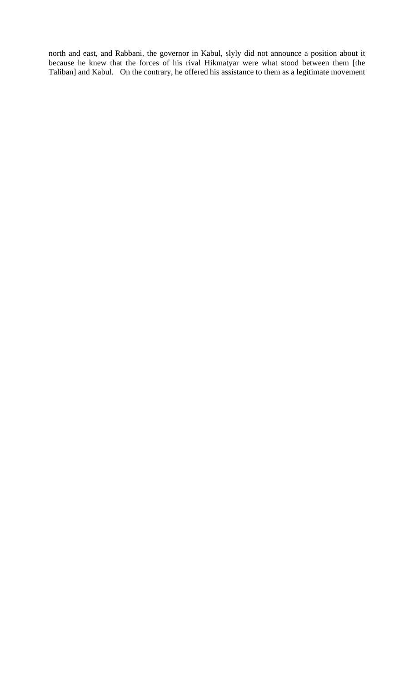north and east, and Rabbani, the governor in Kabul, slyly did not announce a position about it because he knew that the forces of his rival Hikmatyar were what stood between them [the Taliban] and Kabul. On the contrary, he offered his assistance to them as a legitimate movement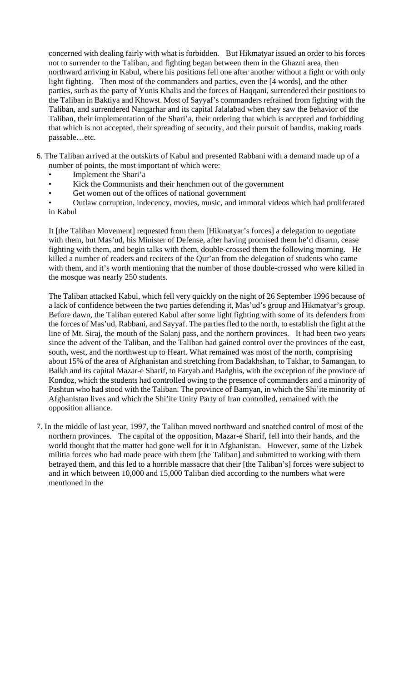concerned with dealing fairly with what is forbidden. But Hikmatyar issued an order to his forces not to surrender to the Taliban, and fighting began between them in the Ghazni area, then northward arriving in Kabul, where his positions fell one after another without a fight or with only light fighting. Then most of the commanders and parties, even the [4 words], and the other parties, such as the party of Yunis Khalis and the forces of Haqqani, surrendered their positions to the Taliban in Baktiya and Khowst. Most of Sayyaf's commanders refrained from fighting with the Taliban, and surrendered Nangarhar and its capital Jalalabad when they saw the behavior of the Taliban, their implementation of the Shari'a, their ordering that which is accepted and forbidding that which is not accepted, their spreading of security, and their pursuit of bandits, making roads passable…etc.

- 6. The Taliban arrived at the outskirts of Kabul and presented Rabbani with a demand made up of a number of points, the most important of which were:
	- Implement the Shari'a
	- Kick the Communists and their henchmen out of the government
	- Get women out of the offices of national government
	- Outlaw corruption, indecency, movies, music, and immoral videos which had proliferated in Kabul

It [the Taliban Movement] requested from them [Hikmatyar's forces] a delegation to negotiate with them, but Mas'ud, his Minister of Defense, after having promised them he'd disarm, cease fighting with them, and begin talks with them, double-crossed them the following morning. He killed a number of readers and reciters of the Qur'an from the delegation of students who came with them, and it's worth mentioning that the number of those double-crossed who were killed in the mosque was nearly 250 students.

The Taliban attacked Kabul, which fell very quickly on the night of 26 September 1996 because of a lack of confidence between the two parties defending it, Mas'ud's group and Hikmatyar's group. Before dawn, the Taliban entered Kabul after some light fighting with some of its defenders from the forces of Mas'ud, Rabbani, and Sayyaf. The parties fled to the north, to establish the fight at the line of Mt. Siraj, the mouth of the Salanj pass, and the northern provinces. It had been two years since the advent of the Taliban, and the Taliban had gained control over the provinces of the east, south, west, and the northwest up to Heart. What remained was most of the north, comprising about 15% of the area of Afghanistan and stretching from Badakhshan, to Takhar, to Samangan, to Balkh and its capital Mazar-e Sharif, to Faryab and Badghis, with the exception of the province of Kondoz, which the students had controlled owing to the presence of commanders and a minority of Pashtun who had stood with the Taliban. The province of Bamyan, in which the Shi'ite minority of Afghanistan lives and which the Shi'ite Unity Party of Iran controlled, remained with the opposition alliance.

7. In the middle of last year, 1997, the Taliban moved northward and snatched control of most of the northern provinces. The capital of the opposition, Mazar-e Sharif, fell into their hands, and the world thought that the matter had gone well for it in Afghanistan. However, some of the Uzbek militia forces who had made peace with them [the Taliban] and submitted to working with them betrayed them, and this led to a horrible massacre that their [the Taliban's] forces were subject to and in which between 10,000 and 15,000 Taliban died according to the numbers what were mentioned in the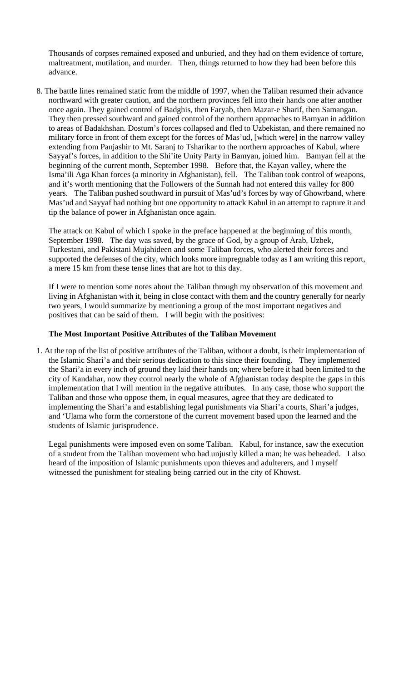Thousands of corpses remained exposed and unburied, and they had on them evidence of torture, maltreatment, mutilation, and murder. Then, things returned to how they had been before this advance.

8. The battle lines remained static from the middle of 1997, when the Taliban resumed their advance northward with greater caution, and the northern provinces fell into their hands one after another once again. They gained control of Badghis, then Faryab, then Mazar-e Sharif, then Samangan. They then pressed southward and gained control of the northern approaches to Bamyan in addition to areas of Badakhshan. Dostum's forces collapsed and fled to Uzbekistan, and there remained no military force in front of them except for the forces of Mas'ud, [which were] in the narrow valley extending from Panjashir to Mt. Saranj to Tsharikar to the northern approaches of Kabul, where Sayyaf's forces, in addition to the Shi'ite Unity Party in Bamyan, joined him. Bamyan fell at the beginning of the current month, September 1998. Before that, the Kayan valley, where the Isma'ili Aga Khan forces (a minority in Afghanistan), fell. The Taliban took control of weapons, and it's worth mentioning that the Followers of the Sunnah had not entered this valley for 800 years. The Taliban pushed southward in pursuit of Mas'ud's forces by way of Ghowrband, where Mas'ud and Sayyaf had nothing but one opportunity to attack Kabul in an attempt to capture it and tip the balance of power in Afghanistan once again.

The attack on Kabul of which I spoke in the preface happened at the beginning of this month, September 1998. The day was saved, by the grace of God, by a group of Arab, Uzbek, Turkestani, and Pakistani Mujahideen and some Taliban forces, who alerted their forces and supported the defenses of the city, which looks more impregnable today as I am writing this report, a mere 15 km from these tense lines that are hot to this day.

If I were to mention some notes about the Taliban through my observation of this movement and living in Afghanistan with it, being in close contact with them and the country generally for nearly two years, I would summarize by mentioning a group of the most important negatives and positives that can be said of them. I will begin with the positives:

#### **The Most Important Positive Attributes of the Taliban Movement**

1. At the top of the list of positive attributes of the Taliban, without a doubt, is their implementation of the Islamic Shari'a and their serious dedication to this since their founding. They implemented the Shari'a in every inch of ground they laid their hands on; where before it had been limited to the city of Kandahar, now they control nearly the whole of Afghanistan today despite the gaps in this implementation that I will mention in the negative attributes. In any case, those who support the Taliban and those who oppose them, in equal measures, agree that they are dedicated to implementing the Shari'a and establishing legal punishments via Shari'a courts, Shari'a judges, and 'Ulama who form the cornerstone of the current movement based upon the learned and the students of Islamic jurisprudence.

Legal punishments were imposed even on some Taliban. Kabul, for instance, saw the execution of a student from the Taliban movement who had unjustly killed a man; he was beheaded. I also heard of the imposition of Islamic punishments upon thieves and adulterers, and I myself witnessed the punishment for stealing being carried out in the city of Khowst.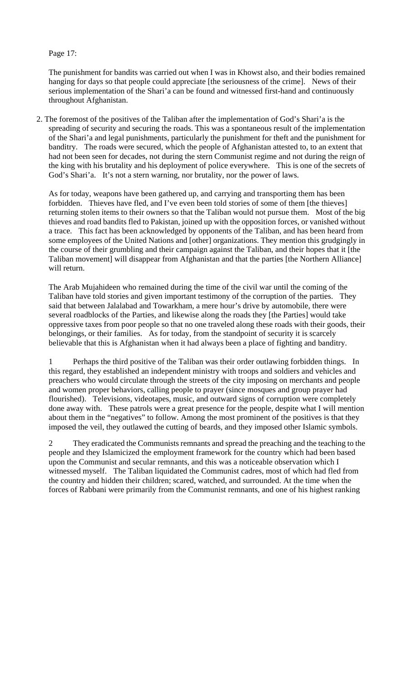## Page 17:

The punishment for bandits was carried out when I was in Khowst also, and their bodies remained hanging for days so that people could appreciate [the seriousness of the crime]. News of their serious implementation of the Shari'a can be found and witnessed first-hand and continuously throughout Afghanistan.

2. The foremost of the positives of the Taliban after the implementation of God's Shari'a is the spreading of security and securing the roads. This was a spontaneous result of the implementation of the Shari'a and legal punishments, particularly the punishment for theft and the punishment for banditry. The roads were secured, which the people of Afghanistan attested to, to an extent that had not been seen for decades, not during the stern Communist regime and not during the reign of the king with his brutality and his deployment of police everywhere. This is one of the secrets of God's Shari'a. It's not a stern warning, nor brutality, nor the power of laws.

As for today, weapons have been gathered up, and carrying and transporting them has been forbidden. Thieves have fled, and I've even been told stories of some of them [the thieves] returning stolen items to their owners so that the Taliban would not pursue them. Most of the big thieves and road bandits fled to Pakistan, joined up with the opposition forces, or vanished without a trace. This fact has been acknowledged by opponents of the Taliban, and has been heard from some employees of the United Nations and [other] organizations. They mention this grudgingly in the course of their grumbling and their campaign against the Taliban, and their hopes that it [the Taliban movement] will disappear from Afghanistan and that the parties [the Northern Alliance] will return.

The Arab Mujahideen who remained during the time of the civil war until the coming of the Taliban have told stories and given important testimony of the corruption of the parties. They said that between Jalalabad and Towarkham, a mere hour's drive by automobile, there were several roadblocks of the Parties, and likewise along the roads they [the Parties] would take oppressive taxes from poor people so that no one traveled along these roads with their goods, their belongings, or their families. As for today, from the standpoint of security it is scarcely believable that this is Afghanistan when it had always been a place of fighting and banditry.

1 Perhaps the third positive of the Taliban was their order outlawing forbidden things. In this regard, they established an independent ministry with troops and soldiers and vehicles and preachers who would circulate through the streets of the city imposing on merchants and people and women proper behaviors, calling people to prayer (since mosques and group prayer had flourished). Televisions, videotapes, music, and outward signs of corruption were completely done away with. These patrols were a great presence for the people, despite what I will mention about them in the "negatives" to follow. Among the most prominent of the positives is that they imposed the veil, they outlawed the cutting of beards, and they imposed other Islamic symbols.

2 They eradicated the Communists remnants and spread the preaching and the teaching to the people and they Islamicized the employment framework for the country which had been based upon the Communist and secular remnants, and this was a noticeable observation which I witnessed myself. The Taliban liquidated the Communist cadres, most of which had fled from the country and hidden their children; scared, watched, and surrounded. At the time when the forces of Rabbani were primarily from the Communist remnants, and one of his highest ranking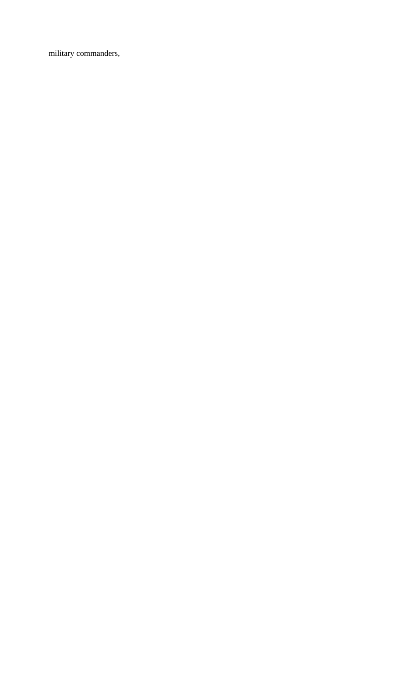military commanders,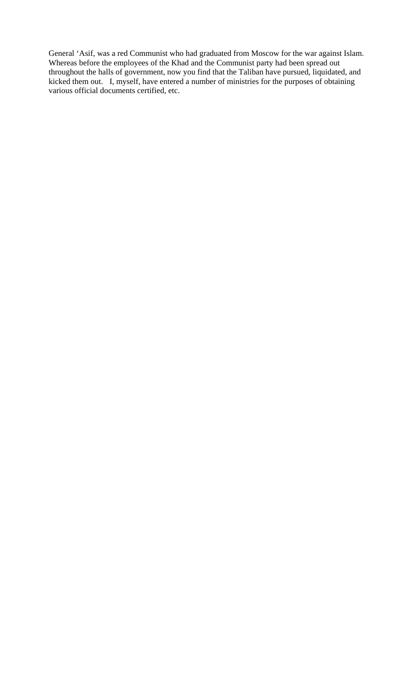General 'Asif, was a red Communist who had graduated from Moscow for the war against Islam. Whereas before the employees of the Khad and the Communist party had been spread out throughout the halls of government, now you find that the Taliban have pursued, liquidated, and kicked them out. I, myself, have entered a number of ministries for the purposes of obtaining various official documents certified, etc.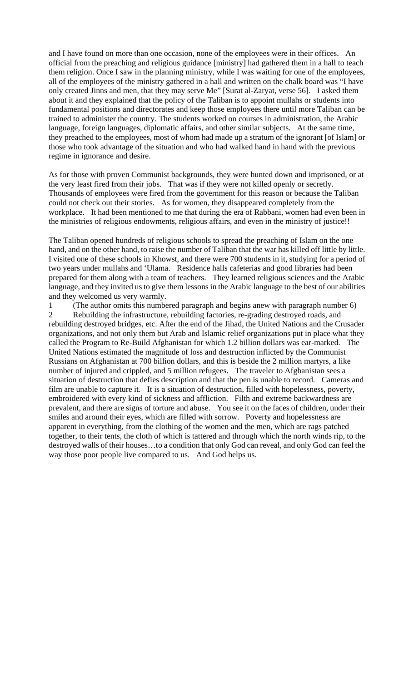and I have found on more than one occasion, none of the employees were in their offices. An official from the preaching and religious guidance [ministry] had gathered them in a hall to teach them religion. Once I saw in the planning ministry, while I was waiting for one of the employees, all of the employees of the ministry gathered in a hall and written on the chalk board was "I have only created Jinns and men, that they may serve Me" [Surat al-Zaryat, verse 56]. I asked them about it and they explained that the policy of the Taliban is to appoint mullahs or students into fundamental positions and directorates and keep those employees there until more Taliban can be trained to administer the country. The students worked on courses in administration, the Arabic language, foreign languages, diplomatic affairs, and other similar subjects. At the same time, they preached to the employees, most of whom had made up a stratum of the ignorant [of Islam] or those who took advantage of the situation and who had walked hand in hand with the previous regime in ignorance and desire.

As for those with proven Communist backgrounds, they were hunted down and imprisoned, or at the very least fired from their jobs. That was if they were not killed openly or secretly. Thousands of employees were fired from the government for this reason or because the Taliban could not check out their stories. As for women, they disappeared completely from the workplace. It had been mentioned to me that during the era of Rabbani, women had even been in the ministries of religious endowments, religious affairs, and even in the ministry of justice!!

The Taliban opened hundreds of religious schools to spread the preaching of Islam on the one hand, and on the other hand, to raise the number of Taliban that the war has killed off little by little. I visited one of these schools in Khowst, and there were 700 students in it, studying for a period of two years under mullahs and 'Ulama. Residence halls cafeterias and good libraries had been prepared for them along with a team of teachers. They learned religious sciences and the Arabic language, and they invited us to give them lessons in the Arabic language to the best of our abilities and they welcomed us very warmly.

1 (The author omits this numbered paragraph and begins anew with paragraph number 6) 2 Rebuilding the infrastructure, rebuilding factories, re-grading destroyed roads, and rebuilding destroyed bridges, etc. After the end of the Jihad, the United Nations and the Crusader organizations, and not only them but Arab and Islamic relief organizations put in place what they called the Program to Re-Build Afghanistan for which 1.2 billion dollars was ear-marked. The United Nations estimated the magnitude of loss and destruction inflicted by the Communist Russians on Afghanistan at 700 billion dollars, and this is beside the 2 million martyrs, a like number of injured and crippled, and 5 million refugees. The traveler to Afghanistan sees a situation of destruction that defies description and that the pen is unable to record. Cameras and film are unable to capture it. It is a situation of destruction, filled with hopelessness, poverty, embroidered with every kind of sickness and affliction. Filth and extreme backwardness are prevalent, and there are signs of torture and abuse. You see it on the faces of children, under their smiles and around their eyes, which are filled with sorrow. Poverty and hopelessness are apparent in everything, from the clothing of the women and the men, which are rags patched together, to their tents, the cloth of which is tattered and through which the north winds rip, to the destroyed walls of their houses…to a condition that only God can reveal, and only God can feel the way those poor people live compared to us. And God helps us.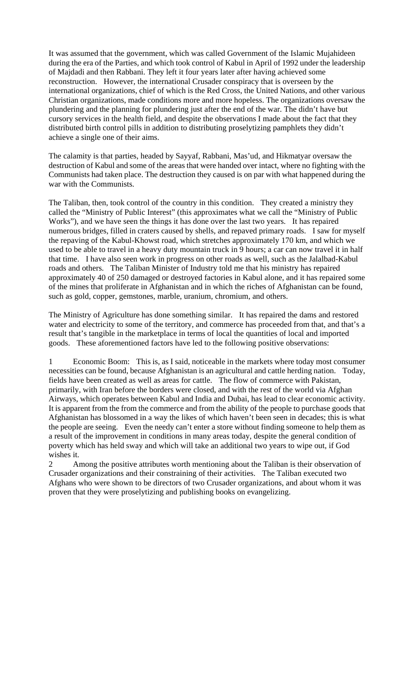It was assumed that the government, which was called Government of the Islamic Mujahideen during the era of the Parties, and which took control of Kabul in April of 1992 under the leadership of Majdadi and then Rabbani. They left it four years later after having achieved some reconstruction. However, the international Crusader conspiracy that is overseen by the international organizations, chief of which is the Red Cross, the United Nations, and other various Christian organizations, made conditions more and more hopeless. The organizations oversaw the plundering and the planning for plundering just after the end of the war. The didn't have but cursory services in the health field, and despite the observations I made about the fact that they distributed birth control pills in addition to distributing proselytizing pamphlets they didn't achieve a single one of their aims.

The calamity is that parties, headed by Sayyaf, Rabbani, Mas'ud, and Hikmatyar oversaw the destruction of Kabul and some of the areas that were handed over intact, where no fighting with the Communists had taken place. The destruction they caused is on par with what happened during the war with the Communists.

The Taliban, then, took control of the country in this condition. They created a ministry they called the "Ministry of Public Interest" (this approximates what we call the "Ministry of Public Works"), and we have seen the things it has done over the last two years. It has repaired numerous bridges, filled in craters caused by shells, and repaved primary roads. I saw for myself the repaving of the Kabul-Khowst road, which stretches approximately 170 km, and which we used to be able to travel in a heavy duty mountain truck in 9 hours; a car can now travel it in half that time. I have also seen work in progress on other roads as well, such as the Jalalbad-Kabul roads and others. The Taliban Minister of Industry told me that his ministry has repaired approximately 40 of 250 damaged or destroyed factories in Kabul alone, and it has repaired some of the mines that proliferate in Afghanistan and in which the riches of Afghanistan can be found, such as gold, copper, gemstones, marble, uranium, chromium, and others.

The Ministry of Agriculture has done something similar. It has repaired the dams and restored water and electricity to some of the territory, and commerce has proceeded from that, and that's a result that's tangible in the marketplace in terms of local the quantities of local and imported goods. These aforementioned factors have led to the following positive observations:

1 Economic Boom: This is, as I said, noticeable in the markets where today most consumer necessities can be found, because Afghanistan is an agricultural and cattle herding nation. Today, fields have been created as well as areas for cattle. The flow of commerce with Pakistan, primarily, with Iran before the borders were closed, and with the rest of the world via Afghan Airways, which operates between Kabul and India and Dubai, has lead to clear economic activity. It is apparent from the from the commerce and from the ability of the people to purchase goods that Afghanistan has blossomed in a way the likes of which haven't been seen in decades; this is what the people are seeing. Even the needy can't enter a store without finding someone to help them as a result of the improvement in conditions in many areas today, despite the general condition of poverty which has held sway and which will take an additional two years to wipe out, if God wishes it.

2 Among the positive attributes worth mentioning about the Taliban is their observation of Crusader organizations and their constraining of their activities. The Taliban executed two Afghans who were shown to be directors of two Crusader organizations, and about whom it was proven that they were proselytizing and publishing books on evangelizing.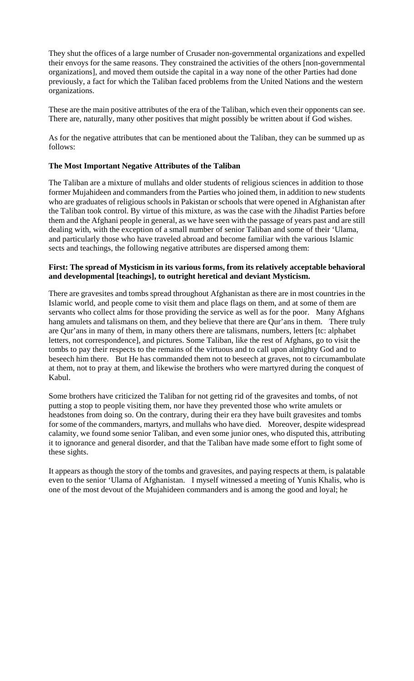They shut the offices of a large number of Crusader non-governmental organizations and expelled their envoys for the same reasons. They constrained the activities of the others [non-governmental organizations], and moved them outside the capital in a way none of the other Parties had done previously, a fact for which the Taliban faced problems from the United Nations and the western organizations.

These are the main positive attributes of the era of the Taliban, which even their opponents can see. There are, naturally, many other positives that might possibly be written about if God wishes.

As for the negative attributes that can be mentioned about the Taliban, they can be summed up as follows:

### **The Most Important Negative Attributes of the Taliban**

The Taliban are a mixture of mullahs and older students of religious sciences in addition to those former Mujahideen and commanders from the Parties who joined them, in addition to new students who are graduates of religious schools in Pakistan or schools that were opened in Afghanistan after the Taliban took control. By virtue of this mixture, as was the case with the Jihadist Parties before them and the Afghani people in general, as we have seen with the passage of years past and are still dealing with, with the exception of a small number of senior Taliban and some of their 'Ulama, and particularly those who have traveled abroad and become familiar with the various Islamic sects and teachings, the following negative attributes are dispersed among them:

## **First: The spread of Mysticism in its various forms, from its relatively acceptable behavioral and developmental [teachings], to outright heretical and deviant Mysticism.**

There are gravesites and tombs spread throughout Afghanistan as there are in most countries in the Islamic world, and people come to visit them and place flags on them, and at some of them are servants who collect alms for those providing the service as well as for the poor. Many Afghans hang amulets and talismans on them, and they believe that there are Qur'ans in them. There truly are Qur'ans in many of them, in many others there are talismans, numbers, letters [tc: alphabet letters, not correspondence], and pictures. Some Taliban, like the rest of Afghans, go to visit the tombs to pay their respects to the remains of the virtuous and to call upon almighty God and to beseech him there. But He has commanded them not to beseech at graves, not to circumambulate at them, not to pray at them, and likewise the brothers who were martyred during the conquest of Kabul.

Some brothers have criticized the Taliban for not getting rid of the gravesites and tombs, of not putting a stop to people visiting them, nor have they prevented those who write amulets or headstones from doing so. On the contrary, during their era they have built gravesites and tombs for some of the commanders, martyrs, and mullahs who have died. Moreover, despite widespread calamity, we found some senior Taliban, and even some junior ones, who disputed this, attributing it to ignorance and general disorder, and that the Taliban have made some effort to fight some of these sights.

It appears as though the story of the tombs and gravesites, and paying respects at them, is palatable even to the senior 'Ulama of Afghanistan. I myself witnessed a meeting of Yunis Khalis, who is one of the most devout of the Mujahideen commanders and is among the good and loyal; he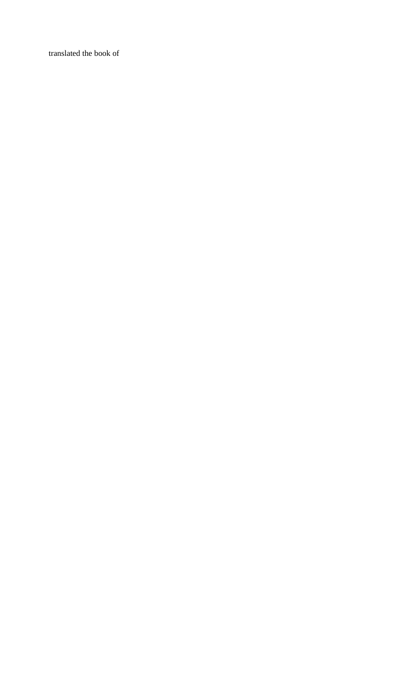translated the book of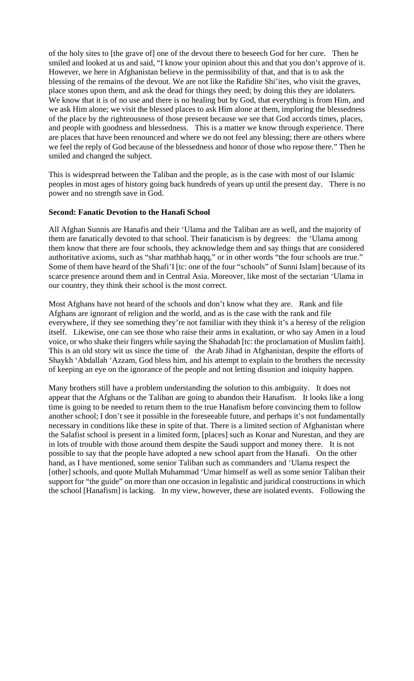of the holy sites to [the grave of] one of the devout there to beseech God for her cure. Then he smiled and looked at us and said, "I know your opinion about this and that you don't approve of it. However, we here in Afghanistan believe in the permissibility of that, and that is to ask the blessing of the remains of the devout. We are not like the Rafidite Shi'ites, who visit the graves, place stones upon them, and ask the dead for things they need; by doing this they are idolaters. We know that it is of no use and there is no healing but by God, that everything is from Him, and we ask Him alone; we visit the blessed places to ask Him alone at them, imploring the blessedness of the place by the righteousness of those present because we see that God accords times, places, and people with goodness and blessedness. This is a matter we know through experience. There are places that have been renounced and where we do not feel any blessing; there are others where we feel the reply of God because of the blessedness and honor of those who repose there." Then he smiled and changed the subject.

This is widespread between the Taliban and the people, as is the case with most of our Islamic peoples in most ages of history going back hundreds of years up until the present day. There is no power and no strength save in God.

#### **Second: Fanatic Devotion to the Hanafi School**

All Afghan Sunnis are Hanafis and their 'Ulama and the Taliban are as well, and the majority of them are fanatically devoted to that school. Their fanaticism is by degrees: the 'Ulama among them know that there are four schools, they acknowledge them and say things that are considered authoritative axioms, such as "shar mathhab haqq," or in other words "the four schools are true." Some of them have heard of the Shafi'I [tc: one of the four "schools" of Sunni Islam] because of its scarce presence around them and in Central Asia. Moreover, like most of the sectarian 'Ulama in our country, they think their school is the most correct.

Most Afghans have not heard of the schools and don't know what they are. Rank and file Afghans are ignorant of religion and the world, and as is the case with the rank and file everywhere, if they see something they're not familiar with they think it's a heresy of the religion itself. Likewise, one can see those who raise their arms in exaltation, or who say Amen in a loud voice, or who shake their fingers while saying the Shahadah [tc: the proclamation of Muslim faith]. This is an old story wit us since the time of the Arab Jihad in Afghanistan, despite the efforts of Shaykh 'Abdallah 'Azzam, God bless him, and his attempt to explain to the brothers the necessity of keeping an eye on the ignorance of the people and not letting disunion and iniquity happen.

Many brothers still have a problem understanding the solution to this ambiguity. It does not appear that the Afghans or the Taliban are going to abandon their Hanafism. It looks like a long time is going to be needed to return them to the true Hanafism before convincing them to follow another school; I don't see it possible in the foreseeable future, and perhaps it's not fundamentally necessary in conditions like these in spite of that. There is a limited section of Afghanistan where the Salafist school is present in a limited form, [places] such as Konar and Nurestan, and they are in lots of trouble with those around them despite the Saudi support and money there. It is not possible to say that the people have adopted a new school apart from the Hanafi. On the other hand, as I have mentioned, some senior Taliban such as commanders and 'Ulama respect the [other] schools, and quote Mullah Muhammad 'Umar himself as well as some senior Taliban their support for "the guide" on more than one occasion in legalistic and juridical constructions in which the school [Hanafism] is lacking. In my view, however, these are isolated events. Following the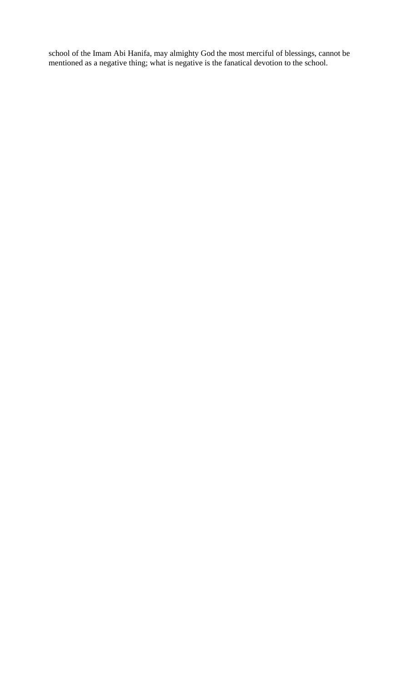school of the Imam Abi Hanifa, may almighty God the most merciful of blessings, cannot be mentioned as a negative thing; what is negative is the fanatical devotion to the school.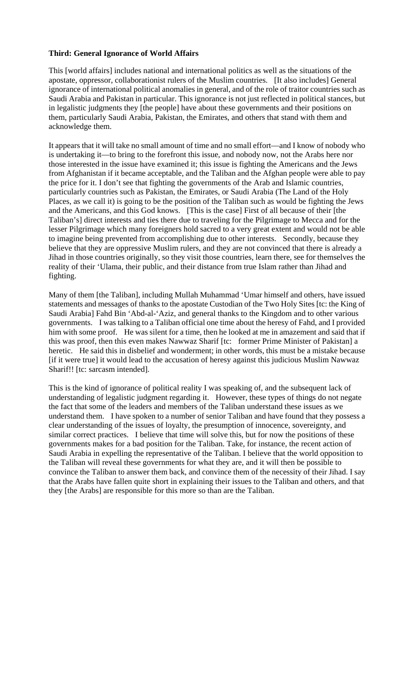## **Third: General Ignorance of World Affairs**

This [world affairs] includes national and international politics as well as the situations of the apostate, oppressor, collaborationist rulers of the Muslim countries. [It also includes] General ignorance of international political anomalies in general, and of the role of traitor countries such as Saudi Arabia and Pakistan in particular. This ignorance is not just reflected in political stances, but in legalistic judgments they [the people] have about these governments and their positions on them, particularly Saudi Arabia, Pakistan, the Emirates, and others that stand with them and acknowledge them.

It appears that it will take no small amount of time and no small effort—and I know of nobody who is undertaking it—to bring to the forefront this issue, and nobody now, not the Arabs here nor those interested in the issue have examined it; this issue is fighting the Americans and the Jews from Afghanistan if it became acceptable, and the Taliban and the Afghan people were able to pay the price for it. I don't see that fighting the governments of the Arab and Islamic countries, particularly countries such as Pakistan, the Emirates, or Saudi Arabia (The Land of the Holy Places, as we call it) is going to be the position of the Taliban such as would be fighting the Jews and the Americans, and this God knows. [This is the case] First of all because of their [the Taliban's] direct interests and ties there due to traveling for the Pilgrimage to Mecca and for the lesser Pilgrimage which many foreigners hold sacred to a very great extent and would not be able to imagine being prevented from accomplishing due to other interests. Secondly, because they believe that they are oppressive Muslim rulers, and they are not convinced that there is already a Jihad in those countries originally, so they visit those countries, learn there, see for themselves the reality of their 'Ulama, their public, and their distance from true Islam rather than Jihad and fighting.

Many of them [the Taliban], including Mullah Muhammad 'Umar himself and others, have issued statements and messages of thanks to the apostate Custodian of the Two Holy Sites [tc: the King of Saudi Arabia] Fahd Bin 'Abd-al-'Aziz, and general thanks to the Kingdom and to other various governments. I was talking to a Taliban official one time about the heresy of Fahd, and I provided him with some proof. He was silent for a time, then he looked at me in amazement and said that if this was proof, then this even makes Nawwaz Sharif [tc: former Prime Minister of Pakistan] a heretic. He said this in disbelief and wonderment; in other words, this must be a mistake because [if it were true] it would lead to the accusation of heresy against this judicious Muslim Nawwaz Sharif!! [tc: sarcasm intended].

This is the kind of ignorance of political reality I was speaking of, and the subsequent lack of understanding of legalistic judgment regarding it. However, these types of things do not negate the fact that some of the leaders and members of the Taliban understand these issues as we understand them. I have spoken to a number of senior Taliban and have found that they possess a clear understanding of the issues of loyalty, the presumption of innocence, sovereignty, and similar correct practices. I believe that time will solve this, but for now the positions of these governments makes for a bad position for the Taliban. Take, for instance, the recent action of Saudi Arabia in expelling the representative of the Taliban. I believe that the world opposition to the Taliban will reveal these governments for what they are, and it will then be possible to convince the Taliban to answer them back, and convince them of the necessity of their Jihad. I say that the Arabs have fallen quite short in explaining their issues to the Taliban and others, and that they [the Arabs] are responsible for this more so than are the Taliban.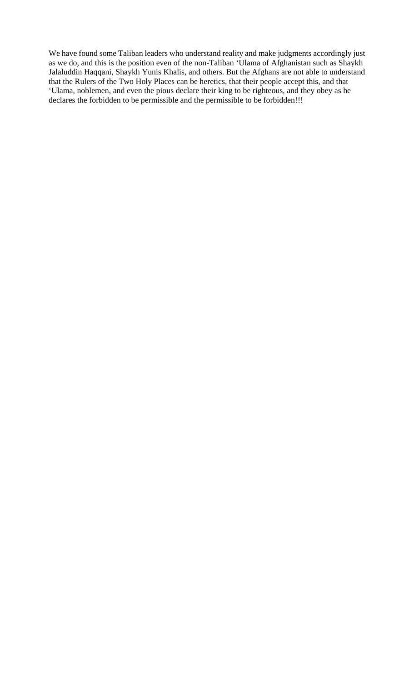We have found some Taliban leaders who understand reality and make judgments accordingly just as we do, and this is the position even of the non-Taliban 'Ulama of Afghanistan such as Shaykh Jalaluddin Haqqani, Shaykh Yunis Khalis, and others. But the Afghans are not able to understand that the Rulers of the Two Holy Places can be heretics, that their people accept this, and that 'Ulama, noblemen, and even the pious declare their king to be righteous, and they obey as he declares the forbidden to be permissible and the permissible to be forbidden!!!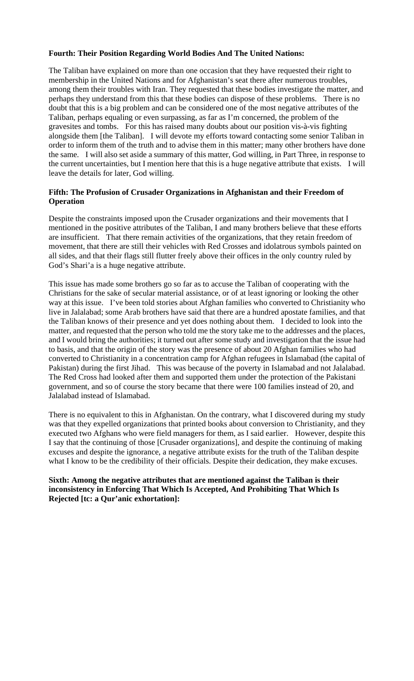#### **Fourth: Their Position Regarding World Bodies And The United Nations:**

The Taliban have explained on more than one occasion that they have requested their right to membership in the United Nations and for Afghanistan's seat there after numerous troubles, among them their troubles with Iran. They requested that these bodies investigate the matter, and perhaps they understand from this that these bodies can dispose of these problems. There is no doubt that this is a big problem and can be considered one of the most negative attributes of the Taliban, perhaps equaling or even surpassing, as far as I'm concerned, the problem of the gravesites and tombs. For this has raised many doubts about our position vis-à-vis fighting alongside them [the Taliban]. I will devote my efforts toward contacting some senior Taliban in order to inform them of the truth and to advise them in this matter; many other brothers have done the same. I will also set aside a summary of this matter, God willing, in Part Three, in response to the current uncertainties, but I mention here that this is a huge negative attribute that exists. I will leave the details for later, God willing.

## **Fifth: The Profusion of Crusader Organizations in Afghanistan and their Freedom of Operation**

Despite the constraints imposed upon the Crusader organizations and their movements that I mentioned in the positive attributes of the Taliban, I and many brothers believe that these efforts are insufficient. That there remain activities of the organizations, that they retain freedom of movement, that there are still their vehicles with Red Crosses and idolatrous symbols painted on all sides, and that their flags still flutter freely above their offices in the only country ruled by God's Shari'a is a huge negative attribute.

This issue has made some brothers go so far as to accuse the Taliban of cooperating with the Christians for the sake of secular material assistance, or of at least ignoring or looking the other way at this issue. I've been told stories about Afghan families who converted to Christianity who live in Jalalabad; some Arab brothers have said that there are a hundred apostate families, and that the Taliban knows of their presence and yet does nothing about them. I decided to look into the matter, and requested that the person who told me the story take me to the addresses and the places, and I would bring the authorities; it turned out after some study and investigation that the issue had to basis, and that the origin of the story was the presence of about 20 Afghan families who had converted to Christianity in a concentration camp for Afghan refugees in Islamabad (the capital of Pakistan) during the first Jihad. This was because of the poverty in Islamabad and not Jalalabad. The Red Cross had looked after them and supported them under the protection of the Pakistani government, and so of course the story became that there were 100 families instead of 20, and Jalalabad instead of Islamabad.

There is no equivalent to this in Afghanistan. On the contrary, what I discovered during my study was that they expelled organizations that printed books about conversion to Christianity, and they executed two Afghans who were field managers for them, as I said earlier. However, despite this I say that the continuing of those [Crusader organizations], and despite the continuing of making excuses and despite the ignorance, a negative attribute exists for the truth of the Taliban despite what I know to be the credibility of their officials. Despite their dedication, they make excuses.

## **Sixth: Among the negative attributes that are mentioned against the Taliban is their inconsistency in Enforcing That Which Is Accepted, And Prohibiting That Which Is Rejected [tc: a Qur'anic exhortation]:**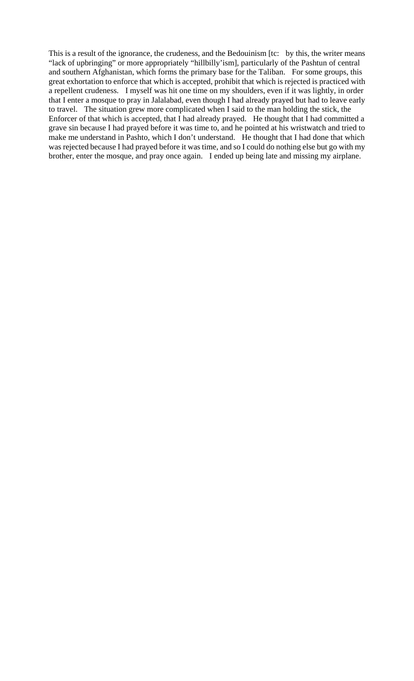This is a result of the ignorance, the crudeness, and the Bedouinism [tc: by this, the writer means "lack of upbringing" or more appropriately "hillbilly'ism], particularly of the Pashtun of central and southern Afghanistan, which forms the primary base for the Taliban. For some groups, this great exhortation to enforce that which is accepted, prohibit that which is rejected is practiced with a repellent crudeness. I myself was hit one time on my shoulders, even if it was lightly, in order that I enter a mosque to pray in Jalalabad, even though I had already prayed but had to leave early to travel. The situation grew more complicated when I said to the man holding the stick, the Enforcer of that which is accepted, that I had already prayed. He thought that I had committed a grave sin because I had prayed before it was time to, and he pointed at his wristwatch and tried to make me understand in Pashto, which I don't understand. He thought that I had done that which was rejected because I had prayed before it was time, and so I could do nothing else but go with my brother, enter the mosque, and pray once again. I ended up being late and missing my airplane.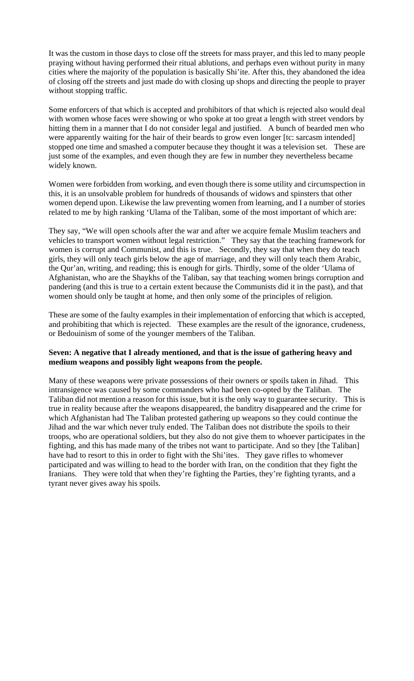It was the custom in those days to close off the streets for mass prayer, and this led to many people praying without having performed their ritual ablutions, and perhaps even without purity in many cities where the majority of the population is basically Shi'ite. After this, they abandoned the idea of closing off the streets and just made do with closing up shops and directing the people to prayer without stopping traffic.

Some enforcers of that which is accepted and prohibitors of that which is rejected also would deal with women whose faces were showing or who spoke at too great a length with street vendors by hitting them in a manner that I do not consider legal and justified. A bunch of bearded men who were apparently waiting for the hair of their beards to grow even longer [tc: sarcasm intended] stopped one time and smashed a computer because they thought it was a television set. These are just some of the examples, and even though they are few in number they nevertheless became widely known.

Women were forbidden from working, and even though there is some utility and circumspection in this, it is an unsolvable problem for hundreds of thousands of widows and spinsters that other women depend upon. Likewise the law preventing women from learning, and I a number of stories related to me by high ranking 'Ulama of the Taliban, some of the most important of which are:

They say, "We will open schools after the war and after we acquire female Muslim teachers and vehicles to transport women without legal restriction." They say that the teaching framework for women is corrupt and Communist, and this is true. Secondly, they say that when they do teach girls, they will only teach girls below the age of marriage, and they will only teach them Arabic, the Qur'an, writing, and reading; this is enough for girls. Thirdly, some of the older 'Ulama of Afghanistan, who are the Shaykhs of the Taliban, say that teaching women brings corruption and pandering (and this is true to a certain extent because the Communists did it in the past), and that women should only be taught at home, and then only some of the principles of religion.

These are some of the faulty examples in their implementation of enforcing that which is accepted, and prohibiting that which is rejected. These examples are the result of the ignorance, crudeness, or Bedouinism of some of the younger members of the Taliban.

#### **Seven: A negative that I already mentioned, and that is the issue of gathering heavy and medium weapons and possibly light weapons from the people.**

Many of these weapons were private possessions of their owners or spoils taken in Jihad. This intransigence was caused by some commanders who had been co-opted by the Taliban. The Taliban did not mention a reason for this issue, but it is the only way to guarantee security. This is true in reality because after the weapons disappeared, the banditry disappeared and the crime for which Afghanistan had The Taliban protested gathering up weapons so they could continue the Jihad and the war which never truly ended. The Taliban does not distribute the spoils to their troops, who are operational soldiers, but they also do not give them to whoever participates in the fighting, and this has made many of the tribes not want to participate. And so they [the Taliban] have had to resort to this in order to fight with the Shi'ites. They gave rifles to whomever participated and was willing to head to the border with Iran, on the condition that they fight the Iranians. They were told that when they're fighting the Parties, they're fighting tyrants, and a tyrant never gives away his spoils.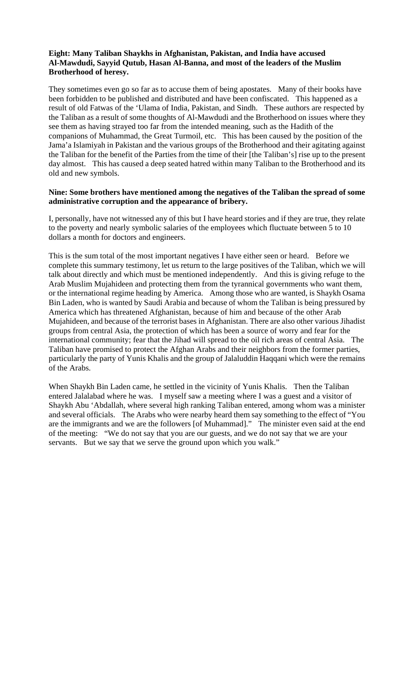# **Eight: Many Taliban Shaykhs in Afghanistan, Pakistan, and India have accused Al-Mawdudi, Sayyid Qutub, Hasan Al-Banna, and most of the leaders of the Muslim Brotherhood of heresy.**

They sometimes even go so far as to accuse them of being apostates. Many of their books have been forbidden to be published and distributed and have been confiscated. This happened as a result of old Fatwas of the 'Ulama of India, Pakistan, and Sindh. These authors are respected by the Taliban as a result of some thoughts of Al-Mawdudi and the Brotherhood on issues where they see them as having strayed too far from the intended meaning, such as the Hadith of the companions of Muhammad, the Great Turmoil, etc. This has been caused by the position of the Jama'a Islamiyah in Pakistan and the various groups of the Brotherhood and their agitating against the Taliban for the benefit of the Parties from the time of their [the Taliban's] rise up to the present day almost. This has caused a deep seated hatred within many Taliban to the Brotherhood and its old and new symbols.

### **Nine: Some brothers have mentioned among the negatives of the Taliban the spread of some administrative corruption and the appearance of bribery.**

I, personally, have not witnessed any of this but I have heard stories and if they are true, they relate to the poverty and nearly symbolic salaries of the employees which fluctuate between 5 to 10 dollars a month for doctors and engineers.

This is the sum total of the most important negatives I have either seen or heard. Before we complete this summary testimony, let us return to the large positives of the Taliban, which we will talk about directly and which must be mentioned independently. And this is giving refuge to the Arab Muslim Mujahideen and protecting them from the tyrannical governments who want them, or the international regime heading by America. Among those who are wanted, is Shaykh Osama Bin Laden, who is wanted by Saudi Arabia and because of whom the Taliban is being pressured by America which has threatened Afghanistan, because of him and because of the other Arab Mujahideen, and because of the terrorist bases in Afghanistan. There are also other various Jihadist groups from central Asia, the protection of which has been a source of worry and fear for the international community; fear that the Jihad will spread to the oil rich areas of central Asia. The Taliban have promised to protect the Afghan Arabs and their neighbors from the former parties, particularly the party of Yunis Khalis and the group of Jalaluddin Haqqani which were the remains of the Arabs.

When Shaykh Bin Laden came, he settled in the vicinity of Yunis Khalis. Then the Taliban entered Jalalabad where he was. I myself saw a meeting where I was a guest and a visitor of Shaykh Abu 'Abdallah, where several high ranking Taliban entered, among whom was a minister and several officials. The Arabs who were nearby heard them say something to the effect of "You are the immigrants and we are the followers [of Muhammad]." The minister even said at the end of the meeting: "We do not say that you are our guests, and we do not say that we are your servants. But we say that we serve the ground upon which you walk."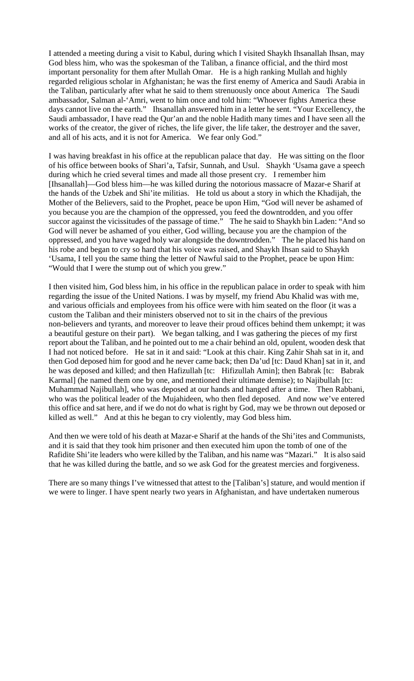I attended a meeting during a visit to Kabul, during which I visited Shaykh Ihsanallah Ihsan, may God bless him, who was the spokesman of the Taliban, a finance official, and the third most important personality for them after Mullah Omar. He is a high ranking Mullah and highly regarded religious scholar in Afghanistan; he was the first enemy of America and Saudi Arabia in the Taliban, particularly after what he said to them strenuously once about America The Saudi ambassador, Salman al-'Amri, went to him once and told him: "Whoever fights America these days cannot live on the earth." Ihsanallah answered him in a letter he sent. "Your Excellency, the Saudi ambassador, I have read the Qur'an and the noble Hadith many times and I have seen all the works of the creator, the giver of riches, the life giver, the life taker, the destroyer and the saver, and all of his acts, and it is not for America. We fear only God."

I was having breakfast in his office at the republican palace that day. He was sitting on the floor of his office between books of Shari'a, Tafsir, Sunnah, and Usul. Shaykh 'Usama gave a speech during which he cried several times and made all those present cry. I remember him [Ihsanallah]—God bless him—he was killed during the notorious massacre of Mazar-e Sharif at the hands of the Uzbek and Shi'ite militias. He told us about a story in which the Khadijah, the Mother of the Believers, said to the Prophet, peace be upon Him, "God will never be ashamed of you because you are the champion of the oppressed, you feed the downtrodden, and you offer succor against the vicissitudes of the passage of time." The he said to Shaykh bin Laden: "And so God will never be ashamed of you either, God willing, because you are the champion of the oppressed, and you have waged holy war alongside the downtrodden." The he placed his hand on his robe and began to cry so hard that his voice was raised, and Shaykh Ihsan said to Shaykh 'Usama, I tell you the same thing the letter of Nawful said to the Prophet, peace be upon Him: "Would that I were the stump out of which you grew."

I then visited him, God bless him, in his office in the republican palace in order to speak with him regarding the issue of the United Nations. I was by myself, my friend Abu Khalid was with me, and various officials and employees from his office were with him seated on the floor (it was a custom the Taliban and their ministers observed not to sit in the chairs of the previous non-believers and tyrants, and moreover to leave their proud offices behind them unkempt; it was a beautiful gesture on their part). We began talking, and I was gathering the pieces of my first report about the Taliban, and he pointed out to me a chair behind an old, opulent, wooden desk that I had not noticed before. He sat in it and said: "Look at this chair. King Zahir Shah sat in it, and then God deposed him for good and he never came back; then Da'ud [tc: Daud Khan] sat in it, and he was deposed and killed; and then Hafizullah [tc: Hifizullah Amin]; then Babrak [tc: Babrak Karmal] (he named them one by one, and mentioned their ultimate demise); to Najibullah [tc: Muhammad Najibullah], who was deposed at our hands and hanged after a time. Then Rabbani, who was the political leader of the Mujahideen, who then fled deposed. And now we've entered this office and sat here, and if we do not do what is right by God, may we be thrown out deposed or killed as well." And at this he began to cry violently, may God bless him.

And then we were told of his death at Mazar-e Sharif at the hands of the Shi'ites and Communists, and it is said that they took him prisoner and then executed him upon the tomb of one of the Rafidite Shi'ite leaders who were killed by the Taliban, and his name was "Mazari." It is also said that he was killed during the battle, and so we ask God for the greatest mercies and forgiveness.

There are so many things I've witnessed that attest to the [Taliban's] stature, and would mention if we were to linger. I have spent nearly two years in Afghanistan, and have undertaken numerous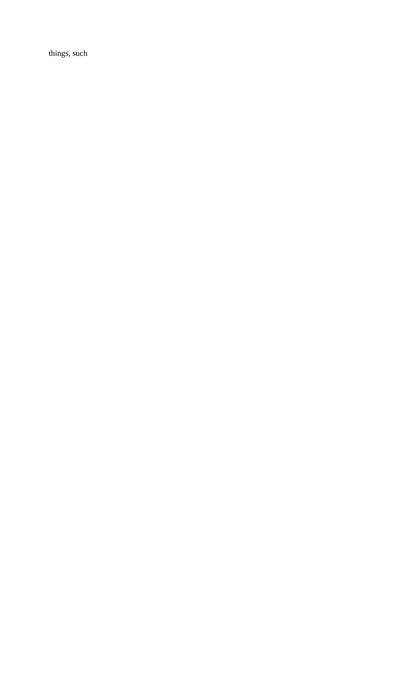things, such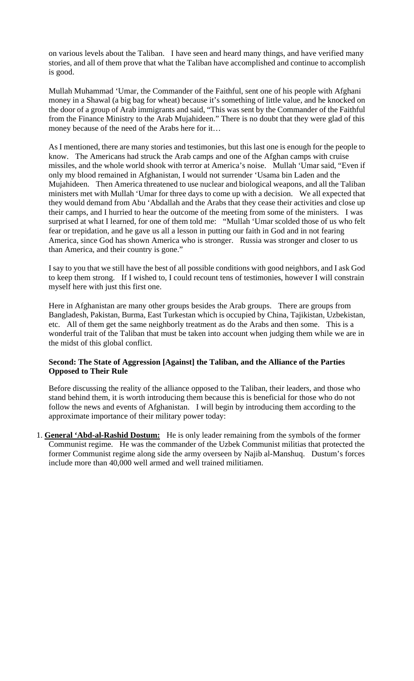on various levels about the Taliban. I have seen and heard many things, and have verified many stories, and all of them prove that what the Taliban have accomplished and continue to accomplish is good.

Mullah Muhammad 'Umar, the Commander of the Faithful, sent one of his people with Afghani money in a Shawal (a big bag for wheat) because it's something of little value, and he knocked on the door of a group of Arab immigrants and said, "This was sent by the Commander of the Faithful from the Finance Ministry to the Arab Mujahideen." There is no doubt that they were glad of this money because of the need of the Arabs here for it…

As I mentioned, there are many stories and testimonies, but this last one is enough for the people to know. The Americans had struck the Arab camps and one of the Afghan camps with cruise missiles, and the whole world shook with terror at America's noise. Mullah 'Umar said, "Even if only my blood remained in Afghanistan, I would not surrender 'Usama bin Laden and the Mujahideen. Then America threatened to use nuclear and biological weapons, and all the Taliban ministers met with Mullah 'Umar for three days to come up with a decision. We all expected that they would demand from Abu 'Abdallah and the Arabs that they cease their activities and close up their camps, and I hurried to hear the outcome of the meeting from some of the ministers. I was surprised at what I learned, for one of them told me: "Mullah 'Umar scolded those of us who felt fear or trepidation, and he gave us all a lesson in putting our faith in God and in not fearing America, since God has shown America who is stronger. Russia was stronger and closer to us than America, and their country is gone."

I say to you that we still have the best of all possible conditions with good neighbors, and I ask God to keep them strong. If I wished to, I could recount tens of testimonies, however I will constrain myself here with just this first one.

Here in Afghanistan are many other groups besides the Arab groups. There are groups from Bangladesh, Pakistan, Burma, East Turkestan which is occupied by China, Tajikistan, Uzbekistan, etc. All of them get the same neighborly treatment as do the Arabs and then some. This is a wonderful trait of the Taliban that must be taken into account when judging them while we are in the midst of this global conflict.

# **Second: The State of Aggression [Against] the Taliban, and the Alliance of the Parties Opposed to Their Rule**

Before discussing the reality of the alliance opposed to the Taliban, their leaders, and those who stand behind them, it is worth introducing them because this is beneficial for those who do not follow the news and events of Afghanistan. I will begin by introducing them according to the approximate importance of their military power today:

1. **General 'Abd-al-Rashid Dostum:** He is only leader remaining from the symbols of the former Communist regime. He was the commander of the Uzbek Communist militias that protected the former Communist regime along side the army overseen by Najib al-Manshuq. Dustum's forces include more than 40,000 well armed and well trained militiamen.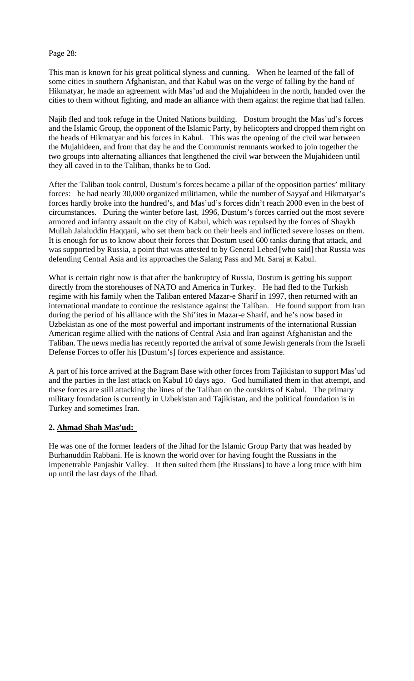Page 28:

This man is known for his great political slyness and cunning. When he learned of the fall of some cities in southern Afghanistan, and that Kabul was on the verge of falling by the hand of Hikmatyar, he made an agreement with Mas'ud and the Mujahideen in the north, handed over the cities to them without fighting, and made an alliance with them against the regime that had fallen.

Najib fled and took refuge in the United Nations building. Dostum brought the Mas'ud's forces and the Islamic Group, the opponent of the Islamic Party, by helicopters and dropped them right on the heads of Hikmatyar and his forces in Kabul. This was the opening of the civil war between the Mujahideen, and from that day he and the Communist remnants worked to join together the two groups into alternating alliances that lengthened the civil war between the Mujahideen until they all caved in to the Taliban, thanks be to God.

After the Taliban took control, Dustum's forces became a pillar of the opposition parties' military forces: he had nearly 30,000 organized militiamen, while the number of Sayyaf and Hikmatyar's forces hardly broke into the hundred's, and Mas'ud's forces didn't reach 2000 even in the best of circumstances. During the winter before last, 1996, Dustum's forces carried out the most severe armored and infantry assault on the city of Kabul, which was repulsed by the forces of Shaykh Mullah Jalaluddin Haqqani, who set them back on their heels and inflicted severe losses on them. It is enough for us to know about their forces that Dostum used 600 tanks during that attack, and was supported by Russia, a point that was attested to by General Lebed [who said] that Russia was defending Central Asia and its approaches the Salang Pass and Mt. Saraj at Kabul.

What is certain right now is that after the bankruptcy of Russia, Dostum is getting his support directly from the storehouses of NATO and America in Turkey. He had fled to the Turkish regime with his family when the Taliban entered Mazar-e Sharif in 1997, then returned with an international mandate to continue the resistance against the Taliban. He found support from Iran during the period of his alliance with the Shi'ites in Mazar-e Sharif, and he's now based in Uzbekistan as one of the most powerful and important instruments of the international Russian American regime allied with the nations of Central Asia and Iran against Afghanistan and the Taliban. The news media has recently reported the arrival of some Jewish generals from the Israeli Defense Forces to offer his [Dustum's] forces experience and assistance.

A part of his force arrived at the Bagram Base with other forces from Tajikistan to support Mas'ud and the parties in the last attack on Kabul 10 days ago. God humiliated them in that attempt, and these forces are still attacking the lines of the Taliban on the outskirts of Kabul. The primary military foundation is currently in Uzbekistan and Tajikistan, and the political foundation is in Turkey and sometimes Iran.

# **2. Ahmad Shah Mas'ud:**

He was one of the former leaders of the Jihad for the Islamic Group Party that was headed by Burhanuddin Rabbani. He is known the world over for having fought the Russians in the impenetrable Panjashir Valley. It then suited them [the Russians] to have a long truce with him up until the last days of the Jihad.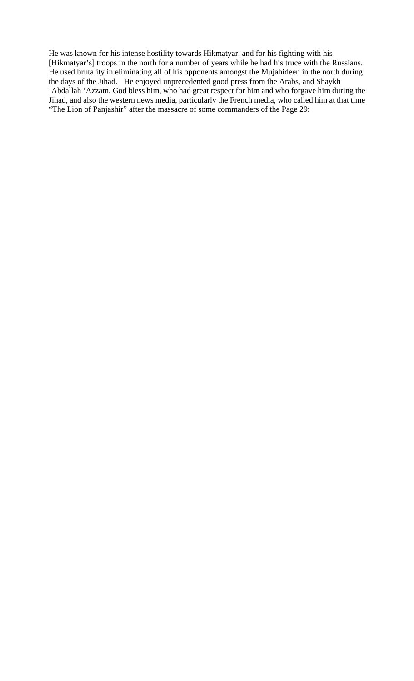He was known for his intense hostility towards Hikmatyar, and for his fighting with his [Hikmatyar's] troops in the north for a number of years while he had his truce with the Russians. He used brutality in eliminating all of his opponents amongst the Mujahideen in the north during the days of the Jihad. He enjoyed unprecedented good press from the Arabs, and Shaykh 'Abdallah 'Azzam, God bless him, who had great respect for him and who forgave him during the Jihad, and also the western news media, particularly the French media, who called him at that time "The Lion of Panjashir" after the massacre of some commanders of the Page 29: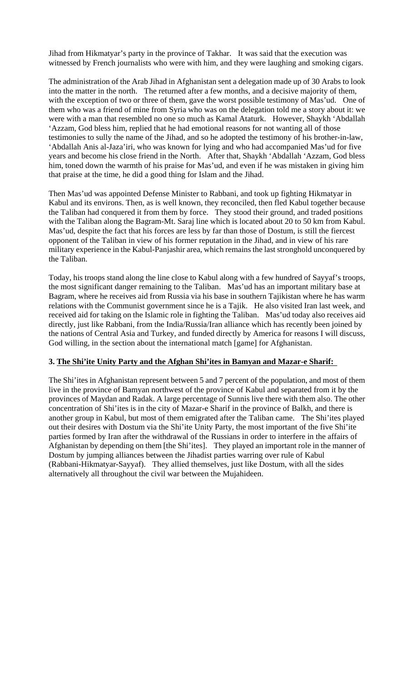Jihad from Hikmatyar's party in the province of Takhar. It was said that the execution was witnessed by French journalists who were with him, and they were laughing and smoking cigars.

The administration of the Arab Jihad in Afghanistan sent a delegation made up of 30 Arabs to look into the matter in the north. The returned after a few months, and a decisive majority of them, with the exception of two or three of them, gave the worst possible testimony of Mas'ud. One of them who was a friend of mine from Syria who was on the delegation told me a story about it: we were with a man that resembled no one so much as Kamal Ataturk. However, Shaykh 'Abdallah 'Azzam, God bless him, replied that he had emotional reasons for not wanting all of those testimonies to sully the name of the Jihad, and so he adopted the testimony of his brother-in-law, 'Abdallah Anis al-Jaza'iri, who was known for lying and who had accompanied Mas'ud for five years and become his close friend in the North. After that, Shaykh 'Abdallah 'Azzam, God bless him, toned down the warmth of his praise for Mas'ud, and even if he was mistaken in giving him that praise at the time, he did a good thing for Islam and the Jihad.

Then Mas'ud was appointed Defense Minister to Rabbani, and took up fighting Hikmatyar in Kabul and its environs. Then, as is well known, they reconciled, then fled Kabul together because the Taliban had conquered it from them by force. They stood their ground, and traded positions with the Taliban along the Bagram-Mt. Saraj line which is located about 20 to 50 km from Kabul. Mas'ud, despite the fact that his forces are less by far than those of Dostum, is still the fiercest opponent of the Taliban in view of his former reputation in the Jihad, and in view of his rare military experience in the Kabul-Panjashir area, which remains the last stronghold unconquered by the Taliban.

Today, his troops stand along the line close to Kabul along with a few hundred of Sayyaf's troops, the most significant danger remaining to the Taliban. Mas'ud has an important military base at Bagram, where he receives aid from Russia via his base in southern Tajikistan where he has warm relations with the Communist government since he is a Tajik. He also visited Iran last week, and received aid for taking on the Islamic role in fighting the Taliban. Mas'ud today also receives aid directly, just like Rabbani, from the India/Russia/Iran alliance which has recently been joined by the nations of Central Asia and Turkey, and funded directly by America for reasons I will discuss, God willing, in the section about the international match [game] for Afghanistan.

# **3. The Shi'ite Unity Party and the Afghan Shi'ites in Bamyan and Mazar-e Sharif:**

The Shi'ites in Afghanistan represent between 5 and 7 percent of the population, and most of them live in the province of Bamyan northwest of the province of Kabul and separated from it by the provinces of Maydan and Radak. A large percentage of Sunnis live there with them also. The other concentration of Shi'ites is in the city of Mazar-e Sharif in the province of Balkh, and there is another group in Kabul, but most of them emigrated after the Taliban came. The Shi'ites played out their desires with Dostum via the Shi'ite Unity Party, the most important of the five Shi'ite parties formed by Iran after the withdrawal of the Russians in order to interfere in the affairs of Afghanistan by depending on them [the Shi'ites]. They played an important role in the manner of Dostum by jumping alliances between the Jihadist parties warring over rule of Kabul (Rabbani-Hikmatyar-Sayyaf). They allied themselves, just like Dostum, with all the sides alternatively all throughout the civil war between the Mujahideen.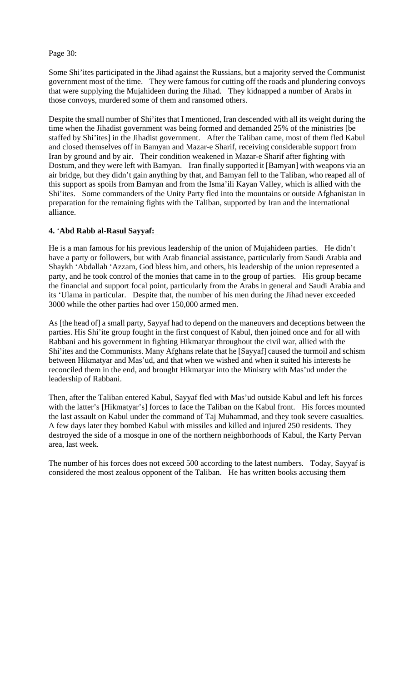Page 30:

Some Shi'ites participated in the Jihad against the Russians, but a majority served the Communist government most of the time. They were famous for cutting off the roads and plundering convoys that were supplying the Mujahideen during the Jihad. They kidnapped a number of Arabs in those convoys, murdered some of them and ransomed others.

Despite the small number of Shi'ites that I mentioned, Iran descended with all its weight during the time when the Jihadist government was being formed and demanded 25% of the ministries [be staffed by Shi'ites] in the Jihadist government. After the Taliban came, most of them fled Kabul and closed themselves off in Bamyan and Mazar-e Sharif, receiving considerable support from Iran by ground and by air. Their condition weakened in Mazar-e Sharif after fighting with Dostum, and they were left with Bamyan. Iran finally supported it [Bamyan] with weapons via an air bridge, but they didn't gain anything by that, and Bamyan fell to the Taliban, who reaped all of this support as spoils from Bamyan and from the Isma'ili Kayan Valley, which is allied with the Shi'ites. Some commanders of the Unity Party fled into the mountains or outside Afghanistan in preparation for the remaining fights with the Taliban, supported by Iran and the international alliance.

# **4.** '**Abd Rabb al-Rasul Sayyaf:**

He is a man famous for his previous leadership of the union of Mujahideen parties. He didn't have a party or followers, but with Arab financial assistance, particularly from Saudi Arabia and Shaykh 'Abdallah 'Azzam, God bless him, and others, his leadership of the union represented a party, and he took control of the monies that came in to the group of parties. His group became the financial and support focal point, particularly from the Arabs in general and Saudi Arabia and its 'Ulama in particular. Despite that, the number of his men during the Jihad never exceeded 3000 while the other parties had over 150,000 armed men.

As [the head of] a small party, Sayyaf had to depend on the maneuvers and deceptions between the parties. His Shi'ite group fought in the first conquest of Kabul, then joined once and for all with Rabbani and his government in fighting Hikmatyar throughout the civil war, allied with the Shi'ites and the Communists. Many Afghans relate that he [Sayyaf] caused the turmoil and schism between Hikmatyar and Mas'ud, and that when we wished and when it suited his interests he reconciled them in the end, and brought Hikmatyar into the Ministry with Mas'ud under the leadership of Rabbani.

Then, after the Taliban entered Kabul, Sayyaf fled with Mas'ud outside Kabul and left his forces with the latter's [Hikmatyar's] forces to face the Taliban on the Kabul front. His forces mounted the last assault on Kabul under the command of Taj Muhammad, and they took severe casualties. A few days later they bombed Kabul with missiles and killed and injured 250 residents. They destroyed the side of a mosque in one of the northern neighborhoods of Kabul, the Karty Pervan area, last week.

The number of his forces does not exceed 500 according to the latest numbers. Today, Sayyaf is considered the most zealous opponent of the Taliban. He has written books accusing them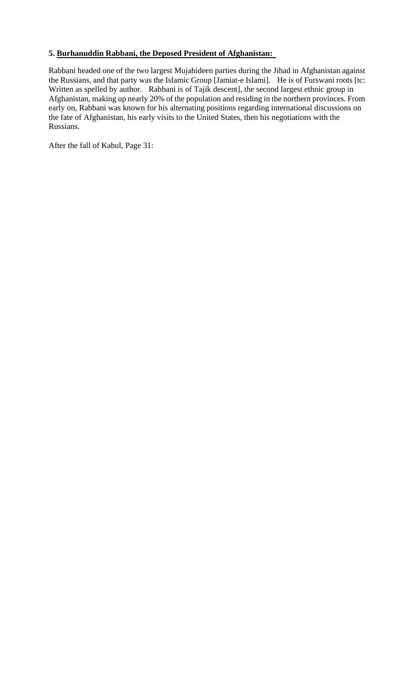# **5. Burhanuddin Rabbani, the Deposed President of Afghanistan:**

Rabbani headed one of the two largest Mujahideen parties during the Jihad in Afghanistan against the Russians, and that party was the Islamic Group [Jamiat-e Islami]. He is of Furswani roots [tc: Written as spelled by author. Rabbani is of Tajik descent], the second largest ethnic group in Afghanistan, making up nearly 20% of the population and residing in the northern provinces. From early on, Rabbani was known for his alternating positions regarding international discussions on the fate of Afghanistan, his early visits to the United States, then his negotiations with the Russians.

After the fall of Kabul, Page 31: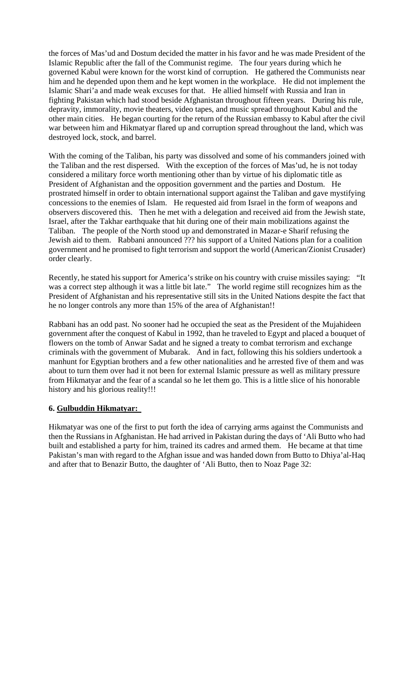the forces of Mas'ud and Dostum decided the matter in his favor and he was made President of the Islamic Republic after the fall of the Communist regime. The four years during which he governed Kabul were known for the worst kind of corruption. He gathered the Communists near him and he depended upon them and he kept women in the workplace. He did not implement the Islamic Shari'a and made weak excuses for that. He allied himself with Russia and Iran in fighting Pakistan which had stood beside Afghanistan throughout fifteen years. During his rule, depravity, immorality, movie theaters, video tapes, and music spread throughout Kabul and the other main cities. He began courting for the return of the Russian embassy to Kabul after the civil war between him and Hikmatyar flared up and corruption spread throughout the land, which was destroyed lock, stock, and barrel.

With the coming of the Taliban, his party was dissolved and some of his commanders joined with the Taliban and the rest dispersed. With the exception of the forces of Mas'ud, he is not today considered a military force worth mentioning other than by virtue of his diplomatic title as President of Afghanistan and the opposition government and the parties and Dostum. He prostrated himself in order to obtain international support against the Taliban and gave mystifying concessions to the enemies of Islam. He requested aid from Israel in the form of weapons and observers discovered this. Then he met with a delegation and received aid from the Jewish state, Israel, after the Takhar earthquake that hit during one of their main mobilizations against the Taliban. The people of the North stood up and demonstrated in Mazar-e Sharif refusing the Jewish aid to them. Rabbani announced ??? his support of a United Nations plan for a coalition government and he promised to fight terrorism and support the world (American/Zionist Crusader) order clearly.

Recently, he stated his support for America's strike on his country with cruise missiles saying: "It was a correct step although it was a little bit late." The world regime still recognizes him as the President of Afghanistan and his representative still sits in the United Nations despite the fact that he no longer controls any more than 15% of the area of Afghanistan!!

Rabbani has an odd past. No sooner had he occupied the seat as the President of the Mujahideen government after the conquest of Kabul in 1992, than he traveled to Egypt and placed a bouquet of flowers on the tomb of Anwar Sadat and he signed a treaty to combat terrorism and exchange criminals with the government of Mubarak. And in fact, following this his soldiers undertook a manhunt for Egyptian brothers and a few other nationalities and he arrested five of them and was about to turn them over had it not been for external Islamic pressure as well as military pressure from Hikmatyar and the fear of a scandal so he let them go. This is a little slice of his honorable history and his glorious reality!!!

# **6. Gulbuddin Hikmatyar:**

Hikmatyar was one of the first to put forth the idea of carrying arms against the Communists and then the Russians in Afghanistan. He had arrived in Pakistan during the days of 'Ali Butto who had built and established a party for him, trained its cadres and armed them. He became at that time Pakistan's man with regard to the Afghan issue and was handed down from Butto to Dhiya'al-Haq and after that to Benazir Butto, the daughter of 'Ali Butto, then to Noaz Page 32: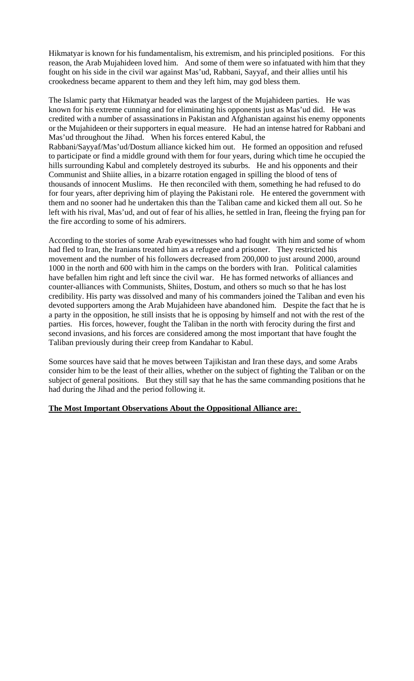Hikmatyar is known for his fundamentalism, his extremism, and his principled positions. For this reason, the Arab Mujahideen loved him. And some of them were so infatuated with him that they fought on his side in the civil war against Mas'ud, Rabbani, Sayyaf, and their allies until his crookedness became apparent to them and they left him, may god bless them.

The Islamic party that Hikmatyar headed was the largest of the Mujahideen parties. He was known for his extreme cunning and for eliminating his opponents just as Mas'ud did. He was credited with a number of assassinations in Pakistan and Afghanistan against his enemy opponents or the Mujahideen or their supporters in equal measure. He had an intense hatred for Rabbani and Mas'ud throughout the Jihad. When his forces entered Kabul, the Rabbani/Sayyaf/Mas'ud/Dostum alliance kicked him out. He formed an opposition and refused to participate or find a middle ground with them for four years, during which time he occupied the hills surrounding Kabul and completely destroyed its suburbs. He and his opponents and their Communist and Shiite allies, in a bizarre rotation engaged in spilling the blood of tens of thousands of innocent Muslims. He then reconciled with them, something he had refused to do for four years, after depriving him of playing the Pakistani role. He entered the government with them and no sooner had he undertaken this than the Taliban came and kicked them all out. So he left with his rival, Mas'ud, and out of fear of his allies, he settled in Iran, fleeing the frying pan for the fire according to some of his admirers.

According to the stories of some Arab eyewitnesses who had fought with him and some of whom had fled to Iran, the Iranians treated him as a refugee and a prisoner. They restricted his movement and the number of his followers decreased from 200,000 to just around 2000, around 1000 in the north and 600 with him in the camps on the borders with Iran. Political calamities have befallen him right and left since the civil war. He has formed networks of alliances and counter-alliances with Communists, Shiites, Dostum, and others so much so that he has lost credibility. His party was dissolved and many of his commanders joined the Taliban and even his devoted supporters among the Arab Mujahideen have abandoned him. Despite the fact that he is a party in the opposition, he still insists that he is opposing by himself and not with the rest of the parties. His forces, however, fought the Taliban in the north with ferocity during the first and second invasions, and his forces are considered among the most important that have fought the Taliban previously during their creep from Kandahar to Kabul.

Some sources have said that he moves between Tajikistan and Iran these days, and some Arabs consider him to be the least of their allies, whether on the subject of fighting the Taliban or on the subject of general positions. But they still say that he has the same commanding positions that he had during the Jihad and the period following it.

# **The Most Important Observations About the Oppositional Alliance are:**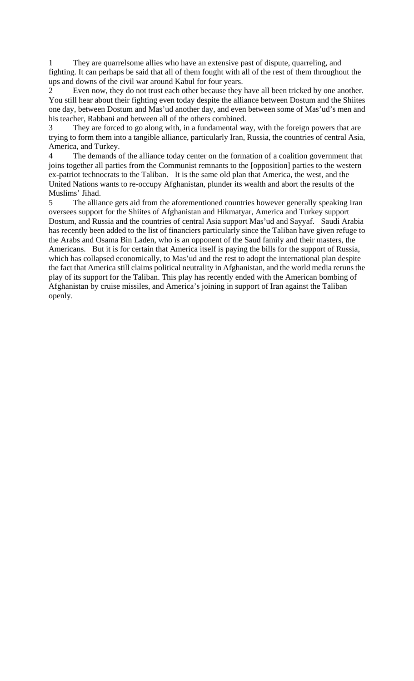1 They are quarrelsome allies who have an extensive past of dispute, quarreling, and fighting. It can perhaps be said that all of them fought with all of the rest of them throughout the ups and downs of the civil war around Kabul for four years.

Even now, they do not trust each other because they have all been tricked by one another. You still hear about their fighting even today despite the alliance between Dostum and the Shiites one day, between Dostum and Mas'ud another day, and even between some of Mas'ud's men and his teacher, Rabbani and between all of the others combined.

3 They are forced to go along with, in a fundamental way, with the foreign powers that are trying to form them into a tangible alliance, particularly Iran, Russia, the countries of central Asia, America, and Turkey.

4 The demands of the alliance today center on the formation of a coalition government that joins together all parties from the Communist remnants to the [opposition] parties to the western ex-patriot technocrats to the Taliban. It is the same old plan that America, the west, and the United Nations wants to re-occupy Afghanistan, plunder its wealth and abort the results of the Muslims' Jihad.

5 The alliance gets aid from the aforementioned countries however generally speaking Iran oversees support for the Shiites of Afghanistan and Hikmatyar, America and Turkey support Dostum, and Russia and the countries of central Asia support Mas'ud and Sayyaf. Saudi Arabia has recently been added to the list of financiers particularly since the Taliban have given refuge to the Arabs and Osama Bin Laden, who is an opponent of the Saud family and their masters, the Americans. But it is for certain that America itself is paying the bills for the support of Russia, which has collapsed economically, to Mas'ud and the rest to adopt the international plan despite the fact that America still claims political neutrality in Afghanistan, and the world media reruns the play of its support for the Taliban. This play has recently ended with the American bombing of Afghanistan by cruise missiles, and America's joining in support of Iran against the Taliban openly.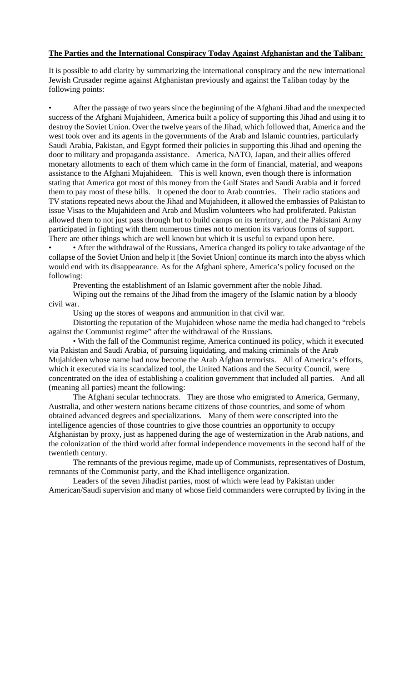# **The Parties and the International Conspiracy Today Against Afghanistan and the Taliban:**

It is possible to add clarity by summarizing the international conspiracy and the new international Jewish Crusader regime against Afghanistan previously and against the Taliban today by the following points:

• After the passage of two years since the beginning of the Afghani Jihad and the unexpected success of the Afghani Mujahideen, America built a policy of supporting this Jihad and using it to destroy the Soviet Union. Over the twelve years of the Jihad, which followed that, America and the west took over and its agents in the governments of the Arab and Islamic countries, particularly Saudi Arabia, Pakistan, and Egypt formed their policies in supporting this Jihad and opening the door to military and propaganda assistance. America, NATO, Japan, and their allies offered monetary allotments to each of them which came in the form of financial, material, and weapons assistance to the Afghani Mujahideen. This is well known, even though there is information stating that America got most of this money from the Gulf States and Saudi Arabia and it forced them to pay most of these bills. It opened the door to Arab countries. Their radio stations and TV stations repeated news about the Jihad and Mujahideen, it allowed the embassies of Pakistan to issue Visas to the Mujahideen and Arab and Muslim volunteers who had proliferated. Pakistan allowed them to not just pass through but to build camps on its territory, and the Pakistani Army participated in fighting with them numerous times not to mention its various forms of support. There are other things which are well known but which it is useful to expand upon here.

• • After the withdrawal of the Russians, America changed its policy to take advantage of the collapse of the Soviet Union and help it [the Soviet Union] continue its march into the abyss which would end with its disappearance. As for the Afghani sphere, America's policy focused on the following:

Preventing the establishment of an Islamic government after the noble Jihad.

Wiping out the remains of the Jihad from the imagery of the Islamic nation by a bloody civil war.

Using up the stores of weapons and ammunition in that civil war.

Distorting the reputation of the Mujahideen whose name the media had changed to "rebels against the Communist regime" after the withdrawal of the Russians.

• With the fall of the Communist regime, America continued its policy, which it executed via Pakistan and Saudi Arabia, of pursuing liquidating, and making criminals of the Arab Mujahideen whose name had now become the Arab Afghan terrorists. All of America's efforts, which it executed via its scandalized tool, the United Nations and the Security Council, were concentrated on the idea of establishing a coalition government that included all parties. And all (meaning all parties) meant the following:

The Afghani secular technocrats. They are those who emigrated to America, Germany, Australia, and other western nations became citizens of those countries, and some of whom obtained advanced degrees and specializations. Many of them were conscripted into the intelligence agencies of those countries to give those countries an opportunity to occupy Afghanistan by proxy, just as happened during the age of westernization in the Arab nations, and the colonization of the third world after formal independence movements in the second half of the twentieth century.

The remnants of the previous regime, made up of Communists, representatives of Dostum, remnants of the Communist party, and the Khad intelligence organization.

Leaders of the seven Jihadist parties, most of which were lead by Pakistan under American/Saudi supervision and many of whose field commanders were corrupted by living in the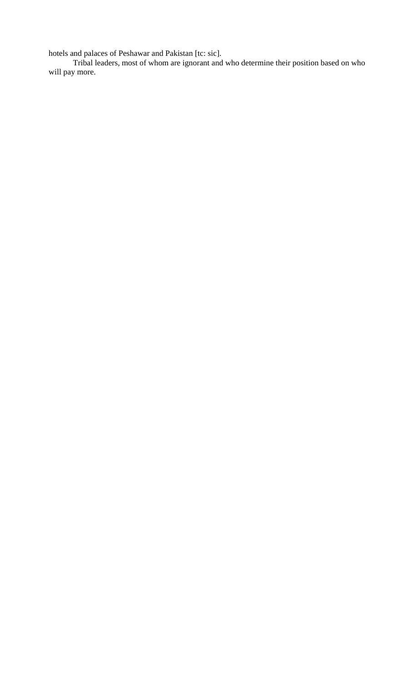hotels and palaces of Peshawar and Pakistan [tc: sic].

Tribal leaders, most of whom are ignorant and who determine their position based on who will pay more.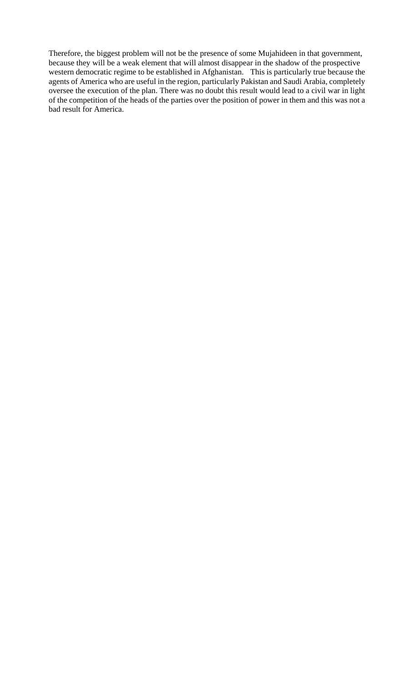Therefore, the biggest problem will not be the presence of some Mujahideen in that government, because they will be a weak element that will almost disappear in the shadow of the prospective western democratic regime to be established in Afghanistan. This is particularly true because the agents of America who are useful in the region, particularly Pakistan and Saudi Arabia, completely oversee the execution of the plan. There was no doubt this result would lead to a civil war in light of the competition of the heads of the parties over the position of power in them and this was not a bad result for America.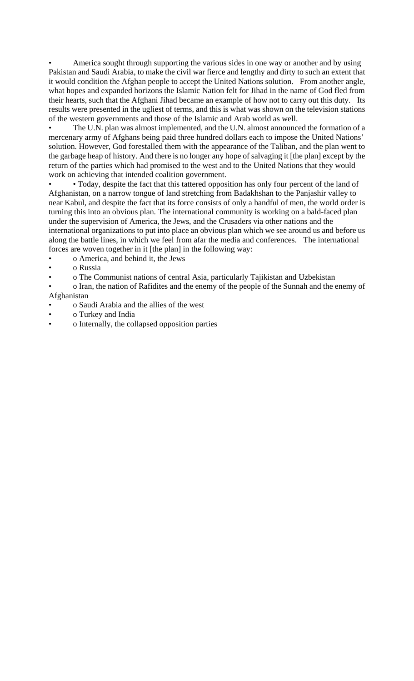• America sought through supporting the various sides in one way or another and by using Pakistan and Saudi Arabia, to make the civil war fierce and lengthy and dirty to such an extent that it would condition the Afghan people to accept the United Nations solution. From another angle, what hopes and expanded horizons the Islamic Nation felt for Jihad in the name of God fled from their hearts, such that the Afghani Jihad became an example of how not to carry out this duty. Its results were presented in the ugliest of terms, and this is what was shown on the television stations of the western governments and those of the Islamic and Arab world as well.

The U.N. plan was almost implemented, and the U.N. almost announced the formation of a mercenary army of Afghans being paid three hundred dollars each to impose the United Nations' solution. However, God forestalled them with the appearance of the Taliban, and the plan went to the garbage heap of history. And there is no longer any hope of salvaging it [the plan] except by the return of the parties which had promised to the west and to the United Nations that they would work on achieving that intended coalition government.

• Today, despite the fact that this tattered opposition has only four percent of the land of Afghanistan, on a narrow tongue of land stretching from Badakhshan to the Panjashir valley to near Kabul, and despite the fact that its force consists of only a handful of men, the world order is turning this into an obvious plan. The international community is working on a bald-faced plan under the supervision of America, the Jews, and the Crusaders via other nations and the international organizations to put into place an obvious plan which we see around us and before us along the battle lines, in which we feel from afar the media and conferences. The international forces are woven together in it [the plan] in the following way:

• o America, and behind it, the Jews

• o Russia

• o The Communist nations of central Asia, particularly Tajikistan and Uzbekistan

• o Iran, the nation of Rafidites and the enemy of the people of the Sunnah and the enemy of Afghanistan

- o Saudi Arabia and the allies of the west
- o Turkey and India
- o Internally, the collapsed opposition parties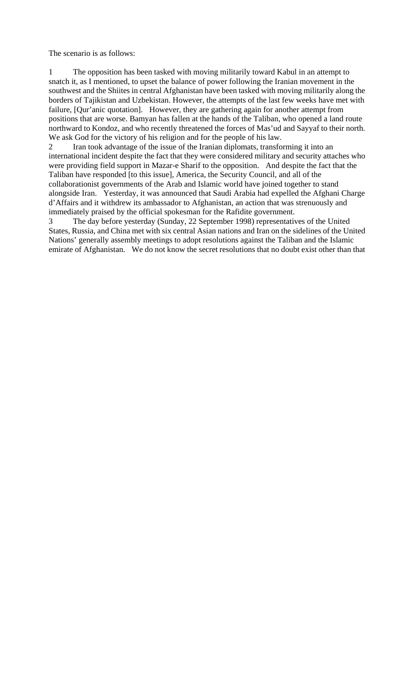The scenario is as follows:

1 The opposition has been tasked with moving militarily toward Kabul in an attempt to snatch it, as I mentioned, to upset the balance of power following the Iranian movement in the southwest and the Shiites in central Afghanistan have been tasked with moving militarily along the borders of Tajikistan and Uzbekistan. However, the attempts of the last few weeks have met with failure, [Qur'anic quotation]. However, they are gathering again for another attempt from positions that are worse. Bamyan has fallen at the hands of the Taliban, who opened a land route northward to Kondoz, and who recently threatened the forces of Mas'ud and Sayyaf to their north. We ask God for the victory of his religion and for the people of his law.

2 Iran took advantage of the issue of the Iranian diplomats, transforming it into an international incident despite the fact that they were considered military and security attaches who were providing field support in Mazar-e Sharif to the opposition. And despite the fact that the Taliban have responded [to this issue], America, the Security Council, and all of the collaborationist governments of the Arab and Islamic world have joined together to stand alongside Iran. Yesterday, it was announced that Saudi Arabia had expelled the Afghani Charge d'Affairs and it withdrew its ambassador to Afghanistan, an action that was strenuously and immediately praised by the official spokesman for the Rafidite government.

3 The day before yesterday (Sunday, 22 September 1998) representatives of the United States, Russia, and China met with six central Asian nations and Iran on the sidelines of the United Nations' generally assembly meetings to adopt resolutions against the Taliban and the Islamic emirate of Afghanistan. We do not know the secret resolutions that no doubt exist other than that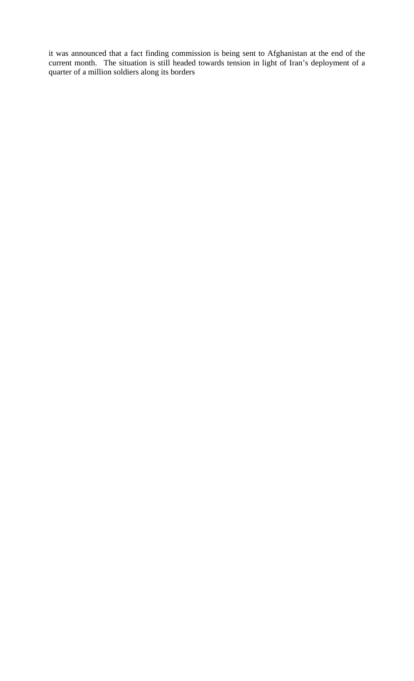it was announced that a fact finding commission is being sent to Afghanistan at the end of the current month. The situation is still headed towards tension in light of Iran's deployment of a quarter of a million soldiers along its borders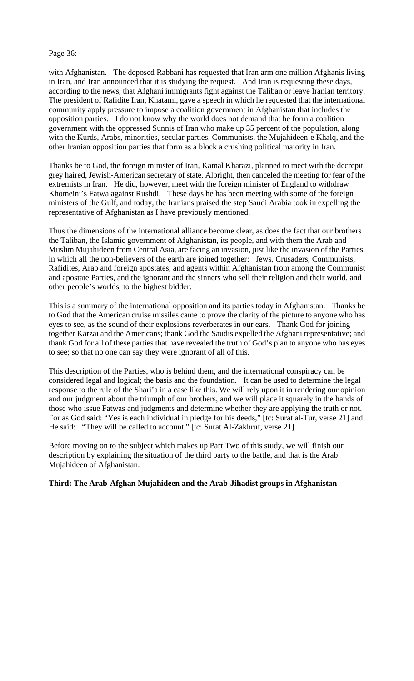### Page 36:

with Afghanistan. The deposed Rabbani has requested that Iran arm one million Afghanis living in Iran, and Iran announced that it is studying the request. And Iran is requesting these days, according to the news, that Afghani immigrants fight against the Taliban or leave Iranian territory. The president of Rafidite Iran, Khatami, gave a speech in which he requested that the international community apply pressure to impose a coalition government in Afghanistan that includes the opposition parties. I do not know why the world does not demand that he form a coalition government with the oppressed Sunnis of Iran who make up 35 percent of the population, along with the Kurds, Arabs, minorities, secular parties, Communists, the Mujahideen-e Khalq, and the other Iranian opposition parties that form as a block a crushing political majority in Iran.

Thanks be to God, the foreign minister of Iran, Kamal Kharazi, planned to meet with the decrepit, grey haired, Jewish-American secretary of state, Albright, then canceled the meeting for fear of the extremists in Iran. He did, however, meet with the foreign minister of England to withdraw Khomeini's Fatwa against Rushdi. These days he has been meeting with some of the foreign ministers of the Gulf, and today, the Iranians praised the step Saudi Arabia took in expelling the representative of Afghanistan as I have previously mentioned.

Thus the dimensions of the international alliance become clear, as does the fact that our brothers the Taliban, the Islamic government of Afghanistan, its people, and with them the Arab and Muslim Mujahideen from Central Asia, are facing an invasion, just like the invasion of the Parties, in which all the non-believers of the earth are joined together: Jews, Crusaders, Communists, Rafidites, Arab and foreign apostates, and agents within Afghanistan from among the Communist and apostate Parties, and the ignorant and the sinners who sell their religion and their world, and other people's worlds, to the highest bidder.

This is a summary of the international opposition and its parties today in Afghanistan. Thanks be to God that the American cruise missiles came to prove the clarity of the picture to anyone who has eyes to see, as the sound of their explosions reverberates in our ears. Thank God for joining together Karzai and the Americans; thank God the Saudis expelled the Afghani representative; and thank God for all of these parties that have revealed the truth of God's plan to anyone who has eyes to see; so that no one can say they were ignorant of all of this.

This description of the Parties, who is behind them, and the international conspiracy can be considered legal and logical; the basis and the foundation. It can be used to determine the legal response to the rule of the Shari'a in a case like this. We will rely upon it in rendering our opinion and our judgment about the triumph of our brothers, and we will place it squarely in the hands of those who issue Fatwas and judgments and determine whether they are applying the truth or not. For as God said: "Yes is each individual in pledge for his deeds," [tc: Surat al-Tur, verse 21] and He said: "They will be called to account." [tc: Surat Al-Zakhruf, verse 21].

Before moving on to the subject which makes up Part Two of this study, we will finish our description by explaining the situation of the third party to the battle, and that is the Arab Mujahideen of Afghanistan.

# **Third: The Arab-Afghan Mujahideen and the Arab-Jihadist groups in Afghanistan**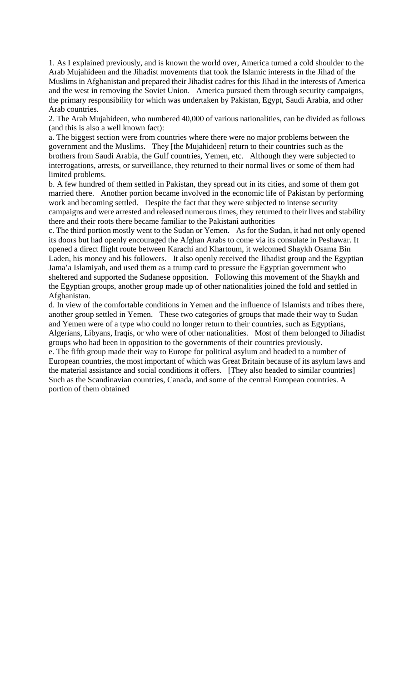1. As I explained previously, and is known the world over, America turned a cold shoulder to the Arab Mujahideen and the Jihadist movements that took the Islamic interests in the Jihad of the Muslims in Afghanistan and prepared their Jihadist cadres for this Jihad in the interests of America and the west in removing the Soviet Union. America pursued them through security campaigns, the primary responsibility for which was undertaken by Pakistan, Egypt, Saudi Arabia, and other Arab countries.

2. The Arab Mujahideen, who numbered 40,000 of various nationalities, can be divided as follows (and this is also a well known fact):

a. The biggest section were from countries where there were no major problems between the government and the Muslims. They [the Mujahideen] return to their countries such as the brothers from Saudi Arabia, the Gulf countries, Yemen, etc. Although they were subjected to interrogations, arrests, or surveillance, they returned to their normal lives or some of them had limited problems.

b. A few hundred of them settled in Pakistan, they spread out in its cities, and some of them got married there. Another portion became involved in the economic life of Pakistan by performing work and becoming settled. Despite the fact that they were subjected to intense security campaigns and were arrested and released numerous times, they returned to their lives and stability there and their roots there became familiar to the Pakistani authorities

c. The third portion mostly went to the Sudan or Yemen. As for the Sudan, it had not only opened its doors but had openly encouraged the Afghan Arabs to come via its consulate in Peshawar. It opened a direct flight route between Karachi and Khartoum, it welcomed Shaykh Osama Bin Laden, his money and his followers. It also openly received the Jihadist group and the Egyptian Jama'a Islamiyah, and used them as a trump card to pressure the Egyptian government who sheltered and supported the Sudanese opposition. Following this movement of the Shaykh and the Egyptian groups, another group made up of other nationalities joined the fold and settled in Afghanistan.

d. In view of the comfortable conditions in Yemen and the influence of Islamists and tribes there, another group settled in Yemen. These two categories of groups that made their way to Sudan and Yemen were of a type who could no longer return to their countries, such as Egyptians, Algerians, Libyans, Iraqis, or who were of other nationalities. Most of them belonged to Jihadist groups who had been in opposition to the governments of their countries previously.

e. The fifth group made their way to Europe for political asylum and headed to a number of European countries, the most important of which was Great Britain because of its asylum laws and the material assistance and social conditions it offers. [They also headed to similar countries] Such as the Scandinavian countries, Canada, and some of the central European countries. A portion of them obtained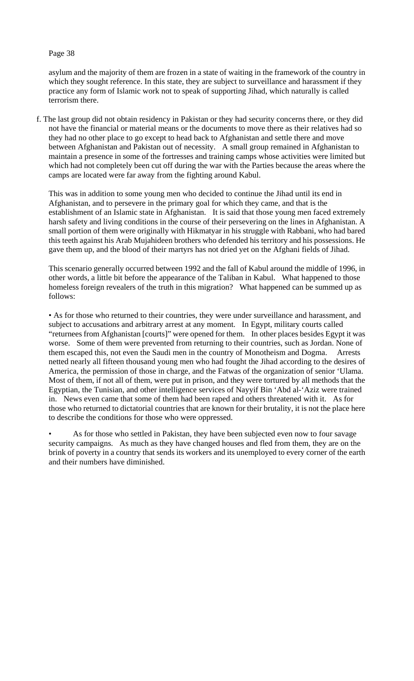### Page 38

asylum and the majority of them are frozen in a state of waiting in the framework of the country in which they sought reference. In this state, they are subject to surveillance and harassment if they practice any form of Islamic work not to speak of supporting Jihad, which naturally is called terrorism there.

f. The last group did not obtain residency in Pakistan or they had security concerns there, or they did not have the financial or material means or the documents to move there as their relatives had so they had no other place to go except to head back to Afghanistan and settle there and move between Afghanistan and Pakistan out of necessity. A small group remained in Afghanistan to maintain a presence in some of the fortresses and training camps whose activities were limited but which had not completely been cut off during the war with the Parties because the areas where the camps are located were far away from the fighting around Kabul.

This was in addition to some young men who decided to continue the Jihad until its end in Afghanistan, and to persevere in the primary goal for which they came, and that is the establishment of an Islamic state in Afghanistan. It is said that those young men faced extremely harsh safety and living conditions in the course of their persevering on the lines in Afghanistan. A small portion of them were originally with Hikmatyar in his struggle with Rabbani, who had bared this teeth against his Arab Mujahideen brothers who defended his territory and his possessions. He gave them up, and the blood of their martyrs has not dried yet on the Afghani fields of Jihad.

This scenario generally occurred between 1992 and the fall of Kabul around the middle of 1996, in other words, a little bit before the appearance of the Taliban in Kabul. What happened to those homeless foreign revealers of the truth in this migration? What happened can be summed up as follows:

• As for those who returned to their countries, they were under surveillance and harassment, and subject to accusations and arbitrary arrest at any moment. In Egypt, military courts called "returnees from Afghanistan [courts]" were opened for them. In other places besides Egypt it was worse. Some of them were prevented from returning to their countries, such as Jordan. None of them escaped this, not even the Saudi men in the country of Monotheism and Dogma. Arrests netted nearly all fifteen thousand young men who had fought the Jihad according to the desires of America, the permission of those in charge, and the Fatwas of the organization of senior 'Ulama. Most of them, if not all of them, were put in prison, and they were tortured by all methods that the Egyptian, the Tunisian, and other intelligence services of Nayyif Bin 'Abd al-'Aziz were trained in. News even came that some of them had been raped and others threatened with it. As for those who returned to dictatorial countries that are known for their brutality, it is not the place here to describe the conditions for those who were oppressed.

As for those who settled in Pakistan, they have been subjected even now to four savage security campaigns. As much as they have changed houses and fled from them, they are on the brink of poverty in a country that sends its workers and its unemployed to every corner of the earth and their numbers have diminished.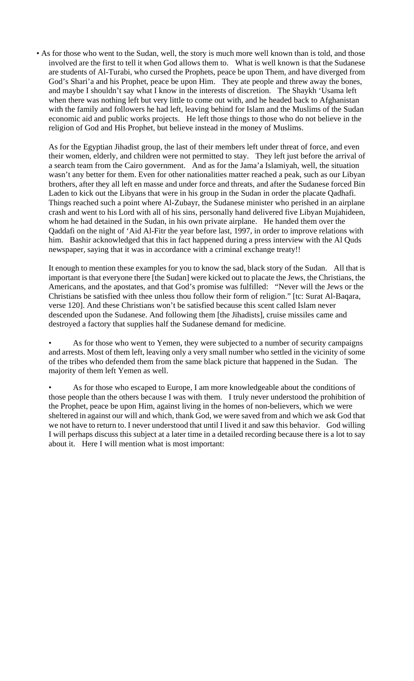• As for those who went to the Sudan, well, the story is much more well known than is told, and those involved are the first to tell it when God allows them to. What is well known is that the Sudanese are students of Al-Turabi, who cursed the Prophets, peace be upon Them, and have diverged from God's Shari'a and his Prophet, peace be upon Him. They ate people and threw away the bones, and maybe I shouldn't say what I know in the interests of discretion. The Shaykh 'Usama left when there was nothing left but very little to come out with, and he headed back to Afghanistan with the family and followers he had left, leaving behind for Islam and the Muslims of the Sudan economic aid and public works projects. He left those things to those who do not believe in the religion of God and His Prophet, but believe instead in the money of Muslims.

As for the Egyptian Jihadist group, the last of their members left under threat of force, and even their women, elderly, and children were not permitted to stay. They left just before the arrival of a search team from the Cairo government. And as for the Jama'a Islamiyah, well, the situation wasn't any better for them. Even for other nationalities matter reached a peak, such as our Libyan brothers, after they all left en masse and under force and threats, and after the Sudanese forced Bin Laden to kick out the Libyans that were in his group in the Sudan in order the placate Qadhafi. Things reached such a point where Al-Zubayr, the Sudanese minister who perished in an airplane crash and went to his Lord with all of his sins, personally hand delivered five Libyan Mujahideen, whom he had detained in the Sudan, in his own private airplane. He handed them over the Qaddafi on the night of 'Aid Al-Fitr the year before last, 1997, in order to improve relations with him. Bashir acknowledged that this in fact happened during a press interview with the Al Quds newspaper, saying that it was in accordance with a criminal exchange treaty!!

It enough to mention these examples for you to know the sad, black story of the Sudan. All that is important is that everyone there [the Sudan] were kicked out to placate the Jews, the Christians, the Americans, and the apostates, and that God's promise was fulfilled: "Never will the Jews or the Christians be satisfied with thee unless thou follow their form of religion." [tc: Surat Al-Baqara, verse 120]. And these Christians won't be satisfied because this scent called Islam never descended upon the Sudanese. And following them [the Jihadists], cruise missiles came and destroyed a factory that supplies half the Sudanese demand for medicine.

As for those who went to Yemen, they were subjected to a number of security campaigns and arrests. Most of them left, leaving only a very small number who settled in the vicinity of some of the tribes who defended them from the same black picture that happened in the Sudan. The majority of them left Yemen as well.

As for those who escaped to Europe, I am more knowledgeable about the conditions of those people than the others because I was with them. I truly never understood the prohibition of the Prophet, peace be upon Him, against living in the homes of non-believers, which we were sheltered in against our will and which, thank God, we were saved from and which we ask God that we not have to return to. I never understood that until I lived it and saw this behavior. God willing I will perhaps discuss this subject at a later time in a detailed recording because there is a lot to say about it. Here I will mention what is most important: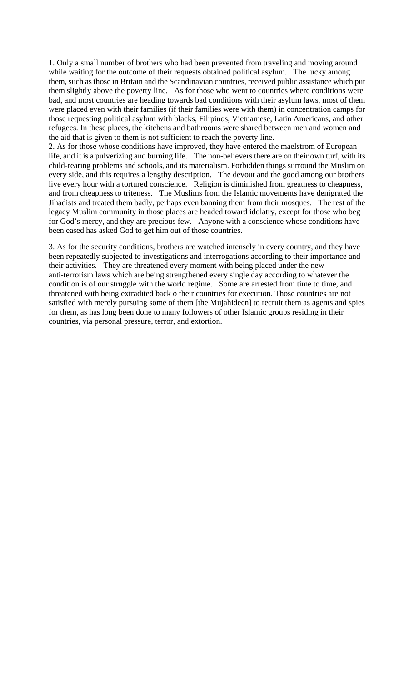1. Only a small number of brothers who had been prevented from traveling and moving around while waiting for the outcome of their requests obtained political asylum. The lucky among them, such as those in Britain and the Scandinavian countries, received public assistance which put them slightly above the poverty line. As for those who went to countries where conditions were bad, and most countries are heading towards bad conditions with their asylum laws, most of them were placed even with their families (if their families were with them) in concentration camps for those requesting political asylum with blacks, Filipinos, Vietnamese, Latin Americans, and other refugees. In these places, the kitchens and bathrooms were shared between men and women and the aid that is given to them is not sufficient to reach the poverty line.

2. As for those whose conditions have improved, they have entered the maelstrom of European life, and it is a pulverizing and burning life. The non-believers there are on their own turf, with its child-rearing problems and schools, and its materialism. Forbidden things surround the Muslim on every side, and this requires a lengthy description. The devout and the good among our brothers live every hour with a tortured conscience. Religion is diminished from greatness to cheapness, and from cheapness to triteness. The Muslims from the Islamic movements have denigrated the Jihadists and treated them badly, perhaps even banning them from their mosques. The rest of the legacy Muslim community in those places are headed toward idolatry, except for those who beg for God's mercy, and they are precious few. Anyone with a conscience whose conditions have been eased has asked God to get him out of those countries.

3. As for the security conditions, brothers are watched intensely in every country, and they have been repeatedly subjected to investigations and interrogations according to their importance and their activities. They are threatened every moment with being placed under the new anti-terrorism laws which are being strengthened every single day according to whatever the condition is of our struggle with the world regime. Some are arrested from time to time, and threatened with being extradited back o their countries for execution. Those countries are not satisfied with merely pursuing some of them [the Mujahideen] to recruit them as agents and spies for them, as has long been done to many followers of other Islamic groups residing in their countries, via personal pressure, terror, and extortion.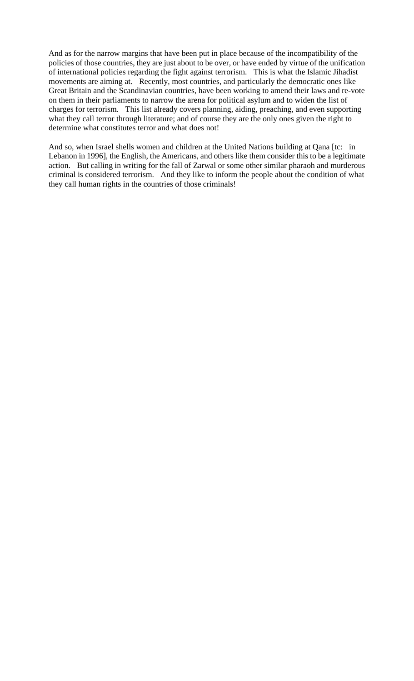And as for the narrow margins that have been put in place because of the incompatibility of the policies of those countries, they are just about to be over, or have ended by virtue of the unification of international policies regarding the fight against terrorism. This is what the Islamic Jihadist movements are aiming at. Recently, most countries, and particularly the democratic ones like Great Britain and the Scandinavian countries, have been working to amend their laws and re-vote on them in their parliaments to narrow the arena for political asylum and to widen the list of charges for terrorism. This list already covers planning, aiding, preaching, and even supporting what they call terror through literature; and of course they are the only ones given the right to determine what constitutes terror and what does not!

And so, when Israel shells women and children at the United Nations building at Qana [tc: in Lebanon in 1996], the English, the Americans, and others like them consider this to be a legitimate action. But calling in writing for the fall of Zarwal or some other similar pharaoh and murderous criminal is considered terrorism. And they like to inform the people about the condition of what they call human rights in the countries of those criminals!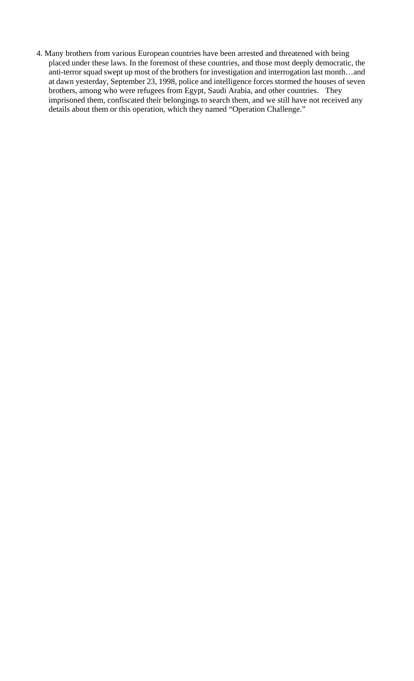4. Many brothers from various European countries have been arrested and threatened with being placed under these laws. In the foremost of these countries, and those most deeply democratic, the anti-terror squad swept up most of the brothers for investigation and interrogation last month…and at dawn yesterday, September 23, 1998, police and intelligence forces stormed the houses of seven brothers, among who were refugees from Egypt, Saudi Arabia, and other countries. They imprisoned them, confiscated their belongings to search them, and we still have not received any details about them or this operation, which they named "Operation Challenge."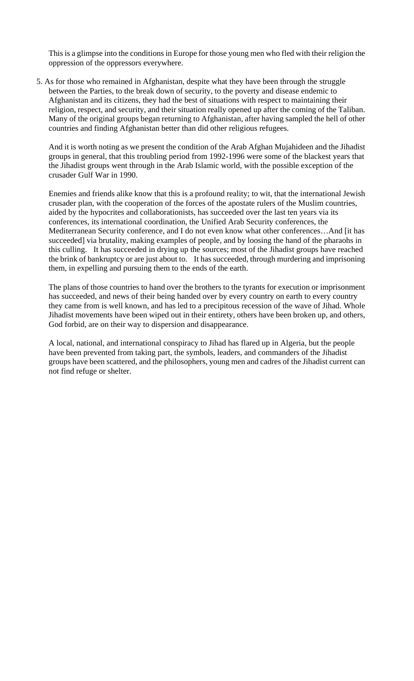This is a glimpse into the conditions in Europe for those young men who fled with their religion the oppression of the oppressors everywhere.

5. As for those who remained in Afghanistan, despite what they have been through the struggle between the Parties, to the break down of security, to the poverty and disease endemic to Afghanistan and its citizens, they had the best of situations with respect to maintaining their religion, respect, and security, and their situation really opened up after the coming of the Taliban. Many of the original groups began returning to Afghanistan, after having sampled the hell of other countries and finding Afghanistan better than did other religious refugees.

And it is worth noting as we present the condition of the Arab Afghan Mujahideen and the Jihadist groups in general, that this troubling period from 1992-1996 were some of the blackest years that the Jihadist groups went through in the Arab Islamic world, with the possible exception of the crusader Gulf War in 1990.

Enemies and friends alike know that this is a profound reality; to wit, that the international Jewish crusader plan, with the cooperation of the forces of the apostate rulers of the Muslim countries, aided by the hypocrites and collaborationists, has succeeded over the last ten years via its conferences, its international coordination, the Unified Arab Security conferences, the Mediterranean Security conference, and I do not even know what other conferences…And [it has succeeded] via brutality, making examples of people, and by loosing the hand of the pharaohs in this culling. It has succeeded in drying up the sources; most of the Jihadist groups have reached the brink of bankruptcy or are just about to. It has succeeded, through murdering and imprisoning them, in expelling and pursuing them to the ends of the earth.

The plans of those countries to hand over the brothers to the tyrants for execution or imprisonment has succeeded, and news of their being handed over by every country on earth to every country they came from is well known, and has led to a precipitous recession of the wave of Jihad. Whole Jihadist movements have been wiped out in their entirety, others have been broken up, and others, God forbid, are on their way to dispersion and disappearance.

A local, national, and international conspiracy to Jihad has flared up in Algeria, but the people have been prevented from taking part, the symbols, leaders, and commanders of the Jihadist groups have been scattered, and the philosophers, young men and cadres of the Jihadist current can not find refuge or shelter.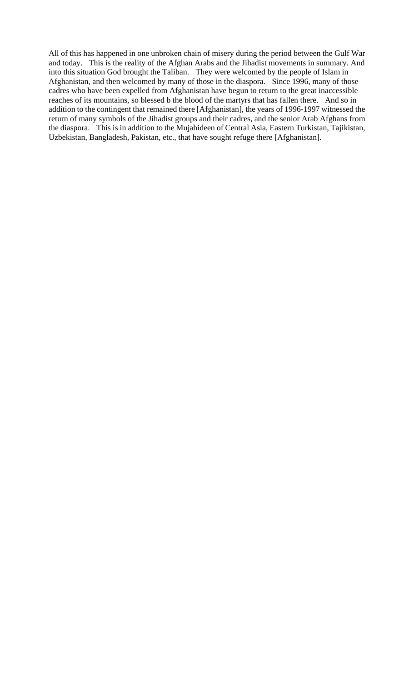All of this has happened in one unbroken chain of misery during the period between the Gulf War and today. This is the reality of the Afghan Arabs and the Jihadist movements in summary. And into this situation God brought the Taliban. They were welcomed by the people of Islam in Afghanistan, and then welcomed by many of those in the diaspora. Since 1996, many of those cadres who have been expelled from Afghanistan have begun to return to the great inaccessible reaches of its mountains, so blessed b the blood of the martyrs that has fallen there. And so in addition to the contingent that remained there [Afghanistan], the years of 1996-1997 witnessed the return of many symbols of the Jihadist groups and their cadres, and the senior Arab Afghans from the diaspora. This is in addition to the Mujahideen of Central Asia, Eastern Turkistan, Tajikistan, Uzbekistan, Bangladesh, Pakistan, etc., that have sought refuge there [Afghanistan].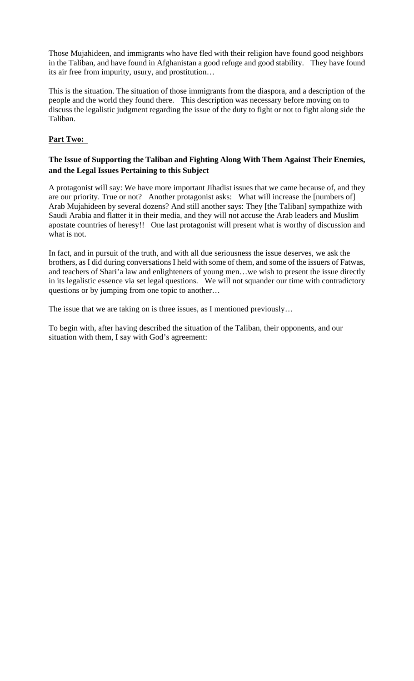Those Mujahideen, and immigrants who have fled with their religion have found good neighbors in the Taliban, and have found in Afghanistan a good refuge and good stability. They have found its air free from impurity, usury, and prostitution…

This is the situation. The situation of those immigrants from the diaspora, and a description of the people and the world they found there. This description was necessary before moving on to discuss the legalistic judgment regarding the issue of the duty to fight or not to fight along side the Taliban.

# **Part Two:**

# **The Issue of Supporting the Taliban and Fighting Along With Them Against Their Enemies, and the Legal Issues Pertaining to this Subject**

A protagonist will say: We have more important Jihadist issues that we came because of, and they are our priority. True or not? Another protagonist asks: What will increase the [numbers of] Arab Mujahideen by several dozens? And still another says: They [the Taliban] sympathize with Saudi Arabia and flatter it in their media, and they will not accuse the Arab leaders and Muslim apostate countries of heresy!! One last protagonist will present what is worthy of discussion and what is not.

In fact, and in pursuit of the truth, and with all due seriousness the issue deserves, we ask the brothers, as I did during conversations I held with some of them, and some of the issuers of Fatwas, and teachers of Shari'a law and enlighteners of young men…we wish to present the issue directly in its legalistic essence via set legal questions. We will not squander our time with contradictory questions or by jumping from one topic to another…

The issue that we are taking on is three issues, as I mentioned previously...

To begin with, after having described the situation of the Taliban, their opponents, and our situation with them, I say with God's agreement: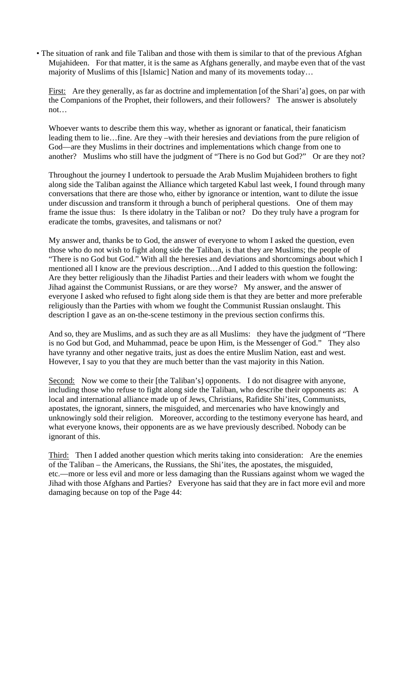• The situation of rank and file Taliban and those with them is similar to that of the previous Afghan Mujahideen. For that matter, it is the same as Afghans generally, and maybe even that of the vast majority of Muslims of this [Islamic] Nation and many of its movements today…

First: Are they generally, as far as doctrine and implementation [of the Shari'a] goes, on par with the Companions of the Prophet, their followers, and their followers? The answer is absolutely not…

Whoever wants to describe them this way, whether as ignorant or fanatical, their fanaticism leading them to lie…fine. Are they –with their heresies and deviations from the pure religion of God—are they Muslims in their doctrines and implementations which change from one to another? Muslims who still have the judgment of "There is no God but God?" Or are they not?

Throughout the journey I undertook to persuade the Arab Muslim Mujahideen brothers to fight along side the Taliban against the Alliance which targeted Kabul last week, I found through many conversations that there are those who, either by ignorance or intention, want to dilute the issue under discussion and transform it through a bunch of peripheral questions. One of them may frame the issue thus: Is there idolatry in the Taliban or not? Do they truly have a program for eradicate the tombs, gravesites, and talismans or not?

My answer and, thanks be to God, the answer of everyone to whom I asked the question, even those who do not wish to fight along side the Taliban, is that they are Muslims; the people of "There is no God but God." With all the heresies and deviations and shortcomings about which I mentioned all I know are the previous description…And I added to this question the following: Are they better religiously than the Jihadist Parties and their leaders with whom we fought the Jihad against the Communist Russians, or are they worse? My answer, and the answer of everyone I asked who refused to fight along side them is that they are better and more preferable religiously than the Parties with whom we fought the Communist Russian onslaught. This description I gave as an on-the-scene testimony in the previous section confirms this.

And so, they are Muslims, and as such they are as all Muslims: they have the judgment of "There is no God but God, and Muhammad, peace be upon Him, is the Messenger of God." They also have tyranny and other negative traits, just as does the entire Muslim Nation, east and west. However, I say to you that they are much better than the vast majority in this Nation.

Second: Now we come to their [the Taliban's] opponents. I do not disagree with anyone, including those who refuse to fight along side the Taliban, who describe their opponents as: A local and international alliance made up of Jews, Christians, Rafidite Shi'ites, Communists, apostates, the ignorant, sinners, the misguided, and mercenaries who have knowingly and unknowingly sold their religion. Moreover, according to the testimony everyone has heard, and what everyone knows, their opponents are as we have previously described. Nobody can be ignorant of this.

Third: Then I added another question which merits taking into consideration: Are the enemies of the Taliban – the Americans, the Russians, the Shi'ites, the apostates, the misguided, etc.—more or less evil and more or less damaging than the Russians against whom we waged the Jihad with those Afghans and Parties? Everyone has said that they are in fact more evil and more damaging because on top of the Page 44: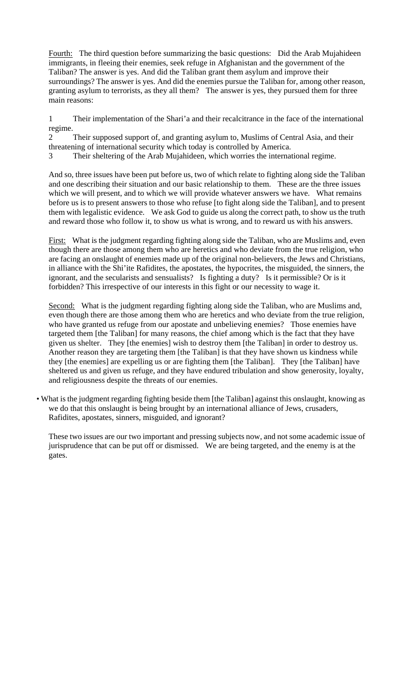Fourth: The third question before summarizing the basic questions: Did the Arab Mujahideen immigrants, in fleeing their enemies, seek refuge in Afghanistan and the government of the Taliban? The answer is yes. And did the Taliban grant them asylum and improve their surroundings? The answer is yes. And did the enemies pursue the Taliban for, among other reason, granting asylum to terrorists, as they all them? The answer is yes, they pursued them for three main reasons:

1 Their implementation of the Shari'a and their recalcitrance in the face of the international regime.

2 Their supposed support of, and granting asylum to, Muslims of Central Asia, and their threatening of international security which today is controlled by America.

3 Their sheltering of the Arab Mujahideen, which worries the international regime.

And so, three issues have been put before us, two of which relate to fighting along side the Taliban and one describing their situation and our basic relationship to them. These are the three issues which we will present, and to which we will provide whatever answers we have. What remains before us is to present answers to those who refuse [to fight along side the Taliban], and to present them with legalistic evidence. We ask God to guide us along the correct path, to show us the truth and reward those who follow it, to show us what is wrong, and to reward us with his answers.

First: What is the judgment regarding fighting along side the Taliban, who are Muslims and, even though there are those among them who are heretics and who deviate from the true religion, who are facing an onslaught of enemies made up of the original non-believers, the Jews and Christians, in alliance with the Shi'ite Rafidites, the apostates, the hypocrites, the misguided, the sinners, the ignorant, and the secularists and sensualists? Is fighting a duty? Is it permissible? Or is it forbidden? This irrespective of our interests in this fight or our necessity to wage it.

Second: What is the judgment regarding fighting along side the Taliban, who are Muslims and, even though there are those among them who are heretics and who deviate from the true religion, who have granted us refuge from our apostate and unbelieving enemies? Those enemies have targeted them [the Taliban] for many reasons, the chief among which is the fact that they have given us shelter. They [the enemies] wish to destroy them [the Taliban] in order to destroy us. Another reason they are targeting them [the Taliban] is that they have shown us kindness while they [the enemies] are expelling us or are fighting them [the Taliban]. They [the Taliban] have sheltered us and given us refuge, and they have endured tribulation and show generosity, loyalty, and religiousness despite the threats of our enemies.

• What is the judgment regarding fighting beside them [the Taliban] against this onslaught, knowing as we do that this onslaught is being brought by an international alliance of Jews, crusaders, Rafidites, apostates, sinners, misguided, and ignorant?

These two issues are our two important and pressing subjects now, and not some academic issue of jurisprudence that can be put off or dismissed. We are being targeted, and the enemy is at the gates.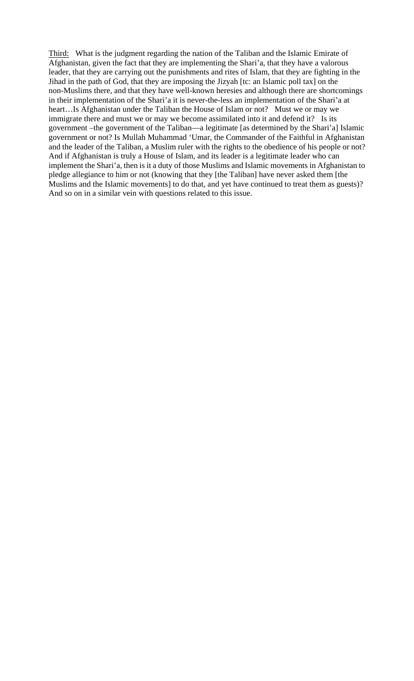Third: What is the judgment regarding the nation of the Taliban and the Islamic Emirate of Afghanistan, given the fact that they are implementing the Shari'a, that they have a valorous leader, that they are carrying out the punishments and rites of Islam, that they are fighting in the Jihad in the path of God, that they are imposing the Jizyah [tc: an Islamic poll tax] on the non-Muslims there, and that they have well-known heresies and although there are shortcomings in their implementation of the Shari'a it is never-the-less an implementation of the Shari'a at heart…Is Afghanistan under the Taliban the House of Islam or not? Must we or may we immigrate there and must we or may we become assimilated into it and defend it? Is its government –the government of the Taliban—a legitimate [as determined by the Shari'a] Islamic government or not? Is Mullah Muhammad 'Umar, the Commander of the Faithful in Afghanistan and the leader of the Taliban, a Muslim ruler with the rights to the obedience of his people or not? And if Afghanistan is truly a House of Islam, and its leader is a legitimate leader who can implement the Shari'a, then is it a duty of those Muslims and Islamic movements in Afghanistan to pledge allegiance to him or not (knowing that they [the Taliban] have never asked them [the Muslims and the Islamic movements] to do that, and yet have continued to treat them as guests)? And so on in a similar vein with questions related to this issue.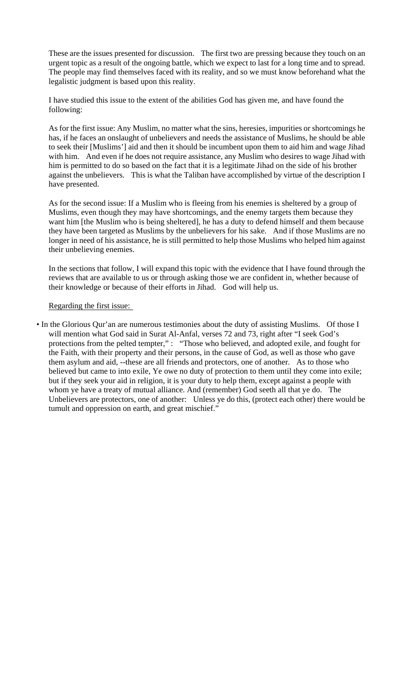These are the issues presented for discussion. The first two are pressing because they touch on an urgent topic as a result of the ongoing battle, which we expect to last for a long time and to spread. The people may find themselves faced with its reality, and so we must know beforehand what the legalistic judgment is based upon this reality.

I have studied this issue to the extent of the abilities God has given me, and have found the following:

As for the first issue: Any Muslim, no matter what the sins, heresies, impurities or shortcomings he has, if he faces an onslaught of unbelievers and needs the assistance of Muslims, he should be able to seek their [Muslims'] aid and then it should be incumbent upon them to aid him and wage Jihad with him. And even if he does not require assistance, any Muslim who desires to wage Jihad with him is permitted to do so based on the fact that it is a legitimate Jihad on the side of his brother against the unbelievers. This is what the Taliban have accomplished by virtue of the description I have presented.

As for the second issue: If a Muslim who is fleeing from his enemies is sheltered by a group of Muslims, even though they may have shortcomings, and the enemy targets them because they want him [the Muslim who is being sheltered], he has a duty to defend himself and them because they have been targeted as Muslims by the unbelievers for his sake. And if those Muslims are no longer in need of his assistance, he is still permitted to help those Muslims who helped him against their unbelieving enemies.

In the sections that follow, I will expand this topic with the evidence that I have found through the reviews that are available to us or through asking those we are confident in, whether because of their knowledge or because of their efforts in Jihad. God will help us.

# Regarding the first issue:

• In the Glorious Qur'an are numerous testimonies about the duty of assisting Muslims. Of those I will mention what God said in Surat Al-Anfal, verses 72 and 73, right after "I seek God's protections from the pelted tempter," : "Those who believed, and adopted exile, and fought for the Faith, with their property and their persons, in the cause of God, as well as those who gave them asylum and aid, --these are all friends and protectors, one of another. As to those who believed but came to into exile, Ye owe no duty of protection to them until they come into exile; but if they seek your aid in religion, it is your duty to help them, except against a people with whom ye have a treaty of mutual alliance. And (remember) God seeth all that ye do. The Unbelievers are protectors, one of another: Unless ye do this, (protect each other) there would be tumult and oppression on earth, and great mischief."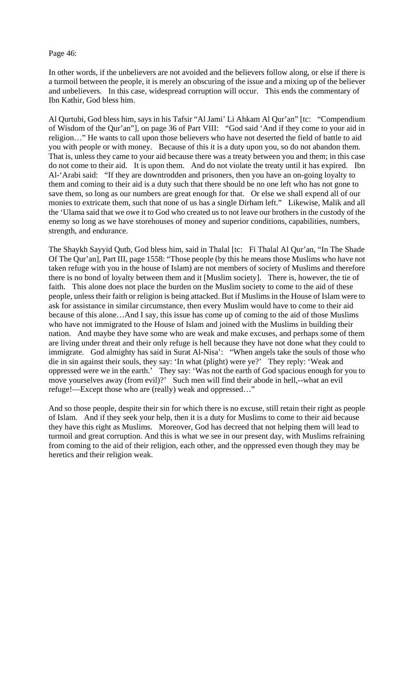### Page 46:

In other words, if the unbelievers are not avoided and the believers follow along, or else if there is a turmoil between the people, it is merely an obscuring of the issue and a mixing up of the believer and unbelievers. In this case, widespread corruption will occur. This ends the commentary of Ibn Kathir, God bless him.

Al Qurtubi, God bless him, says in his Tafsir "Al Jami' Li Ahkam Al Qur'an" [tc: "Compendium of Wisdom of the Qur'an"], on page 36 of Part VIII: "God said 'And if they come to your aid in religion…" He wants to call upon those believers who have not deserted the field of battle to aid you with people or with money. Because of this it is a duty upon you, so do not abandon them. That is, unless they came to your aid because there was a treaty between you and them; in this case do not come to their aid. It is upon them. And do not violate the treaty until it has expired. Ibn Al-'Arabi said: "If they are downtrodden and prisoners, then you have an on-going loyalty to them and coming to their aid is a duty such that there should be no one left who has not gone to save them, so long as our numbers are great enough for that. Or else we shall expend all of our monies to extricate them, such that none of us has a single Dirham left." Likewise, Malik and all the 'Ulama said that we owe it to God who created us to not leave our brothers in the custody of the enemy so long as we have storehouses of money and superior conditions, capabilities, numbers, strength, and endurance.

The Shaykh Sayyid Qutb, God bless him, said in Thalal [tc: Fi Thalal Al Qur'an, "In The Shade Of The Qur'an], Part III, page 1558: "Those people (by this he means those Muslims who have not taken refuge with you in the house of Islam) are not members of society of Muslims and therefore there is no bond of loyalty between them and it [Muslim society]. There is, however, the tie of faith. This alone does not place the burden on the Muslim society to come to the aid of these people, unless their faith or religion is being attacked. But if Muslims in the House of Islam were to ask for assistance in similar circumstance, then every Muslim would have to come to their aid because of this alone…And I say, this issue has come up of coming to the aid of those Muslims who have not immigrated to the House of Islam and joined with the Muslims in building their nation. And maybe they have some who are weak and make excuses, and perhaps some of them are living under threat and their only refuge is hell because they have not done what they could to immigrate. God almighty has said in Surat Al-Nisa': "When angels take the souls of those who die in sin against their souls, they say: 'In what (plight) were ye?' They reply: 'Weak and oppressed were we in the earth.' They say: 'Was not the earth of God spacious enough for you to move yourselves away (from evil)?' Such men will find their abode in hell,--what an evil refuge!—Except those who are (really) weak and oppressed…"

And so those people, despite their sin for which there is no excuse, still retain their right as people of Islam. And if they seek your help, then it is a duty for Muslims to come to their aid because they have this right as Muslims. Moreover, God has decreed that not helping them will lead to turmoil and great corruption. And this is what we see in our present day, with Muslims refraining from coming to the aid of their religion, each other, and the oppressed even though they may be heretics and their religion weak.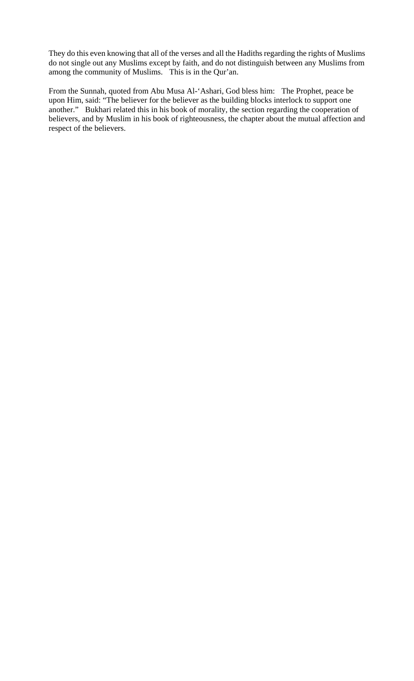They do this even knowing that all of the verses and all the Hadiths regarding the rights of Muslims do not single out any Muslims except by faith, and do not distinguish between any Muslims from among the community of Muslims. This is in the Qur'an.

From the Sunnah, quoted from Abu Musa Al-'Ashari, God bless him: The Prophet, peace be upon Him, said: "The believer for the believer as the building blocks interlock to support one another." Bukhari related this in his book of morality, the section regarding the cooperation of believers, and by Muslim in his book of righteousness, the chapter about the mutual affection and respect of the believers.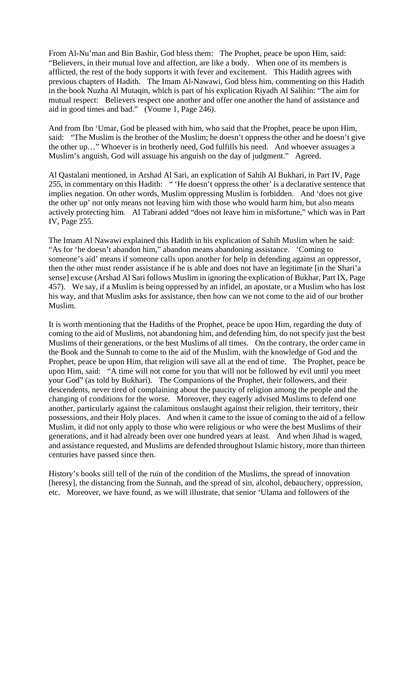From Al-Nu'man and Bin Bashir, God bless them: The Prophet, peace be upon Him, said: "Believers, in their mutual love and affection, are like a body. When one of its members is afflicted, the rest of the body supports it with fever and excitement. This Hadith agrees with previous chapters of Hadith. The Imam Al-Nawawi, God bless him, commenting on this Hadith in the book Nuzha Al Mutaqin, which is part of his explication Riyadh Al Salihin: "The aim for mutual respect: Believers respect one another and offer one another the hand of assistance and aid in good times and bad." (Voume 1, Page 246).

And from Ibn 'Umar, God be pleased with him, who said that the Prophet, peace be upon Him, said: "The Muslim is the brother of the Muslim; he doesn't oppress the other and he doesn't give the other up…" Whoever is in brotherly need, God fulfills his need. And whoever assuages a Muslim's anguish, God will assuage his anguish on the day of judgment." Agreed.

Al Qastalani mentioned, in Arshad Al Sari, an explication of Sahih Al Bukhari, in Part IV, Page 255, in commentary on this Hadith: " 'He doesn't oppress the other' is a declarative sentence that implies negation. On other words, Muslim oppressing Muslim is forbidden. And 'does not give the other up' not only means not leaving him with those who would harm him, but also means actively protecting him. Al Tabrani added "does not leave him in misfortune," which was in Part IV, Page 255.

The Imam Al Nawawi explained this Hadith in his explication of Sahih Muslim when he said: "As for 'he doesn't abandon him," abandon means abandoning assistance. 'Coming to someone's aid' means if someone calls upon another for help in defending against an oppressor, then the other must render assistance if he is able and does not have an legitimate [in the Shari'a sense] excuse (Arshad Al Sari follows Muslim in ignoring the explication of Bukhar, Part IX, Page 457). We say, if a Muslim is being oppressed by an infidel, an apostate, or a Muslim who has lost his way, and that Muslim asks for assistance, then how can we not come to the aid of our brother Muslim.

It is worth mentioning that the Hadiths of the Prophet, peace be upon Him, regarding the duty of coming to the aid of Muslims, not abandoning him, and defending him, do not specify just the best Muslims of their generations, or the best Muslims of all times. On the contrary, the order came in the Book and the Sunnah to come to the aid of the Muslim, with the knowledge of God and the Prophet, peace be upon Him, that religion will save all at the end of time. The Prophet, peace be upon Him, said: "A time will not come for you that will not be followed by evil until you meet your God" (as told by Bukhari). The Companions of the Prophet, their followers, and their descendents, never tired of complaining about the paucity of religion among the people and the changing of conditions for the worse. Moreover, they eagerly advised Muslims to defend one another, particularly against the calamitous onslaught against their religion, their territory, their possessions, and their Holy places. And when it came to the issue of coming to the aid of a fellow Muslim, it did not only apply to those who were religious or who were the best Muslims of their generations, and it had already been over one hundred years at least. And when Jihad is waged, and assistance requested, and Muslims are defended throughout Islamic history, more than thirteen centuries have passed since then.

History's books still tell of the ruin of the condition of the Muslims, the spread of innovation [heresy], the distancing from the Sunnah, and the spread of sin, alcohol, debauchery, oppression, etc. Moreover, we have found, as we will illustrate, that senior 'Ulama and followers of the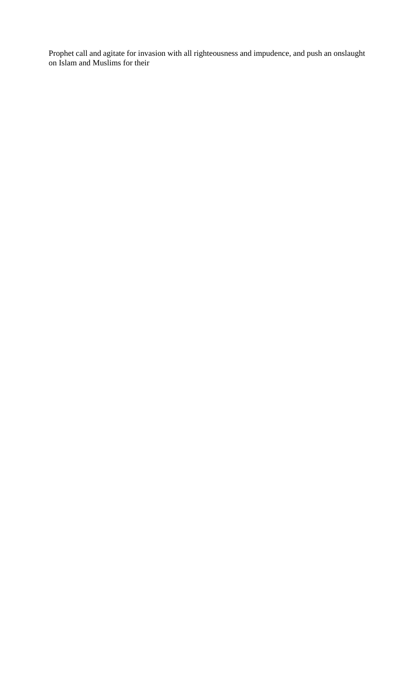Prophet call and agitate for invasion with all righteousness and impudence, and push an onslaught on Islam and Muslims for their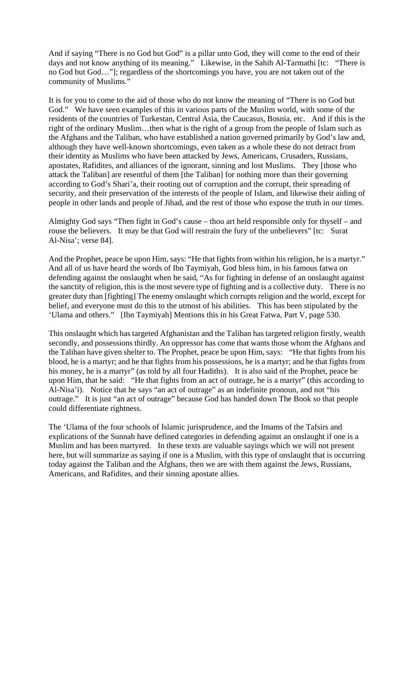And if saying "There is no God but God" is a pillar unto God, they will come to the end of their days and not know anything of its meaning." Likewise, in the Sahih Al-Tarmathi [tc: "There is no God but God…"]; regardless of the shortcomings you have, you are not taken out of the community of Muslims."

It is for you to come to the aid of those who do not know the meaning of "There is no God but God." We have seen examples of this in various parts of the Muslim world, with some of the residents of the countries of Turkestan, Central Asia, the Caucasus, Bosnia, etc. And if this is the right of the ordinary Muslim…then what is the right of a group from the people of Islam such as the Afghans and the Taliban, who have established a nation governed primarily by God's law and, although they have well-known shortcomings, even taken as a whole these do not detract from their identity as Muslims who have been attacked by Jews, Americans, Crusaders, Russians, apostates, Rafidites, and alliances of the ignorant, sinning and lost Muslims. They [those who attack the Taliban] are resentful of them [the Taliban] for nothing more than their governing according to God's Shari'a, their rooting out of corruption and the corrupt, their spreading of security, and their preservation of the interests of the people of Islam, and likewise their aiding of people in other lands and people of Jihad, and the rest of those who expose the truth in our times.

Almighty God says "Then fight in God's cause – thou art held responsible only for thyself – and rouse the believers. It may be that God will restrain the fury of the unbelievers" [tc: Surat Al-Nisa'; verse 84].

And the Prophet, peace be upon Him, says: "He that fights from within his religion, he is a martyr." And all of us have heard the words of Ibn Taymiyah, God bless him, in his famous fatwa on defending against the onslaught when he said, "As for fighting in defense of an onslaught against the sanctity of religion, this is the most severe type of fighting and is a collective duty. There is no greater duty than [fighting] The enemy onslaught which corrupts religion and the world, except for belief, and everyone must do this to the utmost of his abilities. This has been stipulated by the 'Ulama and others." [Ibn Taymiyah] Mentions this in his Great Fatwa, Part V, page 530.

This onslaught which has targeted Afghanistan and the Taliban has targeted religion firstly, wealth secondly, and possessions thirdly. An oppressor has come that wants those whom the Afghans and the Taliban have given shelter to. The Prophet, peace be upon Him, says: "He that fights from his blood, he is a martyr; and he that fights from his possessions, he is a martyr; and he that fights from his money, he is a martyr" (as told by all four Hadiths). It is also said of the Prophet, peace be upon Him, that he said: "He that fights from an act of outrage, he is a martyr" (this according to Al-Nisa'i). Notice that he says "an act of outrage" as an indefinite pronoun, and not "his outrage." It is just "an act of outrage" because God has handed down The Book so that people could differentiate rightness.

The 'Ulama of the four schools of Islamic jurisprudence, and the Imams of the Tafsirs and explications of the Sunnah have defined categories in defending against an onslaught if one is a Muslim and has been martyred. In these texts are valuable sayings which we will not present here, but will summarize as saying if one is a Muslim, with this type of onslaught that is occurring today against the Taliban and the Afghans, then we are with them against the Jews, Russians, Americans, and Rafidites, and their sinning apostate allies.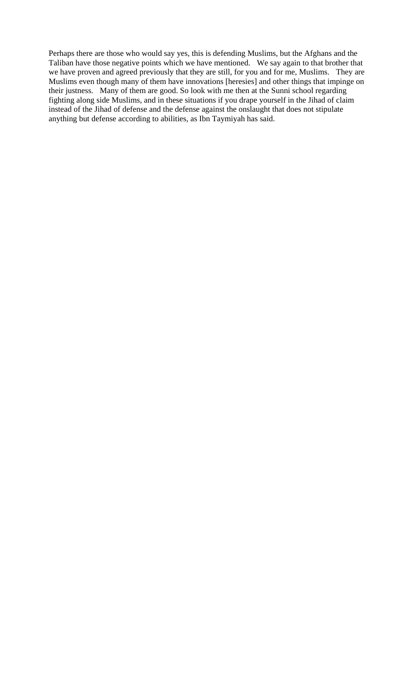Perhaps there are those who would say yes, this is defending Muslims, but the Afghans and the Taliban have those negative points which we have mentioned. We say again to that brother that we have proven and agreed previously that they are still, for you and for me, Muslims. They are Muslims even though many of them have innovations [heresies] and other things that impinge on their justness. Many of them are good. So look with me then at the Sunni school regarding fighting along side Muslims, and in these situations if you drape yourself in the Jihad of claim instead of the Jihad of defense and the defense against the onslaught that does not stipulate anything but defense according to abilities, as Ibn Taymiyah has said.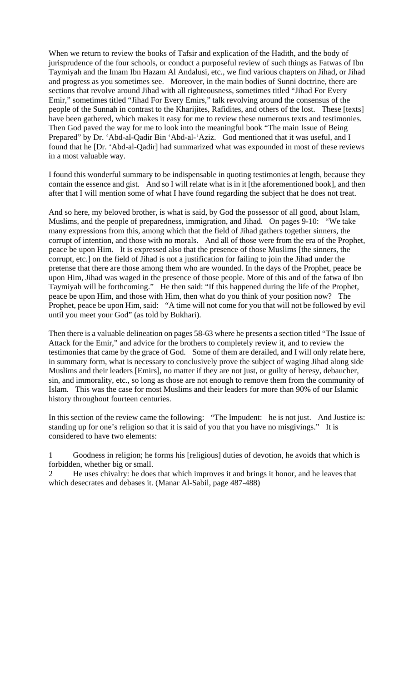When we return to review the books of Tafsir and explication of the Hadith, and the body of jurisprudence of the four schools, or conduct a purposeful review of such things as Fatwas of Ibn Taymiyah and the Imam Ibn Hazam Al Andalusi, etc., we find various chapters on Jihad, or Jihad and progress as you sometimes see. Moreover, in the main bodies of Sunni doctrine, there are sections that revolve around Jihad with all righteousness, sometimes titled "Jihad For Every Emir," sometimes titled "Jihad For Every Emirs," talk revolving around the consensus of the people of the Sunnah in contrast to the Kharijites, Rafidites, and others of the lost. These [texts] have been gathered, which makes it easy for me to review these numerous texts and testimonies. Then God paved the way for me to look into the meaningful book "The main Issue of Being Prepared" by Dr. 'Abd-al-Qadir Bin 'Abd-al-'Aziz. God mentioned that it was useful, and I found that he [Dr. 'Abd-al-Qadir] had summarized what was expounded in most of these reviews in a most valuable way.

I found this wonderful summary to be indispensable in quoting testimonies at length, because they contain the essence and gist. And so I will relate what is in it [the aforementioned book], and then after that I will mention some of what I have found regarding the subject that he does not treat.

And so here, my beloved brother, is what is said, by God the possessor of all good, about Islam, Muslims, and the people of preparedness, immigration, and Jihad. On pages 9-10: "We take many expressions from this, among which that the field of Jihad gathers together sinners, the corrupt of intention, and those with no morals. And all of those were from the era of the Prophet, peace be upon Him. It is expressed also that the presence of those Muslims [the sinners, the corrupt, etc.] on the field of Jihad is not a justification for failing to join the Jihad under the pretense that there are those among them who are wounded. In the days of the Prophet, peace be upon Him, Jihad was waged in the presence of those people. More of this and of the fatwa of Ibn Taymiyah will be forthcoming." He then said: "If this happened during the life of the Prophet, peace be upon Him, and those with Him, then what do you think of your position now? The Prophet, peace be upon Him, said: "A time will not come for you that will not be followed by evil until you meet your God" (as told by Bukhari).

Then there is a valuable delineation on pages 58-63 where he presents a section titled "The Issue of Attack for the Emir," and advice for the brothers to completely review it, and to review the testimonies that came by the grace of God. Some of them are derailed, and I will only relate here, in summary form, what is necessary to conclusively prove the subject of waging Jihad along side Muslims and their leaders [Emirs], no matter if they are not just, or guilty of heresy, debaucher, sin, and immorality, etc., so long as those are not enough to remove them from the community of Islam. This was the case for most Muslims and their leaders for more than 90% of our Islamic history throughout fourteen centuries.

In this section of the review came the following: "The Impudent: he is not just. And Justice is: standing up for one's religion so that it is said of you that you have no misgivings." It is considered to have two elements:

1 Goodness in religion; he forms his [religious] duties of devotion, he avoids that which is forbidden, whether big or small.

2 He uses chivalry: he does that which improves it and brings it honor, and he leaves that which desecrates and debases it. (Manar Al-Sabil, page 487-488)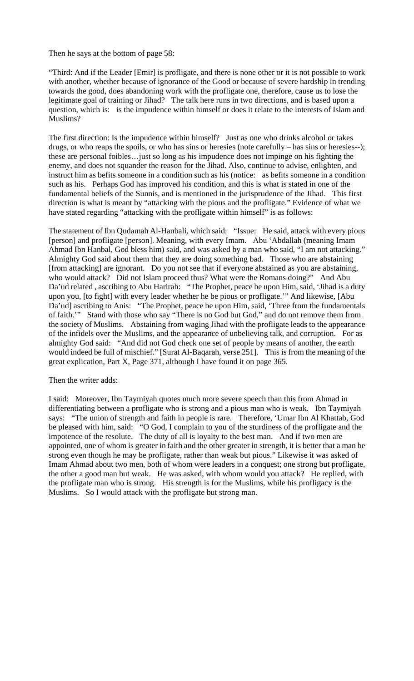Then he says at the bottom of page 58:

"Third: And if the Leader [Emir] is profligate, and there is none other or it is not possible to work with another, whether because of ignorance of the Good or because of severe hardship in trending towards the good, does abandoning work with the profligate one, therefore, cause us to lose the legitimate goal of training or Jihad? The talk here runs in two directions, and is based upon a question, which is: is the impudence within himself or does it relate to the interests of Islam and Muslims?

The first direction: Is the impudence within himself? Just as one who drinks alcohol or takes drugs, or who reaps the spoils, or who has sins or heresies (note carefully – has sins or heresies--); these are personal foibles…just so long as his impudence does not impinge on his fighting the enemy, and does not squander the reason for the Jihad. Also, continue to advise, enlighten, and instruct him as befits someone in a condition such as his (notice: as befits someone in a condition such as his. Perhaps God has improved his condition, and this is what is stated in one of the fundamental beliefs of the Sunnis, and is mentioned in the jurisprudence of the Jihad. This first direction is what is meant by "attacking with the pious and the profligate." Evidence of what we have stated regarding "attacking with the profligate within himself" is as follows:

The statement of Ibn Qudamah Al-Hanbali, which said: "Issue: He said, attack with every pious [person] and profligate [person]. Meaning, with every Imam. Abu 'Abdallah (meaning Imam Ahmad Ibn Hanbal, God bless him) said, and was asked by a man who said, "I am not attacking." Almighty God said about them that they are doing something bad. Those who are abstaining [from attacking] are ignorant. Do you not see that if everyone abstained as you are abstaining, who would attack? Did not Islam proceed thus? What were the Romans doing?" And Abu Da'ud related , ascribing to Abu Harirah: "The Prophet, peace be upon Him, said, 'Jihad is a duty upon you, [to fight] with every leader whether he be pious or profligate.'" And likewise, [Abu Da'ud] ascribing to Anis: "The Prophet, peace be upon Him, said, 'Three from the fundamentals of faith.'" Stand with those who say "There is no God but God," and do not remove them from the society of Muslims. Abstaining from waging Jihad with the profligate leads to the appearance of the infidels over the Muslims, and the appearance of unbelieving talk, and corruption. For as almighty God said: "And did not God check one set of people by means of another, the earth would indeed be full of mischief." [Surat Al-Baqarah, verse 251]. This is from the meaning of the great explication, Part X, Page 371, although I have found it on page 365.

Then the writer adds:

I said: Moreover, Ibn Taymiyah quotes much more severe speech than this from Ahmad in differentiating between a profligate who is strong and a pious man who is weak. Ibn Taymiyah says: "The union of strength and faith in people is rare. Therefore, 'Umar Ibn Al Khattab, God be pleased with him, said: "O God, I complain to you of the sturdiness of the profligate and the impotence of the resolute. The duty of all is loyalty to the best man. And if two men are appointed, one of whom is greater in faith and the other greater in strength, it is better that a man be strong even though he may be profligate, rather than weak but pious." Likewise it was asked of Imam Ahmad about two men, both of whom were leaders in a conquest; one strong but profligate, the other a good man but weak. He was asked, with whom would you attack? He replied, with the profligate man who is strong. His strength is for the Muslims, while his profligacy is the Muslims. So I would attack with the profligate but strong man.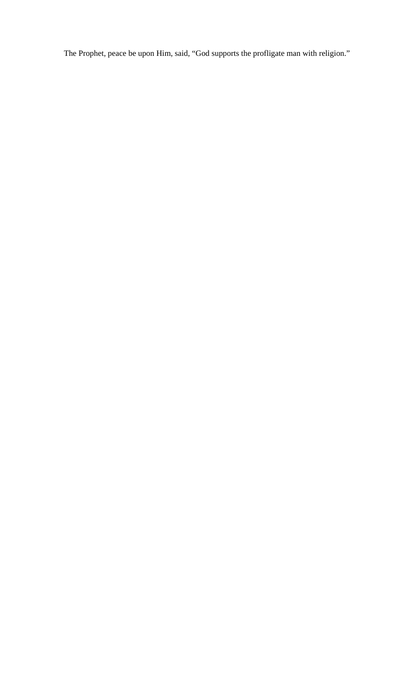The Prophet, peace be upon Him, said, "God supports the profligate man with religion."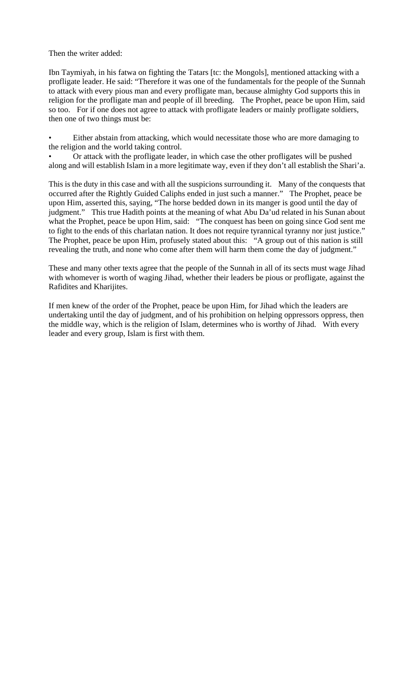Then the writer added:

Ibn Taymiyah, in his fatwa on fighting the Tatars [tc: the Mongols], mentioned attacking with a profligate leader. He said: "Therefore it was one of the fundamentals for the people of the Sunnah to attack with every pious man and every profligate man, because almighty God supports this in religion for the profligate man and people of ill breeding. The Prophet, peace be upon Him, said so too. For if one does not agree to attack with profligate leaders or mainly profligate soldiers, then one of two things must be:

Either abstain from attacking, which would necessitate those who are more damaging to the religion and the world taking control.

• Or attack with the profligate leader, in which case the other profligates will be pushed along and will establish Islam in a more legitimate way, even if they don't all establish the Shari'a.

This is the duty in this case and with all the suspicions surrounding it. Many of the conquests that occurred after the Rightly Guided Caliphs ended in just such a manner." The Prophet, peace be upon Him, asserted this, saying, "The horse bedded down in its manger is good until the day of judgment." This true Hadith points at the meaning of what Abu Da'ud related in his Sunan about what the Prophet, peace be upon Him, said: "The conquest has been on going since God sent me to fight to the ends of this charlatan nation. It does not require tyrannical tyranny nor just justice." The Prophet, peace be upon Him, profusely stated about this: "A group out of this nation is still revealing the truth, and none who come after them will harm them come the day of judgment."

These and many other texts agree that the people of the Sunnah in all of its sects must wage Jihad with whomever is worth of waging Jihad, whether their leaders be pious or profligate, against the Rafidites and Kharijites.

If men knew of the order of the Prophet, peace be upon Him, for Jihad which the leaders are undertaking until the day of judgment, and of his prohibition on helping oppressors oppress, then the middle way, which is the religion of Islam, determines who is worthy of Jihad. With every leader and every group, Islam is first with them.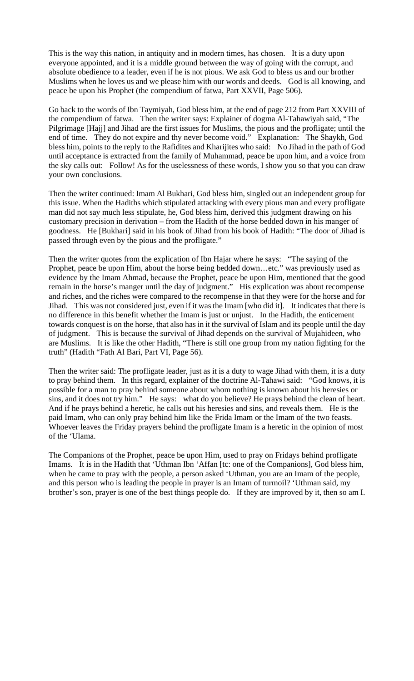This is the way this nation, in antiquity and in modern times, has chosen. It is a duty upon everyone appointed, and it is a middle ground between the way of going with the corrupt, and absolute obedience to a leader, even if he is not pious. We ask God to bless us and our brother Muslims when he loves us and we please him with our words and deeds. God is all knowing, and peace be upon his Prophet (the compendium of fatwa, Part XXVII, Page 506).

Go back to the words of Ibn Taymiyah, God bless him, at the end of page 212 from Part XXVIII of the compendium of fatwa. Then the writer says: Explainer of dogma Al-Tahawiyah said, "The Pilgrimage [Hajj] and Jihad are the first issues for Muslims, the pious and the profligate; until the end of time. They do not expire and thy never become void." Explanation: The Shaykh, God bless him, points to the reply to the Rafidites and Kharijites who said: No Jihad in the path of God until acceptance is extracted from the family of Muhammad, peace be upon him, and a voice from the sky calls out: Follow! As for the uselessness of these words, I show you so that you can draw your own conclusions.

Then the writer continued: Imam Al Bukhari, God bless him, singled out an independent group for this issue. When the Hadiths which stipulated attacking with every pious man and every profligate man did not say much less stipulate, he, God bless him, derived this judgment drawing on his customary precision in derivation – from the Hadith of the horse bedded down in his manger of goodness. He [Bukhari] said in his book of Jihad from his book of Hadith: "The door of Jihad is passed through even by the pious and the profligate."

Then the writer quotes from the explication of Ibn Hajar where he says: "The saying of the Prophet, peace be upon Him, about the horse being bedded down…etc." was previously used as evidence by the Imam Ahmad, because the Prophet, peace be upon Him, mentioned that the good remain in the horse's manger until the day of judgment." His explication was about recompense and riches, and the riches were compared to the recompense in that they were for the horse and for Jihad. This was not considered just, even if it was the Imam [who did it]. It indicates that there is no difference in this benefit whether the Imam is just or unjust. In the Hadith, the enticement towards conquest is on the horse, that also has in it the survival of Islam and its people until the day of judgment. This is because the survival of Jihad depends on the survival of Mujahideen, who are Muslims. It is like the other Hadith, "There is still one group from my nation fighting for the truth" (Hadith "Fath Al Bari, Part VI, Page 56).

Then the writer said: The profligate leader, just as it is a duty to wage Jihad with them, it is a duty to pray behind them. In this regard, explainer of the doctrine Al-Tahawi said: "God knows, it is possible for a man to pray behind someone about whom nothing is known about his heresies or sins, and it does not try him." He says: what do you believe? He prays behind the clean of heart. And if he prays behind a heretic, he calls out his heresies and sins, and reveals them. He is the paid Imam, who can only pray behind him like the Frida Imam or the Imam of the two feasts. Whoever leaves the Friday prayers behind the profligate Imam is a heretic in the opinion of most of the 'Ulama.

The Companions of the Prophet, peace be upon Him, used to pray on Fridays behind profligate Imams. It is in the Hadith that 'Uthman Ibn 'Affan [tc: one of the Companions], God bless him, when he came to pray with the people, a person asked 'Uthman, you are an Imam of the people, and this person who is leading the people in prayer is an Imam of turmoil? 'Uthman said, my brother's son, prayer is one of the best things people do. If they are improved by it, then so am I.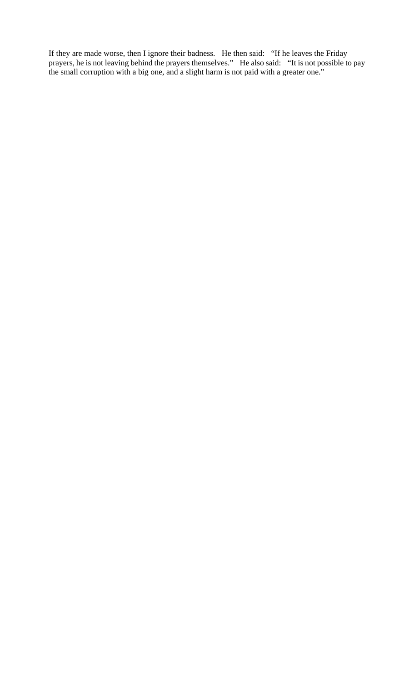If they are made worse, then I ignore their badness. He then said: "If he leaves the Friday prayers, he is not leaving behind the prayers themselves." He also said: "It is not possible to pay the small corruption with a big one, and a slight harm is not paid with a greater one."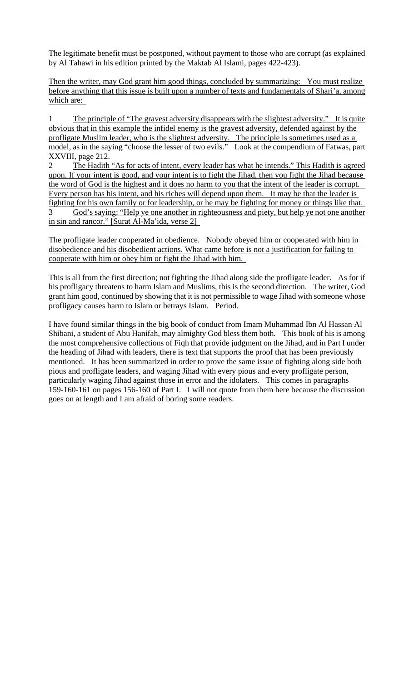The legitimate benefit must be postponed, without payment to those who are corrupt (as explained by Al Tahawi in his edition printed by the Maktab Al Islami, pages 422-423).

Then the writer, may God grant him good things, concluded by summarizing: You must realize before anything that this issue is built upon a number of texts and fundamentals of Shari'a, among which are:

1 The principle of "The gravest adversity disappears with the slightest adversity." It is quite obvious that in this example the infidel enemy is the gravest adversity, defended against by the profligate Muslim leader, who is the slightest adversity. The principle is sometimes used as a model, as in the saying "choose the lesser of two evils." Look at the compendium of Fatwas, part XXVIII, page 212.

2 The Hadith "As for acts of intent, every leader has what he intends." This Hadith is agreed upon. If your intent is good, and your intent is to fight the Jihad, then you fight the Jihad because the word of God is the highest and it does no harm to you that the intent of the leader is corrupt. Every person has his intent, and his riches will depend upon them. It may be that the leader is fighting for his own family or for leadership, or he may be fighting for money or things like that. 3 God's saying: "Help ye one another in righteousness and piety, but help ye not one another

in sin and rancor." [Surat Al-Ma'ida, verse 2]

The profligate leader cooperated in obedience. Nobody obeyed him or cooperated with him in disobedience and his disobedient actions. What came before is not a justification for failing to cooperate with him or obey him or fight the Jihad with him.

This is all from the first direction; not fighting the Jihad along side the profligate leader. As for if his profligacy threatens to harm Islam and Muslims, this is the second direction. The writer, God grant him good, continued by showing that it is not permissible to wage Jihad with someone whose profligacy causes harm to Islam or betrays Islam. Period.

I have found similar things in the big book of conduct from Imam Muhammad Ibn Al Hassan Al Shibani, a student of Abu Hanifah, may almighty God bless them both. This book of his is among the most comprehensive collections of Fiqh that provide judgment on the Jihad, and in Part I under the heading of Jihad with leaders, there is text that supports the proof that has been previously mentioned. It has been summarized in order to prove the same issue of fighting along side both pious and profligate leaders, and waging Jihad with every pious and every profligate person, particularly waging Jihad against those in error and the idolaters. This comes in paragraphs 159-160-161 on pages 156-160 of Part I. I will not quote from them here because the discussion goes on at length and I am afraid of boring some readers.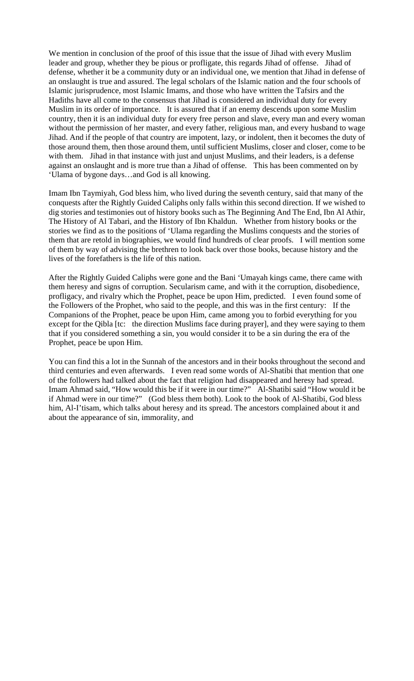We mention in conclusion of the proof of this issue that the issue of Jihad with every Muslim leader and group, whether they be pious or profligate, this regards Jihad of offense. Jihad of defense, whether it be a community duty or an individual one, we mention that Jihad in defense of an onslaught is true and assured. The legal scholars of the Islamic nation and the four schools of Islamic jurisprudence, most Islamic Imams, and those who have written the Tafsirs and the Hadiths have all come to the consensus that Jihad is considered an individual duty for every Muslim in its order of importance. It is assured that if an enemy descends upon some Muslim country, then it is an individual duty for every free person and slave, every man and every woman without the permission of her master, and every father, religious man, and every husband to wage Jihad. And if the people of that country are impotent, lazy, or indolent, then it becomes the duty of those around them, then those around them, until sufficient Muslims, closer and closer, come to be with them. Jihad in that instance with just and unjust Muslims, and their leaders, is a defense against an onslaught and is more true than a Jihad of offense. This has been commented on by 'Ulama of bygone days…and God is all knowing.

Imam Ibn Taymiyah, God bless him, who lived during the seventh century, said that many of the conquests after the Rightly Guided Caliphs only falls within this second direction. If we wished to dig stories and testimonies out of history books such as The Beginning And The End, Ibn Al Athir, The History of Al Tabari, and the History of Ibn Khaldun. Whether from history books or the stories we find as to the positions of 'Ulama regarding the Muslims conquests and the stories of them that are retold in biographies, we would find hundreds of clear proofs. I will mention some of them by way of advising the brethren to look back over those books, because history and the lives of the forefathers is the life of this nation.

After the Rightly Guided Caliphs were gone and the Bani 'Umayah kings came, there came with them heresy and signs of corruption. Secularism came, and with it the corruption, disobedience, profligacy, and rivalry which the Prophet, peace be upon Him, predicted. I even found some of the Followers of the Prophet, who said to the people, and this was in the first century: If the Companions of the Prophet, peace be upon Him, came among you to forbid everything for you except for the Qibla [tc: the direction Muslims face during prayer], and they were saying to them that if you considered something a sin, you would consider it to be a sin during the era of the Prophet, peace be upon Him.

You can find this a lot in the Sunnah of the ancestors and in their books throughout the second and third centuries and even afterwards. I even read some words of Al-Shatibi that mention that one of the followers had talked about the fact that religion had disappeared and heresy had spread. Imam Ahmad said, "How would this be if it were in our time?" Al-Shatibi said "How would it be if Ahmad were in our time?" (God bless them both). Look to the book of Al-Shatibi, God bless him, Al-I'tisam, which talks about heresy and its spread. The ancestors complained about it and about the appearance of sin, immorality, and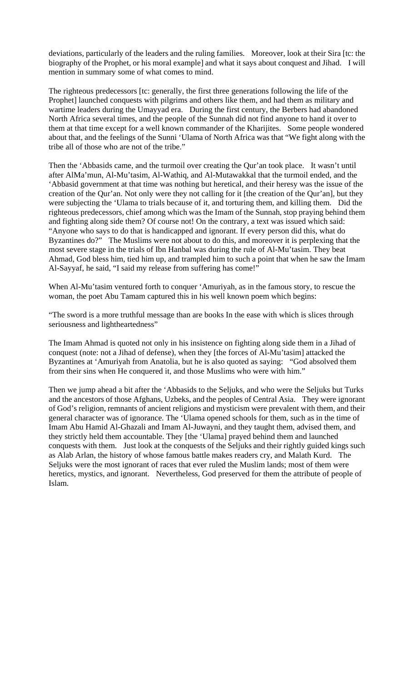deviations, particularly of the leaders and the ruling families. Moreover, look at their Sira [tc: the biography of the Prophet, or his moral example] and what it says about conquest and Jihad. I will mention in summary some of what comes to mind.

The righteous predecessors [tc: generally, the first three generations following the life of the Prophet] launched conquests with pilgrims and others like them, and had them as military and wartime leaders during the Umayyad era. During the first century, the Berbers had abandoned North Africa several times, and the people of the Sunnah did not find anyone to hand it over to them at that time except for a well known commander of the Kharijites. Some people wondered about that, and the feelings of the Sunni 'Ulama of North Africa was that "We fight along with the tribe all of those who are not of the tribe."

Then the 'Abbasids came, and the turmoil over creating the Qur'an took place. It wasn't until after AlMa'mun, Al-Mu'tasim, Al-Wathiq, and Al-Mutawakkal that the turmoil ended, and the 'Abbasid government at that time was nothing but heretical, and their heresy was the issue of the creation of the Qur'an. Not only were they not calling for it [the creation of the Qur'an], but they were subjecting the 'Ulama to trials because of it, and torturing them, and killing them. Did the righteous predecessors, chief among which was the Imam of the Sunnah, stop praying behind them and fighting along side them? Of course not! On the contrary, a text was issued which said: "Anyone who says to do that is handicapped and ignorant. If every person did this, what do Byzantines do?" The Muslims were not about to do this, and moreover it is perplexing that the most severe stage in the trials of Ibn Hanbal was during the rule of Al-Mu'tasim. They beat Ahmad, God bless him, tied him up, and trampled him to such a point that when he saw the Imam Al-Sayyaf, he said, "I said my release from suffering has come!"

When Al-Mu'tasim ventured forth to conquer 'Amuriyah, as in the famous story, to rescue the woman, the poet Abu Tamam captured this in his well known poem which begins:

"The sword is a more truthful message than are books In the ease with which is slices through seriousness and lightheartedness"

The Imam Ahmad is quoted not only in his insistence on fighting along side them in a Jihad of conquest (note: not a Jihad of defense), when they [the forces of Al-Mu'tasim] attacked the Byzantines at 'Amuriyah from Anatolia, but he is also quoted as saying: "God absolved them from their sins when He conquered it, and those Muslims who were with him."

Then we jump ahead a bit after the 'Abbasids to the Seljuks, and who were the Seljuks but Turks and the ancestors of those Afghans, Uzbeks, and the peoples of Central Asia. They were ignorant of God's religion, remnants of ancient religions and mysticism were prevalent with them, and their general character was of ignorance. The 'Ulama opened schools for them, such as in the time of Imam Abu Hamid Al-Ghazali and Imam Al-Juwayni, and they taught them, advised them, and they strictly held them accountable. They [the 'Ulama] prayed behind them and launched conquests with them. Just look at the conquests of the Seljuks and their rightly guided kings such as Alab Arlan, the history of whose famous battle makes readers cry, and Malath Kurd. The Seljuks were the most ignorant of races that ever ruled the Muslim lands; most of them were heretics, mystics, and ignorant. Nevertheless, God preserved for them the attribute of people of Islam.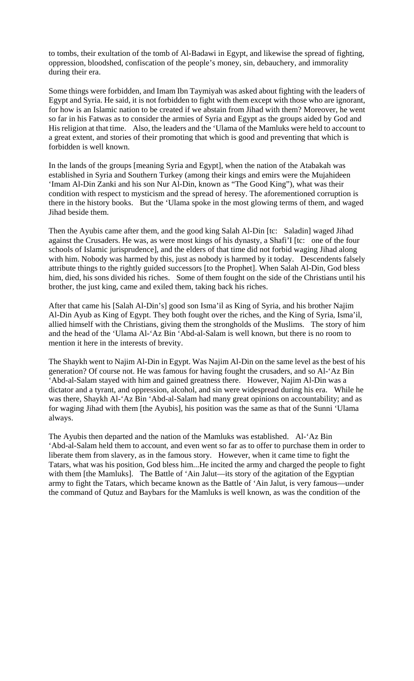to tombs, their exultation of the tomb of Al-Badawi in Egypt, and likewise the spread of fighting, oppression, bloodshed, confiscation of the people's money, sin, debauchery, and immorality during their era.

Some things were forbidden, and Imam Ibn Taymiyah was asked about fighting with the leaders of Egypt and Syria. He said, it is not forbidden to fight with them except with those who are ignorant, for how is an Islamic nation to be created if we abstain from Jihad with them? Moreover, he went so far in his Fatwas as to consider the armies of Syria and Egypt as the groups aided by God and His religion at that time. Also, the leaders and the 'Ulama of the Mamluks were held to account to a great extent, and stories of their promoting that which is good and preventing that which is forbidden is well known.

In the lands of the groups [meaning Syria and Egypt], when the nation of the Atabakah was established in Syria and Southern Turkey (among their kings and emirs were the Mujahideen 'Imam Al-Din Zanki and his son Nur Al-Din, known as "The Good King"), what was their condition with respect to mysticism and the spread of heresy. The aforementioned corruption is there in the history books. But the 'Ulama spoke in the most glowing terms of them, and waged Jihad beside them.

Then the Ayubis came after them, and the good king Salah Al-Din [tc: Saladin] waged Jihad against the Crusaders. He was, as were most kings of his dynasty, a Shafi'I [tc: one of the four schools of Islamic jurisprudence], and the elders of that time did not forbid waging Jihad along with him. Nobody was harmed by this, just as nobody is harmed by it today. Descendents falsely attribute things to the rightly guided successors [to the Prophet]. When Salah Al-Din, God bless him, died, his sons divided his riches. Some of them fought on the side of the Christians until his brother, the just king, came and exiled them, taking back his riches.

After that came his [Salah Al-Din's] good son Isma'il as King of Syria, and his brother Najim Al-Din Ayub as King of Egypt. They both fought over the riches, and the King of Syria, Isma'il, allied himself with the Christians, giving them the strongholds of the Muslims. The story of him and the head of the 'Ulama Al-'Az Bin 'Abd-al-Salam is well known, but there is no room to mention it here in the interests of brevity.

The Shaykh went to Najim Al-Din in Egypt. Was Najim Al-Din on the same level as the best of his generation? Of course not. He was famous for having fought the crusaders, and so Al-'Az Bin 'Abd-al-Salam stayed with him and gained greatness there. However, Najim Al-Din was a dictator and a tyrant, and oppression, alcohol, and sin were widespread during his era. While he was there, Shaykh Al-'Az Bin 'Abd-al-Salam had many great opinions on accountability; and as for waging Jihad with them [the Ayubis], his position was the same as that of the Sunni 'Ulama always.

The Ayubis then departed and the nation of the Mamluks was established. Al-'Az Bin 'Abd-al-Salam held them to account, and even went so far as to offer to purchase them in order to liberate them from slavery, as in the famous story. However, when it came time to fight the Tatars, what was his position, God bless him...He incited the army and charged the people to fight with them [the Mamluks]. The Battle of 'Ain Jalut—its story of the agitation of the Egyptian army to fight the Tatars, which became known as the Battle of 'Ain Jalut, is very famous—under the command of Qutuz and Baybars for the Mamluks is well known, as was the condition of the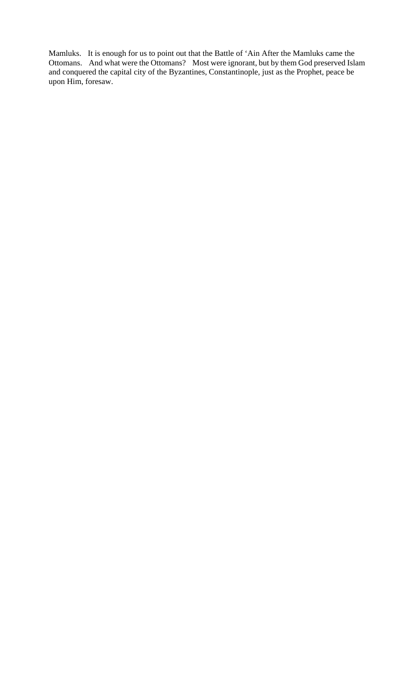Mamluks. It is enough for us to point out that the Battle of 'Ain After the Mamluks came the Ottomans. And what were the Ottomans? Most were ignorant, but by them God preserved Islam and conquered the capital city of the Byzantines, Constantinople, just as the Prophet, peace be upon Him, foresaw.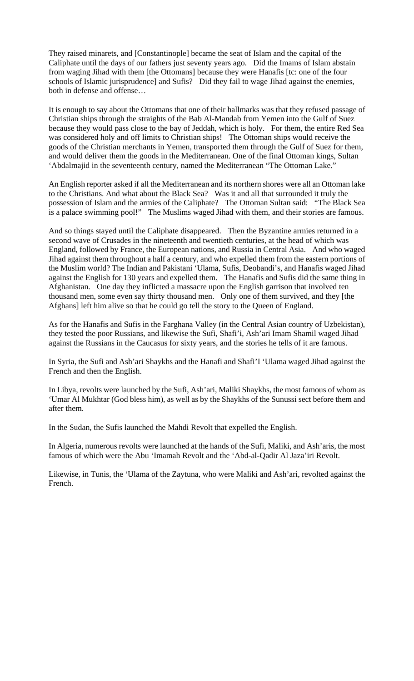They raised minarets, and [Constantinople] became the seat of Islam and the capital of the Caliphate until the days of our fathers just seventy years ago. Did the Imams of Islam abstain from waging Jihad with them [the Ottomans] because they were Hanafis [tc: one of the four schools of Islamic jurisprudence] and Sufis? Did they fail to wage Jihad against the enemies, both in defense and offense…

It is enough to say about the Ottomans that one of their hallmarks was that they refused passage of Christian ships through the straights of the Bab Al-Mandab from Yemen into the Gulf of Suez because they would pass close to the bay of Jeddah, which is holy. For them, the entire Red Sea was considered holy and off limits to Christian ships! The Ottoman ships would receive the goods of the Christian merchants in Yemen, transported them through the Gulf of Suez for them, and would deliver them the goods in the Mediterranean. One of the final Ottoman kings, Sultan 'Abdalmajid in the seventeenth century, named the Mediterranean "The Ottoman Lake."

An English reporter asked if all the Mediterranean and its northern shores were all an Ottoman lake to the Christians. And what about the Black Sea? Was it and all that surrounded it truly the possession of Islam and the armies of the Caliphate? The Ottoman Sultan said: "The Black Sea is a palace swimming pool!" The Muslims waged Jihad with them, and their stories are famous.

And so things stayed until the Caliphate disappeared. Then the Byzantine armies returned in a second wave of Crusades in the nineteenth and twentieth centuries, at the head of which was England, followed by France, the European nations, and Russia in Central Asia. And who waged Jihad against them throughout a half a century, and who expelled them from the eastern portions of the Muslim world? The Indian and Pakistani 'Ulama, Sufis, Deobandi's, and Hanafis waged Jihad against the English for 130 years and expelled them. The Hanafis and Sufis did the same thing in Afghanistan. One day they inflicted a massacre upon the English garrison that involved ten thousand men, some even say thirty thousand men. Only one of them survived, and they [the Afghans] left him alive so that he could go tell the story to the Queen of England.

As for the Hanafis and Sufis in the Farghana Valley (in the Central Asian country of Uzbekistan), they tested the poor Russians, and likewise the Sufi, Shafi'i, Ash'ari Imam Shamil waged Jihad against the Russians in the Caucasus for sixty years, and the stories he tells of it are famous.

In Syria, the Sufi and Ash'ari Shaykhs and the Hanafi and Shafi'I 'Ulama waged Jihad against the French and then the English.

In Libya, revolts were launched by the Sufi, Ash'ari, Maliki Shaykhs, the most famous of whom as 'Umar Al Mukhtar (God bless him), as well as by the Shaykhs of the Sunussi sect before them and after them.

In the Sudan, the Sufis launched the Mahdi Revolt that expelled the English.

In Algeria, numerous revolts were launched at the hands of the Sufi, Maliki, and Ash'aris, the most famous of which were the Abu 'Imamah Revolt and the 'Abd-al-Qadir Al Jaza'iri Revolt.

Likewise, in Tunis, the 'Ulama of the Zaytuna, who were Maliki and Ash'ari, revolted against the French.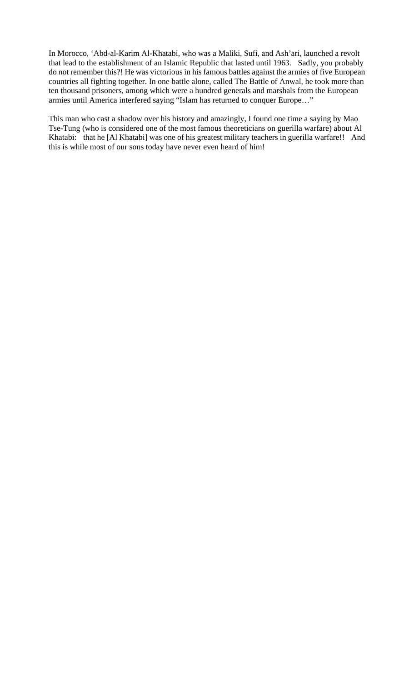In Morocco, 'Abd-al-Karim Al-Khatabi, who was a Maliki, Sufi, and Ash'ari, launched a revolt that lead to the establishment of an Islamic Republic that lasted until 1963. Sadly, you probably do not remember this?! He was victorious in his famous battles against the armies of five European countries all fighting together. In one battle alone, called The Battle of Anwal, he took more than ten thousand prisoners, among which were a hundred generals and marshals from the European armies until America interfered saying "Islam has returned to conquer Europe…"

This man who cast a shadow over his history and amazingly, I found one time a saying by Mao Tse-Tung (who is considered one of the most famous theoreticians on guerilla warfare) about Al Khatabi: that he [Al Khatabi] was one of his greatest military teachers in guerilla warfare!! And this is while most of our sons today have never even heard of him!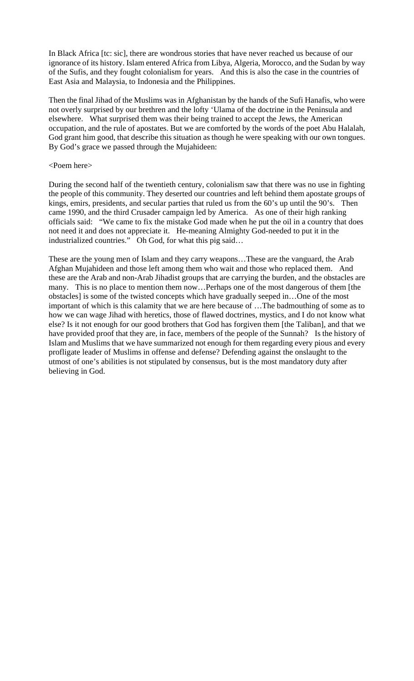In Black Africa [tc: sic], there are wondrous stories that have never reached us because of our ignorance of its history. Islam entered Africa from Libya, Algeria, Morocco, and the Sudan by way of the Sufis, and they fought colonialism for years. And this is also the case in the countries of East Asia and Malaysia, to Indonesia and the Philippines.

Then the final Jihad of the Muslims was in Afghanistan by the hands of the Sufi Hanafis, who were not overly surprised by our brethren and the lofty 'Ulama of the doctrine in the Peninsula and elsewhere. What surprised them was their being trained to accept the Jews, the American occupation, and the rule of apostates. But we are comforted by the words of the poet Abu Halalah, God grant him good, that describe this situation as though he were speaking with our own tongues. By God's grace we passed through the Mujahideen:

### <Poem here>

During the second half of the twentieth century, colonialism saw that there was no use in fighting the people of this community. They deserted our countries and left behind them apostate groups of kings, emirs, presidents, and secular parties that ruled us from the 60's up until the 90's. Then came 1990, and the third Crusader campaign led by America. As one of their high ranking officials said: "We came to fix the mistake God made when he put the oil in a country that does not need it and does not appreciate it. He-meaning Almighty God-needed to put it in the industrialized countries." Oh God, for what this pig said…

These are the young men of Islam and they carry weapons…These are the vanguard, the Arab Afghan Mujahideen and those left among them who wait and those who replaced them. And these are the Arab and non-Arab Jihadist groups that are carrying the burden, and the obstacles are many. This is no place to mention them now…Perhaps one of the most dangerous of them [the obstacles] is some of the twisted concepts which have gradually seeped in…One of the most important of which is this calamity that we are here because of …The badmouthing of some as to how we can wage Jihad with heretics, those of flawed doctrines, mystics, and I do not know what else? Is it not enough for our good brothers that God has forgiven them [the Taliban], and that we have provided proof that they are, in face, members of the people of the Sunnah? Is the history of Islam and Muslims that we have summarized not enough for them regarding every pious and every profligate leader of Muslims in offense and defense? Defending against the onslaught to the utmost of one's abilities is not stipulated by consensus, but is the most mandatory duty after believing in God.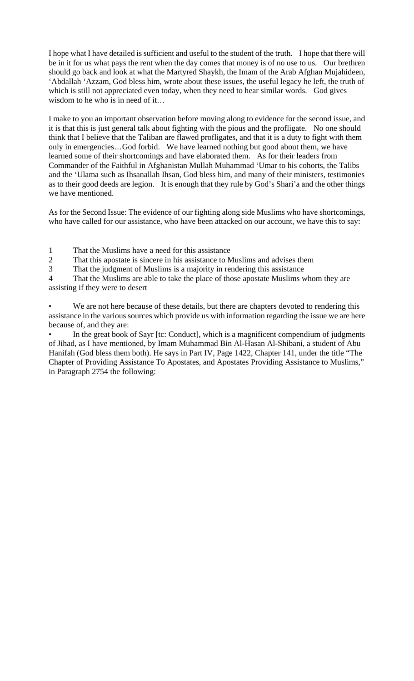I hope what I have detailed is sufficient and useful to the student of the truth. I hope that there will be in it for us what pays the rent when the day comes that money is of no use to us. Our brethren should go back and look at what the Martyred Shaykh, the Imam of the Arab Afghan Mujahideen, 'Abdallah 'Azzam, God bless him, wrote about these issues, the useful legacy he left, the truth of which is still not appreciated even today, when they need to hear similar words. God gives wisdom to he who is in need of it…

I make to you an important observation before moving along to evidence for the second issue, and it is that this is just general talk about fighting with the pious and the profligate. No one should think that I believe that the Taliban are flawed profligates, and that it is a duty to fight with them only in emergencies…God forbid. We have learned nothing but good about them, we have learned some of their shortcomings and have elaborated them. As for their leaders from Commander of the Faithful in Afghanistan Mullah Muhammad 'Umar to his cohorts, the Talibs and the 'Ulama such as Ihsanallah Ihsan, God bless him, and many of their ministers, testimonies as to their good deeds are legion. It is enough that they rule by God's Shari'a and the other things we have mentioned.

As for the Second Issue: The evidence of our fighting along side Muslims who have shortcomings, who have called for our assistance, who have been attacked on our account, we have this to say:

1 That the Muslims have a need for this assistance

2 That this apostate is sincere in his assistance to Muslims and advises them

3 That the judgment of Muslims is a majority in rendering this assistance

4 That the Muslims are able to take the place of those apostate Muslims whom they are assisting if they were to desert

We are not here because of these details, but there are chapters devoted to rendering this assistance in the various sources which provide us with information regarding the issue we are here because of, and they are:

In the great book of Sayr [tc: Conduct], which is a magnificent compendium of judgments of Jihad, as I have mentioned, by Imam Muhammad Bin Al-Hasan Al-Shibani, a student of Abu Hanifah (God bless them both). He says in Part IV, Page 1422, Chapter 141, under the title "The Chapter of Providing Assistance To Apostates, and Apostates Providing Assistance to Muslims," in Paragraph 2754 the following: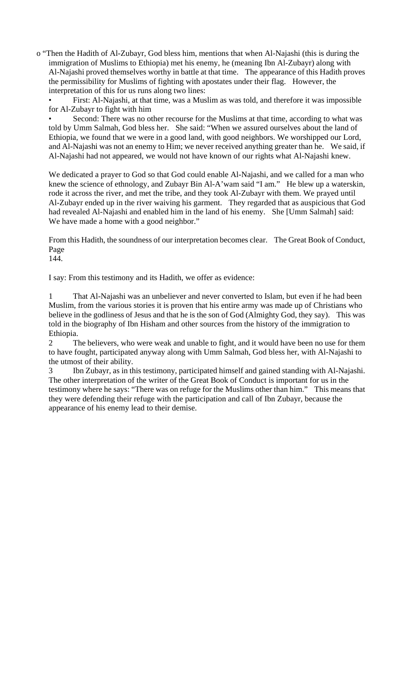o "Then the Hadith of Al-Zubayr, God bless him, mentions that when Al-Najashi (this is during the immigration of Muslims to Ethiopia) met his enemy, he (meaning Ibn Al-Zubayr) along with Al-Najashi proved themselves worthy in battle at that time. The appearance of this Hadith proves the permissibility for Muslims of fighting with apostates under their flag. However, the interpretation of this for us runs along two lines:

• First: Al-Najashi, at that time, was a Muslim as was told, and therefore it was impossible for Al-Zubayr to fight with him

Second: There was no other recourse for the Muslims at that time, according to what was told by Umm Salmah, God bless her. She said: "When we assured ourselves about the land of Ethiopia, we found that we were in a good land, with good neighbors. We worshipped our Lord, and Al-Najashi was not an enemy to Him; we never received anything greater than he. We said, if Al-Najashi had not appeared, we would not have known of our rights what Al-Najashi knew.

We dedicated a prayer to God so that God could enable Al-Najashi, and we called for a man who knew the science of ethnology, and Zubayr Bin Al-A'wam said "I am." He blew up a waterskin, rode it across the river, and met the tribe, and they took Al-Zubayr with them. We prayed until Al-Zubayr ended up in the river waiving his garment. They regarded that as auspicious that God had revealed Al-Najashi and enabled him in the land of his enemy. She [Umm Salmah] said: We have made a home with a good neighbor."

From this Hadith, the soundness of our interpretation becomes clear. The Great Book of Conduct, Page

144.

I say: From this testimony and its Hadith, we offer as evidence:

1 That Al-Najashi was an unbeliever and never converted to Islam, but even if he had been Muslim, from the various stories it is proven that his entire army was made up of Christians who believe in the godliness of Jesus and that he is the son of God (Almighty God, they say). This was told in the biography of Ibn Hisham and other sources from the history of the immigration to Ethiopia.

2 The believers, who were weak and unable to fight, and it would have been no use for them to have fought, participated anyway along with Umm Salmah, God bless her, with Al-Najashi to the utmost of their ability.

Ibn Zubayr, as in this testimony, participated himself and gained standing with Al-Najashi. The other interpretation of the writer of the Great Book of Conduct is important for us in the testimony where he says: "There was on refuge for the Muslims other than him." This means that they were defending their refuge with the participation and call of Ibn Zubayr, because the appearance of his enemy lead to their demise.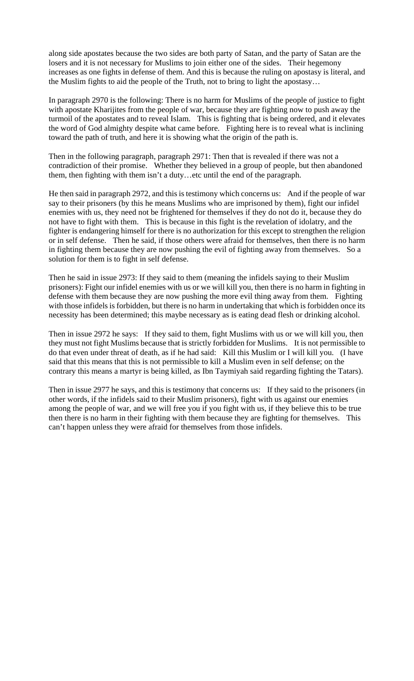along side apostates because the two sides are both party of Satan, and the party of Satan are the losers and it is not necessary for Muslims to join either one of the sides. Their hegemony increases as one fights in defense of them. And this is because the ruling on apostasy is literal, and the Muslim fights to aid the people of the Truth, not to bring to light the apostasy…

In paragraph 2970 is the following: There is no harm for Muslims of the people of justice to fight with apostate Kharijites from the people of war, because they are fighting now to push away the turmoil of the apostates and to reveal Islam. This is fighting that is being ordered, and it elevates the word of God almighty despite what came before. Fighting here is to reveal what is inclining toward the path of truth, and here it is showing what the origin of the path is.

Then in the following paragraph, paragraph 2971: Then that is revealed if there was not a contradiction of their promise. Whether they believed in a group of people, but then abandoned them, then fighting with them isn't a duty…etc until the end of the paragraph.

He then said in paragraph 2972, and this is testimony which concerns us: And if the people of war say to their prisoners (by this he means Muslims who are imprisoned by them), fight our infidel enemies with us, they need not be frightened for themselves if they do not do it, because they do not have to fight with them. This is because in this fight is the revelation of idolatry, and the fighter is endangering himself for there is no authorization for this except to strengthen the religion or in self defense. Then he said, if those others were afraid for themselves, then there is no harm in fighting them because they are now pushing the evil of fighting away from themselves. So a solution for them is to fight in self defense.

Then he said in issue 2973: If they said to them (meaning the infidels saying to their Muslim prisoners): Fight our infidel enemies with us or we will kill you, then there is no harm in fighting in defense with them because they are now pushing the more evil thing away from them. Fighting with those infidels is forbidden, but there is no harm in undertaking that which is forbidden once its necessity has been determined; this maybe necessary as is eating dead flesh or drinking alcohol.

Then in issue 2972 he says: If they said to them, fight Muslims with us or we will kill you, then they must not fight Muslims because that is strictly forbidden for Muslims. It is not permissible to do that even under threat of death, as if he had said: Kill this Muslim or I will kill you. (I have said that this means that this is not permissible to kill a Muslim even in self defense; on the contrary this means a martyr is being killed, as Ibn Taymiyah said regarding fighting the Tatars).

Then in issue 2977 he says, and this is testimony that concerns us: If they said to the prisoners (in other words, if the infidels said to their Muslim prisoners), fight with us against our enemies among the people of war, and we will free you if you fight with us, if they believe this to be true then there is no harm in their fighting with them because they are fighting for themselves. This can't happen unless they were afraid for themselves from those infidels.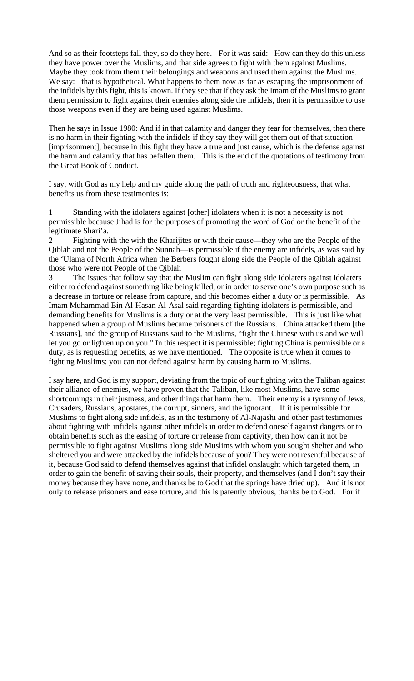And so as their footsteps fall they, so do they here. For it was said: How can they do this unless they have power over the Muslims, and that side agrees to fight with them against Muslims. Maybe they took from them their belongings and weapons and used them against the Muslims. We say: that is hypothetical. What happens to them now as far as escaping the imprisonment of the infidels by this fight, this is known. If they see that if they ask the Imam of the Muslims to grant them permission to fight against their enemies along side the infidels, then it is permissible to use those weapons even if they are being used against Muslims.

Then he says in Issue 1980: And if in that calamity and danger they fear for themselves, then there is no harm in their fighting with the infidels if they say they will get them out of that situation [imprisonment], because in this fight they have a true and just cause, which is the defense against the harm and calamity that has befallen them. This is the end of the quotations of testimony from the Great Book of Conduct.

I say, with God as my help and my guide along the path of truth and righteousness, that what benefits us from these testimonies is:

1 Standing with the idolaters against [other] idolaters when it is not a necessity is not permissible because Jihad is for the purposes of promoting the word of God or the benefit of the legitimate Shari'a.

2 Fighting with the with the Kharijites or with their cause—they who are the People of the Qiblah and not the People of the Sunnah—is permissible if the enemy are infidels, as was said by the 'Ulama of North Africa when the Berbers fought along side the People of the Qiblah against those who were not People of the Qiblah

3 The issues that follow say that the Muslim can fight along side idolaters against idolaters either to defend against something like being killed, or in order to serve one's own purpose such as a decrease in torture or release from capture, and this becomes either a duty or is permissible. As Imam Muhammad Bin Al-Hasan Al-Asal said regarding fighting idolaters is permissible, and demanding benefits for Muslims is a duty or at the very least permissible. This is just like what happened when a group of Muslims became prisoners of the Russians. China attacked them [the Russians], and the group of Russians said to the Muslims, "fight the Chinese with us and we will let you go or lighten up on you." In this respect it is permissible; fighting China is permissible or a duty, as is requesting benefits, as we have mentioned. The opposite is true when it comes to fighting Muslims; you can not defend against harm by causing harm to Muslims.

I say here, and God is my support, deviating from the topic of our fighting with the Taliban against their alliance of enemies, we have proven that the Taliban, like most Muslims, have some shortcomings in their justness, and other things that harm them. Their enemy is a tyranny of Jews, Crusaders, Russians, apostates, the corrupt, sinners, and the ignorant. If it is permissible for Muslims to fight along side infidels, as in the testimony of Al-Najashi and other past testimonies about fighting with infidels against other infidels in order to defend oneself against dangers or to obtain benefits such as the easing of torture or release from captivity, then how can it not be permissible to fight against Muslims along side Muslims with whom you sought shelter and who sheltered you and were attacked by the infidels because of you? They were not resentful because of it, because God said to defend themselves against that infidel onslaught which targeted them, in order to gain the benefit of saving their souls, their property, and themselves (and I don't say their money because they have none, and thanks be to God that the springs have dried up). And it is not only to release prisoners and ease torture, and this is patently obvious, thanks be to God. For if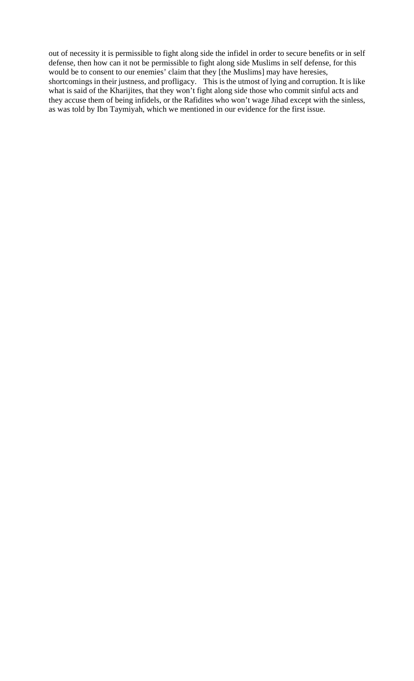out of necessity it is permissible to fight along side the infidel in order to secure benefits or in self defense, then how can it not be permissible to fight along side Muslims in self defense, for this would be to consent to our enemies' claim that they [the Muslims] may have heresies, shortcomings in their justness, and profligacy. This is the utmost of lying and corruption. It is like what is said of the Kharijites, that they won't fight along side those who commit sinful acts and they accuse them of being infidels, or the Rafidites who won't wage Jihad except with the sinless, as was told by Ibn Taymiyah, which we mentioned in our evidence for the first issue.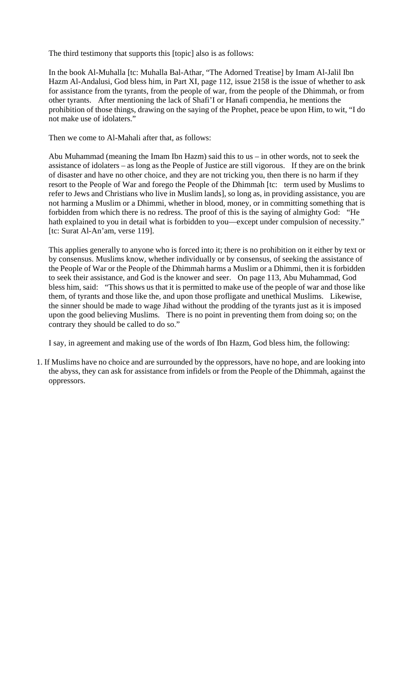The third testimony that supports this [topic] also is as follows:

In the book Al-Muhalla [tc: Muhalla Bal-Athar, "The Adorned Treatise] by Imam Al-Jalil Ibn Hazm Al-Andalusi, God bless him, in Part XI, page 112, issue 2158 is the issue of whether to ask for assistance from the tyrants, from the people of war, from the people of the Dhimmah, or from other tyrants. After mentioning the lack of Shafi'I or Hanafi compendia, he mentions the prohibition of those things, drawing on the saying of the Prophet, peace be upon Him, to wit, "I do not make use of idolaters."

Then we come to Al-Mahali after that, as follows:

Abu Muhammad (meaning the Imam Ibn Hazm) said this to us – in other words, not to seek the assistance of idolaters – as long as the People of Justice are still vigorous. If they are on the brink of disaster and have no other choice, and they are not tricking you, then there is no harm if they resort to the People of War and forego the People of the Dhimmah [tc: term used by Muslims to refer to Jews and Christians who live in Muslim lands], so long as, in providing assistance, you are not harming a Muslim or a Dhimmi, whether in blood, money, or in committing something that is forbidden from which there is no redress. The proof of this is the saying of almighty God: "He hath explained to you in detail what is forbidden to you—except under compulsion of necessity." [tc: Surat Al-An'am, verse 119].

This applies generally to anyone who is forced into it; there is no prohibition on it either by text or by consensus. Muslims know, whether individually or by consensus, of seeking the assistance of the People of War or the People of the Dhimmah harms a Muslim or a Dhimmi, then it is forbidden to seek their assistance, and God is the knower and seer. On page 113, Abu Muhammad, God bless him, said: "This shows us that it is permitted to make use of the people of war and those like them, of tyrants and those like the, and upon those profligate and unethical Muslims. Likewise, the sinner should be made to wage Jihad without the prodding of the tyrants just as it is imposed upon the good believing Muslims. There is no point in preventing them from doing so; on the contrary they should be called to do so."

I say, in agreement and making use of the words of Ibn Hazm, God bless him, the following:

1. If Muslims have no choice and are surrounded by the oppressors, have no hope, and are looking into the abyss, they can ask for assistance from infidels or from the People of the Dhimmah, against the oppressors.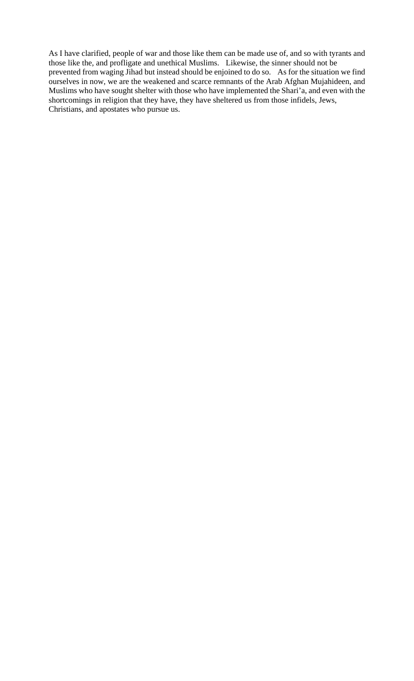As I have clarified, people of war and those like them can be made use of, and so with tyrants and those like the, and profligate and unethical Muslims. Likewise, the sinner should not be prevented from waging Jihad but instead should be enjoined to do so. As for the situation we find ourselves in now, we are the weakened and scarce remnants of the Arab Afghan Mujahideen, and Muslims who have sought shelter with those who have implemented the Shari'a, and even with the shortcomings in religion that they have, they have sheltered us from those infidels, Jews, Christians, and apostates who pursue us.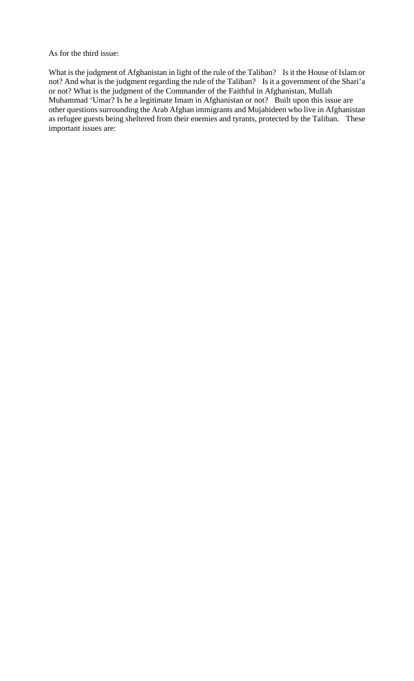As for the third issue:

What is the judgment of Afghanistan in light of the rule of the Taliban? Is it the House of Islam or not? And what is the judgment regarding the rule of the Taliban? Is it a government of the Shari'a or not? What is the judgment of the Commander of the Faithful in Afghanistan, Mullah Muhammad 'Umar? Is he a legitimate Imam in Afghanistan or not? Built upon this issue are other questions surrounding the Arab Afghan immigrants and Mujahideen who live in Afghanistan as refugee guests being sheltered from their enemies and tyrants, protected by the Taliban. These important issues are: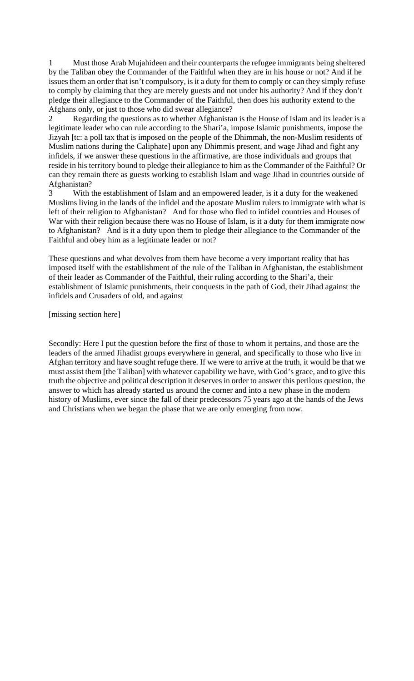1 Must those Arab Mujahideen and their counterparts the refugee immigrants being sheltered by the Taliban obey the Commander of the Faithful when they are in his house or not? And if he issues them an order that isn't compulsory, is it a duty for them to comply or can they simply refuse to comply by claiming that they are merely guests and not under his authority? And if they don't pledge their allegiance to the Commander of the Faithful, then does his authority extend to the Afghans only, or just to those who did swear allegiance?

2 Regarding the questions as to whether Afghanistan is the House of Islam and its leader is a legitimate leader who can rule according to the Shari'a, impose Islamic punishments, impose the Jizyah [tc: a poll tax that is imposed on the people of the Dhimmah, the non-Muslim residents of Muslim nations during the Caliphate] upon any Dhimmis present, and wage Jihad and fight any infidels, if we answer these questions in the affirmative, are those individuals and groups that reside in his territory bound to pledge their allegiance to him as the Commander of the Faithful? Or can they remain there as guests working to establish Islam and wage Jihad in countries outside of Afghanistan?

3 With the establishment of Islam and an empowered leader, is it a duty for the weakened Muslims living in the lands of the infidel and the apostate Muslim rulers to immigrate with what is left of their religion to Afghanistan? And for those who fled to infidel countries and Houses of War with their religion because there was no House of Islam, is it a duty for them immigrate now to Afghanistan? And is it a duty upon them to pledge their allegiance to the Commander of the Faithful and obey him as a legitimate leader or not?

These questions and what devolves from them have become a very important reality that has imposed itself with the establishment of the rule of the Taliban in Afghanistan, the establishment of their leader as Commander of the Faithful, their ruling according to the Shari'a, their establishment of Islamic punishments, their conquests in the path of God, their Jihad against the infidels and Crusaders of old, and against

[missing section here]

Secondly: Here I put the question before the first of those to whom it pertains, and those are the leaders of the armed Jihadist groups everywhere in general, and specifically to those who live in Afghan territory and have sought refuge there. If we were to arrive at the truth, it would be that we must assist them [the Taliban] with whatever capability we have, with God's grace, and to give this truth the objective and political description it deserves in order to answer this perilous question, the answer to which has already started us around the corner and into a new phase in the modern history of Muslims, ever since the fall of their predecessors 75 years ago at the hands of the Jews and Christians when we began the phase that we are only emerging from now.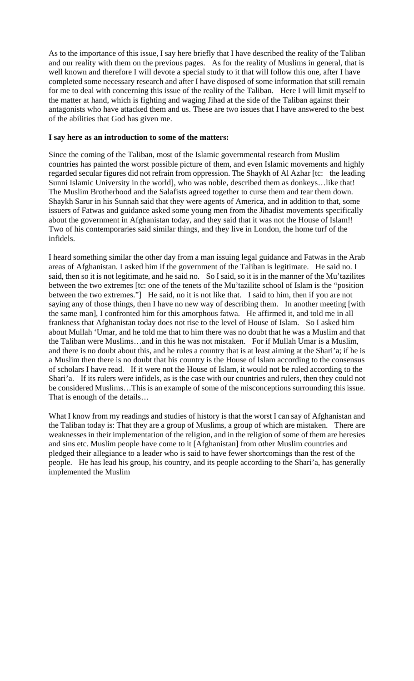As to the importance of this issue, I say here briefly that I have described the reality of the Taliban and our reality with them on the previous pages. As for the reality of Muslims in general, that is well known and therefore I will devote a special study to it that will follow this one, after I have completed some necessary research and after I have disposed of some information that still remain for me to deal with concerning this issue of the reality of the Taliban. Here I will limit myself to the matter at hand, which is fighting and waging Jihad at the side of the Taliban against their antagonists who have attacked them and us. These are two issues that I have answered to the best of the abilities that God has given me.

#### **I say here as an introduction to some of the matters:**

Since the coming of the Taliban, most of the Islamic governmental research from Muslim countries has painted the worst possible picture of them, and even Islamic movements and highly regarded secular figures did not refrain from oppression. The Shaykh of Al Azhar [tc: the leading Sunni Islamic University in the world], who was noble, described them as donkeys…like that! The Muslim Brotherhood and the Salafists agreed together to curse them and tear them down. Shaykh Sarur in his Sunnah said that they were agents of America, and in addition to that, some issuers of Fatwas and guidance asked some young men from the Jihadist movements specifically about the government in Afghanistan today, and they said that it was not the House of Islam!! Two of his contemporaries said similar things, and they live in London, the home turf of the infidels.

I heard something similar the other day from a man issuing legal guidance and Fatwas in the Arab areas of Afghanistan. I asked him if the government of the Taliban is legitimate. He said no. I said, then so it is not legitimate, and he said no. So I said, so it is in the manner of the Mu'tazilites between the two extremes [tc: one of the tenets of the Mu'tazilite school of Islam is the "position between the two extremes."] He said, no it is not like that. I said to him, then if you are not saying any of those things, then I have no new way of describing them. In another meeting [with the same man], I confronted him for this amorphous fatwa. He affirmed it, and told me in all frankness that Afghanistan today does not rise to the level of House of Islam. So I asked him about Mullah 'Umar, and he told me that to him there was no doubt that he was a Muslim and that the Taliban were Muslims…and in this he was not mistaken. For if Mullah Umar is a Muslim, and there is no doubt about this, and he rules a country that is at least aiming at the Shari'a; if he is a Muslim then there is no doubt that his country is the House of Islam according to the consensus of scholars I have read. If it were not the House of Islam, it would not be ruled according to the Shari'a. If its rulers were infidels, as is the case with our countries and rulers, then they could not be considered Muslims…This is an example of some of the misconceptions surrounding this issue. That is enough of the details…

What I know from my readings and studies of history is that the worst I can say of Afghanistan and the Taliban today is: That they are a group of Muslims, a group of which are mistaken. There are weaknesses in their implementation of the religion, and in the religion of some of them are heresies and sins etc. Muslim people have come to it [Afghanistan] from other Muslim countries and pledged their allegiance to a leader who is said to have fewer shortcomings than the rest of the people. He has lead his group, his country, and its people according to the Shari'a, has generally implemented the Muslim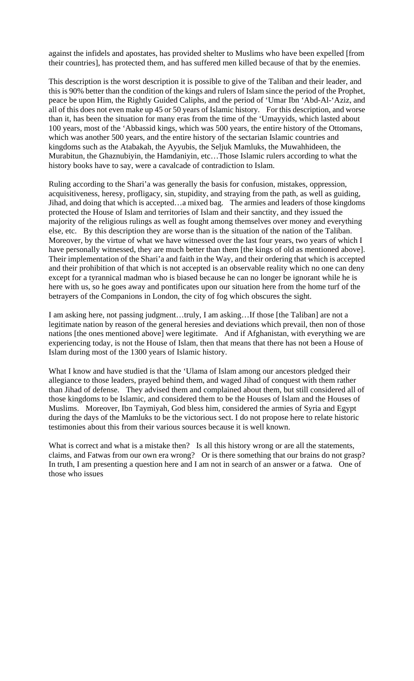against the infidels and apostates, has provided shelter to Muslims who have been expelled [from their countries], has protected them, and has suffered men killed because of that by the enemies.

This description is the worst description it is possible to give of the Taliban and their leader, and this is 90% better than the condition of the kings and rulers of Islam since the period of the Prophet, peace be upon Him, the Rightly Guided Caliphs, and the period of 'Umar Ibn 'Abd-Al-'Aziz, and all of this does not even make up 45 or 50 years of Islamic history. For this description, and worse than it, has been the situation for many eras from the time of the 'Umayyids, which lasted about 100 years, most of the 'Abbassid kings, which was 500 years, the entire history of the Ottomans, which was another 500 years, and the entire history of the sectarian Islamic countries and kingdoms such as the Atabakah, the Ayyubis, the Seljuk Mamluks, the Muwahhideen, the Murabitun, the Ghaznubiyin, the Hamdaniyin, etc…Those Islamic rulers according to what the history books have to say, were a cavalcade of contradiction to Islam.

Ruling according to the Shari'a was generally the basis for confusion, mistakes, oppression, acquisitiveness, heresy, profligacy, sin, stupidity, and straying from the path, as well as guiding, Jihad, and doing that which is accepted…a mixed bag. The armies and leaders of those kingdoms protected the House of Islam and territories of Islam and their sanctity, and they issued the majority of the religious rulings as well as fought among themselves over money and everything else, etc. By this description they are worse than is the situation of the nation of the Taliban. Moreover, by the virtue of what we have witnessed over the last four years, two years of which I have personally witnessed, they are much better than them [the kings of old as mentioned above]. Their implementation of the Shari'a and faith in the Way, and their ordering that which is accepted and their prohibition of that which is not accepted is an observable reality which no one can deny except for a tyrannical madman who is biased because he can no longer be ignorant while he is here with us, so he goes away and pontificates upon our situation here from the home turf of the betrayers of the Companions in London, the city of fog which obscures the sight.

I am asking here, not passing judgment…truly, I am asking…If those [the Taliban] are not a legitimate nation by reason of the general heresies and deviations which prevail, then non of those nations [the ones mentioned above] were legitimate. And if Afghanistan, with everything we are experiencing today, is not the House of Islam, then that means that there has not been a House of Islam during most of the 1300 years of Islamic history.

What I know and have studied is that the 'Ulama of Islam among our ancestors pledged their allegiance to those leaders, prayed behind them, and waged Jihad of conquest with them rather than Jihad of defense. They advised them and complained about them, but still considered all of those kingdoms to be Islamic, and considered them to be the Houses of Islam and the Houses of Muslims. Moreover, Ibn Taymiyah, God bless him, considered the armies of Syria and Egypt during the days of the Mamluks to be the victorious sect. I do not propose here to relate historic testimonies about this from their various sources because it is well known.

What is correct and what is a mistake then? Is all this history wrong or are all the statements, claims, and Fatwas from our own era wrong? Or is there something that our brains do not grasp? In truth, I am presenting a question here and I am not in search of an answer or a fatwa. One of those who issues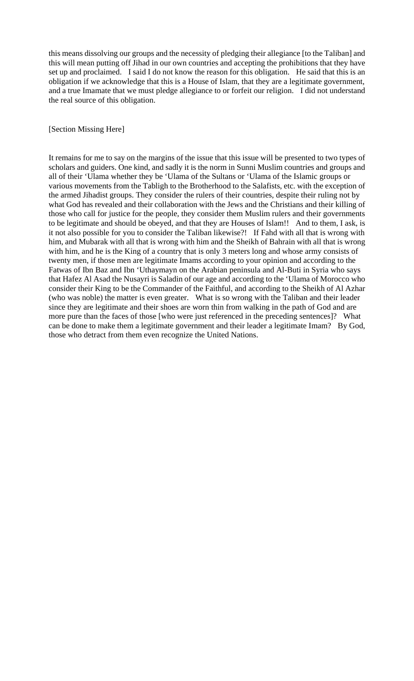this means dissolving our groups and the necessity of pledging their allegiance [to the Taliban] and this will mean putting off Jihad in our own countries and accepting the prohibitions that they have set up and proclaimed. I said I do not know the reason for this obligation. He said that this is an obligation if we acknowledge that this is a House of Islam, that they are a legitimate government, and a true Imamate that we must pledge allegiance to or forfeit our religion. I did not understand the real source of this obligation.

### [Section Missing Here]

It remains for me to say on the margins of the issue that this issue will be presented to two types of scholars and guiders. One kind, and sadly it is the norm in Sunni Muslim countries and groups and all of their 'Ulama whether they be 'Ulama of the Sultans or 'Ulama of the Islamic groups or various movements from the Tabligh to the Brotherhood to the Salafists, etc. with the exception of the armed Jihadist groups. They consider the rulers of their countries, despite their ruling not by what God has revealed and their collaboration with the Jews and the Christians and their killing of those who call for justice for the people, they consider them Muslim rulers and their governments to be legitimate and should be obeyed, and that they are Houses of Islam!! And to them, I ask, is it not also possible for you to consider the Taliban likewise?! If Fahd with all that is wrong with him, and Mubarak with all that is wrong with him and the Sheikh of Bahrain with all that is wrong with him, and he is the King of a country that is only 3 meters long and whose army consists of twenty men, if those men are legitimate Imams according to your opinion and according to the Fatwas of Ibn Baz and Ibn 'Uthaymayn on the Arabian peninsula and Al-Buti in Syria who says that Hafez Al Asad the Nusayri is Saladin of our age and according to the 'Ulama of Morocco who consider their King to be the Commander of the Faithful, and according to the Sheikh of Al Azhar (who was noble) the matter is even greater. What is so wrong with the Taliban and their leader since they are legitimate and their shoes are worn thin from walking in the path of God and are more pure than the faces of those [who were just referenced in the preceding sentences]? What can be done to make them a legitimate government and their leader a legitimate Imam? By God, those who detract from them even recognize the United Nations.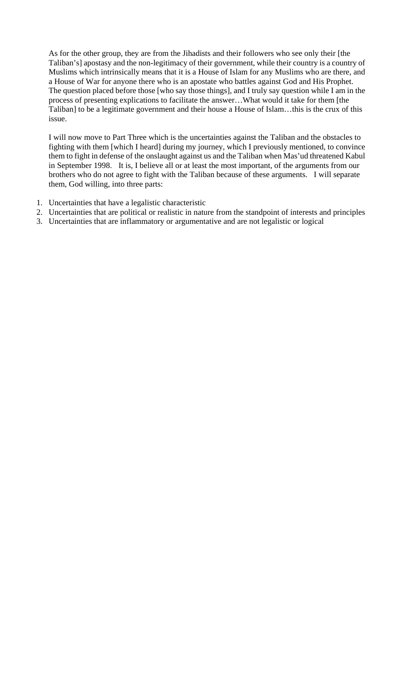As for the other group, they are from the Jihadists and their followers who see only their [the Taliban's] apostasy and the non-legitimacy of their government, while their country is a country of Muslims which intrinsically means that it is a House of Islam for any Muslims who are there, and a House of War for anyone there who is an apostate who battles against God and His Prophet. The question placed before those [who say those things], and I truly say question while I am in the process of presenting explications to facilitate the answer…What would it take for them [the Taliban] to be a legitimate government and their house a House of Islam…this is the crux of this issue.

I will now move to Part Three which is the uncertainties against the Taliban and the obstacles to fighting with them [which I heard] during my journey, which I previously mentioned, to convince them to fight in defense of the onslaught against us and the Taliban when Mas'ud threatened Kabul in September 1998. It is, I believe all or at least the most important, of the arguments from our brothers who do not agree to fight with the Taliban because of these arguments. I will separate them, God willing, into three parts:

- 1. Uncertainties that have a legalistic characteristic
- 2. Uncertainties that are political or realistic in nature from the standpoint of interests and principles
- 3. Uncertainties that are inflammatory or argumentative and are not legalistic or logical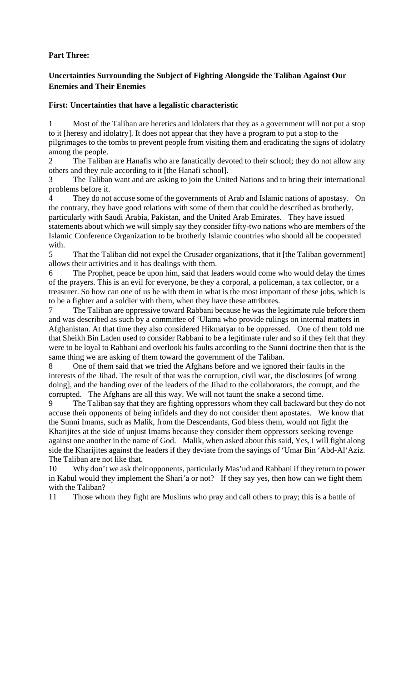## **Part Three:**

# **Uncertainties Surrounding the Subject of Fighting Alongside the Taliban Against Our Enemies and Their Enemies**

## **First: Uncertainties that have a legalistic characteristic**

1 Most of the Taliban are heretics and idolaters that they as a government will not put a stop to it [heresy and idolatry]. It does not appear that they have a program to put a stop to the pilgrimages to the tombs to prevent people from visiting them and eradicating the signs of idolatry among the people.

2 The Taliban are Hanafis who are fanatically devoted to their school; they do not allow any others and they rule according to it [the Hanafi school].

3 The Taliban want and are asking to join the United Nations and to bring their international problems before it.

4 They do not accuse some of the governments of Arab and Islamic nations of apostasy. On the contrary, they have good relations with some of them that could be described as brotherly, particularly with Saudi Arabia, Pakistan, and the United Arab Emirates. They have issued statements about which we will simply say they consider fifty-two nations who are members of the Islamic Conference Organization to be brotherly Islamic countries who should all be cooperated with.

5 That the Taliban did not expel the Crusader organizations, that it [the Taliban government] allows their activities and it has dealings with them.

6 The Prophet, peace be upon him, said that leaders would come who would delay the times of the prayers. This is an evil for everyone, be they a corporal, a policeman, a tax collector, or a treasurer. So how can one of us be with them in what is the most important of these jobs, which is to be a fighter and a soldier with them, when they have these attributes.

7 The Taliban are oppressive toward Rabbani because he was the legitimate rule before them and was described as such by a committee of 'Ulama who provide rulings on internal matters in Afghanistan. At that time they also considered Hikmatyar to be oppressed. One of them told me that Sheikh Bin Laden used to consider Rabbani to be a legitimate ruler and so if they felt that they were to be loyal to Rabbani and overlook his faults according to the Sunni doctrine then that is the same thing we are asking of them toward the government of the Taliban.

8 One of them said that we tried the Afghans before and we ignored their faults in the interests of the Jihad. The result of that was the corruption, civil war, the disclosures [of wrong doing], and the handing over of the leaders of the Jihad to the collaborators, the corrupt, and the corrupted. The Afghans are all this way. We will not taunt the snake a second time.

9 The Taliban say that they are fighting oppressors whom they call backward but they do not accuse their opponents of being infidels and they do not consider them apostates. We know that the Sunni Imams, such as Malik, from the Descendants, God bless them, would not fight the Kharijites at the side of unjust Imams because they consider them oppressors seeking revenge against one another in the name of God. Malik, when asked about this said, Yes, I will fight along side the Kharijites against the leaders if they deviate from the sayings of 'Umar Bin 'Abd-Al'Aziz. The Taliban are not like that.

10 Why don't we ask their opponents, particularly Mas'ud and Rabbani if they return to power in Kabul would they implement the Shari'a or not? If they say yes, then how can we fight them with the Taliban?

11 Those whom they fight are Muslims who pray and call others to pray; this is a battle of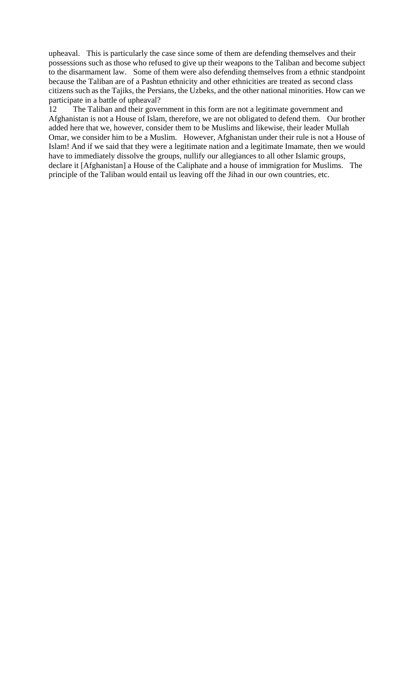upheaval. This is particularly the case since some of them are defending themselves and their possessions such as those who refused to give up their weapons to the Taliban and become subject to the disarmament law. Some of them were also defending themselves from a ethnic standpoint because the Taliban are of a Pashtun ethnicity and other ethnicities are treated as second class citizens such as the Tajiks, the Persians, the Uzbeks, and the other national minorities. How can we participate in a battle of upheaval?

12 The Taliban and their government in this form are not a legitimate government and Afghanistan is not a House of Islam, therefore, we are not obligated to defend them. Our brother added here that we, however, consider them to be Muslims and likewise, their leader Mullah Omar, we consider him to be a Muslim. However, Afghanistan under their rule is not a House of Islam! And if we said that they were a legitimate nation and a legitimate Imamate, then we would have to immediately dissolve the groups, nullify our allegiances to all other Islamic groups, declare it [Afghanistan] a House of the Caliphate and a house of immigration for Muslims. The principle of the Taliban would entail us leaving off the Jihad in our own countries, etc.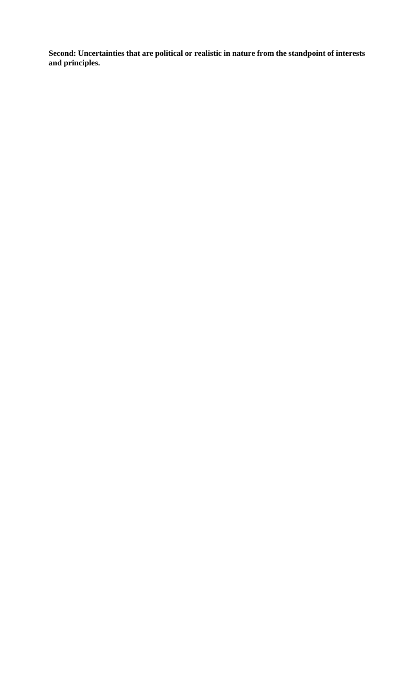**Second: Uncertainties that are political or realistic in nature from the standpoint of interests and principles.**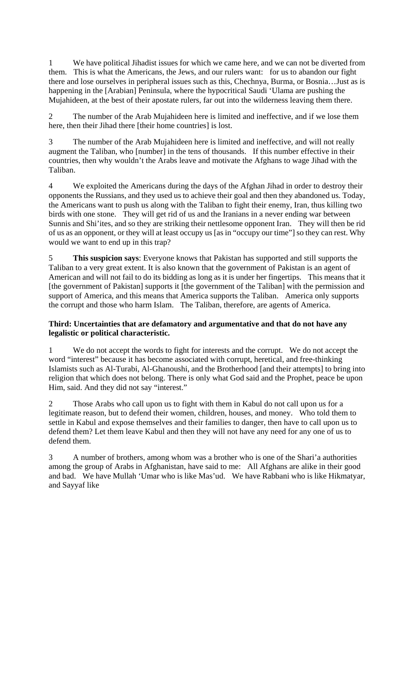1 We have political Jihadist issues for which we came here, and we can not be diverted from them. This is what the Americans, the Jews, and our rulers want: for us to abandon our fight there and lose ourselves in peripheral issues such as this, Chechnya, Burma, or Bosnia…Just as is happening in the [Arabian] Peninsula, where the hypocritical Saudi 'Ulama are pushing the Mujahideen, at the best of their apostate rulers, far out into the wilderness leaving them there.

2 The number of the Arab Mujahideen here is limited and ineffective, and if we lose them here, then their Jihad there [their home countries] is lost.

3 The number of the Arab Mujahideen here is limited and ineffective, and will not really augment the Taliban, who [number] in the tens of thousands. If this number effective in their countries, then why wouldn't the Arabs leave and motivate the Afghans to wage Jihad with the Taliban.

4 We exploited the Americans during the days of the Afghan Jihad in order to destroy their opponents the Russians, and they used us to achieve their goal and then they abandoned us. Today, the Americans want to push us along with the Taliban to fight their enemy, Iran, thus killing two birds with one stone. They will get rid of us and the Iranians in a never ending war between Sunnis and Shi'ites, and so they are striking their nettlesome opponent Iran. They will then be rid of us as an opponent, or they will at least occupy us [as in "occupy our time"] so they can rest. Why would we want to end up in this trap?

5 **This suspicion says**: Everyone knows that Pakistan has supported and still supports the Taliban to a very great extent. It is also known that the government of Pakistan is an agent of American and will not fail to do its bidding as long as it is under her fingertips. This means that it [the government of Pakistan] supports it [the government of the Taliban] with the permission and support of America, and this means that America supports the Taliban. America only supports the corrupt and those who harm Islam. The Taliban, therefore, are agents of America.

## **Third: Uncertainties that are defamatory and argumentative and that do not have any legalistic or political characteristic.**

1 We do not accept the words to fight for interests and the corrupt. We do not accept the word "interest" because it has become associated with corrupt, heretical, and free-thinking Islamists such as Al-Turabi, Al-Ghanoushi, and the Brotherhood [and their attempts] to bring into religion that which does not belong. There is only what God said and the Prophet, peace be upon Him, said. And they did not say "interest."

Those Arabs who call upon us to fight with them in Kabul do not call upon us for a legitimate reason, but to defend their women, children, houses, and money. Who told them to settle in Kabul and expose themselves and their families to danger, then have to call upon us to defend them? Let them leave Kabul and then they will not have any need for any one of us to defend them.

3 A number of brothers, among whom was a brother who is one of the Shari'a authorities among the group of Arabs in Afghanistan, have said to me: All Afghans are alike in their good and bad. We have Mullah 'Umar who is like Mas'ud. We have Rabbani who is like Hikmatyar, and Sayyaf like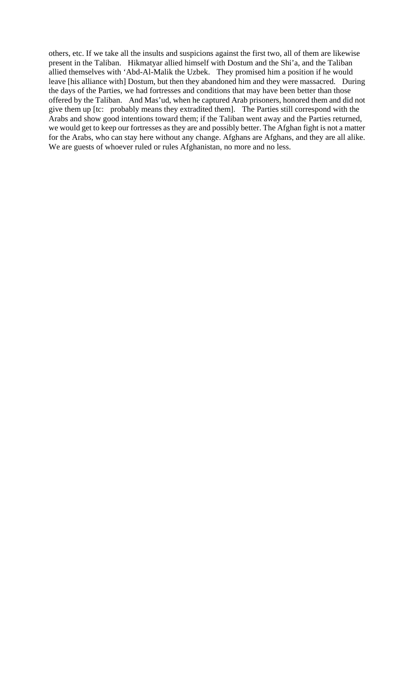others, etc. If we take all the insults and suspicions against the first two, all of them are likewise present in the Taliban. Hikmatyar allied himself with Dostum and the Shi'a, and the Taliban allied themselves with 'Abd-Al-Malik the Uzbek. They promised him a position if he would leave [his alliance with] Dostum, but then they abandoned him and they were massacred. During the days of the Parties, we had fortresses and conditions that may have been better than those offered by the Taliban. And Mas'ud, when he captured Arab prisoners, honored them and did not give them up [tc: probably means they extradited them]. The Parties still correspond with the Arabs and show good intentions toward them; if the Taliban went away and the Parties returned, we would get to keep our fortresses as they are and possibly better. The Afghan fight is not a matter for the Arabs, who can stay here without any change. Afghans are Afghans, and they are all alike. We are guests of whoever ruled or rules Afghanistan, no more and no less.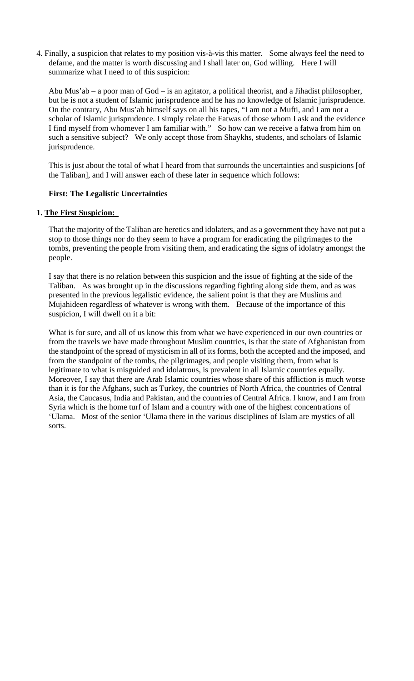4. Finally, a suspicion that relates to my position vis-à-vis this matter. Some always feel the need to defame, and the matter is worth discussing and I shall later on, God willing. Here I will summarize what I need to of this suspicion:

Abu Mus'ab – a poor man of God – is an agitator, a political theorist, and a Jihadist philosopher, but he is not a student of Islamic jurisprudence and he has no knowledge of Islamic jurisprudence. On the contrary, Abu Mus'ab himself says on all his tapes, "I am not a Mufti, and I am not a scholar of Islamic jurisprudence. I simply relate the Fatwas of those whom I ask and the evidence I find myself from whomever I am familiar with." So how can we receive a fatwa from him on such a sensitive subject? We only accept those from Shaykhs, students, and scholars of Islamic jurisprudence.

This is just about the total of what I heard from that surrounds the uncertainties and suspicions [of the Taliban], and I will answer each of these later in sequence which follows:

## **First: The Legalistic Uncertainties**

### **1. The First Suspicion:**

That the majority of the Taliban are heretics and idolaters, and as a government they have not put a stop to those things nor do they seem to have a program for eradicating the pilgrimages to the tombs, preventing the people from visiting them, and eradicating the signs of idolatry amongst the people.

I say that there is no relation between this suspicion and the issue of fighting at the side of the Taliban. As was brought up in the discussions regarding fighting along side them, and as was presented in the previous legalistic evidence, the salient point is that they are Muslims and Mujahideen regardless of whatever is wrong with them. Because of the importance of this suspicion, I will dwell on it a bit:

What is for sure, and all of us know this from what we have experienced in our own countries or from the travels we have made throughout Muslim countries, is that the state of Afghanistan from the standpoint of the spread of mysticism in all of its forms, both the accepted and the imposed, and from the standpoint of the tombs, the pilgrimages, and people visiting them, from what is legitimate to what is misguided and idolatrous, is prevalent in all Islamic countries equally. Moreover, I say that there are Arab Islamic countries whose share of this affliction is much worse than it is for the Afghans, such as Turkey, the countries of North Africa, the countries of Central Asia, the Caucasus, India and Pakistan, and the countries of Central Africa. I know, and I am from Syria which is the home turf of Islam and a country with one of the highest concentrations of 'Ulama. Most of the senior 'Ulama there in the various disciplines of Islam are mystics of all sorts.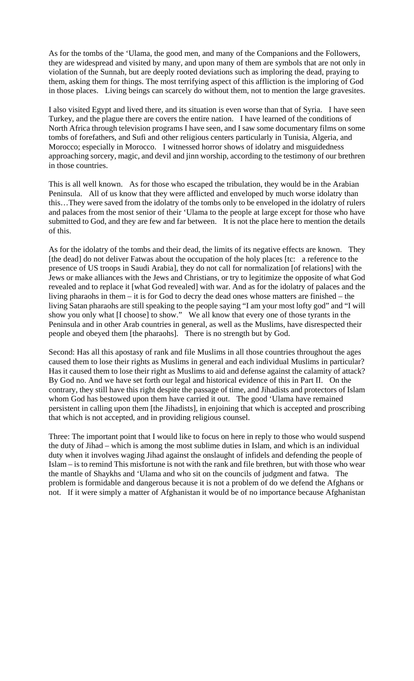As for the tombs of the 'Ulama, the good men, and many of the Companions and the Followers, they are widespread and visited by many, and upon many of them are symbols that are not only in violation of the Sunnah, but are deeply rooted deviations such as imploring the dead, praying to them, asking them for things. The most terrifying aspect of this affliction is the imploring of God in those places. Living beings can scarcely do without them, not to mention the large gravesites.

I also visited Egypt and lived there, and its situation is even worse than that of Syria. I have seen Turkey, and the plague there are covers the entire nation. I have learned of the conditions of North Africa through television programs I have seen, and I saw some documentary films on some tombs of forefathers, and Sufi and other religious centers particularly in Tunisia, Algeria, and Morocco; especially in Morocco. I witnessed horror shows of idolatry and misguidedness approaching sorcery, magic, and devil and jinn worship, according to the testimony of our brethren in those countries.

This is all well known. As for those who escaped the tribulation, they would be in the Arabian Peninsula. All of us know that they were afflicted and enveloped by much worse idolatry than this…They were saved from the idolatry of the tombs only to be enveloped in the idolatry of rulers and palaces from the most senior of their 'Ulama to the people at large except for those who have submitted to God, and they are few and far between. It is not the place here to mention the details of this.

As for the idolatry of the tombs and their dead, the limits of its negative effects are known. They [the dead] do not deliver Fatwas about the occupation of the holy places [tc: a reference to the presence of US troops in Saudi Arabia], they do not call for normalization [of relations] with the Jews or make alliances with the Jews and Christians, or try to legitimize the opposite of what God revealed and to replace it [what God revealed] with war. And as for the idolatry of palaces and the living pharaohs in them – it is for God to decry the dead ones whose matters are finished – the living Satan pharaohs are still speaking to the people saying "I am your most lofty god" and "I will show you only what [I choose] to show." We all know that every one of those tyrants in the Peninsula and in other Arab countries in general, as well as the Muslims, have disrespected their people and obeyed them [the pharaohs]. There is no strength but by God.

Second: Has all this apostasy of rank and file Muslims in all those countries throughout the ages caused them to lose their rights as Muslims in general and each individual Muslims in particular? Has it caused them to lose their right as Muslims to aid and defense against the calamity of attack? By God no. And we have set forth our legal and historical evidence of this in Part II. On the contrary, they still have this right despite the passage of time, and Jihadists and protectors of Islam whom God has bestowed upon them have carried it out. The good 'Ulama have remained persistent in calling upon them [the Jihadists], in enjoining that which is accepted and proscribing that which is not accepted, and in providing religious counsel.

Three: The important point that I would like to focus on here in reply to those who would suspend the duty of Jihad – which is among the most sublime duties in Islam, and which is an individual duty when it involves waging Jihad against the onslaught of infidels and defending the people of Islam – is to remind This misfortune is not with the rank and file brethren, but with those who wear the mantle of Shaykhs and 'Ulama and who sit on the councils of judgment and fatwa. The problem is formidable and dangerous because it is not a problem of do we defend the Afghans or not. If it were simply a matter of Afghanistan it would be of no importance because Afghanistan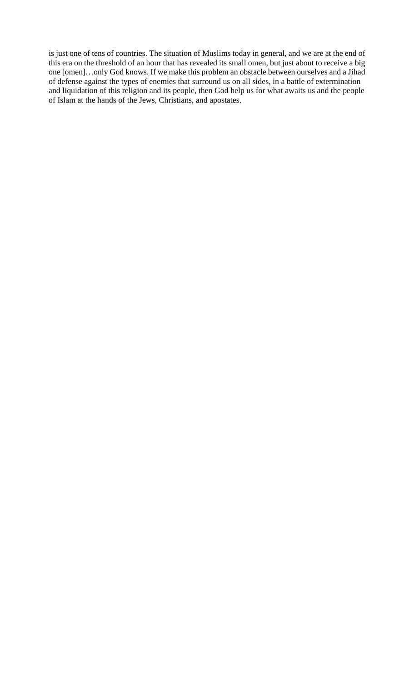is just one of tens of countries. The situation of Muslims today in general, and we are at the end of this era on the threshold of an hour that has revealed its small omen, but just about to receive a big one [omen]…only God knows. If we make this problem an obstacle between ourselves and a Jihad of defense against the types of enemies that surround us on all sides, in a battle of extermination and liquidation of this religion and its people, then God help us for what awaits us and the people of Islam at the hands of the Jews, Christians, and apostates.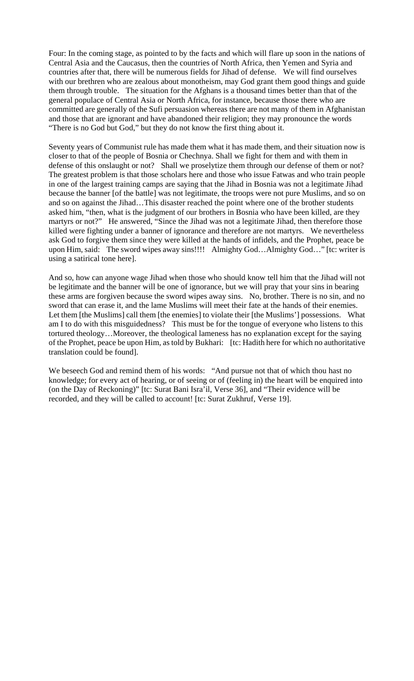Four: In the coming stage, as pointed to by the facts and which will flare up soon in the nations of Central Asia and the Caucasus, then the countries of North Africa, then Yemen and Syria and countries after that, there will be numerous fields for Jihad of defense. We will find ourselves with our brethren who are zealous about monotheism, may God grant them good things and guide them through trouble. The situation for the Afghans is a thousand times better than that of the general populace of Central Asia or North Africa, for instance, because those there who are committed are generally of the Sufi persuasion whereas there are not many of them in Afghanistan and those that are ignorant and have abandoned their religion; they may pronounce the words "There is no God but God," but they do not know the first thing about it.

Seventy years of Communist rule has made them what it has made them, and their situation now is closer to that of the people of Bosnia or Chechnya. Shall we fight for them and with them in defense of this onslaught or not? Shall we proselytize them through our defense of them or not? The greatest problem is that those scholars here and those who issue Fatwas and who train people in one of the largest training camps are saying that the Jihad in Bosnia was not a legitimate Jihad because the banner [of the battle] was not legitimate, the troops were not pure Muslims, and so on and so on against the Jihad…This disaster reached the point where one of the brother students asked him, "then, what is the judgment of our brothers in Bosnia who have been killed, are they martyrs or not?" He answered, "Since the Jihad was not a legitimate Jihad, then therefore those killed were fighting under a banner of ignorance and therefore are not martyrs. We nevertheless ask God to forgive them since they were killed at the hands of infidels, and the Prophet, peace be upon Him, said: The sword wipes away sins!!!! Almighty God...Almighty God..." [tc: writer is using a satirical tone here].

And so, how can anyone wage Jihad when those who should know tell him that the Jihad will not be legitimate and the banner will be one of ignorance, but we will pray that your sins in bearing these arms are forgiven because the sword wipes away sins. No, brother. There is no sin, and no sword that can erase it, and the lame Muslims will meet their fate at the hands of their enemies. Let them [the Muslims] call them [the enemies] to violate their [the Muslims'] possessions. What am I to do with this misguidedness? This must be for the tongue of everyone who listens to this tortured theology…Moreover, the theological lameness has no explanation except for the saying of the Prophet, peace be upon Him, as told by Bukhari: [tc: Hadith here for which no authoritative translation could be found].

We beseech God and remind them of his words: "And pursue not that of which thou hast no knowledge; for every act of hearing, or of seeing or of (feeling in) the heart will be enquired into (on the Day of Reckoning)" [tc: Surat Bani Isra'il, Verse 36], and "Their evidence will be recorded, and they will be called to account! [tc: Surat Zukhruf, Verse 19].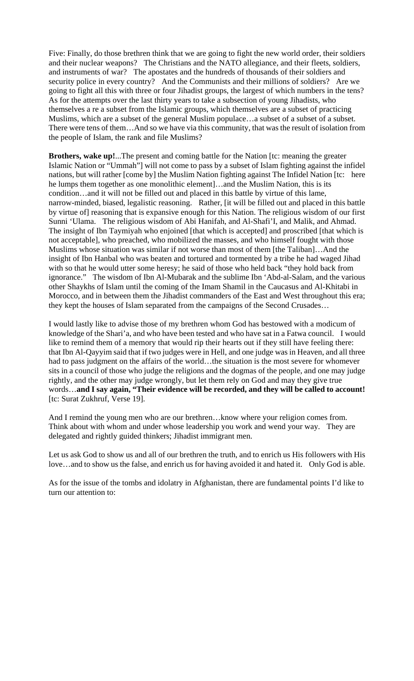Five: Finally, do those brethren think that we are going to fight the new world order, their soldiers and their nuclear weapons? The Christians and the NATO allegiance, and their fleets, soldiers, and instruments of war? The apostates and the hundreds of thousands of their soldiers and security police in every country? And the Communists and their millions of soldiers? Are we going to fight all this with three or four Jihadist groups, the largest of which numbers in the tens? As for the attempts over the last thirty years to take a subsection of young Jihadists, who themselves a re a subset from the Islamic groups, which themselves are a subset of practicing Muslims, which are a subset of the general Muslim populace…a subset of a subset of a subset. There were tens of them…And so we have via this community, that was the result of isolation from the people of Islam, the rank and file Muslims?

**Brothers, wake up!**...The present and coming battle for the Nation [tc: meaning the greater Islamic Nation or "Ummah"] will not come to pass by a subset of Islam fighting against the infidel nations, but will rather [come by] the Muslim Nation fighting against The Infidel Nation [tc: here he lumps them together as one monolithic element]…and the Muslim Nation, this is its condition…and it will not be filled out and placed in this battle by virtue of this lame, narrow-minded, biased, legalistic reasoning. Rather, [it will be filled out and placed in this battle by virtue of] reasoning that is expansive enough for this Nation. The religious wisdom of our first Sunni 'Ulama. The religious wisdom of Abi Hanifah, and Al-Shafi'I, and Malik, and Ahmad. The insight of Ibn Taymiyah who enjoined [that which is accepted] and proscribed [that which is not acceptable], who preached, who mobilized the masses, and who himself fought with those Muslims whose situation was similar if not worse than most of them [the Taliban]…And the insight of Ibn Hanbal who was beaten and tortured and tormented by a tribe he had waged Jihad with so that he would utter some heresy; he said of those who held back "they hold back from ignorance." The wisdom of Ibn Al-Mubarak and the sublime Ibn 'Abd-al-Salam, and the various other Shaykhs of Islam until the coming of the Imam Shamil in the Caucasus and Al-Khitabi in Morocco, and in between them the Jihadist commanders of the East and West throughout this era; they kept the houses of Islam separated from the campaigns of the Second Crusades…

I would lastly like to advise those of my brethren whom God has bestowed with a modicum of knowledge of the Shari'a, and who have been tested and who have sat in a Fatwa council. I would like to remind them of a memory that would rip their hearts out if they still have feeling there: that Ibn Al-Qayyim said that if two judges were in Hell, and one judge was in Heaven, and all three had to pass judgment on the affairs of the world…the situation is the most severe for whomever sits in a council of those who judge the religions and the dogmas of the people, and one may judge rightly, and the other may judge wrongly, but let them rely on God and may they give true words…**and I say again, "Their evidence will be recorded, and they will be called to account!** [tc: Surat Zukhruf, Verse 19].

And I remind the young men who are our brethren…know where your religion comes from. Think about with whom and under whose leadership you work and wend your way. They are delegated and rightly guided thinkers; Jihadist immigrant men.

Let us ask God to show us and all of our brethren the truth, and to enrich us His followers with His love…and to show us the false, and enrich us for having avoided it and hated it. Only God is able.

As for the issue of the tombs and idolatry in Afghanistan, there are fundamental points I'd like to turn our attention to: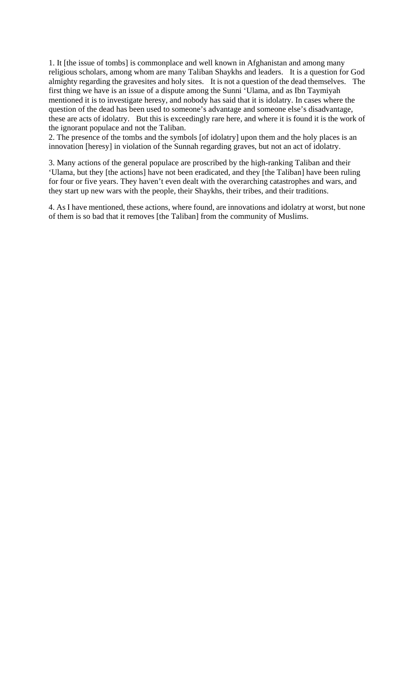1. It [the issue of tombs] is commonplace and well known in Afghanistan and among many religious scholars, among whom are many Taliban Shaykhs and leaders. It is a question for God almighty regarding the gravesites and holy sites. It is not a question of the dead themselves. The first thing we have is an issue of a dispute among the Sunni 'Ulama, and as Ibn Taymiyah mentioned it is to investigate heresy, and nobody has said that it is idolatry. In cases where the question of the dead has been used to someone's advantage and someone else's disadvantage, these are acts of idolatry. But this is exceedingly rare here, and where it is found it is the work of the ignorant populace and not the Taliban.

2. The presence of the tombs and the symbols [of idolatry] upon them and the holy places is an innovation [heresy] in violation of the Sunnah regarding graves, but not an act of idolatry.

3. Many actions of the general populace are proscribed by the high-ranking Taliban and their 'Ulama, but they [the actions] have not been eradicated, and they [the Taliban] have been ruling for four or five years. They haven't even dealt with the overarching catastrophes and wars, and they start up new wars with the people, their Shaykhs, their tribes, and their traditions.

4. As I have mentioned, these actions, where found, are innovations and idolatry at worst, but none of them is so bad that it removes [the Taliban] from the community of Muslims.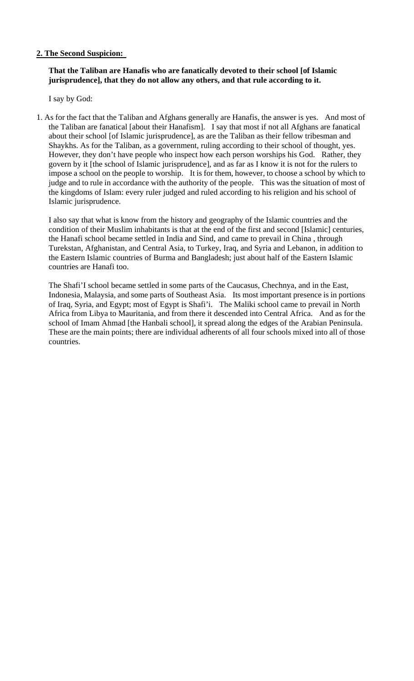# **2. The Second Suspicion:**

### **That the Taliban are Hanafis who are fanatically devoted to their school [of Islamic jurisprudence], that they do not allow any others, and that rule according to it.**

I say by God:

1. As for the fact that the Taliban and Afghans generally are Hanafis, the answer is yes. And most of the Taliban are fanatical [about their Hanafism]. I say that most if not all Afghans are fanatical about their school [of Islamic jurisprudence], as are the Taliban as their fellow tribesman and Shaykhs. As for the Taliban, as a government, ruling according to their school of thought, yes. However, they don't have people who inspect how each person worships his God. Rather, they govern by it [the school of Islamic jurisprudence], and as far as I know it is not for the rulers to impose a school on the people to worship. It is for them, however, to choose a school by which to judge and to rule in accordance with the authority of the people. This was the situation of most of the kingdoms of Islam: every ruler judged and ruled according to his religion and his school of Islamic jurisprudence.

I also say that what is know from the history and geography of the Islamic countries and the condition of their Muslim inhabitants is that at the end of the first and second [Islamic] centuries, the Hanafi school became settled in India and Sind, and came to prevail in China , through Turekstan, Afghanistan, and Central Asia, to Turkey, Iraq, and Syria and Lebanon, in addition to the Eastern Islamic countries of Burma and Bangladesh; just about half of the Eastern Islamic countries are Hanafi too.

The Shafi'I school became settled in some parts of the Caucasus, Chechnya, and in the East, Indonesia, Malaysia, and some parts of Southeast Asia. Its most important presence is in portions of Iraq, Syria, and Egypt; most of Egypt is Shafi'i. The Maliki school came to prevail in North Africa from Libya to Mauritania, and from there it descended into Central Africa. And as for the school of Imam Ahmad [the Hanbali school], it spread along the edges of the Arabian Peninsula. These are the main points; there are individual adherents of all four schools mixed into all of those countries.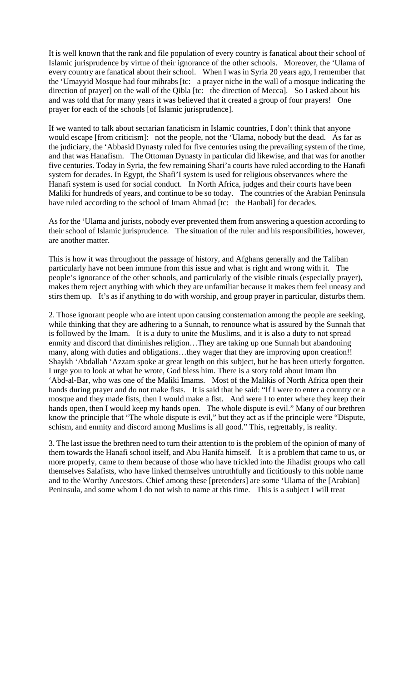It is well known that the rank and file population of every country is fanatical about their school of Islamic jurisprudence by virtue of their ignorance of the other schools. Moreover, the 'Ulama of every country are fanatical about their school. When I was in Syria 20 years ago, I remember that the 'Umayyid Mosque had four mihrabs [tc: a prayer niche in the wall of a mosque indicating the direction of prayer] on the wall of the Qibla [tc: the direction of Mecca]. So I asked about his and was told that for many years it was believed that it created a group of four prayers! One prayer for each of the schools [of Islamic jurisprudence].

If we wanted to talk about sectarian fanaticism in Islamic countries, I don't think that anyone would escape [from criticism]: not the people, not the 'Ulama, nobody but the dead. As far as the judiciary, the 'Abbasid Dynasty ruled for five centuries using the prevailing system of the time, and that was Hanafism. The Ottoman Dynasty in particular did likewise, and that was for another five centuries. Today in Syria, the few remaining Shari'a courts have ruled according to the Hanafi system for decades. In Egypt, the Shafi'I system is used for religious observances where the Hanafi system is used for social conduct. In North Africa, judges and their courts have been Maliki for hundreds of years, and continue to be so today. The countries of the Arabian Peninsula have ruled according to the school of Imam Ahmad [tc: the Hanbali] for decades.

As for the 'Ulama and jurists, nobody ever prevented them from answering a question according to their school of Islamic jurisprudence. The situation of the ruler and his responsibilities, however, are another matter.

This is how it was throughout the passage of history, and Afghans generally and the Taliban particularly have not been immune from this issue and what is right and wrong with it. The people's ignorance of the other schools, and particularly of the visible rituals (especially prayer), makes them reject anything with which they are unfamiliar because it makes them feel uneasy and stirs them up. It's as if anything to do with worship, and group prayer in particular, disturbs them.

2. Those ignorant people who are intent upon causing consternation among the people are seeking, while thinking that they are adhering to a Sunnah, to renounce what is assured by the Sunnah that is followed by the Imam. It is a duty to unite the Muslims, and it is also a duty to not spread enmity and discord that diminishes religion…They are taking up one Sunnah but abandoning many, along with duties and obligations…they wager that they are improving upon creation!! Shaykh 'Abdallah 'Azzam spoke at great length on this subject, but he has been utterly forgotten. I urge you to look at what he wrote, God bless him. There is a story told about Imam Ibn 'Abd-al-Bar, who was one of the Maliki Imams. Most of the Malikis of North Africa open their hands during prayer and do not make fists. It is said that he said: "If I were to enter a country or a mosque and they made fists, then I would make a fist. And were I to enter where they keep their hands open, then I would keep my hands open. The whole dispute is evil." Many of our brethren know the principle that "The whole dispute is evil," but they act as if the principle were "Dispute, schism, and enmity and discord among Muslims is all good." This, regrettably, is reality.

3. The last issue the brethren need to turn their attention to is the problem of the opinion of many of them towards the Hanafi school itself, and Abu Hanifa himself. It is a problem that came to us, or more properly, came to them because of those who have trickled into the Jihadist groups who call themselves Salafists, who have linked themselves untruthfully and fictitiously to this noble name and to the Worthy Ancestors. Chief among these [pretenders] are some 'Ulama of the [Arabian] Peninsula, and some whom I do not wish to name at this time. This is a subject I will treat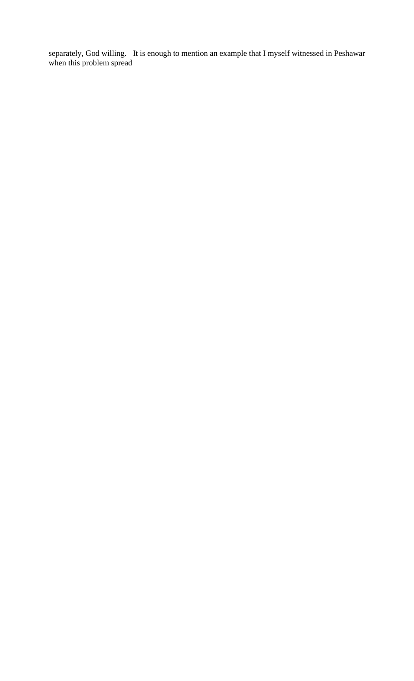separately, God willing. It is enough to mention an example that I myself witnessed in Peshawar when this problem spread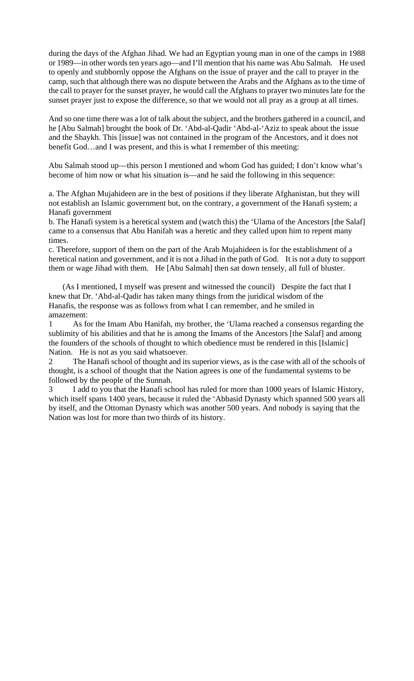during the days of the Afghan Jihad. We had an Egyptian young man in one of the camps in 1988 or 1989—in other words ten years ago—and I'll mention that his name was Abu Salmah. He used to openly and stubbornly oppose the Afghans on the issue of prayer and the call to prayer in the camp, such that although there was no dispute between the Arabs and the Afghans as to the time of the call to prayer for the sunset prayer, he would call the Afghans to prayer two minutes late for the sunset prayer just to expose the difference, so that we would not all pray as a group at all times.

And so one time there was a lot of talk about the subject, and the brothers gathered in a council, and he [Abu Salmah] brought the book of Dr. 'Abd-al-Qadir 'Abd-al-'Aziz to speak about the issue and the Shaykh. This [issue] was not contained in the program of the Ancestors, and it does not benefit God…and I was present, and this is what I remember of this meeting:

Abu Salmah stood up—this person I mentioned and whom God has guided; I don't know what's become of him now or what his situation is—and he said the following in this sequence:

a. The Afghan Mujahideen are in the best of positions if they liberate Afghanistan, but they will not establish an Islamic government but, on the contrary, a government of the Hanafi system; a Hanafi government

b. The Hanafi system is a heretical system and (watch this) the 'Ulama of the Ancestors [the Salaf] came to a consensus that Abu Hanifah was a heretic and they called upon him to repent many times.

c. Therefore, support of them on the part of the Arab Mujahideen is for the establishment of a heretical nation and government, and it is not a Jihad in the path of God. It is not a duty to support them or wage Jihad with them. He [Abu Salmah] then sat down tensely, all full of bluster.

(As I mentioned, I myself was present and witnessed the council) Despite the fact that I knew that Dr. 'Abd-al-Qadir has taken many things from the juridical wisdom of the Hanafis, the response was as follows from what I can remember, and he smiled in amazement:

1 As for the Imam Abu Hanifah, my brother, the 'Ulama reached a consensus regarding the sublimity of his abilities and that he is among the Imams of the Ancestors [the Salaf] and among the founders of the schools of thought to which obedience must be rendered in this [Islamic] Nation. He is not as you said whatsoever.

2 The Hanafi school of thought and its superior views, as is the case with all of the schools of thought, is a school of thought that the Nation agrees is one of the fundamental systems to be followed by the people of the Sunnah.

I add to you that the Hanafi school has ruled for more than 1000 years of Islamic History, which itself spans 1400 years, because it ruled the 'Abbasid Dynasty which spanned 500 years all by itself, and the Ottoman Dynasty which was another 500 years. And nobody is saying that the Nation was lost for more than two thirds of its history.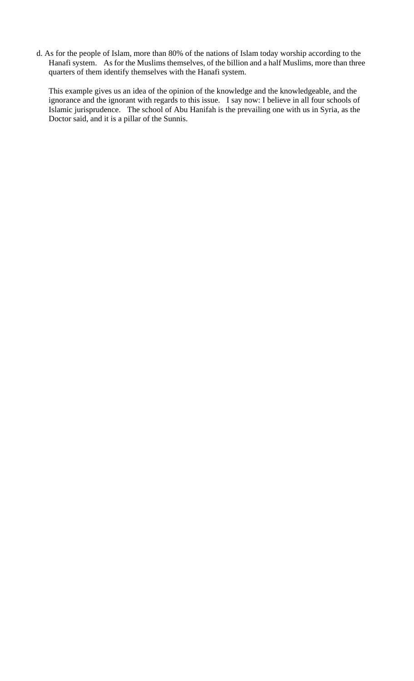d. As for the people of Islam, more than 80% of the nations of Islam today worship according to the Hanafi system. As for the Muslims themselves, of the billion and a half Muslims, more than three quarters of them identify themselves with the Hanafi system.

This example gives us an idea of the opinion of the knowledge and the knowledgeable, and the ignorance and the ignorant with regards to this issue. I say now: I believe in all four schools of Islamic jurisprudence. The school of Abu Hanifah is the prevailing one with us in Syria, as the Doctor said, and it is a pillar of the Sunnis.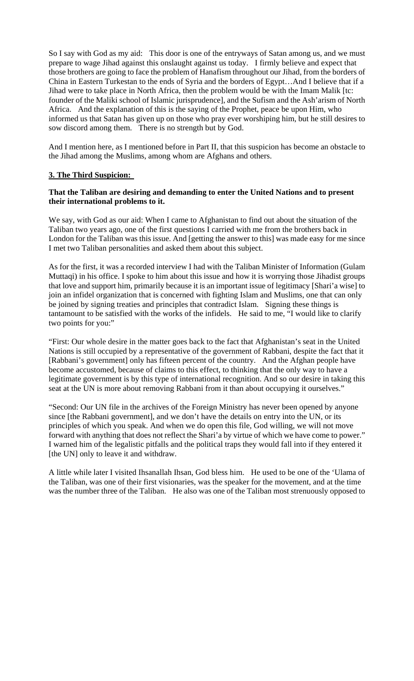So I say with God as my aid: This door is one of the entryways of Satan among us, and we must prepare to wage Jihad against this onslaught against us today. I firmly believe and expect that those brothers are going to face the problem of Hanafism throughout our Jihad, from the borders of China in Eastern Turkestan to the ends of Syria and the borders of Egypt…And I believe that if a Jihad were to take place in North Africa, then the problem would be with the Imam Malik [tc: founder of the Maliki school of Islamic jurisprudence], and the Sufism and the Ash'arism of North Africa. And the explanation of this is the saying of the Prophet, peace be upon Him, who informed us that Satan has given up on those who pray ever worshiping him, but he still desires to sow discord among them. There is no strength but by God.

And I mention here, as I mentioned before in Part II, that this suspicion has become an obstacle to the Jihad among the Muslims, among whom are Afghans and others.

# **3. The Third Suspicion:**

### **That the Taliban are desiring and demanding to enter the United Nations and to present their international problems to it.**

We say, with God as our aid: When I came to Afghanistan to find out about the situation of the Taliban two years ago, one of the first questions I carried with me from the brothers back in London for the Taliban was this issue. And [getting the answer to this] was made easy for me since I met two Taliban personalities and asked them about this subject.

As for the first, it was a recorded interview I had with the Taliban Minister of Information (Gulam Muttaqi) in his office. I spoke to him about this issue and how it is worrying those Jihadist groups that love and support him, primarily because it is an important issue of legitimacy [Shari'a wise] to join an infidel organization that is concerned with fighting Islam and Muslims, one that can only be joined by signing treaties and principles that contradict Islam. Signing these things is tantamount to be satisfied with the works of the infidels. He said to me, "I would like to clarify two points for you:"

"First: Our whole desire in the matter goes back to the fact that Afghanistan's seat in the United Nations is still occupied by a representative of the government of Rabbani, despite the fact that it [Rabbani's government] only has fifteen percent of the country. And the Afghan people have become accustomed, because of claims to this effect, to thinking that the only way to have a legitimate government is by this type of international recognition. And so our desire in taking this seat at the UN is more about removing Rabbani from it than about occupying it ourselves."

"Second: Our UN file in the archives of the Foreign Ministry has never been opened by anyone since [the Rabbani government], and we don't have the details on entry into the UN, or its principles of which you speak. And when we do open this file, God willing, we will not move forward with anything that does not reflect the Shari'a by virtue of which we have come to power." I warned him of the legalistic pitfalls and the political traps they would fall into if they entered it [the UN] only to leave it and withdraw.

A little while later I visited Ihsanallah Ihsan, God bless him. He used to be one of the 'Ulama of the Taliban, was one of their first visionaries, was the speaker for the movement, and at the time was the number three of the Taliban. He also was one of the Taliban most strenuously opposed to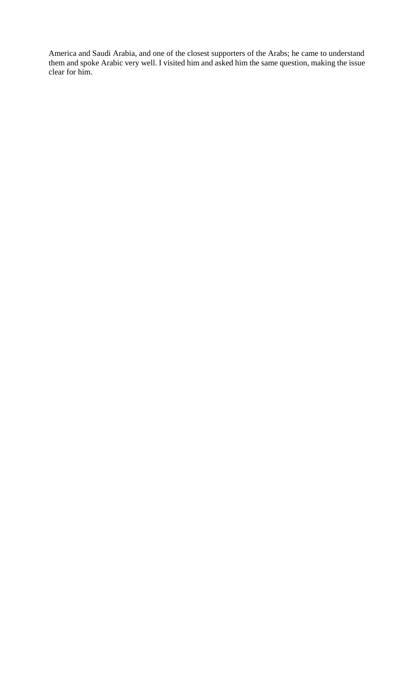America and Saudi Arabia, and one of the closest supporters of the Arabs; he came to understand them and spoke Arabic very well. I visited him and asked him the same question, making the issue clear for him.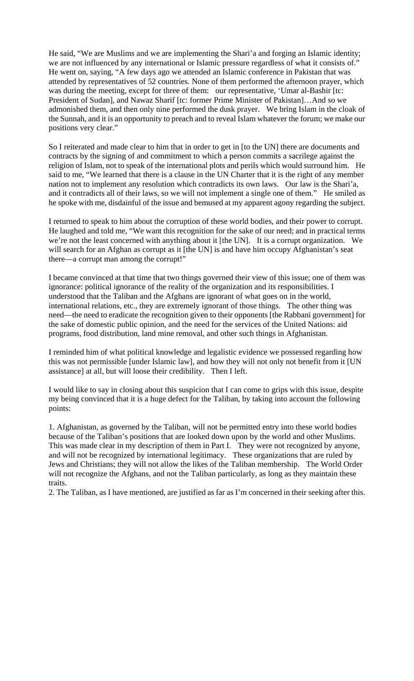He said, "We are Muslims and we are implementing the Shari'a and forging an Islamic identity; we are not influenced by any international or Islamic pressure regardless of what it consists of." He went on, saying, "A few days ago we attended an Islamic conference in Pakistan that was attended by representatives of 52 countries. None of them performed the afternoon prayer, which was during the meeting, except for three of them: our representative, 'Umar al-Bashir [tc: President of Sudan], and Nawaz Sharif [tc: former Prime Minister of Pakistan]...And so we admonished them, and then only nine performed the dusk prayer. We bring Islam in the cloak of the Sunnah, and it is an opportunity to preach and to reveal Islam whatever the forum; we make our positions very clear."

So I reiterated and made clear to him that in order to get in [to the UN] there are documents and contracts by the signing of and commitment to which a person commits a sacrilege against the religion of Islam, not to speak of the international plots and perils which would surround him. He said to me, "We learned that there is a clause in the UN Charter that it is the right of any member nation not to implement any resolution which contradicts its own laws. Our law is the Shari'a, and it contradicts all of their laws, so we will not implement a single one of them." He smiled as he spoke with me, disdainful of the issue and bemused at my apparent agony regarding the subject.

I returned to speak to him about the corruption of these world bodies, and their power to corrupt. He laughed and told me, "We want this recognition for the sake of our need; and in practical terms we're not the least concerned with anything about it [the UN]. It is a corrupt organization. We will search for an Afghan as corrupt as it [the UN] is and have him occupy Afghanistan's seat there—a corrupt man among the corrupt!"

I became convinced at that time that two things governed their view of this issue; one of them was ignorance: political ignorance of the reality of the organization and its responsibilities. I understood that the Taliban and the Afghans are ignorant of what goes on in the world, international relations, etc., they are extremely ignorant of those things. The other thing was need—the need to eradicate the recognition given to their opponents [the Rabbani government] for the sake of domestic public opinion, and the need for the services of the United Nations: aid programs, food distribution, land mine removal, and other such things in Afghanistan.

I reminded him of what political knowledge and legalistic evidence we possessed regarding how this was not permissible [under Islamic law], and how they will not only not benefit from it [UN assistance] at all, but will loose their credibility. Then I left.

I would like to say in closing about this suspicion that I can come to grips with this issue, despite my being convinced that it is a huge defect for the Taliban, by taking into account the following points:

1. Afghanistan, as governed by the Taliban, will not be permitted entry into these world bodies because of the Taliban's positions that are looked down upon by the world and other Muslims. This was made clear in my description of them in Part I. They were not recognized by anyone, and will not be recognized by international legitimacy. These organizations that are ruled by Jews and Christians; they will not allow the likes of the Taliban membership. The World Order will not recognize the Afghans, and not the Taliban particularly, as long as they maintain these traits.

2. The Taliban, as I have mentioned, are justified as far as I'm concerned in their seeking after this.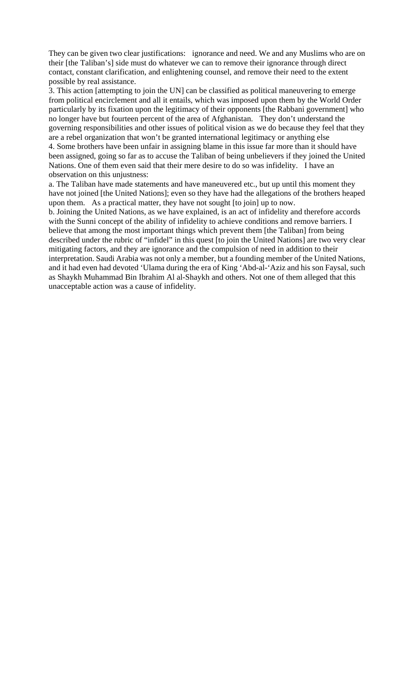They can be given two clear justifications: ignorance and need. We and any Muslims who are on their [the Taliban's] side must do whatever we can to remove their ignorance through direct contact, constant clarification, and enlightening counsel, and remove their need to the extent possible by real assistance.

3. This action [attempting to join the UN] can be classified as political maneuvering to emerge from political encirclement and all it entails, which was imposed upon them by the World Order particularly by its fixation upon the legitimacy of their opponents [the Rabbani government] who no longer have but fourteen percent of the area of Afghanistan. They don't understand the governing responsibilities and other issues of political vision as we do because they feel that they are a rebel organization that won't be granted international legitimacy or anything else

4. Some brothers have been unfair in assigning blame in this issue far more than it should have been assigned, going so far as to accuse the Taliban of being unbelievers if they joined the United Nations. One of them even said that their mere desire to do so was infidelity. I have an observation on this unjustness:

a. The Taliban have made statements and have maneuvered etc., but up until this moment they have not joined [the United Nations]; even so they have had the allegations of the brothers heaped upon them. As a practical matter, they have not sought [to join] up to now.

b. Joining the United Nations, as we have explained, is an act of infidelity and therefore accords with the Sunni concept of the ability of infidelity to achieve conditions and remove barriers. I believe that among the most important things which prevent them [the Taliban] from being described under the rubric of "infidel" in this quest [to join the United Nations] are two very clear mitigating factors, and they are ignorance and the compulsion of need in addition to their interpretation. Saudi Arabia was not only a member, but a founding member of the United Nations, and it had even had devoted 'Ulama during the era of King 'Abd-al-'Aziz and his son Faysal, such as Shaykh Muhammad Bin Ibrahim Al al-Shaykh and others. Not one of them alleged that this unacceptable action was a cause of infidelity.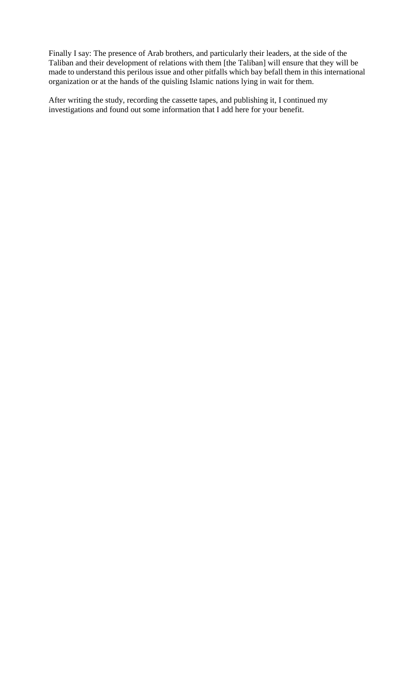Finally I say: The presence of Arab brothers, and particularly their leaders, at the side of the Taliban and their development of relations with them [the Taliban] will ensure that they will be made to understand this perilous issue and other pitfalls which bay befall them in this international organization or at the hands of the quisling Islamic nations lying in wait for them.

After writing the study, recording the cassette tapes, and publishing it, I continued my investigations and found out some information that I add here for your benefit.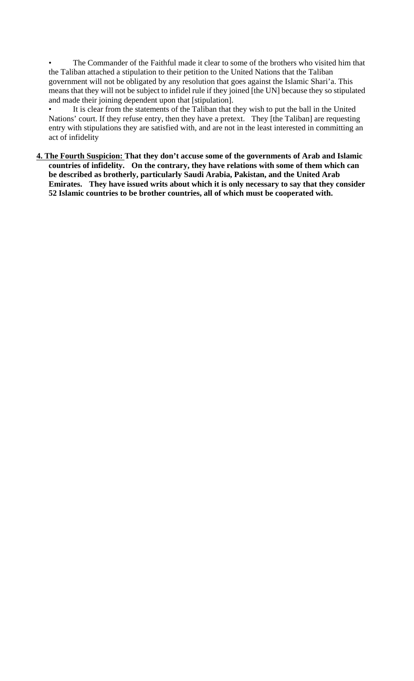• The Commander of the Faithful made it clear to some of the brothers who visited him that the Taliban attached a stipulation to their petition to the United Nations that the Taliban government will not be obligated by any resolution that goes against the Islamic Shari'a. This means that they will not be subject to infidel rule if they joined [the UN] because they so stipulated and made their joining dependent upon that [stipulation].

• It is clear from the statements of the Taliban that they wish to put the ball in the United Nations' court. If they refuse entry, then they have a pretext. They [the Taliban] are requesting entry with stipulations they are satisfied with, and are not in the least interested in committing an act of infidelity

**4. The Fourth Suspicion: That they don't accuse some of the governments of Arab and Islamic countries of infidelity. On the contrary, they have relations with some of them which can be described as brotherly, particularly Saudi Arabia, Pakistan, and the United Arab Emirates. They have issued writs about which it is only necessary to say that they consider 52 Islamic countries to be brother countries, all of which must be cooperated with.**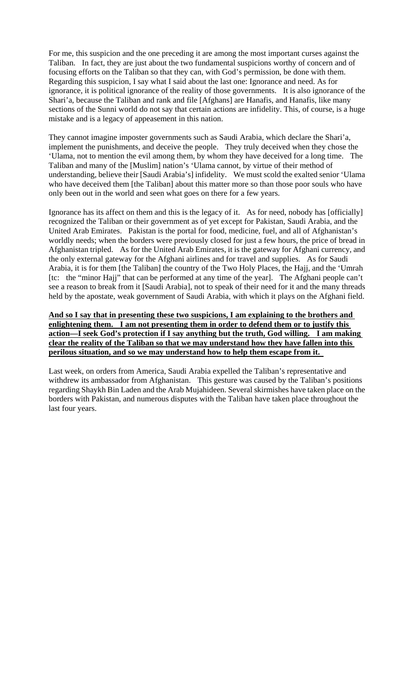For me, this suspicion and the one preceding it are among the most important curses against the Taliban. In fact, they are just about the two fundamental suspicions worthy of concern and of focusing efforts on the Taliban so that they can, with God's permission, be done with them. Regarding this suspicion, I say what I said about the last one: Ignorance and need. As for ignorance, it is political ignorance of the reality of those governments. It is also ignorance of the Shari'a, because the Taliban and rank and file [Afghans] are Hanafis, and Hanafis, like many sections of the Sunni world do not say that certain actions are infidelity. This, of course, is a huge mistake and is a legacy of appeasement in this nation.

They cannot imagine imposter governments such as Saudi Arabia, which declare the Shari'a, implement the punishments, and deceive the people. They truly deceived when they chose the 'Ulama, not to mention the evil among them, by whom they have deceived for a long time. The Taliban and many of the [Muslim] nation's 'Ulama cannot, by virtue of their method of understanding, believe their [Saudi Arabia's] infidelity. We must scold the exalted senior 'Ulama who have deceived them [the Taliban] about this matter more so than those poor souls who have only been out in the world and seen what goes on there for a few years.

Ignorance has its affect on them and this is the legacy of it. As for need, nobody has [officially] recognized the Taliban or their government as of yet except for Pakistan, Saudi Arabia, and the United Arab Emirates. Pakistan is the portal for food, medicine, fuel, and all of Afghanistan's worldly needs; when the borders were previously closed for just a few hours, the price of bread in Afghanistan tripled. As for the United Arab Emirates, it is the gateway for Afghani currency, and the only external gateway for the Afghani airlines and for travel and supplies. As for Saudi Arabia, it is for them [the Taliban] the country of the Two Holy Places, the Hajj, and the 'Umrah [tc: the "minor Hajj" that can be performed at any time of the year]. The Afghani people can't see a reason to break from it [Saudi Arabia], not to speak of their need for it and the many threads held by the apostate, weak government of Saudi Arabia, with which it plays on the Afghani field.

**And so I say that in presenting these two suspicions, I am explaining to the brothers and enlightening them. I am not presenting them in order to defend them or to justify this action—I seek God's protection if I say anything but the truth, God willing. I am making clear the reality of the Taliban so that we may understand how they have fallen into this perilous situation, and so we may understand how to help them escape from it.** 

Last week, on orders from America, Saudi Arabia expelled the Taliban's representative and withdrew its ambassador from Afghanistan. This gesture was caused by the Taliban's positions regarding Shaykh Bin Laden and the Arab Mujahideen. Several skirmishes have taken place on the borders with Pakistan, and numerous disputes with the Taliban have taken place throughout the last four years.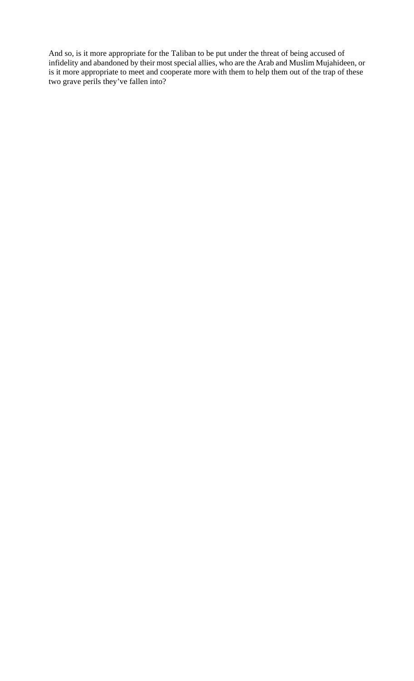And so, is it more appropriate for the Taliban to be put under the threat of being accused of infidelity and abandoned by their most special allies, who are the Arab and Muslim Mujahideen, or is it more appropriate to meet and cooperate more with them to help them out of the trap of these two grave perils they've fallen into?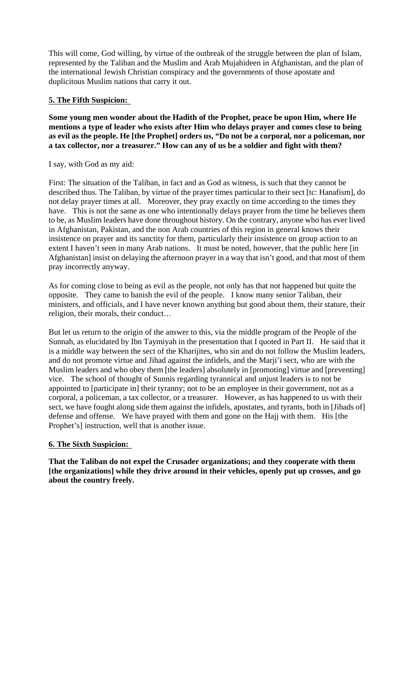This will come, God willing, by virtue of the outbreak of the struggle between the plan of Islam, represented by the Taliban and the Muslim and Arab Mujahideen in Afghanistan, and the plan of the international Jewish Christian conspiracy and the governments of those apostate and duplicitous Muslim nations that carry it out.

# **5. The Fifth Suspicion:**

**Some young men wonder about the Hadith of the Prophet, peace be upon Him, where He mentions a type of leader who exists after Him who delays prayer and comes close to being as evil as the people. He [the Prophet] orders us, "Do not be a corporal, nor a policeman, nor a tax collector, nor a treasurer." How can any of us be a soldier and fight with them?** 

# I say, with God as my aid:

First: The situation of the Taliban, in fact and as God as witness, is such that they cannot be described thus. The Taliban, by virtue of the prayer times particular to their sect [tc: Hanafism], do not delay prayer times at all. Moreover, they pray exactly on time according to the times they have. This is not the same as one who intentionally delays prayer from the time he believes them to be, as Muslim leaders have done throughout history. On the contrary, anyone who has ever lived in Afghanistan, Pakistan, and the non Arab countries of this region in general knows their insistence on prayer and its sanctity for them, particularly their insistence on group action to an extent I haven't seen in many Arab nations. It must be noted, however, that the public here [in Afghanistan] insist on delaying the afternoon prayer in a way that isn't good, and that most of them pray incorrectly anyway.

As for coming close to being as evil as the people, not only has that not happened but quite the opposite. They came to banish the evil of the people. I know many senior Taliban, their ministers, and officials, and I have never known anything but good about them, their stature, their religion, their morals, their conduct…

But let us return to the origin of the answer to this, via the middle program of the People of the Sunnah, as elucidated by Ibn Taymiyah in the presentation that I quoted in Part II. He said that it is a middle way between the sect of the Kharijites, who sin and do not follow the Muslim leaders, and do not promote virtue and Jihad against the infidels, and the Marji'i sect, who are with the Muslim leaders and who obey them [the leaders] absolutely in [promoting] virtue and [preventing] vice. The school of thought of Sunnis regarding tyrannical and unjust leaders is to not be appointed to [participate in] their tyranny; not to be an employee in their government, not as a corporal, a policeman, a tax collector, or a treasurer. However, as has happened to us with their sect, we have fought along side them against the infidels, apostates, and tyrants, both in [Jihads of] defense and offense. We have prayed with them and gone on the Hajj with them. His [the Prophet's] instruction, well that is another issue.

# **6. The Sixth Suspicion:**

**That the Taliban do not expel the Crusader organizations; and they cooperate with them [the organizations] while they drive around in their vehicles, openly put up crosses, and go about the country freely.**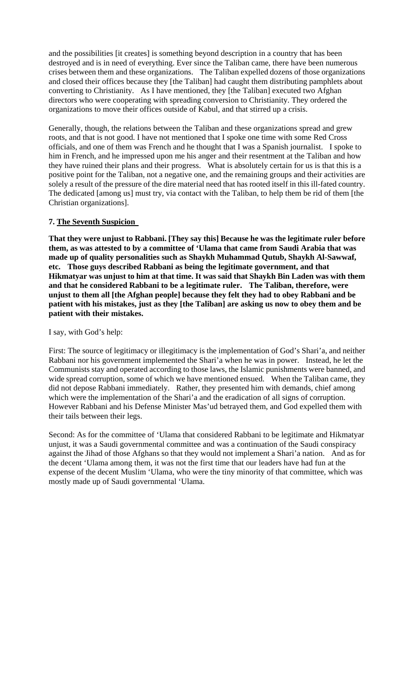and the possibilities [it creates] is something beyond description in a country that has been destroyed and is in need of everything. Ever since the Taliban came, there have been numerous crises between them and these organizations. The Taliban expelled dozens of those organizations and closed their offices because they [the Taliban] had caught them distributing pamphlets about converting to Christianity. As I have mentioned, they [the Taliban] executed two Afghan directors who were cooperating with spreading conversion to Christianity. They ordered the organizations to move their offices outside of Kabul, and that stirred up a crisis.

Generally, though, the relations between the Taliban and these organizations spread and grew roots, and that is not good. I have not mentioned that I spoke one time with some Red Cross officials, and one of them was French and he thought that I was a Spanish journalist. I spoke to him in French, and he impressed upon me his anger and their resentment at the Taliban and how they have ruined their plans and their progress. What is absolutely certain for us is that this is a positive point for the Taliban, not a negative one, and the remaining groups and their activities are solely a result of the pressure of the dire material need that has rooted itself in this ill-fated country. The dedicated [among us] must try, via contact with the Taliban, to help them be rid of them [the Christian organizations].

# **7. The Seventh Suspicion**

**That they were unjust to Rabbani. [They say this] Because he was the legitimate ruler before them, as was attested to by a committee of 'Ulama that came from Saudi Arabia that was made up of quality personalities such as Shaykh Muhammad Qutub, Shaykh Al-Sawwaf, etc. Those guys described Rabbani as being the legitimate government, and that Hikmatyar was unjust to him at that time. It was said that Shaykh Bin Laden was with them and that he considered Rabbani to be a legitimate ruler. The Taliban, therefore, were unjust to them all [the Afghan people] because they felt they had to obey Rabbani and be patient with his mistakes, just as they [the Taliban] are asking us now to obey them and be patient with their mistakes.** 

# I say, with God's help:

First: The source of legitimacy or illegitimacy is the implementation of God's Shari'a, and neither Rabbani nor his government implemented the Shari'a when he was in power. Instead, he let the Communists stay and operated according to those laws, the Islamic punishments were banned, and wide spread corruption, some of which we have mentioned ensued. When the Taliban came, they did not depose Rabbani immediately. Rather, they presented him with demands, chief among which were the implementation of the Shari'a and the eradication of all signs of corruption. However Rabbani and his Defense Minister Mas'ud betrayed them, and God expelled them with their tails between their legs.

Second: As for the committee of 'Ulama that considered Rabbani to be legitimate and Hikmatyar unjust, it was a Saudi governmental committee and was a continuation of the Saudi conspiracy against the Jihad of those Afghans so that they would not implement a Shari'a nation. And as for the decent 'Ulama among them, it was not the first time that our leaders have had fun at the expense of the decent Muslim 'Ulama, who were the tiny minority of that committee, which was mostly made up of Saudi governmental 'Ulama.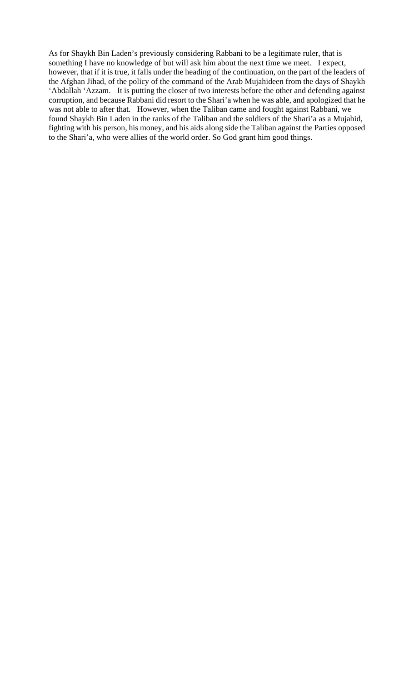As for Shaykh Bin Laden's previously considering Rabbani to be a legitimate ruler, that is something I have no knowledge of but will ask him about the next time we meet. I expect, however, that if it is true, it falls under the heading of the continuation, on the part of the leaders of the Afghan Jihad, of the policy of the command of the Arab Mujahideen from the days of Shaykh 'Abdallah 'Azzam. It is putting the closer of two interests before the other and defending against corruption, and because Rabbani did resort to the Shari'a when he was able, and apologized that he was not able to after that. However, when the Taliban came and fought against Rabbani, we found Shaykh Bin Laden in the ranks of the Taliban and the soldiers of the Shari'a as a Mujahid, fighting with his person, his money, and his aids along side the Taliban against the Parties opposed to the Shari'a, who were allies of the world order. So God grant him good things.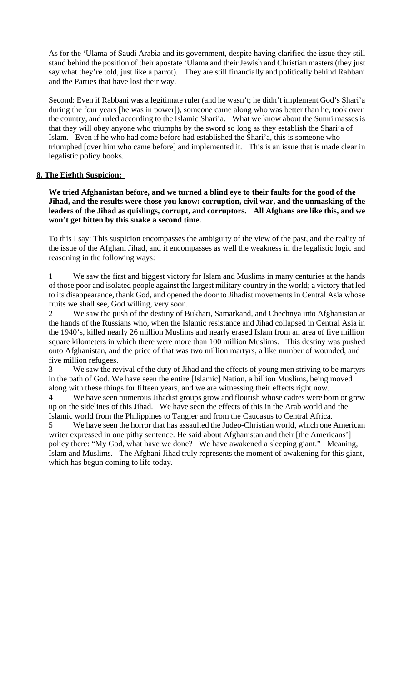As for the 'Ulama of Saudi Arabia and its government, despite having clarified the issue they still stand behind the position of their apostate 'Ulama and their Jewish and Christian masters (they just say what they're told, just like a parrot). They are still financially and politically behind Rabbani and the Parties that have lost their way.

Second: Even if Rabbani was a legitimate ruler (and he wasn't; he didn't implement God's Shari'a during the four years [he was in power]), someone came along who was better than he, took over the country, and ruled according to the Islamic Shari'a. What we know about the Sunni masses is that they will obey anyone who triumphs by the sword so long as they establish the Shari'a of Islam. Even if he who had come before had established the Shari'a, this is someone who triumphed [over him who came before] and implemented it. This is an issue that is made clear in legalistic policy books.

# **8. The Eighth Suspicion:**

**We tried Afghanistan before, and we turned a blind eye to their faults for the good of the Jihad, and the results were those you know: corruption, civil war, and the unmasking of the leaders of the Jihad as quislings, corrupt, and corruptors. All Afghans are like this, and we won't get bitten by this snake a second time.** 

To this I say: This suspicion encompasses the ambiguity of the view of the past, and the reality of the issue of the Afghani Jihad, and it encompasses as well the weakness in the legalistic logic and reasoning in the following ways:

1 We saw the first and biggest victory for Islam and Muslims in many centuries at the hands of those poor and isolated people against the largest military country in the world; a victory that led to its disappearance, thank God, and opened the door to Jihadist movements in Central Asia whose fruits we shall see, God willing, very soon.

2 We saw the push of the destiny of Bukhari, Samarkand, and Chechnya into Afghanistan at the hands of the Russians who, when the Islamic resistance and Jihad collapsed in Central Asia in the 1940's, killed nearly 26 million Muslims and nearly erased Islam from an area of five million square kilometers in which there were more than 100 million Muslims. This destiny was pushed onto Afghanistan, and the price of that was two million martyrs, a like number of wounded, and five million refugees.

3 We saw the revival of the duty of Jihad and the effects of young men striving to be martyrs in the path of God. We have seen the entire [Islamic] Nation, a billion Muslims, being moved along with these things for fifteen years, and we are witnessing their effects right now.

We have seen numerous Jihadist groups grow and flourish whose cadres were born or grew up on the sidelines of this Jihad. We have seen the effects of this in the Arab world and the Islamic world from the Philippines to Tangier and from the Caucasus to Central Africa.

5 We have seen the horror that has assaulted the Judeo-Christian world, which one American writer expressed in one pithy sentence. He said about Afghanistan and their [the Americans'] policy there: "My God, what have we done? We have awakened a sleeping giant." Meaning, Islam and Muslims. The Afghani Jihad truly represents the moment of awakening for this giant, which has begun coming to life today.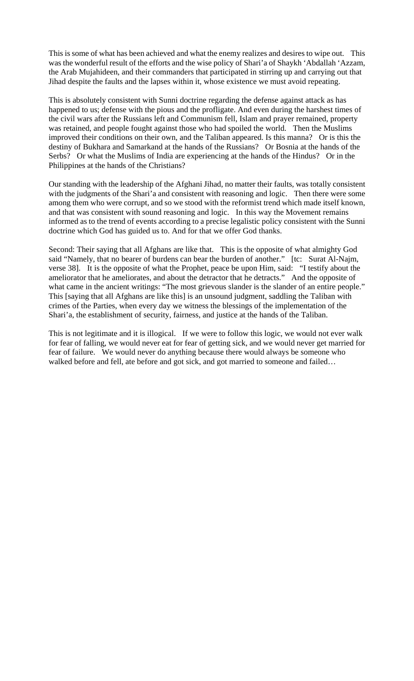This is some of what has been achieved and what the enemy realizes and desires to wipe out. This was the wonderful result of the efforts and the wise policy of Shari'a of Shaykh 'Abdallah 'Azzam, the Arab Mujahideen, and their commanders that participated in stirring up and carrying out that Jihad despite the faults and the lapses within it, whose existence we must avoid repeating.

This is absolutely consistent with Sunni doctrine regarding the defense against attack as has happened to us; defense with the pious and the profligate. And even during the harshest times of the civil wars after the Russians left and Communism fell, Islam and prayer remained, property was retained, and people fought against those who had spoiled the world. Then the Muslims improved their conditions on their own, and the Taliban appeared. Is this manna? Or is this the destiny of Bukhara and Samarkand at the hands of the Russians? Or Bosnia at the hands of the Serbs? Or what the Muslims of India are experiencing at the hands of the Hindus? Or in the Philippines at the hands of the Christians?

Our standing with the leadership of the Afghani Jihad, no matter their faults, was totally consistent with the judgments of the Shari'a and consistent with reasoning and logic. Then there were some among them who were corrupt, and so we stood with the reformist trend which made itself known, and that was consistent with sound reasoning and logic. In this way the Movement remains informed as to the trend of events according to a precise legalistic policy consistent with the Sunni doctrine which God has guided us to. And for that we offer God thanks.

Second: Their saying that all Afghans are like that. This is the opposite of what almighty God said "Namely, that no bearer of burdens can bear the burden of another." [tc: Surat Al-Najm, verse 38]. It is the opposite of what the Prophet, peace be upon Him, said: "I testify about the ameliorator that he ameliorates, and about the detractor that he detracts." And the opposite of what came in the ancient writings: "The most grievous slander is the slander of an entire people." This [saying that all Afghans are like this] is an unsound judgment, saddling the Taliban with crimes of the Parties, when every day we witness the blessings of the implementation of the Shari'a, the establishment of security, fairness, and justice at the hands of the Taliban.

This is not legitimate and it is illogical. If we were to follow this logic, we would not ever walk for fear of falling, we would never eat for fear of getting sick, and we would never get married for fear of failure. We would never do anything because there would always be someone who walked before and fell, ate before and got sick, and got married to someone and failed…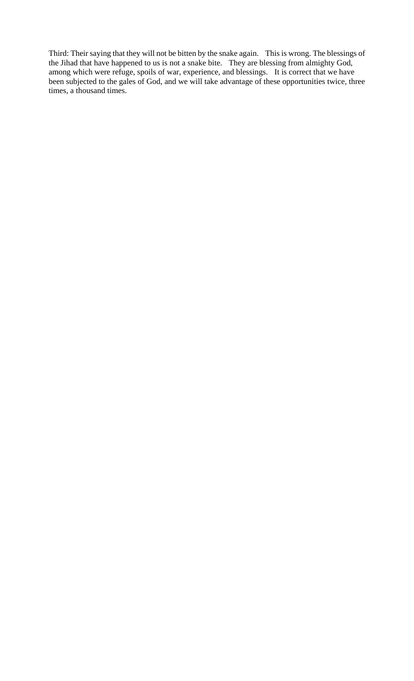Third: Their saying that they will not be bitten by the snake again. This is wrong. The blessings of the Jihad that have happened to us is not a snake bite. They are blessing from almighty God, among which were refuge, spoils of war, experience, and blessings. It is correct that we have been subjected to the gales of God, and we will take advantage of these opportunities twice, three times, a thousand times.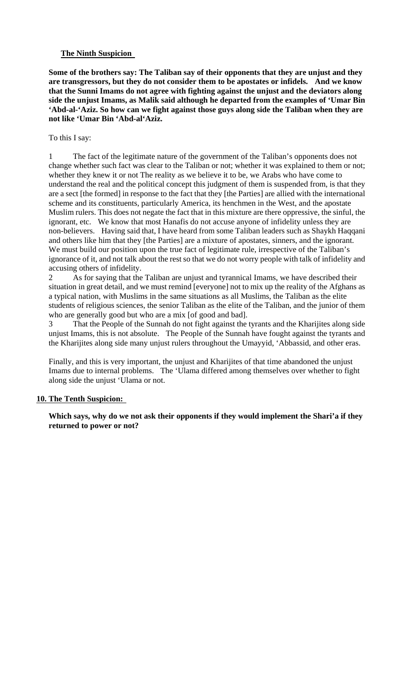# **The Ninth Suspicion**

**Some of the brothers say: The Taliban say of their opponents that they are unjust and they are transgressors, but they do not consider them to be apostates or infidels. And we know that the Sunni Imams do not agree with fighting against the unjust and the deviators along side the unjust Imams, as Malik said although he departed from the examples of 'Umar Bin 'Abd-al-'Aziz. So how can we fight against those guys along side the Taliban when they are not like 'Umar Bin 'Abd-al'Aziz.** 

#### To this I say:

1 The fact of the legitimate nature of the government of the Taliban's opponents does not change whether such fact was clear to the Taliban or not; whether it was explained to them or not; whether they knew it or not The reality as we believe it to be, we Arabs who have come to understand the real and the political concept this judgment of them is suspended from, is that they are a sect [the formed] in response to the fact that they [the Parties] are allied with the international scheme and its constituents, particularly America, its henchmen in the West, and the apostate Muslim rulers. This does not negate the fact that in this mixture are there oppressive, the sinful, the ignorant, etc. We know that most Hanafis do not accuse anyone of infidelity unless they are non-believers. Having said that, I have heard from some Taliban leaders such as Shaykh Haqqani and others like him that they [the Parties] are a mixture of apostates, sinners, and the ignorant. We must build our position upon the true fact of legitimate rule, irrespective of the Taliban's ignorance of it, and not talk about the rest so that we do not worry people with talk of infidelity and accusing others of infidelity.

2 As for saying that the Taliban are unjust and tyrannical Imams, we have described their situation in great detail, and we must remind [everyone] not to mix up the reality of the Afghans as a typical nation, with Muslims in the same situations as all Muslims, the Taliban as the elite students of religious sciences, the senior Taliban as the elite of the Taliban, and the junior of them who are generally good but who are a mix [of good and bad].

3 That the People of the Sunnah do not fight against the tyrants and the Kharijites along side unjust Imams, this is not absolute. The People of the Sunnah have fought against the tyrants and the Kharijites along side many unjust rulers throughout the Umayyid, 'Abbassid, and other eras.

Finally, and this is very important, the unjust and Kharijites of that time abandoned the unjust Imams due to internal problems. The 'Ulama differed among themselves over whether to fight along side the unjust 'Ulama or not.

#### **10. The Tenth Suspicion:**

**Which says, why do we not ask their opponents if they would implement the Shari'a if they returned to power or not?**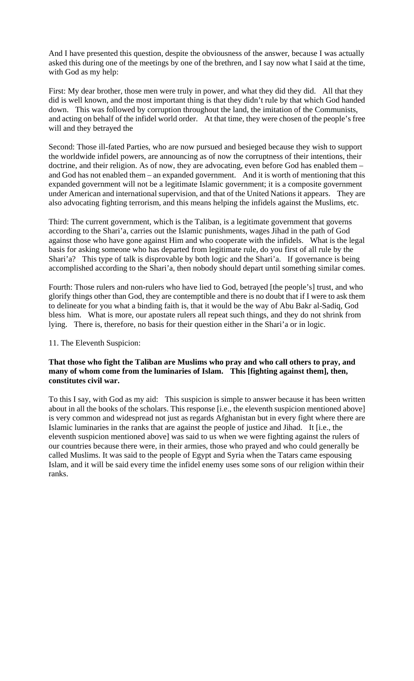And I have presented this question, despite the obviousness of the answer, because I was actually asked this during one of the meetings by one of the brethren, and I say now what I said at the time, with God as my help:

First: My dear brother, those men were truly in power, and what they did they did. All that they did is well known, and the most important thing is that they didn't rule by that which God handed down. This was followed by corruption throughout the land, the imitation of the Communists, and acting on behalf of the infidel world order. At that time, they were chosen of the people's free will and they betrayed the

Second: Those ill-fated Parties, who are now pursued and besieged because they wish to support the worldwide infidel powers, are announcing as of now the corruptness of their intentions, their doctrine, and their religion. As of now, they are advocating, even before God has enabled them – and God has not enabled them – an expanded government. And it is worth of mentioning that this expanded government will not be a legitimate Islamic government; it is a composite government under American and international supervision, and that of the United Nations it appears. They are also advocating fighting terrorism, and this means helping the infidels against the Muslims, etc.

Third: The current government, which is the Taliban, is a legitimate government that governs according to the Shari'a, carries out the Islamic punishments, wages Jihad in the path of God against those who have gone against Him and who cooperate with the infidels. What is the legal basis for asking someone who has departed from legitimate rule, do you first of all rule by the Shari'a? This type of talk is disprovable by both logic and the Shari'a. If governance is being accomplished according to the Shari'a, then nobody should depart until something similar comes.

Fourth: Those rulers and non-rulers who have lied to God, betrayed [the people's] trust, and who glorify things other than God, they are contemptible and there is no doubt that if I were to ask them to delineate for you what a binding faith is, that it would be the way of Abu Bakr al-Sadiq, God bless him. What is more, our apostate rulers all repeat such things, and they do not shrink from lying. There is, therefore, no basis for their question either in the Shari'a or in logic.

# 11. The Eleventh Suspicion:

# **That those who fight the Taliban are Muslims who pray and who call others to pray, and many of whom come from the luminaries of Islam. This [fighting against them], then, constitutes civil war.**

To this I say, with God as my aid: This suspicion is simple to answer because it has been written about in all the books of the scholars. This response [i.e., the eleventh suspicion mentioned above] is very common and widespread not just as regards Afghanistan but in every fight where there are Islamic luminaries in the ranks that are against the people of justice and Jihad. It [i.e., the eleventh suspicion mentioned above] was said to us when we were fighting against the rulers of our countries because there were, in their armies, those who prayed and who could generally be called Muslims. It was said to the people of Egypt and Syria when the Tatars came espousing Islam, and it will be said every time the infidel enemy uses some sons of our religion within their ranks.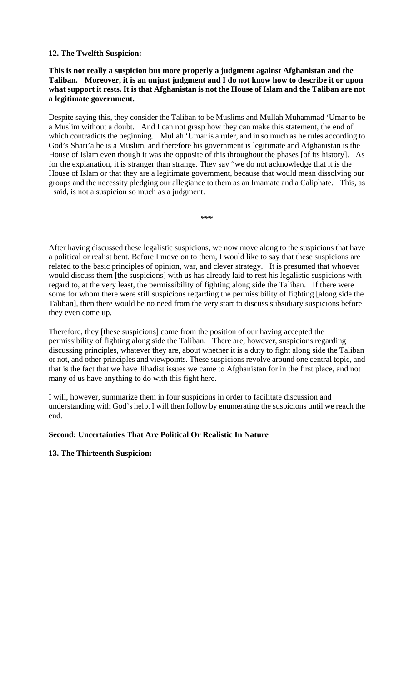# **12. The Twelfth Suspicion:**

# **This is not really a suspicion but more properly a judgment against Afghanistan and the Taliban. Moreover, it is an unjust judgment and I do not know how to describe it or upon what support it rests. It is that Afghanistan is not the House of Islam and the Taliban are not a legitimate government.**

Despite saying this, they consider the Taliban to be Muslims and Mullah Muhammad 'Umar to be a Muslim without a doubt. And I can not grasp how they can make this statement, the end of which contradicts the beginning. Mullah 'Umar is a ruler, and in so much as he rules according to God's Shari'a he is a Muslim, and therefore his government is legitimate and Afghanistan is the House of Islam even though it was the opposite of this throughout the phases [of its history]. As for the explanation, it is stranger than strange. They say "we do not acknowledge that it is the House of Islam or that they are a legitimate government, because that would mean dissolving our groups and the necessity pledging our allegiance to them as an Imamate and a Caliphate. This, as I said, is not a suspicion so much as a judgment.

**\*\*\*** 

After having discussed these legalistic suspicions, we now move along to the suspicions that have a political or realist bent. Before I move on to them, I would like to say that these suspicions are related to the basic principles of opinion, war, and clever strategy. It is presumed that whoever would discuss them [the suspicions] with us has already laid to rest his legalistic suspicions with regard to, at the very least, the permissibility of fighting along side the Taliban. If there were some for whom there were still suspicions regarding the permissibility of fighting [along side the Taliban], then there would be no need from the very start to discuss subsidiary suspicions before they even come up.

Therefore, they [these suspicions] come from the position of our having accepted the permissibility of fighting along side the Taliban. There are, however, suspicions regarding discussing principles, whatever they are, about whether it is a duty to fight along side the Taliban or not, and other principles and viewpoints. These suspicions revolve around one central topic, and that is the fact that we have Jihadist issues we came to Afghanistan for in the first place, and not many of us have anything to do with this fight here.

I will, however, summarize them in four suspicions in order to facilitate discussion and understanding with God's help. I will then follow by enumerating the suspicions until we reach the end.

# **Second: Uncertainties That Are Political Or Realistic In Nature**

# **13. The Thirteenth Suspicion:**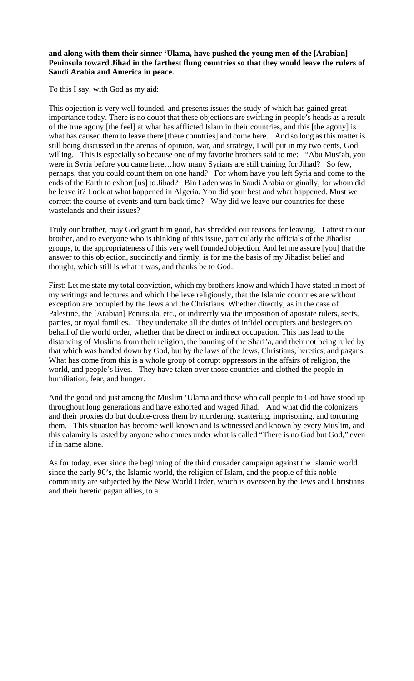# **and along with them their sinner 'Ulama, have pushed the young men of the [Arabian] Peninsula toward Jihad in the farthest flung countries so that they would leave the rulers of Saudi Arabia and America in peace.**

To this I say, with God as my aid:

This objection is very well founded, and presents issues the study of which has gained great importance today. There is no doubt that these objections are swirling in people's heads as a result of the true agony [the feel] at what has afflicted Islam in their countries, and this [the agony] is what has caused them to leave there [there countries] and come here. And so long as this matter is still being discussed in the arenas of opinion, war, and strategy, I will put in my two cents, God willing. This is especially so because one of my favorite brothers said to me: "Abu Mus'ab, you were in Syria before you came here…how many Syrians are still training for Jihad? So few, perhaps, that you could count them on one hand? For whom have you left Syria and come to the ends of the Earth to exhort [us] to Jihad? Bin Laden was in Saudi Arabia originally; for whom did he leave it? Look at what happened in Algeria. You did your best and what happened. Must we correct the course of events and turn back time? Why did we leave our countries for these wastelands and their issues?

Truly our brother, may God grant him good, has shredded our reasons for leaving. I attest to our brother, and to everyone who is thinking of this issue, particularly the officials of the Jihadist groups, to the appropriateness of this very well founded objection. And let me assure [you] that the answer to this objection, succinctly and firmly, is for me the basis of my Jihadist belief and thought, which still is what it was, and thanks be to God.

First: Let me state my total conviction, which my brothers know and which I have stated in most of my writings and lectures and which I believe religiously, that the Islamic countries are without exception are occupied by the Jews and the Christians. Whether directly, as in the case of Palestine, the [Arabian] Peninsula, etc., or indirectly via the imposition of apostate rulers, sects, parties, or royal families. They undertake all the duties of infidel occupiers and besiegers on behalf of the world order, whether that be direct or indirect occupation. This has lead to the distancing of Muslims from their religion, the banning of the Shari'a, and their not being ruled by that which was handed down by God, but by the laws of the Jews, Christians, heretics, and pagans. What has come from this is a whole group of corrupt oppressors in the affairs of religion, the world, and people's lives. They have taken over those countries and clothed the people in humiliation, fear, and hunger.

And the good and just among the Muslim 'Ulama and those who call people to God have stood up throughout long generations and have exhorted and waged Jihad. And what did the colonizers and their proxies do but double-cross them by murdering, scattering, imprisoning, and torturing them. This situation has become well known and is witnessed and known by every Muslim, and this calamity is tasted by anyone who comes under what is called "There is no God but God," even if in name alone.

As for today, ever since the beginning of the third crusader campaign against the Islamic world since the early 90's, the Islamic world, the religion of Islam, and the people of this noble community are subjected by the New World Order, which is overseen by the Jews and Christians and their heretic pagan allies, to a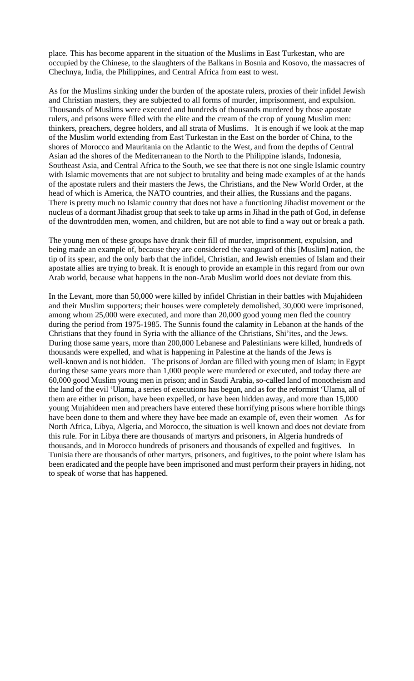place. This has become apparent in the situation of the Muslims in East Turkestan, who are occupied by the Chinese, to the slaughters of the Balkans in Bosnia and Kosovo, the massacres of Chechnya, India, the Philippines, and Central Africa from east to west.

As for the Muslims sinking under the burden of the apostate rulers, proxies of their infidel Jewish and Christian masters, they are subjected to all forms of murder, imprisonment, and expulsion. Thousands of Muslims were executed and hundreds of thousands murdered by those apostate rulers, and prisons were filled with the elite and the cream of the crop of young Muslim men: thinkers, preachers, degree holders, and all strata of Muslims. It is enough if we look at the map of the Muslim world extending from East Turkestan in the East on the border of China, to the shores of Morocco and Mauritania on the Atlantic to the West, and from the depths of Central Asian ad the shores of the Mediterranean to the North to the Philippine islands, Indonesia, Southeast Asia, and Central Africa to the South, we see that there is not one single Islamic country with Islamic movements that are not subject to brutality and being made examples of at the hands of the apostate rulers and their masters the Jews, the Christians, and the New World Order, at the head of which is America, the NATO countries, and their allies, the Russians and the pagans. There is pretty much no Islamic country that does not have a functioning Jihadist movement or the nucleus of a dormant Jihadist group that seek to take up arms in Jihad in the path of God, in defense of the downtrodden men, women, and children, but are not able to find a way out or break a path.

The young men of these groups have drank their fill of murder, imprisonment, expulsion, and being made an example of, because they are considered the vanguard of this [Muslim] nation, the tip of its spear, and the only barb that the infidel, Christian, and Jewish enemies of Islam and their apostate allies are trying to break. It is enough to provide an example in this regard from our own Arab world, because what happens in the non-Arab Muslim world does not deviate from this.

In the Levant, more than 50,000 were killed by infidel Christian in their battles with Mujahideen and their Muslim supporters; their houses were completely demolished, 30,000 were imprisoned, among whom 25,000 were executed, and more than 20,000 good young men fled the country during the period from 1975-1985. The Sunnis found the calamity in Lebanon at the hands of the Christians that they found in Syria with the alliance of the Christians, Shi'ites, and the Jews. During those same years, more than 200,000 Lebanese and Palestinians were killed, hundreds of thousands were expelled, and what is happening in Palestine at the hands of the Jews is well-known and is not hidden. The prisons of Jordan are filled with young men of Islam; in Egypt during these same years more than 1,000 people were murdered or executed, and today there are 60,000 good Muslim young men in prison; and in Saudi Arabia, so-called land of monotheism and the land of the evil 'Ulama, a series of executions has begun, and as for the reformist 'Ulama, all of them are either in prison, have been expelled, or have been hidden away, and more than 15,000 young Mujahideen men and preachers have entered these horrifying prisons where horrible things have been done to them and where they have bee made an example of, even their women As for North Africa, Libya, Algeria, and Morocco, the situation is well known and does not deviate from this rule. For in Libya there are thousands of martyrs and prisoners, in Algeria hundreds of thousands, and in Morocco hundreds of prisoners and thousands of expelled and fugitives. In Tunisia there are thousands of other martyrs, prisoners, and fugitives, to the point where Islam has been eradicated and the people have been imprisoned and must perform their prayers in hiding, not to speak of worse that has happened.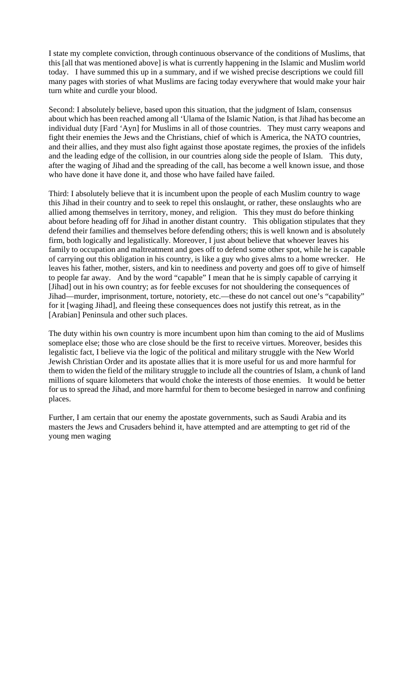I state my complete conviction, through continuous observance of the conditions of Muslims, that this [all that was mentioned above] is what is currently happening in the Islamic and Muslim world today. I have summed this up in a summary, and if we wished precise descriptions we could fill many pages with stories of what Muslims are facing today everywhere that would make your hair turn white and curdle your blood.

Second: I absolutely believe, based upon this situation, that the judgment of Islam, consensus about which has been reached among all 'Ulama of the Islamic Nation, is that Jihad has become an individual duty [Fard 'Ayn] for Muslims in all of those countries. They must carry weapons and fight their enemies the Jews and the Christians, chief of which is America, the NATO countries, and their allies, and they must also fight against those apostate regimes, the proxies of the infidels and the leading edge of the collision, in our countries along side the people of Islam. This duty, after the waging of Jihad and the spreading of the call, has become a well known issue, and those who have done it have done it, and those who have failed have failed.

Third: I absolutely believe that it is incumbent upon the people of each Muslim country to wage this Jihad in their country and to seek to repel this onslaught, or rather, these onslaughts who are allied among themselves in territory, money, and religion. This they must do before thinking about before heading off for Jihad in another distant country. This obligation stipulates that they defend their families and themselves before defending others; this is well known and is absolutely firm, both logically and legalistically. Moreover, I just about believe that whoever leaves his family to occupation and maltreatment and goes off to defend some other spot, while he is capable of carrying out this obligation in his country, is like a guy who gives alms to a home wrecker. He leaves his father, mother, sisters, and kin to neediness and poverty and goes off to give of himself to people far away. And by the word "capable" I mean that he is simply capable of carrying it [Jihad] out in his own country; as for feeble excuses for not shouldering the consequences of Jihad—murder, imprisonment, torture, notoriety, etc.—these do not cancel out one's "capability" for it [waging Jihad], and fleeing these consequences does not justify this retreat, as in the [Arabian] Peninsula and other such places.

The duty within his own country is more incumbent upon him than coming to the aid of Muslims someplace else; those who are close should be the first to receive virtues. Moreover, besides this legalistic fact, I believe via the logic of the political and military struggle with the New World Jewish Christian Order and its apostate allies that it is more useful for us and more harmful for them to widen the field of the military struggle to include all the countries of Islam, a chunk of land millions of square kilometers that would choke the interests of those enemies. It would be better for us to spread the Jihad, and more harmful for them to become besieged in narrow and confining places.

Further, I am certain that our enemy the apostate governments, such as Saudi Arabia and its masters the Jews and Crusaders behind it, have attempted and are attempting to get rid of the young men waging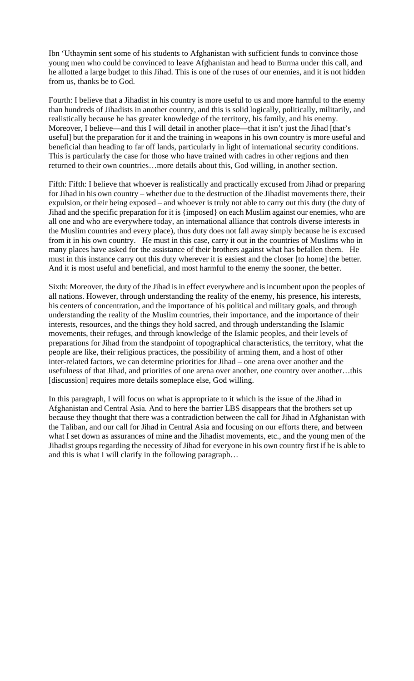Ibn 'Uthaymin sent some of his students to Afghanistan with sufficient funds to convince those young men who could be convinced to leave Afghanistan and head to Burma under this call, and he allotted a large budget to this Jihad. This is one of the ruses of our enemies, and it is not hidden from us, thanks be to God.

Fourth: I believe that a Jihadist in his country is more useful to us and more harmful to the enemy than hundreds of Jihadists in another country, and this is solid logically, politically, militarily, and realistically because he has greater knowledge of the territory, his family, and his enemy. Moreover, I believe—and this I will detail in another place—that it isn't just the Jihad [that's useful] but the preparation for it and the training in weapons in his own country is more useful and beneficial than heading to far off lands, particularly in light of international security conditions. This is particularly the case for those who have trained with cadres in other regions and then returned to their own countries…more details about this, God willing, in another section.

Fifth: Fifth: I believe that whoever is realistically and practically excused from Jihad or preparing for Jihad in his own country – whether due to the destruction of the Jihadist movements there, their expulsion, or their being exposed – and whoever is truly not able to carry out this duty (the duty of Jihad and the specific preparation for it is {imposed} on each Muslim against our enemies, who are all one and who are everywhere today, an international alliance that controls diverse interests in the Muslim countries and every place), thus duty does not fall away simply because he is excused from it in his own country. He must in this case, carry it out in the countries of Muslims who in many places have asked for the assistance of their brothers against what has befallen them. He must in this instance carry out this duty wherever it is easiest and the closer [to home] the better. And it is most useful and beneficial, and most harmful to the enemy the sooner, the better.

Sixth: Moreover, the duty of the Jihad is in effect everywhere and is incumbent upon the peoples of all nations. However, through understanding the reality of the enemy, his presence, his interests, his centers of concentration, and the importance of his political and military goals, and through understanding the reality of the Muslim countries, their importance, and the importance of their interests, resources, and the things they hold sacred, and through understanding the Islamic movements, their refuges, and through knowledge of the Islamic peoples, and their levels of preparations for Jihad from the standpoint of topographical characteristics, the territory, what the people are like, their religious practices, the possibility of arming them, and a host of other inter-related factors, we can determine priorities for Jihad – one arena over another and the usefulness of that Jihad, and priorities of one arena over another, one country over another…this [discussion] requires more details someplace else, God willing.

In this paragraph, I will focus on what is appropriate to it which is the issue of the Jihad in Afghanistan and Central Asia. And to here the barrier LBS disappears that the brothers set up because they thought that there was a contradiction between the call for Jihad in Afghanistan with the Taliban, and our call for Jihad in Central Asia and focusing on our efforts there, and between what I set down as assurances of mine and the Jihadist movements, etc., and the young men of the Jihadist groups regarding the necessity of Jihad for everyone in his own country first if he is able to and this is what I will clarify in the following paragraph…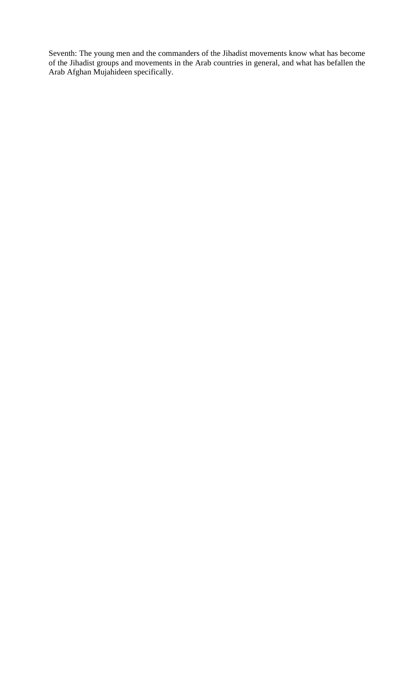Seventh: The young men and the commanders of the Jihadist movements know what has become of the Jihadist groups and movements in the Arab countries in general, and what has befallen the Arab Afghan Mujahideen specifically.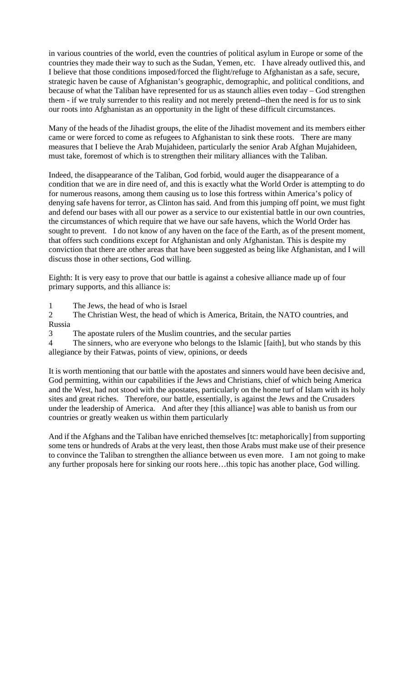in various countries of the world, even the countries of political asylum in Europe or some of the countries they made their way to such as the Sudan, Yemen, etc. I have already outlived this, and I believe that those conditions imposed/forced the flight/refuge to Afghanistan as a safe, secure, strategic haven be cause of Afghanistan's geographic, demographic, and political conditions, and because of what the Taliban have represented for us as staunch allies even today – God strengthen them - if we truly surrender to this reality and not merely pretend--then the need is for us to sink our roots into Afghanistan as an opportunity in the light of these difficult circumstances.

Many of the heads of the Jihadist groups, the elite of the Jihadist movement and its members either came or were forced to come as refugees to Afghanistan to sink these roots. There are many measures that I believe the Arab Mujahideen, particularly the senior Arab Afghan Mujahideen, must take, foremost of which is to strengthen their military alliances with the Taliban.

Indeed, the disappearance of the Taliban, God forbid, would auger the disappearance of a condition that we are in dire need of, and this is exactly what the World Order is attempting to do for numerous reasons, among them causing us to lose this fortress within America's policy of denying safe havens for terror, as Clinton has said. And from this jumping off point, we must fight and defend our bases with all our power as a service to our existential battle in our own countries, the circumstances of which require that we have our safe havens, which the World Order has sought to prevent. I do not know of any haven on the face of the Earth, as of the present moment, that offers such conditions except for Afghanistan and only Afghanistan. This is despite my conviction that there are other areas that have been suggested as being like Afghanistan, and I will discuss those in other sections, God willing.

Eighth: It is very easy to prove that our battle is against a cohesive alliance made up of four primary supports, and this alliance is:

1 The Jews, the head of who is Israel

2 The Christian West, the head of which is America, Britain, the NATO countries, and Russia

3 The apostate rulers of the Muslim countries, and the secular parties

4 The sinners, who are everyone who belongs to the Islamic [faith], but who stands by this allegiance by their Fatwas, points of view, opinions, or deeds

It is worth mentioning that our battle with the apostates and sinners would have been decisive and, God permitting, within our capabilities if the Jews and Christians, chief of which being America and the West, had not stood with the apostates, particularly on the home turf of Islam with its holy sites and great riches. Therefore, our battle, essentially, is against the Jews and the Crusaders under the leadership of America. And after they [this alliance] was able to banish us from our countries or greatly weaken us within them particularly

And if the Afghans and the Taliban have enriched themselves [tc: metaphorically] from supporting some tens or hundreds of Arabs at the very least, then those Arabs must make use of their presence to convince the Taliban to strengthen the alliance between us even more. I am not going to make any further proposals here for sinking our roots here…this topic has another place, God willing.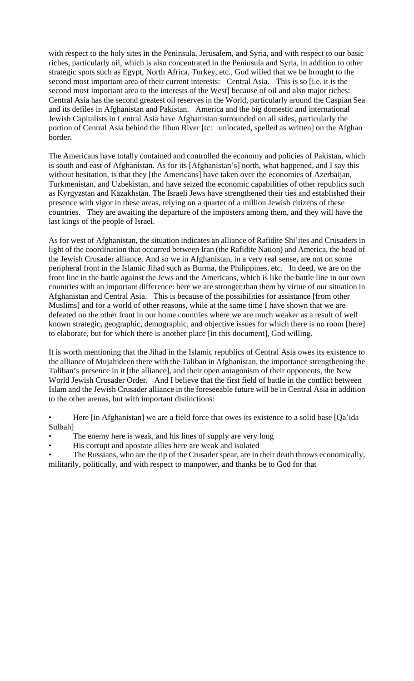with respect to the holy sites in the Peninsula, Jerusalem, and Syria, and with respect to our basic riches, particularly oil, which is also concentrated in the Peninsula and Syria, in addition to other strategic spots such as Egypt, North Africa, Turkey, etc., God willed that we be brought to the second most important area of their current interests: Central Asia. This is so [i.e. it is the second most important area to the interests of the West] because of oil and also major riches: Central Asia has the second greatest oil reserves in the World, particularly around the Caspian Sea and its defiles in Afghanistan and Pakistan. America and the big domestic and international Jewish Capitalists in Central Asia have Afghanistan surrounded on all sides, particularly the portion of Central Asia behind the Jihun River [tc: unlocated, spelled as written] on the Afghan border.

The Americans have totally contained and controlled the economy and policies of Pakistan, which is south and east of Afghanistan. As for its [Afghanistan's] north, what happened, and I say this without hesitation, is that they [the Americans] have taken over the economies of Azerbaijan, Turkmenistan, and Uzbekistan, and have seized the economic capabilities of other republics such as Kyrgyzstan and Kazakhstan. The Israeli Jews have strengthened their ties and established their presence with vigor in these areas, relying on a quarter of a million Jewish citizens of these countries. They are awaiting the departure of the imposters among them, and they will have the last kings of the people of Israel.

As for west of Afghanistan, the situation indicates an alliance of Rafidite Shi'ites and Crusaders in light of the coordination that occurred between Iran (the Rafidite Nation) and America, the head of the Jewish Crusader alliance. And so we in Afghanistan, in a very real sense, are not on some peripheral front in the Islamic Jihad such as Burma, the Philippines, etc. In deed, we are on the front line in the battle against the Jews and the Americans, which is like the battle line in our own countries with an important difference: here we are stronger than them by virtue of our situation in Afghanistan and Central Asia. This is because of the possibilities for assistance [from other Muslims] and for a world of other reasons, while at the same time I have shown that we are defeated on the other front in our home countries where we are much weaker as a result of well known strategic, geographic, demographic, and objective issues for which there is no room [here] to elaborate, but for which there is another place [in this document], God willing.

It is worth mentioning that the Jihad in the Islamic republics of Central Asia owes its existence to the alliance of Mujahideen there with the Taliban in Afghanistan, the importance strengthening the Taliban's presence in it [the alliance], and their open antagonism of their opponents, the New World Jewish Crusader Order. And I believe that the first field of battle in the conflict between Islam and the Jewish Crusader alliance in the foreseeable future will be in Central Asia in addition to the other arenas, but with important distinctions:

• Here [in Afghanistan] we are a field force that owes its existence to a solid base [Qa'ida Sulbah]

- The enemy here is weak, and his lines of supply are very long
- His corrupt and apostate allies here are weak and isolated
- The Russians, who are the tip of the Crusader spear, are in their death throws economically, militarily, politically, and with respect to manpower, and thanks be to God for that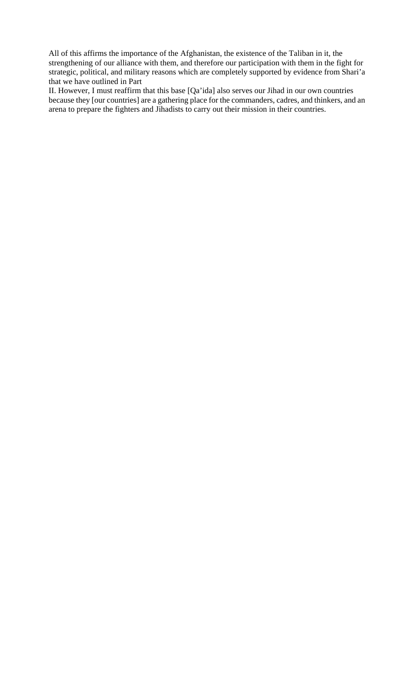All of this affirms the importance of the Afghanistan, the existence of the Taliban in it, the strengthening of our alliance with them, and therefore our participation with them in the fight for strategic, political, and military reasons which are completely supported by evidence from Shari'a that we have outlined in Part

II. However, I must reaffirm that this base [Qa'ida] also serves our Jihad in our own countries because they [our countries] are a gathering place for the commanders, cadres, and thinkers, and an arena to prepare the fighters and Jihadists to carry out their mission in their countries.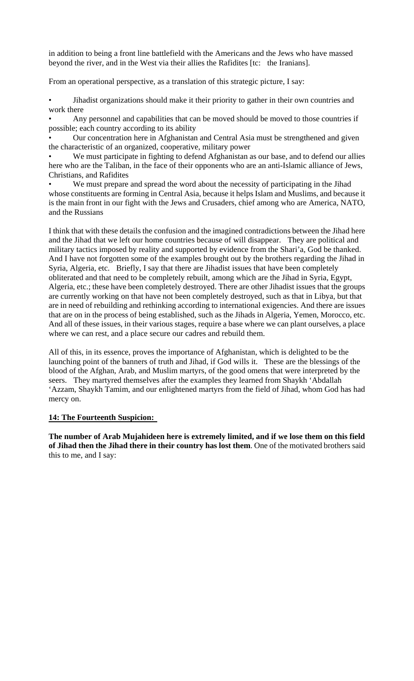in addition to being a front line battlefield with the Americans and the Jews who have massed beyond the river, and in the West via their allies the Rafidites [tc: the Iranians].

From an operational perspective, as a translation of this strategic picture, I say:

• Jihadist organizations should make it their priority to gather in their own countries and work there

Any personnel and capabilities that can be moved should be moved to those countries if possible; each country according to its ability

• Our concentration here in Afghanistan and Central Asia must be strengthened and given the characteristic of an organized, cooperative, military power

We must participate in fighting to defend Afghanistan as our base, and to defend our allies here who are the Taliban, in the face of their opponents who are an anti-Islamic alliance of Jews, Christians, and Rafidites

We must prepare and spread the word about the necessity of participating in the Jihad whose constituents are forming in Central Asia, because it helps Islam and Muslims, and because it is the main front in our fight with the Jews and Crusaders, chief among who are America, NATO, and the Russians

I think that with these details the confusion and the imagined contradictions between the Jihad here and the Jihad that we left our home countries because of will disappear. They are political and military tactics imposed by reality and supported by evidence from the Shari'a, God be thanked. And I have not forgotten some of the examples brought out by the brothers regarding the Jihad in Syria, Algeria, etc. Briefly, I say that there are Jihadist issues that have been completely obliterated and that need to be completely rebuilt, among which are the Jihad in Syria, Egypt, Algeria, etc.; these have been completely destroyed. There are other Jihadist issues that the groups are currently working on that have not been completely destroyed, such as that in Libya, but that are in need of rebuilding and rethinking according to international exigencies. And there are issues that are on in the process of being established, such as the Jihads in Algeria, Yemen, Morocco, etc. And all of these issues, in their various stages, require a base where we can plant ourselves, a place where we can rest, and a place secure our cadres and rebuild them.

All of this, in its essence, proves the importance of Afghanistan, which is delighted to be the launching point of the banners of truth and Jihad, if God wills it. These are the blessings of the blood of the Afghan, Arab, and Muslim martyrs, of the good omens that were interpreted by the seers. They martyred themselves after the examples they learned from Shaykh 'Abdallah 'Azzam, Shaykh Tamim, and our enlightened martyrs from the field of Jihad, whom God has had mercy on.

# **14: The Fourteenth Suspicion:**

**The number of Arab Mujahideen here is extremely limited, and if we lose them on this field of Jihad then the Jihad there in their country has lost them**. One of the motivated brothers said this to me, and I say: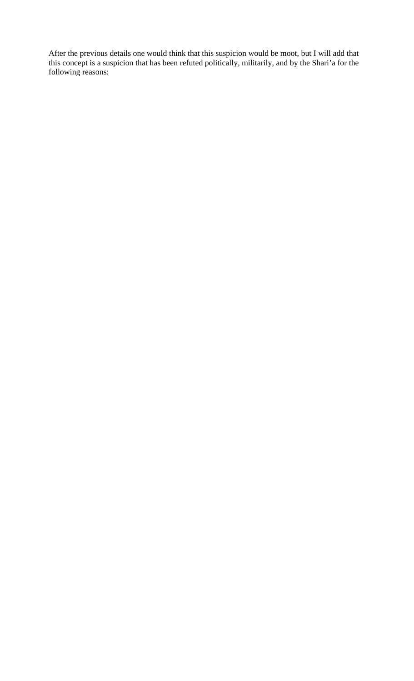After the previous details one would think that this suspicion would be moot, but I will add that this concept is a suspicion that has been refuted politically, militarily, and by the Shari'a for the following reasons: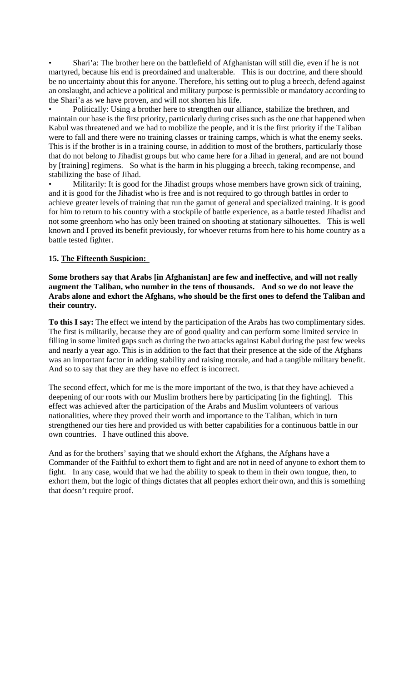• Shari'a: The brother here on the battlefield of Afghanistan will still die, even if he is not martyred, because his end is preordained and unalterable. This is our doctrine, and there should be no uncertainty about this for anyone. Therefore, his setting out to plug a breech, defend against an onslaught, and achieve a political and military purpose is permissible or mandatory according to the Shari'a as we have proven, and will not shorten his life.

• Politically: Using a brother here to strengthen our alliance, stabilize the brethren, and maintain our base is the first priority, particularly during crises such as the one that happened when Kabul was threatened and we had to mobilize the people, and it is the first priority if the Taliban were to fall and there were no training classes or training camps, which is what the enemy seeks. This is if the brother is in a training course, in addition to most of the brothers, particularly those that do not belong to Jihadist groups but who came here for a Jihad in general, and are not bound by [training] regimens. So what is the harm in his plugging a breech, taking recompense, and stabilizing the base of Jihad.

Militarily: It is good for the Jihadist groups whose members have grown sick of training, and it is good for the Jihadist who is free and is not required to go through battles in order to achieve greater levels of training that run the gamut of general and specialized training. It is good for him to return to his country with a stockpile of battle experience, as a battle tested Jihadist and not some greenhorn who has only been trained on shooting at stationary silhouettes. This is well known and I proved its benefit previously, for whoever returns from here to his home country as a battle tested fighter.

# **15. The Fifteenth Suspicion:**

**Some brothers say that Arabs [in Afghanistan] are few and ineffective, and will not really augment the Taliban, who number in the tens of thousands. And so we do not leave the Arabs alone and exhort the Afghans, who should be the first ones to defend the Taliban and their country.** 

**To this I say:** The effect we intend by the participation of the Arabs has two complimentary sides. The first is militarily, because they are of good quality and can perform some limited service in filling in some limited gaps such as during the two attacks against Kabul during the past few weeks and nearly a year ago. This is in addition to the fact that their presence at the side of the Afghans was an important factor in adding stability and raising morale, and had a tangible military benefit. And so to say that they are they have no effect is incorrect.

The second effect, which for me is the more important of the two, is that they have achieved a deepening of our roots with our Muslim brothers here by participating [in the fighting]. This effect was achieved after the participation of the Arabs and Muslim volunteers of various nationalities, where they proved their worth and importance to the Taliban, which in turn strengthened our ties here and provided us with better capabilities for a continuous battle in our own countries. I have outlined this above.

And as for the brothers' saying that we should exhort the Afghans, the Afghans have a Commander of the Faithful to exhort them to fight and are not in need of anyone to exhort them to fight. In any case, would that we had the ability to speak to them in their own tongue, then, to exhort them, but the logic of things dictates that all peoples exhort their own, and this is something that doesn't require proof.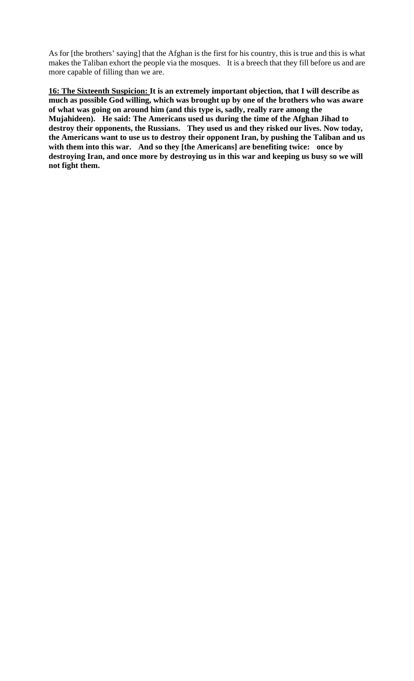As for [the brothers' saying] that the Afghan is the first for his country, this is true and this is what makes the Taliban exhort the people via the mosques. It is a breech that they fill before us and are more capable of filling than we are.

**16: The Sixteenth Suspicion: It is an extremely important objection, that I will describe as much as possible God willing, which was brought up by one of the brothers who was aware of what was going on around him (and this type is, sadly, really rare among the Mujahideen). He said: The Americans used us during the time of the Afghan Jihad to destroy their opponents, the Russians. They used us and they risked our lives. Now today, the Americans want to use us to destroy their opponent Iran, by pushing the Taliban and us with them into this war. And so they [the Americans] are benefiting twice: once by destroying Iran, and once more by destroying us in this war and keeping us busy so we will not fight them.**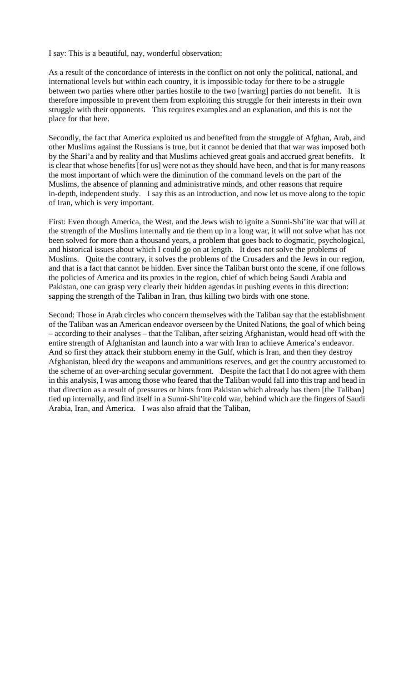I say: This is a beautiful, nay, wonderful observation:

As a result of the concordance of interests in the conflict on not only the political, national, and international levels but within each country, it is impossible today for there to be a struggle between two parties where other parties hostile to the two [warring] parties do not benefit. It is therefore impossible to prevent them from exploiting this struggle for their interests in their own struggle with their opponents. This requires examples and an explanation, and this is not the place for that here.

Secondly, the fact that America exploited us and benefited from the struggle of Afghan, Arab, and other Muslims against the Russians is true, but it cannot be denied that that war was imposed both by the Shari'a and by reality and that Muslims achieved great goals and accrued great benefits. It is clear that whose benefits [for us] were not as they should have been, and that is for many reasons the most important of which were the diminution of the command levels on the part of the Muslims, the absence of planning and administrative minds, and other reasons that require in-depth, independent study. I say this as an introduction, and now let us move along to the topic of Iran, which is very important.

First: Even though America, the West, and the Jews wish to ignite a Sunni-Shi'ite war that will at the strength of the Muslims internally and tie them up in a long war, it will not solve what has not been solved for more than a thousand years, a problem that goes back to dogmatic, psychological, and historical issues about which I could go on at length. It does not solve the problems of Muslims. Quite the contrary, it solves the problems of the Crusaders and the Jews in our region, and that is a fact that cannot be hidden. Ever since the Taliban burst onto the scene, if one follows the policies of America and its proxies in the region, chief of which being Saudi Arabia and Pakistan, one can grasp very clearly their hidden agendas in pushing events in this direction: sapping the strength of the Taliban in Iran, thus killing two birds with one stone.

Second: Those in Arab circles who concern themselves with the Taliban say that the establishment of the Taliban was an American endeavor overseen by the United Nations, the goal of which being – according to their analyses – that the Taliban, after seizing Afghanistan, would head off with the entire strength of Afghanistan and launch into a war with Iran to achieve America's endeavor. And so first they attack their stubborn enemy in the Gulf, which is Iran, and then they destroy Afghanistan, bleed dry the weapons and ammunitions reserves, and get the country accustomed to the scheme of an over-arching secular government. Despite the fact that I do not agree with them in this analysis, I was among those who feared that the Taliban would fall into this trap and head in that direction as a result of pressures or hints from Pakistan which already has them [the Taliban] tied up internally, and find itself in a Sunni-Shi'ite cold war, behind which are the fingers of Saudi Arabia, Iran, and America. I was also afraid that the Taliban,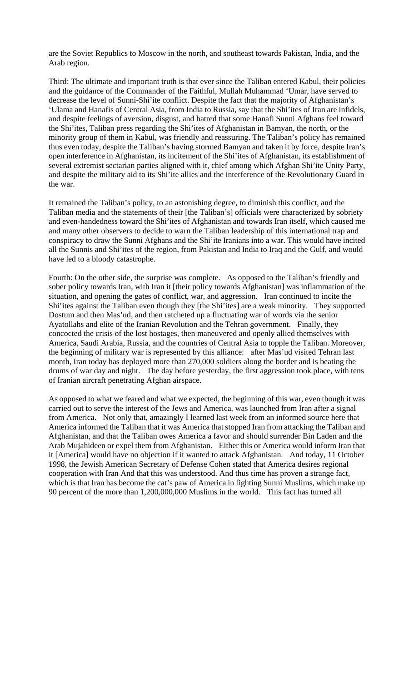are the Soviet Republics to Moscow in the north, and southeast towards Pakistan, India, and the Arab region.

Third: The ultimate and important truth is that ever since the Taliban entered Kabul, their policies and the guidance of the Commander of the Faithful, Mullah Muhammad 'Umar, have served to decrease the level of Sunni-Shi'ite conflict. Despite the fact that the majority of Afghanistan's 'Ulama and Hanafis of Central Asia, from India to Russia, say that the Shi'ites of Iran are infidels, and despite feelings of aversion, disgust, and hatred that some Hanafi Sunni Afghans feel toward the Shi'ites, Taliban press regarding the Shi'ites of Afghanistan in Bamyan, the north, or the minority group of them in Kabul, was friendly and reassuring. The Taliban's policy has remained thus even today, despite the Taliban's having stormed Bamyan and taken it by force, despite Iran's open interference in Afghanistan, its incitement of the Shi'ites of Afghanistan, its establishment of several extremist sectarian parties aligned with it, chief among which Afghan Shi'ite Unity Party, and despite the military aid to its Shi'ite allies and the interference of the Revolutionary Guard in the war.

It remained the Taliban's policy, to an astonishing degree, to diminish this conflict, and the Taliban media and the statements of their [the Taliban's] officials were characterized by sobriety and even-handedness toward the Shi'ites of Afghanistan and towards Iran itself, which caused me and many other observers to decide to warn the Taliban leadership of this international trap and conspiracy to draw the Sunni Afghans and the Shi'ite Iranians into a war. This would have incited all the Sunnis and Shi'ites of the region, from Pakistan and India to Iraq and the Gulf, and would have led to a bloody catastrophe.

Fourth: On the other side, the surprise was complete. As opposed to the Taliban's friendly and sober policy towards Iran, with Iran it [their policy towards Afghanistan] was inflammation of the situation, and opening the gates of conflict, war, and aggression. Iran continued to incite the Shi'ites against the Taliban even though they [the Shi'ites] are a weak minority. They supported Dostum and then Mas'ud, and then ratcheted up a fluctuating war of words via the senior Ayatollahs and elite of the Iranian Revolution and the Tehran government. Finally, they concocted the crisis of the lost hostages, then maneuvered and openly allied themselves with America, Saudi Arabia, Russia, and the countries of Central Asia to topple the Taliban. Moreover, the beginning of military war is represented by this alliance: after Mas'ud visited Tehran last month, Iran today has deployed more than 270,000 soldiers along the border and is beating the drums of war day and night. The day before yesterday, the first aggression took place, with tens of Iranian aircraft penetrating Afghan airspace.

As opposed to what we feared and what we expected, the beginning of this war, even though it was carried out to serve the interest of the Jews and America, was launched from Iran after a signal from America. Not only that, amazingly I learned last week from an informed source here that America informed the Taliban that it was America that stopped Iran from attacking the Taliban and Afghanistan, and that the Taliban owes America a favor and should surrender Bin Laden and the Arab Mujahideen or expel them from Afghanistan. Either this or America would inform Iran that it [America] would have no objection if it wanted to attack Afghanistan. And today, 11 October 1998, the Jewish American Secretary of Defense Cohen stated that America desires regional cooperation with Iran And that this was understood. And thus time has proven a strange fact, which is that Iran has become the cat's paw of America in fighting Sunni Muslims, which make up 90 percent of the more than 1,200,000,000 Muslims in the world. This fact has turned all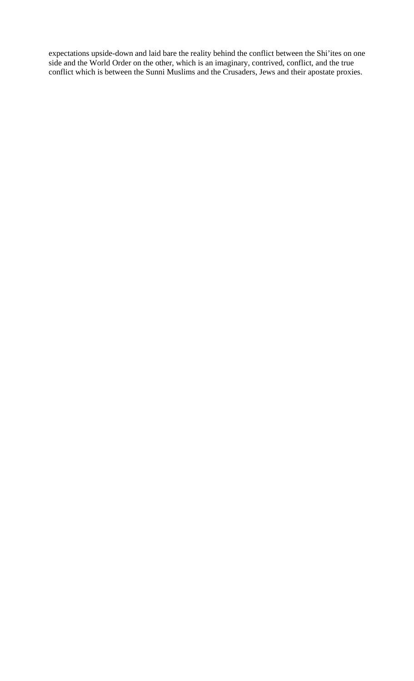expectations upside-down and laid bare the reality behind the conflict between the Shi'ites on one side and the World Order on the other, which is an imaginary, contrived, conflict, and the true conflict which is between the Sunni Muslims and the Crusaders, Jews and their apostate proxies.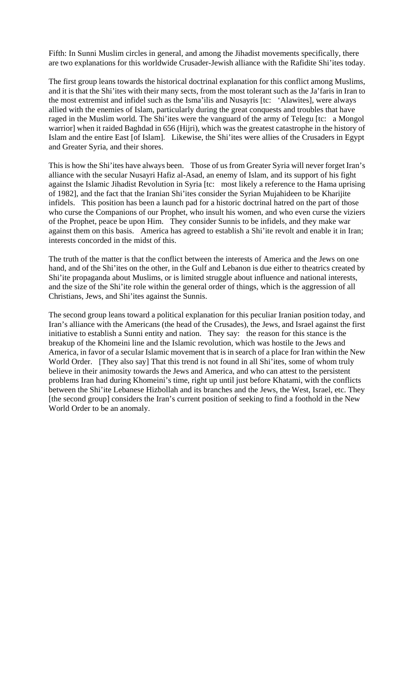Fifth: In Sunni Muslim circles in general, and among the Jihadist movements specifically, there are two explanations for this worldwide Crusader-Jewish alliance with the Rafidite Shi'ites today.

The first group leans towards the historical doctrinal explanation for this conflict among Muslims, and it is that the Shi'ites with their many sects, from the most tolerant such as the Ja'faris in Iran to the most extremist and infidel such as the Isma'ilis and Nusayris [tc: 'Alawites], were always allied with the enemies of Islam, particularly during the great conquests and troubles that have raged in the Muslim world. The Shi'ites were the vanguard of the army of Telegu [tc: a Mongol warrior] when it raided Baghdad in 656 (Hijri), which was the greatest catastrophe in the history of Islam and the entire East [of Islam]. Likewise, the Shi'ites were allies of the Crusaders in Egypt and Greater Syria, and their shores.

This is how the Shi'ites have always been. Those of us from Greater Syria will never forget Iran's alliance with the secular Nusayri Hafiz al-Asad, an enemy of Islam, and its support of his fight against the Islamic Jihadist Revolution in Syria [tc: most likely a reference to the Hama uprising of 1982], and the fact that the Iranian Shi'ites consider the Syrian Mujahideen to be Kharijite infidels. This position has been a launch pad for a historic doctrinal hatred on the part of those who curse the Companions of our Prophet, who insult his women, and who even curse the viziers of the Prophet, peace be upon Him. They consider Sunnis to be infidels, and they make war against them on this basis. America has agreed to establish a Shi'ite revolt and enable it in Iran; interests concorded in the midst of this.

The truth of the matter is that the conflict between the interests of America and the Jews on one hand, and of the Shi'ites on the other, in the Gulf and Lebanon is due either to theatrics created by Shi'ite propaganda about Muslims, or is limited struggle about influence and national interests, and the size of the Shi'ite role within the general order of things, which is the aggression of all Christians, Jews, and Shi'ites against the Sunnis.

The second group leans toward a political explanation for this peculiar Iranian position today, and Iran's alliance with the Americans (the head of the Crusades), the Jews, and Israel against the first initiative to establish a Sunni entity and nation. They say: the reason for this stance is the breakup of the Khomeini line and the Islamic revolution, which was hostile to the Jews and America, in favor of a secular Islamic movement that is in search of a place for Iran within the New World Order. [They also say] That this trend is not found in all Shi'ites, some of whom truly believe in their animosity towards the Jews and America, and who can attest to the persistent problems Iran had during Khomeini's time, right up until just before Khatami, with the conflicts between the Shi'ite Lebanese Hizbollah and its branches and the Jews, the West, Israel, etc. They [the second group] considers the Iran's current position of seeking to find a foothold in the New World Order to be an anomaly.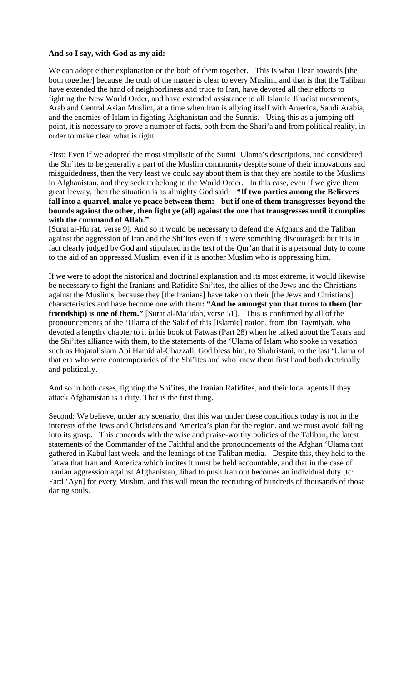#### **And so I say, with God as my aid:**

We can adopt either explanation or the both of them together. This is what I lean towards [the both together] because the truth of the matter is clear to every Muslim, and that is that the Taliban have extended the hand of neighborliness and truce to Iran, have devoted all their efforts to fighting the New World Order, and have extended assistance to all Islamic Jihadist movements, Arab and Central Asian Muslim, at a time when Iran is allying itself with America, Saudi Arabia, and the enemies of Islam in fighting Afghanistan and the Sunnis. Using this as a jumping off point, it is necessary to prove a number of facts, both from the Shari'a and from political reality, in order to make clear what is right.

First: Even if we adopted the most simplistic of the Sunni 'Ulama's descriptions, and considered the Shi'ites to be generally a part of the Muslim community despite some of their innovations and misguidedness, then the very least we could say about them is that they are hostile to the Muslims in Afghanistan, and they seek to belong to the World Order. In this case, even if we give them great leeway, then the situation is as almighty God said: **"If two parties among the Believers fall into a quarrel, make ye peace between them: but if one of them transgresses beyond the bounds against the other, then fight ye (all) against the one that transgresses until it complies with the command of Allah."** 

[Surat al-Hujrat, verse 9]. And so it would be necessary to defend the Afghans and the Taliban against the aggression of Iran and the Shi'ites even if it were something discouraged; but it is in fact clearly judged by God and stipulated in the text of the Qur'an that it is a personal duty to come to the aid of an oppressed Muslim, even if it is another Muslim who is oppressing him.

If we were to adopt the historical and doctrinal explanation and its most extreme, it would likewise be necessary to fight the Iranians and Rafidite Shi'ites, the allies of the Jews and the Christians against the Muslims, because they [the Iranians] have taken on their [the Jews and Christians] characteristics and have become one with them**: "And he amongst you that turns to them (for friendship) is one of them."** [Surat al-Ma'idah, verse 51]. This is confirmed by all of the pronouncements of the 'Ulama of the Salaf of this [Islamic] nation, from Ibn Taymiyah, who devoted a lengthy chapter to it in his book of Fatwas (Part 28) when he talked about the Tatars and the Shi'ites alliance with them, to the statements of the 'Ulama of Islam who spoke in vexation such as Hojatolislam Abi Hamid al-Ghazzali, God bless him, to Shahristani, to the last 'Ulama of that era who were contemporaries of the Shi'ites and who knew them first hand both doctrinally and politically.

And so in both cases, fighting the Shi'ites, the Iranian Rafidites, and their local agents if they attack Afghanistan is a duty. That is the first thing.

Second: We believe, under any scenario, that this war under these conditions today is not in the interests of the Jews and Christians and America's plan for the region, and we must avoid falling into its grasp. This concords with the wise and praise-worthy policies of the Taliban, the latest statements of the Commander of the Faithful and the pronouncements of the Afghan 'Ulama that gathered in Kabul last week, and the leanings of the Taliban media. Despite this, they held to the Fatwa that Iran and America which incites it must be held accountable, and that in the case of Iranian aggression against Afghanistan, Jihad to push Iran out becomes an individual duty [tc: Fard 'Ayn] for every Muslim, and this will mean the recruiting of hundreds of thousands of those daring souls.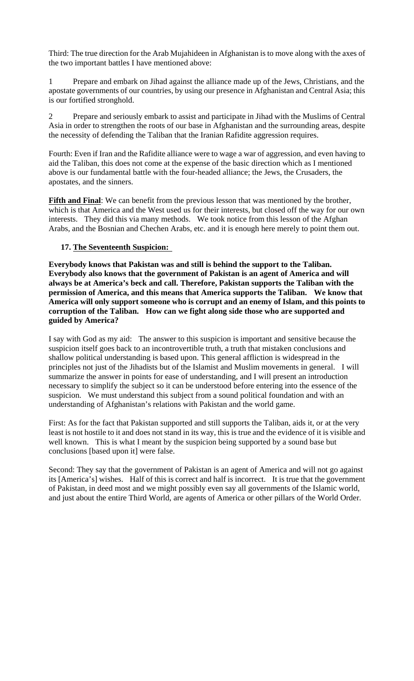Third: The true direction for the Arab Mujahideen in Afghanistan is to move along with the axes of the two important battles I have mentioned above:

1 Prepare and embark on Jihad against the alliance made up of the Jews, Christians, and the apostate governments of our countries, by using our presence in Afghanistan and Central Asia; this is our fortified stronghold.

2 Prepare and seriously embark to assist and participate in Jihad with the Muslims of Central Asia in order to strengthen the roots of our base in Afghanistan and the surrounding areas, despite the necessity of defending the Taliban that the Iranian Rafidite aggression requires.

Fourth: Even if Iran and the Rafidite alliance were to wage a war of aggression, and even having to aid the Taliban, this does not come at the expense of the basic direction which as I mentioned above is our fundamental battle with the four-headed alliance; the Jews, the Crusaders, the apostates, and the sinners.

**Fifth and Final**: We can benefit from the previous lesson that was mentioned by the brother, which is that America and the West used us for their interests, but closed off the way for our own interests. They did this via many methods. We took notice from this lesson of the Afghan Arabs, and the Bosnian and Chechen Arabs, etc. and it is enough here merely to point them out.

# **17. The Seventeenth Suspicion:**

**Everybody knows that Pakistan was and still is behind the support to the Taliban. Everybody also knows that the government of Pakistan is an agent of America and will always be at America's beck and call. Therefore, Pakistan supports the Taliban with the permission of America, and this means that America supports the Taliban. We know that America will only support someone who is corrupt and an enemy of Islam, and this points to corruption of the Taliban. How can we fight along side those who are supported and guided by America?** 

I say with God as my aid: The answer to this suspicion is important and sensitive because the suspicion itself goes back to an incontrovertible truth, a truth that mistaken conclusions and shallow political understanding is based upon. This general affliction is widespread in the principles not just of the Jihadists but of the Islamist and Muslim movements in general. I will summarize the answer in points for ease of understanding, and I will present an introduction necessary to simplify the subject so it can be understood before entering into the essence of the suspicion. We must understand this subject from a sound political foundation and with an understanding of Afghanistan's relations with Pakistan and the world game.

First: As for the fact that Pakistan supported and still supports the Taliban, aids it, or at the very least is not hostile to it and does not stand in its way, this is true and the evidence of it is visible and well known. This is what I meant by the suspicion being supported by a sound base but conclusions [based upon it] were false.

Second: They say that the government of Pakistan is an agent of America and will not go against its [America's] wishes. Half of this is correct and half is incorrect. It is true that the government of Pakistan, in deed most and we might possibly even say all governments of the Islamic world, and just about the entire Third World, are agents of America or other pillars of the World Order.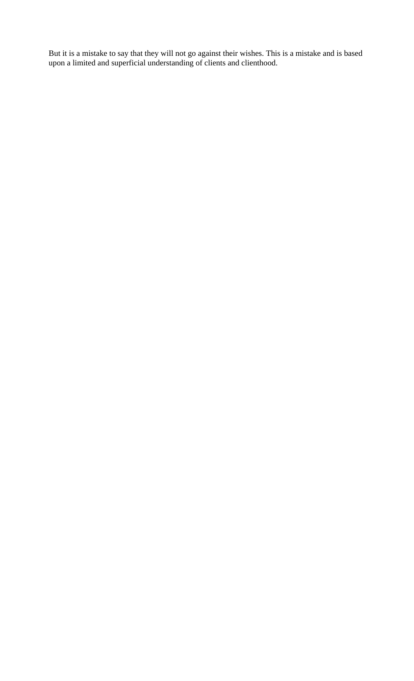But it is a mistake to say that they will not go against their wishes. This is a mistake and is based upon a limited and superficial understanding of clients and clienthood.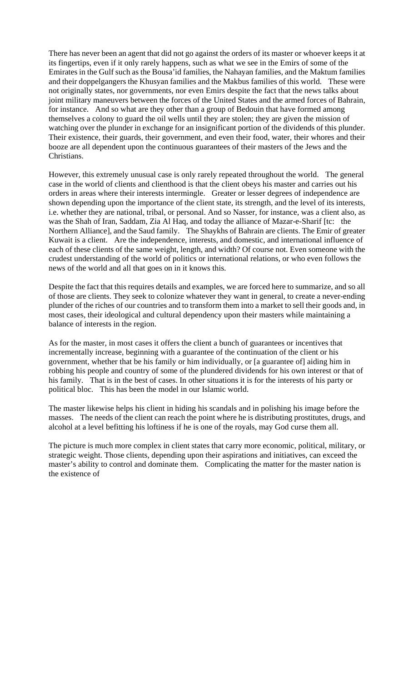There has never been an agent that did not go against the orders of its master or whoever keeps it at its fingertips, even if it only rarely happens, such as what we see in the Emirs of some of the Emirates in the Gulf such as the Bousa'id families, the Nahayan families, and the Maktum families and their doppelgangers the Khusyan families and the Makbus families of this world. These were not originally states, nor governments, nor even Emirs despite the fact that the news talks about joint military maneuvers between the forces of the United States and the armed forces of Bahrain, for instance. And so what are they other than a group of Bedouin that have formed among themselves a colony to guard the oil wells until they are stolen; they are given the mission of watching over the plunder in exchange for an insignificant portion of the dividends of this plunder. Their existence, their guards, their government, and even their food, water, their whores and their booze are all dependent upon the continuous guarantees of their masters of the Jews and the Christians.

However, this extremely unusual case is only rarely repeated throughout the world. The general case in the world of clients and clienthood is that the client obeys his master and carries out his orders in areas where their interests intermingle. Greater or lesser degrees of independence are shown depending upon the importance of the client state, its strength, and the level of its interests, i.e. whether they are national, tribal, or personal. And so Nasser, for instance, was a client also, as was the Shah of Iran, Saddam, Zia Al Haq, and today the alliance of Mazar-e-Sharif [tc: the Northern Alliance], and the Saud family. The Shaykhs of Bahrain are clients. The Emir of greater Kuwait is a client. Are the independence, interests, and domestic, and international influence of each of these clients of the same weight, length, and width? Of course not. Even someone with the crudest understanding of the world of politics or international relations, or who even follows the news of the world and all that goes on in it knows this.

Despite the fact that this requires details and examples, we are forced here to summarize, and so all of those are clients. They seek to colonize whatever they want in general, to create a never-ending plunder of the riches of our countries and to transform them into a market to sell their goods and, in most cases, their ideological and cultural dependency upon their masters while maintaining a balance of interests in the region.

As for the master, in most cases it offers the client a bunch of guarantees or incentives that incrementally increase, beginning with a guarantee of the continuation of the client or his government, whether that be his family or him individually, or [a guarantee of] aiding him in robbing his people and country of some of the plundered dividends for his own interest or that of his family. That is in the best of cases. In other situations it is for the interests of his party or political bloc. This has been the model in our Islamic world.

The master likewise helps his client in hiding his scandals and in polishing his image before the masses. The needs of the client can reach the point where he is distributing prostitutes, drugs, and alcohol at a level befitting his loftiness if he is one of the royals, may God curse them all.

The picture is much more complex in client states that carry more economic, political, military, or strategic weight. Those clients, depending upon their aspirations and initiatives, can exceed the master's ability to control and dominate them. Complicating the matter for the master nation is the existence of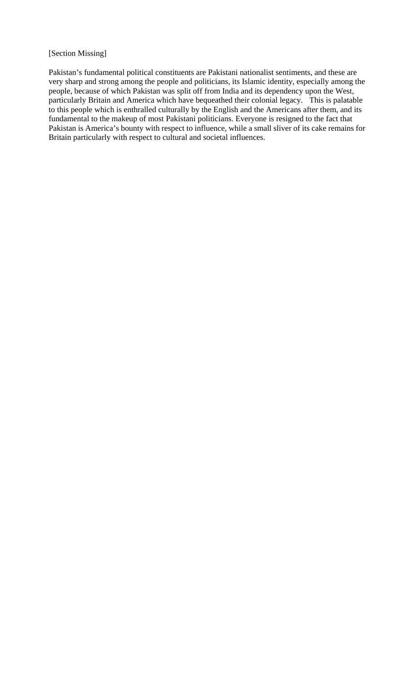#### [Section Missing]

Pakistan's fundamental political constituents are Pakistani nationalist sentiments, and these are very sharp and strong among the people and politicians, its Islamic identity, especially among the people, because of which Pakistan was split off from India and its dependency upon the West, particularly Britain and America which have bequeathed their colonial legacy. This is palatable to this people which is enthralled culturally by the English and the Americans after them, and its fundamental to the makeup of most Pakistani politicians. Everyone is resigned to the fact that Pakistan is America's bounty with respect to influence, while a small sliver of its cake remains for Britain particularly with respect to cultural and societal influences.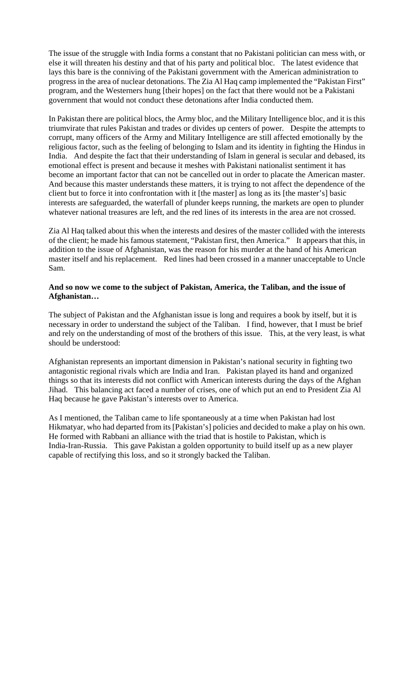The issue of the struggle with India forms a constant that no Pakistani politician can mess with, or else it will threaten his destiny and that of his party and political bloc. The latest evidence that lays this bare is the conniving of the Pakistani government with the American administration to progress in the area of nuclear detonations. The Zia Al Haq camp implemented the "Pakistan First" program, and the Westerners hung [their hopes] on the fact that there would not be a Pakistani government that would not conduct these detonations after India conducted them.

In Pakistan there are political blocs, the Army bloc, and the Military Intelligence bloc, and it is this triumvirate that rules Pakistan and trades or divides up centers of power. Despite the attempts to corrupt, many officers of the Army and Military Intelligence are still affected emotionally by the religious factor, such as the feeling of belonging to Islam and its identity in fighting the Hindus in India. And despite the fact that their understanding of Islam in general is secular and debased, its emotional effect is present and because it meshes with Pakistani nationalist sentiment it has become an important factor that can not be cancelled out in order to placate the American master. And because this master understands these matters, it is trying to not affect the dependence of the client but to force it into confrontation with it [the master] as long as its [the master's] basic interests are safeguarded, the waterfall of plunder keeps running, the markets are open to plunder whatever national treasures are left, and the red lines of its interests in the area are not crossed.

Zia Al Haq talked about this when the interests and desires of the master collided with the interests of the client; he made his famous statement, "Pakistan first, then America." It appears that this, in addition to the issue of Afghanistan, was the reason for his murder at the hand of his American master itself and his replacement. Red lines had been crossed in a manner unacceptable to Uncle Sam.

### **And so now we come to the subject of Pakistan, America, the Taliban, and the issue of Afghanistan…**

The subject of Pakistan and the Afghanistan issue is long and requires a book by itself, but it is necessary in order to understand the subject of the Taliban. I find, however, that I must be brief and rely on the understanding of most of the brothers of this issue. This, at the very least, is what should be understood:

Afghanistan represents an important dimension in Pakistan's national security in fighting two antagonistic regional rivals which are India and Iran. Pakistan played its hand and organized things so that its interests did not conflict with American interests during the days of the Afghan Jihad. This balancing act faced a number of crises, one of which put an end to President Zia Al Haq because he gave Pakistan's interests over to America.

As I mentioned, the Taliban came to life spontaneously at a time when Pakistan had lost Hikmatyar, who had departed from its [Pakistan's] policies and decided to make a play on his own. He formed with Rabbani an alliance with the triad that is hostile to Pakistan, which is India-Iran-Russia. This gave Pakistan a golden opportunity to build itself up as a new player capable of rectifying this loss, and so it strongly backed the Taliban.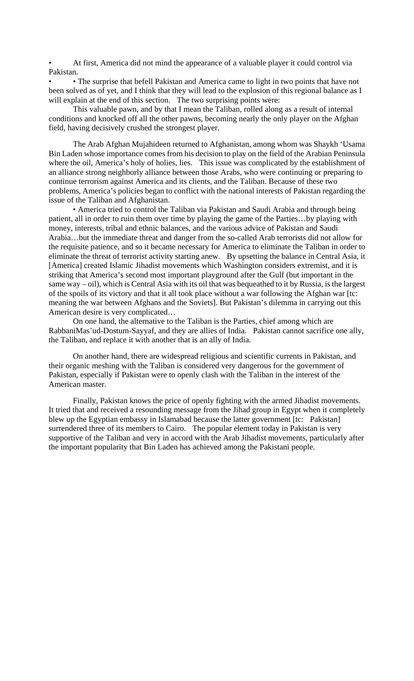• At first, America did not mind the appearance of a valuable player it could control via Pakistan.

• • The surprise that befell Pakistan and America came to light in two points that have not been solved as of yet, and I think that they will lead to the explosion of this regional balance as I will explain at the end of this section. The two surprising points were:

This valuable pawn, and by that I mean the Taliban, rolled along as a result of internal conditions and knocked off all the other pawns, becoming nearly the only player on the Afghan field, having decisively crushed the strongest player.

The Arab Afghan Mujahideen returned to Afghanistan, among whom was Shaykh 'Usama Bin Laden whose importance comes from his decision to play on the field of the Arabian Peninsula where the oil, America's holy of holies, lies. This issue was complicated by the establishment of an alliance strong neighborly alliance between those Arabs, who were continuing or preparing to continue terrorism against America and its clients, and the Taliban. Because of these two problems, America's policies began to conflict with the national interests of Pakistan regarding the issue of the Taliban and Afghanistan.

• America tried to control the Taliban via Pakistan and Saudi Arabia and through being patient, all in order to ruin them over time by playing the game of the Parties…by playing with money, interests, tribal and ethnic balances, and the various advice of Pakistan and Saudi Arabia…but the immediate threat and danger from the so-called Arab terrorists did not allow for the requisite patience, and so it became necessary for America to eliminate the Taliban in order to eliminate the threat of terrorist activity starting anew. By upsetting the balance in Central Asia, it [America] created Islamic Jihadist movements which Washington considers extremist, and it is striking that America's second most important playground after the Gulf (but important in the same way – oil), which is Central Asia with its oil that was bequeathed to it by Russia, is the largest of the spoils of its victory and that it all took place without a war following the Afghan war [tc: meaning the war between Afghans and the Soviets]. But Pakistan's dilemma in carrying out this American desire is very complicated…

On one hand, the alternative to the Taliban is the Parties, chief among which are RabbaniMas'ud-Dostum-Sayyaf, and they are allies of India. Pakistan cannot sacrifice one ally, the Taliban, and replace it with another that is an ally of India.

On another hand, there are widespread religious and scientific currents in Pakistan, and their organic meshing with the Taliban is considered very dangerous for the government of Pakistan, especially if Pakistan were to openly clash with the Taliban in the interest of the American master.

Finally, Pakistan knows the price of openly fighting with the armed Jihadist movements. It tried that and received a resounding message from the Jihad group in Egypt when it completely blew up the Egyptian embassy in Islamabad because the latter government [tc: Pakistan] surrendered three of its members to Cairo. The popular element today in Pakistan is very supportive of the Taliban and very in accord with the Arab Jihadist movements, particularly after the important popularity that Bin Laden has achieved among the Pakistani people.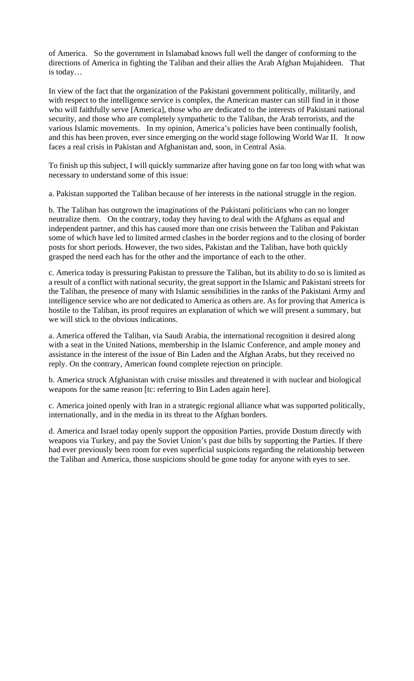of America. So the government in Islamabad knows full well the danger of conforming to the directions of America in fighting the Taliban and their allies the Arab Afghan Mujahideen. That is today…

In view of the fact that the organization of the Pakistani government politically, militarily, and with respect to the intelligence service is complex, the American master can still find in it those who will faithfully serve [America], those who are dedicated to the interests of Pakistani national security, and those who are completely sympathetic to the Taliban, the Arab terrorists, and the various Islamic movements. In my opinion, America's policies have been continually foolish, and this has been proven, ever since emerging on the world stage following World War II. It now faces a real crisis in Pakistan and Afghanistan and, soon, in Central Asia.

To finish up this subject, I will quickly summarize after having gone on far too long with what was necessary to understand some of this issue:

a. Pakistan supported the Taliban because of her interests in the national struggle in the region.

b. The Taliban has outgrown the imaginations of the Pakistani politicians who can no longer neutralize them. On the contrary, today they having to deal with the Afghans as equal and independent partner, and this has caused more than one crisis between the Taliban and Pakistan some of which have led to limited armed clashes in the border regions and to the closing of border posts for short periods. However, the two sides, Pakistan and the Taliban, have both quickly grasped the need each has for the other and the importance of each to the other.

c. America today is pressuring Pakistan to pressure the Taliban, but its ability to do so is limited as a result of a conflict with national security, the great support in the Islamic and Pakistani streets for the Taliban, the presence of many with Islamic sensibilities in the ranks of the Pakistani Army and intelligence service who are not dedicated to America as others are. As for proving that America is hostile to the Taliban, its proof requires an explanation of which we will present a summary, but we will stick to the obvious indications.

a. America offered the Taliban, via Saudi Arabia, the international recognition it desired along with a seat in the United Nations, membership in the Islamic Conference, and ample money and assistance in the interest of the issue of Bin Laden and the Afghan Arabs, but they received no reply. On the contrary, American found complete rejection on principle.

b. America struck Afghanistan with cruise missiles and threatened it with nuclear and biological weapons for the same reason [tc: referring to Bin Laden again here].

c. America joined openly with Iran in a strategic regional alliance what was supported politically, internationally, and in the media in its threat to the Afghan borders.

d. America and Israel today openly support the opposition Parties, provide Dostum directly with weapons via Turkey, and pay the Soviet Union's past due bills by supporting the Parties. If there had ever previously been room for even superficial suspicions regarding the relationship between the Taliban and America, those suspicions should be gone today for anyone with eyes to see.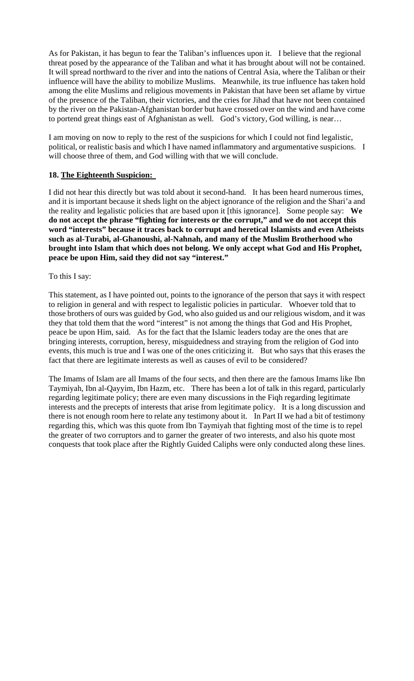As for Pakistan, it has begun to fear the Taliban's influences upon it. I believe that the regional threat posed by the appearance of the Taliban and what it has brought about will not be contained. It will spread northward to the river and into the nations of Central Asia, where the Taliban or their influence will have the ability to mobilize Muslims. Meanwhile, its true influence has taken hold among the elite Muslims and religious movements in Pakistan that have been set aflame by virtue of the presence of the Taliban, their victories, and the cries for Jihad that have not been contained by the river on the Pakistan-Afghanistan border but have crossed over on the wind and have come to portend great things east of Afghanistan as well. God's victory, God willing, is near…

I am moving on now to reply to the rest of the suspicions for which I could not find legalistic, political, or realistic basis and which I have named inflammatory and argumentative suspicions. I will choose three of them, and God willing with that we will conclude.

### **18. The Eighteenth Suspicion:**

I did not hear this directly but was told about it second-hand. It has been heard numerous times, and it is important because it sheds light on the abject ignorance of the religion and the Shari'a and the reality and legalistic policies that are based upon it [this ignorance]. Some people say: **We do not accept the phrase "fighting for interests or the corrupt," and we do not accept this word "interests" because it traces back to corrupt and heretical Islamists and even Atheists such as al-Turabi, al-Ghanoushi, al-Nahnah, and many of the Muslim Brotherhood who brought into Islam that which does not belong. We only accept what God and His Prophet, peace be upon Him, said they did not say "interest."** 

#### To this I say:

This statement, as I have pointed out, points to the ignorance of the person that says it with respect to religion in general and with respect to legalistic policies in particular. Whoever told that to those brothers of ours was guided by God, who also guided us and our religious wisdom, and it was they that told them that the word "interest" is not among the things that God and His Prophet, peace be upon Him, said. As for the fact that the Islamic leaders today are the ones that are bringing interests, corruption, heresy, misguidedness and straying from the religion of God into events, this much is true and I was one of the ones criticizing it. But who says that this erases the fact that there are legitimate interests as well as causes of evil to be considered?

The Imams of Islam are all Imams of the four sects, and then there are the famous Imams like Ibn Taymiyah, Ibn al-Qayyim, Ibn Hazm, etc. There has been a lot of talk in this regard, particularly regarding legitimate policy; there are even many discussions in the Fiqh regarding legitimate interests and the precepts of interests that arise from legitimate policy. It is a long discussion and there is not enough room here to relate any testimony about it. In Part II we had a bit of testimony regarding this, which was this quote from Ibn Taymiyah that fighting most of the time is to repel the greater of two corruptors and to garner the greater of two interests, and also his quote most conquests that took place after the Rightly Guided Caliphs were only conducted along these lines.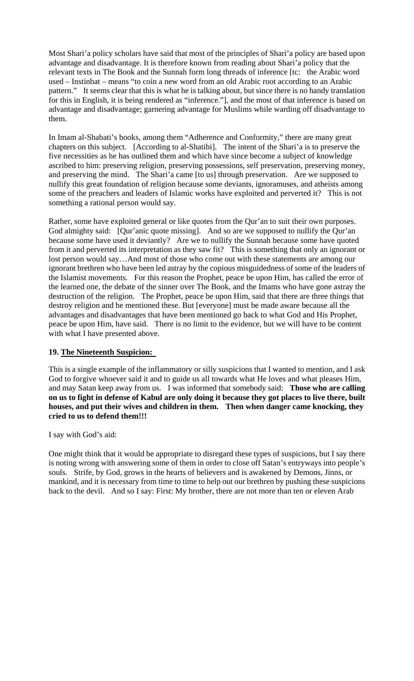Most Shari'a policy scholars have said that most of the principles of Shari'a policy are based upon advantage and disadvantage. It is therefore known from reading about Shari'a policy that the relevant texts in The Book and the Sunnah form long threads of inference [tc: the Arabic word used – Instinbat – means "to coin a new word from an old Arabic root according to an Arabic pattern." It seems clear that this is what he is talking about, but since there is no handy translation for this in English, it is being rendered as "inference."], and the most of that inference is based on advantage and disadvantage; garnering advantage for Muslims while warding off disadvantage to them.

In Imam al-Shabati's books, among them "Adherence and Conformity," there are many great chapters on this subject. [According to al-Shatibi]. The intent of the Shari'a is to preserve the five necessities as he has outlined them and which have since become a subject of knowledge ascribed to him: preserving religion, preserving possessions, self preservation, preserving money, and preserving the mind. The Shari'a came [to us] through preservation. Are we supposed to nullify this great foundation of religion because some deviants, ignoramuses, and atheists among some of the preachers and leaders of Islamic works have exploited and perverted it? This is not something a rational person would say.

Rather, some have exploited general or like quotes from the Qur'an to suit their own purposes. God almighty said: [Qur'anic quote missing]. And so are we supposed to nullify the Qur'an because some have used it deviantly? Are we to nullify the Sunnah because some have quoted from it and perverted its interpretation as they saw fit? This is something that only an ignorant or lost person would say…And most of those who come out with these statements are among our ignorant brethren who have been led astray by the copious misguidedness of some of the leaders of the Islamist movements. For this reason the Prophet, peace be upon Him, has called the error of the learned one, the debate of the sinner over The Book, and the Imams who have gone astray the destruction of the religion. The Prophet, peace be upon Him, said that there are three things that destroy religion and he mentioned these. But [everyone] must be made aware because all the advantages and disadvantages that have been mentioned go back to what God and His Prophet, peace be upon Him, have said. There is no limit to the evidence, but we will have to be content with what I have presented above.

# **19. The Nineteenth Suspicion:**

This is a single example of the inflammatory or silly suspicions that I wanted to mention, and I ask God to forgive whoever said it and to guide us all towards what He loves and what pleases Him, and may Satan keep away from us. I was informed that somebody said: **Those who are calling on us to fight in defense of Kabul are only doing it because they got places to live there, built houses, and put their wives and children in them. Then when danger came knocking, they cried to us to defend them!!!** 

I say with God's aid:

One might think that it would be appropriate to disregard these types of suspicions, but I say there is noting wrong with answering some of them in order to close off Satan's entryways into people's souls. Strife, by God, grows in the hearts of believers and is awakened by Demons, Jinns, or mankind, and it is necessary from time to time to help out our brethren by pushing these suspicions back to the devil. And so I say: First: My brother, there are not more than ten or eleven Arab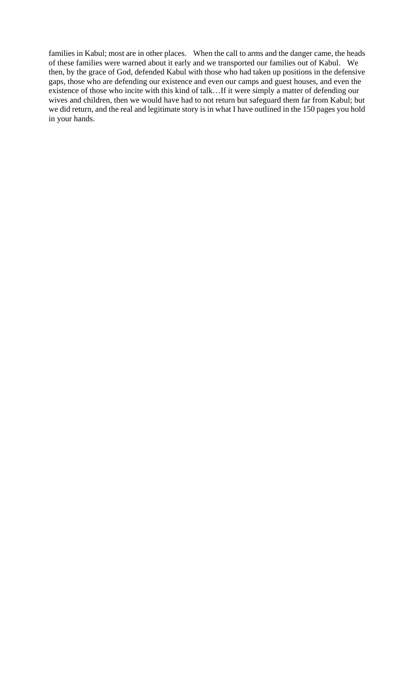families in Kabul; most are in other places. When the call to arms and the danger came, the heads of these families were warned about it early and we transported our families out of Kabul. We then, by the grace of God, defended Kabul with those who had taken up positions in the defensive gaps, those who are defending our existence and even our camps and guest houses, and even the existence of those who incite with this kind of talk...If it were simply a matter of defending our wives and children, then we would have had to not return but safeguard them far from Kabul; but we did return, and the real and legitimate story is in what I have outlined in the 150 pages you hold in your hands.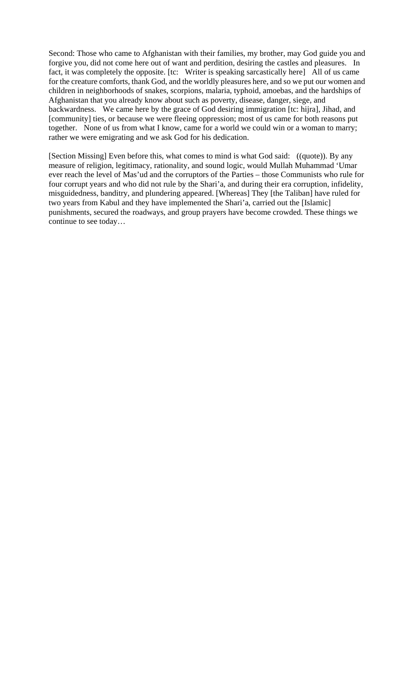Second: Those who came to Afghanistan with their families, my brother, may God guide you and forgive you, did not come here out of want and perdition, desiring the castles and pleasures. In fact, it was completely the opposite. [tc: Writer is speaking sarcastically here] All of us came for the creature comforts, thank God, and the worldly pleasures here, and so we put our women and children in neighborhoods of snakes, scorpions, malaria, typhoid, amoebas, and the hardships of Afghanistan that you already know about such as poverty, disease, danger, siege, and backwardness. We came here by the grace of God desiring immigration [tc: hijra], Jihad, and [community] ties, or because we were fleeing oppression; most of us came for both reasons put together. None of us from what I know, came for a world we could win or a woman to marry; rather we were emigrating and we ask God for his dedication.

[Section Missing] Even before this, what comes to mind is what God said: ((quote)). By any measure of religion, legitimacy, rationality, and sound logic, would Mullah Muhammad 'Umar ever reach the level of Mas'ud and the corruptors of the Parties – those Communists who rule for four corrupt years and who did not rule by the Shari'a, and during their era corruption, infidelity, misguidedness, banditry, and plundering appeared. [Whereas] They [the Taliban] have ruled for two years from Kabul and they have implemented the Shari'a, carried out the [Islamic] punishments, secured the roadways, and group prayers have become crowded. These things we continue to see today…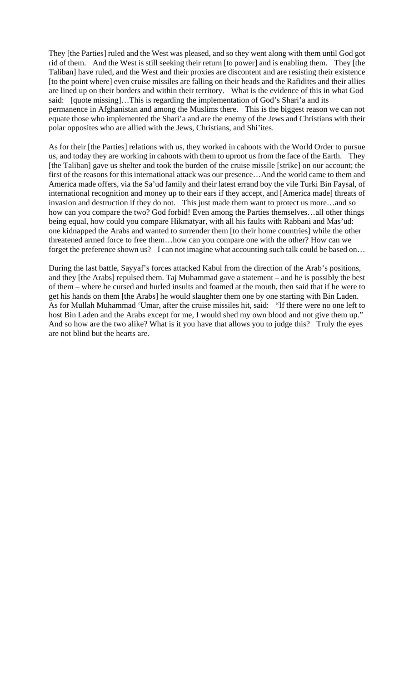They [the Parties] ruled and the West was pleased, and so they went along with them until God got rid of them. And the West is still seeking their return [to power] and is enabling them. They [the Taliban] have ruled, and the West and their proxies are discontent and are resisting their existence [to the point where] even cruise missiles are falling on their heads and the Rafidites and their allies are lined up on their borders and within their territory. What is the evidence of this in what God said: [quote missing]…This is regarding the implementation of God's Shari'a and its permanence in Afghanistan and among the Muslims there. This is the biggest reason we can not equate those who implemented the Shari'a and are the enemy of the Jews and Christians with their polar opposites who are allied with the Jews, Christians, and Shi'ites.

As for their [the Parties] relations with us, they worked in cahoots with the World Order to pursue us, and today they are working in cahoots with them to uproot us from the face of the Earth. They [the Taliban] gave us shelter and took the burden of the cruise missile [strike] on our account; the first of the reasons for this international attack was our presence…And the world came to them and America made offers, via the Sa'ud family and their latest errand boy the vile Turki Bin Faysal, of international recognition and money up to their ears if they accept, and [America made] threats of invasion and destruction if they do not. This just made them want to protect us more…and so how can you compare the two? God forbid! Even among the Parties themselves...all other things being equal, how could you compare Hikmatyar, with all his faults with Rabbani and Mas'ud: one kidnapped the Arabs and wanted to surrender them [to their home countries] while the other threatened armed force to free them…how can you compare one with the other? How can we forget the preference shown us? I can not imagine what accounting such talk could be based on...

During the last battle, Sayyaf's forces attacked Kabul from the direction of the Arab's positions, and they [the Arabs] repulsed them. Taj Muhammad gave a statement – and he is possibly the best of them – where he cursed and hurled insults and foamed at the mouth, then said that if he were to get his hands on them [the Arabs] he would slaughter them one by one starting with Bin Laden. As for Mullah Muhammad 'Umar, after the cruise missiles hit, said: "If there were no one left to host Bin Laden and the Arabs except for me, I would shed my own blood and not give them up." And so how are the two alike? What is it you have that allows you to judge this? Truly the eyes are not blind but the hearts are.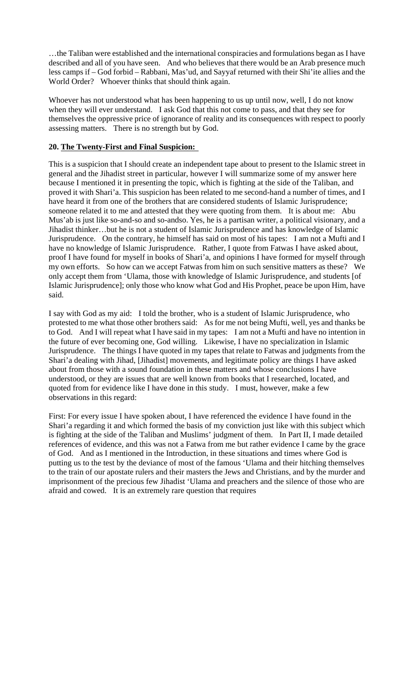…the Taliban were established and the international conspiracies and formulations began as I have described and all of you have seen. And who believes that there would be an Arab presence much less camps if – God forbid – Rabbani, Mas'ud, and Sayyaf returned with their Shi'ite allies and the World Order? Whoever thinks that should think again.

Whoever has not understood what has been happening to us up until now, well, I do not know when they will ever understand. I ask God that this not come to pass, and that they see for themselves the oppressive price of ignorance of reality and its consequences with respect to poorly assessing matters. There is no strength but by God.

### **20. The Twenty-First and Final Suspicion:**

This is a suspicion that I should create an independent tape about to present to the Islamic street in general and the Jihadist street in particular, however I will summarize some of my answer here because I mentioned it in presenting the topic, which is fighting at the side of the Taliban, and proved it with Shari'a. This suspicion has been related to me second-hand a number of times, and I have heard it from one of the brothers that are considered students of Islamic Jurisprudence; someone related it to me and attested that they were quoting from them. It is about me: Abu Mus'ab is just like so-and-so and so-andso. Yes, he is a partisan writer, a political visionary, and a Jihadist thinker…but he is not a student of Islamic Jurisprudence and has knowledge of Islamic Jurisprudence. On the contrary, he himself has said on most of his tapes: I am not a Mufti and I have no knowledge of Islamic Jurisprudence. Rather, I quote from Fatwas I have asked about, proof I have found for myself in books of Shari'a, and opinions I have formed for myself through my own efforts. So how can we accept Fatwas from him on such sensitive matters as these? We only accept them from 'Ulama, those with knowledge of Islamic Jurisprudence, and students [of Islamic Jurisprudence]; only those who know what God and His Prophet, peace be upon Him, have said.

I say with God as my aid: I told the brother, who is a student of Islamic Jurisprudence, who protested to me what those other brothers said: As for me not being Mufti, well, yes and thanks be to God. And I will repeat what I have said in my tapes: I am not a Mufti and have no intention in the future of ever becoming one, God willing. Likewise, I have no specialization in Islamic Jurisprudence. The things I have quoted in my tapes that relate to Fatwas and judgments from the Shari'a dealing with Jihad, [Jihadist] movements, and legitimate policy are things I have asked about from those with a sound foundation in these matters and whose conclusions I have understood, or they are issues that are well known from books that I researched, located, and quoted from for evidence like I have done in this study. I must, however, make a few observations in this regard:

First: For every issue I have spoken about, I have referenced the evidence I have found in the Shari'a regarding it and which formed the basis of my conviction just like with this subject which is fighting at the side of the Taliban and Muslims' judgment of them. In Part II, I made detailed references of evidence, and this was not a Fatwa from me but rather evidence I came by the grace of God. And as I mentioned in the Introduction, in these situations and times where God is putting us to the test by the deviance of most of the famous 'Ulama and their hitching themselves to the train of our apostate rulers and their masters the Jews and Christians, and by the murder and imprisonment of the precious few Jihadist 'Ulama and preachers and the silence of those who are afraid and cowed. It is an extremely rare question that requires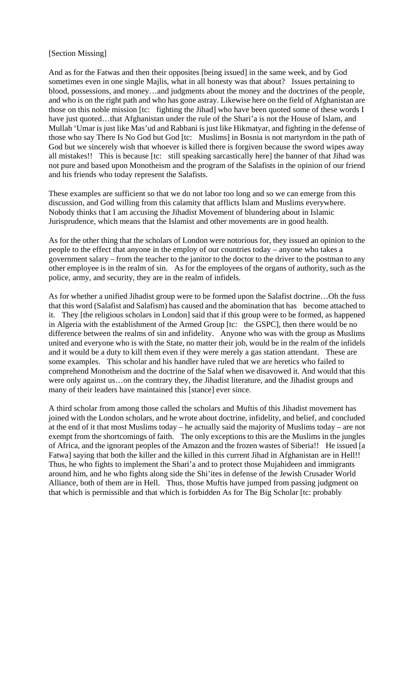#### [Section Missing]

And as for the Fatwas and then their opposites [being issued] in the same week, and by God sometimes even in one single Majlis, what in all honesty was that about? Issues pertaining to blood, possessions, and money…and judgments about the money and the doctrines of the people, and who is on the right path and who has gone astray. Likewise here on the field of Afghanistan are those on this noble mission [tc: fighting the Jihad] who have been quoted some of these words I have just quoted…that Afghanistan under the rule of the Shari'a is not the House of Islam, and Mullah 'Umar is just like Mas'ud and Rabbani is just like Hikmatyar, and fighting in the defense of those who say There Is No God but God [tc: Muslims] in Bosnia is not martyrdom in the path of God but we sincerely wish that whoever is killed there is forgiven because the sword wipes away all mistakes!! This is because [tc: still speaking sarcastically here] the banner of that Jihad was not pure and based upon Monotheism and the program of the Salafists in the opinion of our friend and his friends who today represent the Salafists.

These examples are sufficient so that we do not labor too long and so we can emerge from this discussion, and God willing from this calamity that afflicts Islam and Muslims everywhere. Nobody thinks that I am accusing the Jihadist Movement of blundering about in Islamic Jurisprudence, which means that the Islamist and other movements are in good health.

As for the other thing that the scholars of London were notorious for, they issued an opinion to the people to the effect that anyone in the employ of our countries today – anyone who takes a government salary – from the teacher to the janitor to the doctor to the driver to the postman to any other employee is in the realm of sin. As for the employees of the organs of authority, such as the police, army, and security, they are in the realm of infidels.

As for whether a unified Jihadist group were to be formed upon the Salafist doctrine…Oh the fuss that this word (Salafist and Salafism) has caused and the abomination that has become attached to it. They [the religious scholars in London] said that if this group were to be formed, as happened in Algeria with the establishment of the Armed Group [tc: the GSPC], then there would be no difference between the realms of sin and infidelity. Anyone who was with the group as Muslims united and everyone who is with the State, no matter their job, would be in the realm of the infidels and it would be a duty to kill them even if they were merely a gas station attendant. These are some examples. This scholar and his handler have ruled that we are heretics who failed to comprehend Monotheism and the doctrine of the Salaf when we disavowed it. And would that this were only against us…on the contrary they, the Jihadist literature, and the Jihadist groups and many of their leaders have maintained this [stance] ever since.

A third scholar from among those called the scholars and Muftis of this Jihadist movement has joined with the London scholars, and he wrote about doctrine, infidelity, and belief, and concluded at the end of it that most Muslims today – he actually said the majority of Muslims today – are not exempt from the shortcomings of faith. The only exceptions to this are the Muslims in the jungles of Africa, and the ignorant peoples of the Amazon and the frozen wastes of Siberia!! He issued [a Fatwa] saying that both the killer and the killed in this current Jihad in Afghanistan are in Hell!! Thus, he who fights to implement the Shari'a and to protect those Mujahideen and immigrants around him, and he who fights along side the Shi'ites in defense of the Jewish Crusader World Alliance, both of them are in Hell. Thus, those Muftis have jumped from passing judgment on that which is permissible and that which is forbidden As for The Big Scholar [tc: probably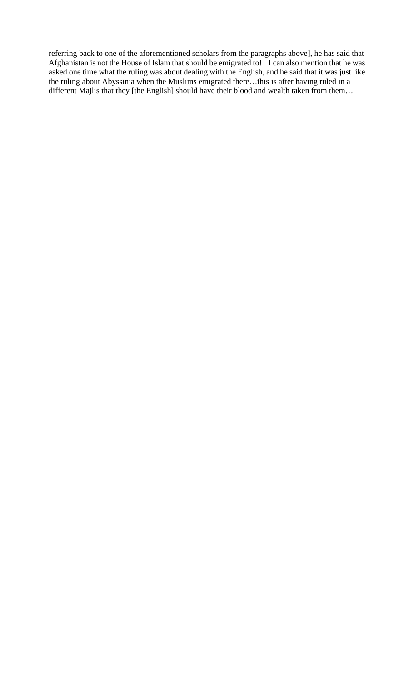referring back to one of the aforementioned scholars from the paragraphs above], he has said that Afghanistan is not the House of Islam that should be emigrated to! I can also mention that he was asked one time what the ruling was about dealing with the English, and he said that it was just like the ruling about Abyssinia when the Muslims emigrated there…this is after having ruled in a different Majlis that they [the English] should have their blood and wealth taken from them...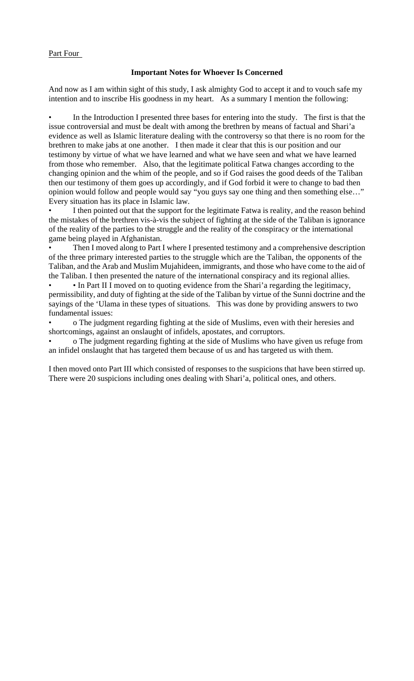### Part Four

### **Important Notes for Whoever Is Concerned**

And now as I am within sight of this study, I ask almighty God to accept it and to vouch safe my intention and to inscribe His goodness in my heart. As a summary I mention the following:

In the Introduction I presented three bases for entering into the study. The first is that the issue controversial and must be dealt with among the brethren by means of factual and Shari'a evidence as well as Islamic literature dealing with the controversy so that there is no room for the brethren to make jabs at one another. I then made it clear that this is our position and our testimony by virtue of what we have learned and what we have seen and what we have learned from those who remember. Also, that the legitimate political Fatwa changes according to the changing opinion and the whim of the people, and so if God raises the good deeds of the Taliban then our testimony of them goes up accordingly, and if God forbid it were to change to bad then opinion would follow and people would say "you guys say one thing and then something else…" Every situation has its place in Islamic law.

I then pointed out that the support for the legitimate Fatwa is reality, and the reason behind the mistakes of the brethren vis-à-vis the subject of fighting at the side of the Taliban is ignorance of the reality of the parties to the struggle and the reality of the conspiracy or the international game being played in Afghanistan.

Then I moved along to Part I where I presented testimony and a comprehensive description of the three primary interested parties to the struggle which are the Taliban, the opponents of the Taliban, and the Arab and Muslim Mujahideen, immigrants, and those who have come to the aid of the Taliban. I then presented the nature of the international conspiracy and its regional allies.

• In Part II I moved on to quoting evidence from the Shari'a regarding the legitimacy, permissibility, and duty of fighting at the side of the Taliban by virtue of the Sunni doctrine and the sayings of the 'Ulama in these types of situations. This was done by providing answers to two fundamental issues:

• o The judgment regarding fighting at the side of Muslims, even with their heresies and shortcomings, against an onslaught of infidels, apostates, and corruptors.

• o The judgment regarding fighting at the side of Muslims who have given us refuge from an infidel onslaught that has targeted them because of us and has targeted us with them.

I then moved onto Part III which consisted of responses to the suspicions that have been stirred up. There were 20 suspicions including ones dealing with Shari'a, political ones, and others.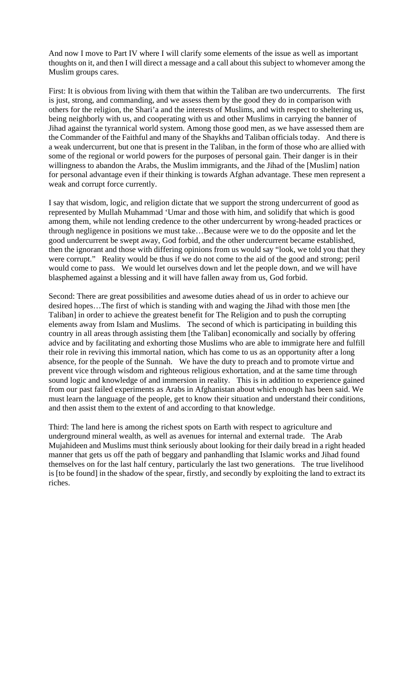And now I move to Part IV where I will clarify some elements of the issue as well as important thoughts on it, and then I will direct a message and a call about this subject to whomever among the Muslim groups cares.

First: It is obvious from living with them that within the Taliban are two undercurrents. The first is just, strong, and commanding, and we assess them by the good they do in comparison with others for the religion, the Shari'a and the interests of Muslims, and with respect to sheltering us, being neighborly with us, and cooperating with us and other Muslims in carrying the banner of Jihad against the tyrannical world system. Among those good men, as we have assessed them are the Commander of the Faithful and many of the Shaykhs and Taliban officials today. And there is a weak undercurrent, but one that is present in the Taliban, in the form of those who are allied with some of the regional or world powers for the purposes of personal gain. Their danger is in their willingness to abandon the Arabs, the Muslim immigrants, and the Jihad of the [Muslim] nation for personal advantage even if their thinking is towards Afghan advantage. These men represent a weak and corrupt force currently.

I say that wisdom, logic, and religion dictate that we support the strong undercurrent of good as represented by Mullah Muhammad 'Umar and those with him, and solidify that which is good among them, while not lending credence to the other undercurrent by wrong-headed practices or through negligence in positions we must take…Because were we to do the opposite and let the good undercurrent be swept away, God forbid, and the other undercurrent became established, then the ignorant and those with differing opinions from us would say "look, we told you that they were corrupt." Reality would be thus if we do not come to the aid of the good and strong; peril would come to pass. We would let ourselves down and let the people down, and we will have blasphemed against a blessing and it will have fallen away from us, God forbid.

Second: There are great possibilities and awesome duties ahead of us in order to achieve our desired hopes…The first of which is standing with and waging the Jihad with those men [the Taliban] in order to achieve the greatest benefit for The Religion and to push the corrupting elements away from Islam and Muslims. The second of which is participating in building this country in all areas through assisting them [the Taliban] economically and socially by offering advice and by facilitating and exhorting those Muslims who are able to immigrate here and fulfill their role in reviving this immortal nation, which has come to us as an opportunity after a long absence, for the people of the Sunnah. We have the duty to preach and to promote virtue and prevent vice through wisdom and righteous religious exhortation, and at the same time through sound logic and knowledge of and immersion in reality. This is in addition to experience gained from our past failed experiments as Arabs in Afghanistan about which enough has been said. We must learn the language of the people, get to know their situation and understand their conditions, and then assist them to the extent of and according to that knowledge.

Third: The land here is among the richest spots on Earth with respect to agriculture and underground mineral wealth, as well as avenues for internal and external trade. The Arab Mujahideen and Muslims must think seriously about looking for their daily bread in a right headed manner that gets us off the path of beggary and panhandling that Islamic works and Jihad found themselves on for the last half century, particularly the last two generations. The true livelihood is [to be found] in the shadow of the spear, firstly, and secondly by exploiting the land to extract its riches.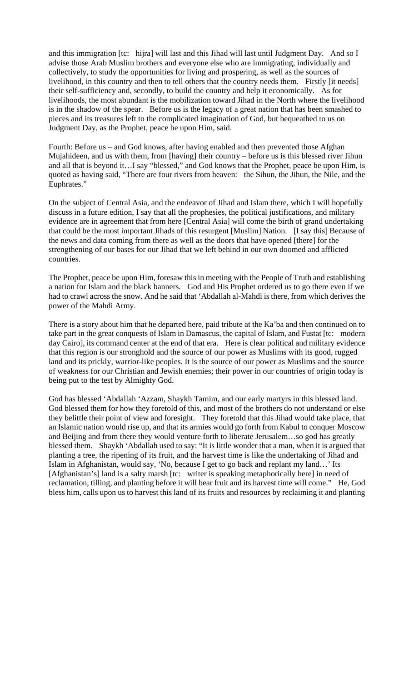and this immigration [tc: hijra] will last and this Jihad will last until Judgment Day. And so I advise those Arab Muslim brothers and everyone else who are immigrating, individually and collectively, to study the opportunities for living and prospering, as well as the sources of livelihood, in this country and then to tell others that the country needs them. Firstly [it needs] their self-sufficiency and, secondly, to build the country and help it economically. As for livelihoods, the most abundant is the mobilization toward Jihad in the North where the livelihood is in the shadow of the spear. Before us is the legacy of a great nation that has been smashed to pieces and its treasures left to the complicated imagination of God, but bequeathed to us on Judgment Day, as the Prophet, peace be upon Him, said.

Fourth: Before us – and God knows, after having enabled and then prevented those Afghan Mujahideen, and us with them, from [having] their country – before us is this blessed river Jihun and all that is beyond it…I say "blessed," and God knows that the Prophet, peace be upon Him, is quoted as having said, "There are four rivers from heaven: the Sihun, the Jihun, the Nile, and the Euphrates."

On the subject of Central Asia, and the endeavor of Jihad and Islam there, which I will hopefully discuss in a future edition, I say that all the prophesies, the political justifications, and military evidence are in agreement that from here [Central Asia] will come the birth of grand undertaking that could be the most important Jihads of this resurgent [Muslim] Nation. [I say this] Because of the news and data coming from there as well as the doors that have opened [there] for the strengthening of our bases for our Jihad that we left behind in our own doomed and afflicted countries.

The Prophet, peace be upon Him, foresaw this in meeting with the People of Truth and establishing a nation for Islam and the black banners. God and His Prophet ordered us to go there even if we had to crawl across the snow. And he said that 'Abdallah al-Mahdi is there, from which derives the power of the Mahdi Army.

There is a story about him that he departed here, paid tribute at the Ka'ba and then continued on to take part in the great conquests of Islam in Damascus, the capital of Islam, and Fustat [tc: modern day Cairo], its command center at the end of that era. Here is clear political and military evidence that this region is our stronghold and the source of our power as Muslims with its good, rugged land and its prickly, warrior-like peoples. It is the source of our power as Muslims and the source of weakness for our Christian and Jewish enemies; their power in our countries of origin today is being put to the test by Almighty God.

God has blessed 'Abdallah 'Azzam, Shaykh Tamim, and our early martyrs in this blessed land. God blessed them for how they foretold of this, and most of the brothers do not understand or else they belittle their point of view and foresight. They foretold that this Jihad would take place, that an Islamic nation would rise up, and that its armies would go forth from Kabul to conquer Moscow and Beijing and from there they would venture forth to liberate Jerusalem…so god has greatly blessed them. Shaykh 'Abdallah used to say: "It is little wonder that a man, when it is argued that planting a tree, the ripening of its fruit, and the harvest time is like the undertaking of Jihad and Islam in Afghanistan, would say, 'No, because I get to go back and replant my land…' Its [Afghanistan's] land is a salty marsh [tc: writer is speaking metaphorically here] in need of reclamation, tilling, and planting before it will bear fruit and its harvest time will come." He, God bless him, calls upon us to harvest this land of its fruits and resources by reclaiming it and planting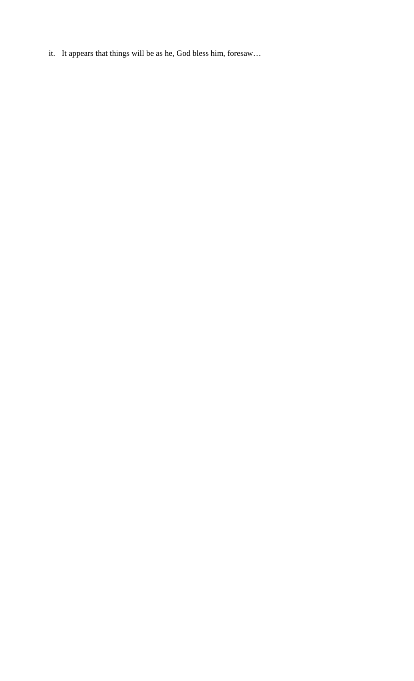it. It appears that things will be as he, God bless him, foresaw…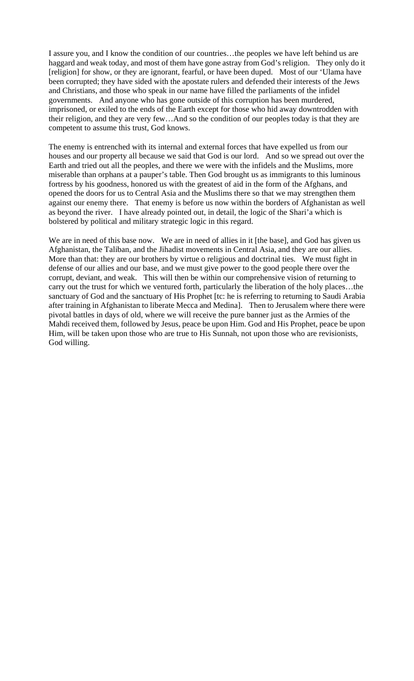I assure you, and I know the condition of our countries…the peoples we have left behind us are haggard and weak today, and most of them have gone astray from God's religion. They only do it [religion] for show, or they are ignorant, fearful, or have been duped. Most of our 'Ulama have been corrupted; they have sided with the apostate rulers and defended their interests of the Jews and Christians, and those who speak in our name have filled the parliaments of the infidel governments. And anyone who has gone outside of this corruption has been murdered, imprisoned, or exiled to the ends of the Earth except for those who hid away downtrodden with their religion, and they are very few…And so the condition of our peoples today is that they are competent to assume this trust, God knows.

The enemy is entrenched with its internal and external forces that have expelled us from our houses and our property all because we said that God is our lord. And so we spread out over the Earth and tried out all the peoples, and there we were with the infidels and the Muslims, more miserable than orphans at a pauper's table. Then God brought us as immigrants to this luminous fortress by his goodness, honored us with the greatest of aid in the form of the Afghans, and opened the doors for us to Central Asia and the Muslims there so that we may strengthen them against our enemy there. That enemy is before us now within the borders of Afghanistan as well as beyond the river. I have already pointed out, in detail, the logic of the Shari'a which is bolstered by political and military strategic logic in this regard.

We are in need of this base now. We are in need of allies in it [the base], and God has given us Afghanistan, the Taliban, and the Jihadist movements in Central Asia, and they are our allies. More than that: they are our brothers by virtue o religious and doctrinal ties. We must fight in defense of our allies and our base, and we must give power to the good people there over the corrupt, deviant, and weak. This will then be within our comprehensive vision of returning to carry out the trust for which we ventured forth, particularly the liberation of the holy places…the sanctuary of God and the sanctuary of His Prophet [tc: he is referring to returning to Saudi Arabia after training in Afghanistan to liberate Mecca and Medina]. Then to Jerusalem where there were pivotal battles in days of old, where we will receive the pure banner just as the Armies of the Mahdi received them, followed by Jesus, peace be upon Him. God and His Prophet, peace be upon Him, will be taken upon those who are true to His Sunnah, not upon those who are revisionists, God willing.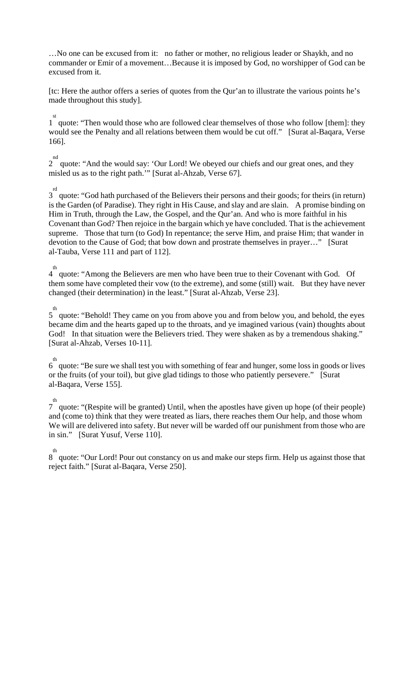…No one can be excused from it: no father or mother, no religious leader or Shaykh, and no commander or Emir of a movement…Because it is imposed by God, no worshipper of God can be excused from it.

[tc: Here the author offers a series of quotes from the Qur'an to illustrate the various points he's made throughout this study].

<sup>st</sup> quote: "Then would those who are followed clear themselves of those who follow [them]: they would see the Penalty and all relations between them would be cut off." [Surat al-Baqara, Verse 166].

<sup>nd</sup> quote: "And the would say: 'Our Lord! We obeyed our chiefs and our great ones, and they misled us as to the right path.'" [Surat al-Ahzab, Verse 67].

<sup>rd</sup> quote: "God hath purchased of the Believers their persons and their goods; for theirs (in return) is the Garden (of Paradise). They right in His Cause, and slay and are slain. A promise binding on Him in Truth, through the Law, the Gospel, and the Qur'an. And who is more faithful in his Covenant than God? Then rejoice in the bargain which ye have concluded. That is the achievement supreme. Those that turn (to God) In repentance; the serve Him, and praise Him; that wander in devotion to the Cause of God; that bow down and prostrate themselves in prayer…" [Surat al-Tauba, Verse 111 and part of 112].

th<br>4 quote: "Among the Believers are men who have been true to their Covenant with God. Of them some have completed their vow (to the extreme), and some (still) wait. But they have never changed (their determination) in the least." [Surat al-Ahzab, Verse 23].

th<br>5 quote: "Behold! They came on you from above you and from below you, and behold, the eyes became dim and the hearts gaped up to the throats, and ye imagined various (vain) thoughts about God! In that situation were the Believers tried. They were shaken as by a tremendous shaking." [Surat al-Ahzab, Verses 10-11].

6 th quote: "Be sure we shall test you with something of fear and hunger, some loss in goods or lives or the fruits (of your toil), but give glad tidings to those who patiently persevere." [Surat al-Baqara, Verse 155].

<sup>th</sup> quote: "(Respite will be granted) Until, when the apostles have given up hope (of their people) and (come to) think that they were treated as liars, there reaches them Our help, and those whom We will are delivered into safety. But never will be warded off our punishment from those who are in sin." [Surat Yusuf, Verse 110].

th<br>8 quote: "Our Lord! Pour out constancy on us and make our steps firm. Help us against those that reject faith." [Surat al-Baqara, Verse 250].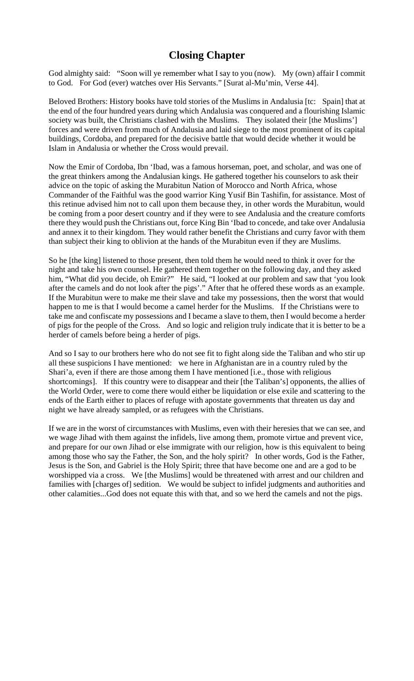# **Closing Chapter**

God almighty said: "Soon will ye remember what I say to you (now). My (own) affair I commit to God. For God (ever) watches over His Servants." [Surat al-Mu'min, Verse 44].

Beloved Brothers: History books have told stories of the Muslims in Andalusia [tc: Spain] that at the end of the four hundred years during which Andalusia was conquered and a flourishing Islamic society was built, the Christians clashed with the Muslims. They isolated their [the Muslims'] forces and were driven from much of Andalusia and laid siege to the most prominent of its capital buildings, Cordoba, and prepared for the decisive battle that would decide whether it would be Islam in Andalusia or whether the Cross would prevail.

Now the Emir of Cordoba, Ibn 'Ibad, was a famous horseman, poet, and scholar, and was one of the great thinkers among the Andalusian kings. He gathered together his counselors to ask their advice on the topic of asking the Murabitun Nation of Morocco and North Africa, whose Commander of the Faithful was the good warrior King Yusif Bin Tashifin, for assistance. Most of this retinue advised him not to call upon them because they, in other words the Murabitun, would be coming from a poor desert country and if they were to see Andalusia and the creature comforts there they would push the Christians out, force King Bin 'Ibad to concede, and take over Andalusia and annex it to their kingdom. They would rather benefit the Christians and curry favor with them than subject their king to oblivion at the hands of the Murabitun even if they are Muslims.

So he [the king] listened to those present, then told them he would need to think it over for the night and take his own counsel. He gathered them together on the following day, and they asked him, "What did you decide, oh Emir?" He said, "I looked at our problem and saw that 'you look after the camels and do not look after the pigs'." After that he offered these words as an example. If the Murabitun were to make me their slave and take my possessions, then the worst that would happen to me is that I would become a camel herder for the Muslims. If the Christians were to take me and confiscate my possessions and I became a slave to them, then I would become a herder of pigs for the people of the Cross. And so logic and religion truly indicate that it is better to be a herder of camels before being a herder of pigs.

And so I say to our brothers here who do not see fit to fight along side the Taliban and who stir up all these suspicions I have mentioned: we here in Afghanistan are in a country ruled by the Shari'a, even if there are those among them I have mentioned [i.e., those with religious shortcomings]. If this country were to disappear and their [the Taliban's] opponents, the allies of the World Order, were to come there would either be liquidation or else exile and scattering to the ends of the Earth either to places of refuge with apostate governments that threaten us day and night we have already sampled, or as refugees with the Christians.

If we are in the worst of circumstances with Muslims, even with their heresies that we can see, and we wage Jihad with them against the infidels, live among them, promote virtue and prevent vice, and prepare for our own Jihad or else immigrate with our religion, how is this equivalent to being among those who say the Father, the Son, and the holy spirit? In other words, God is the Father, Jesus is the Son, and Gabriel is the Holy Spirit; three that have become one and are a god to be worshipped via a cross. We [the Muslims] would be threatened with arrest and our children and families with [charges of] sedition. We would be subject to infidel judgments and authorities and other calamities...God does not equate this with that, and so we herd the camels and not the pigs.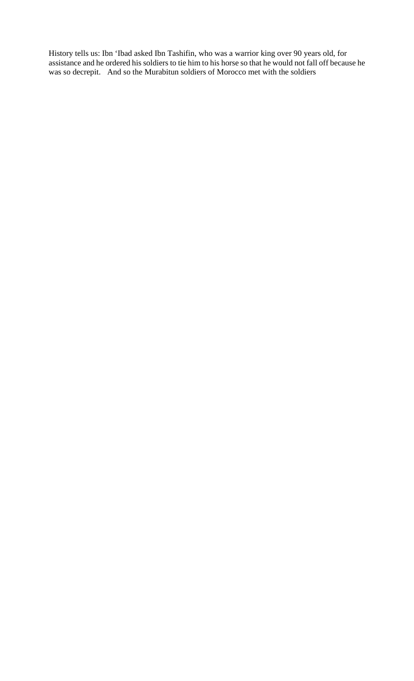History tells us: Ibn 'Ibad asked Ibn Tashifin, who was a warrior king over 90 years old, for assistance and he ordered his soldiers to tie him to his horse so that he would not fall off because he was so decrepit. And so the Murabitun soldiers of Morocco met with the soldiers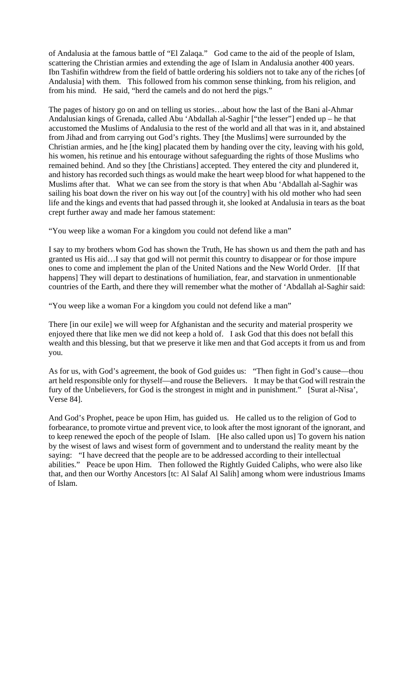of Andalusia at the famous battle of "El Zalaqa." God came to the aid of the people of Islam, scattering the Christian armies and extending the age of Islam in Andalusia another 400 years. Ibn Tashifin withdrew from the field of battle ordering his soldiers not to take any of the riches [of Andalusia] with them. This followed from his common sense thinking, from his religion, and from his mind. He said, "herd the camels and do not herd the pigs."

The pages of history go on and on telling us stories…about how the last of the Bani al-Ahmar Andalusian kings of Grenada, called Abu 'Abdallah al-Saghir ["the lesser"] ended up – he that accustomed the Muslims of Andalusia to the rest of the world and all that was in it, and abstained from Jihad and from carrying out God's rights. They [the Muslims] were surrounded by the Christian armies, and he [the king] placated them by handing over the city, leaving with his gold, his women, his retinue and his entourage without safeguarding the rights of those Muslims who remained behind. And so they [the Christians] accepted. They entered the city and plundered it, and history has recorded such things as would make the heart weep blood for what happened to the Muslims after that. What we can see from the story is that when Abu 'Abdallah al-Saghir was sailing his boat down the river on his way out [of the country] with his old mother who had seen life and the kings and events that had passed through it, she looked at Andalusia in tears as the boat crept further away and made her famous statement:

"You weep like a woman For a kingdom you could not defend like a man"

I say to my brothers whom God has shown the Truth, He has shown us and them the path and has granted us His aid…I say that god will not permit this country to disappear or for those impure ones to come and implement the plan of the United Nations and the New World Order. [If that happens] They will depart to destinations of humiliation, fear, and starvation in unmentionable countries of the Earth, and there they will remember what the mother of 'Abdallah al-Saghir said:

"You weep like a woman For a kingdom you could not defend like a man"

There [in our exile] we will weep for Afghanistan and the security and material prosperity we enjoyed there that like men we did not keep a hold of. I ask God that this does not befall this wealth and this blessing, but that we preserve it like men and that God accepts it from us and from you.

As for us, with God's agreement, the book of God guides us: "Then fight in God's cause—thou art held responsible only for thyself—and rouse the Believers. It may be that God will restrain the fury of the Unbelievers, for God is the strongest in might and in punishment." [Surat al-Nisa', Verse 84].

And God's Prophet, peace be upon Him, has guided us. He called us to the religion of God to forbearance, to promote virtue and prevent vice, to look after the most ignorant of the ignorant, and to keep renewed the epoch of the people of Islam. [He also called upon us] To govern his nation by the wisest of laws and wisest form of government and to understand the reality meant by the saying: "I have decreed that the people are to be addressed according to their intellectual abilities." Peace be upon Him. Then followed the Rightly Guided Caliphs, who were also like that, and then our Worthy Ancestors [tc: Al Salaf Al Salih] among whom were industrious Imams of Islam.